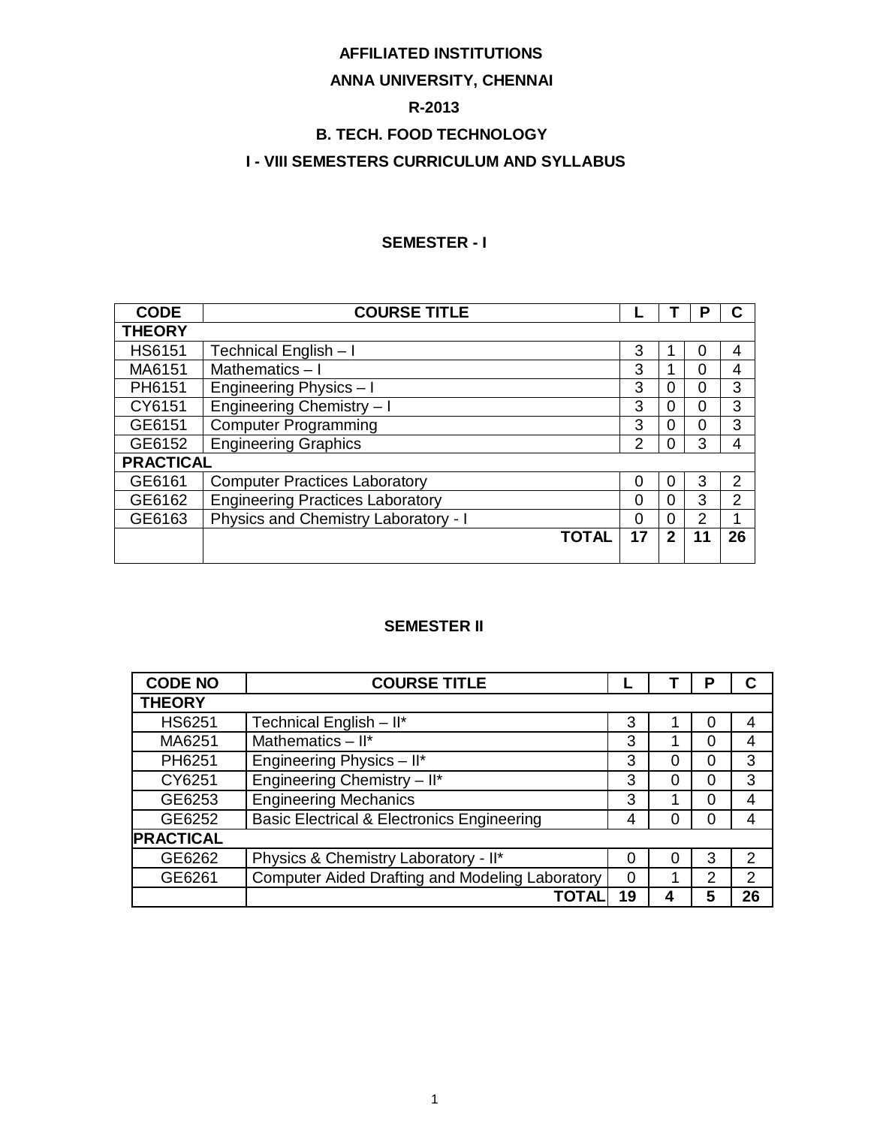# **AFFILIATED INSTITUTIONS**

# **ANNA UNIVERSITY, CHENNAI**

### **R-2013**

# **B. TECH. FOOD TECHNOLOGY**

# **I - VIII SEMESTERS CURRICULUM AND SYLLABUS**

#### **SEMESTER - I**

| <b>CODE</b>      | <b>COURSE TITLE</b>                     |               |              |    |                |
|------------------|-----------------------------------------|---------------|--------------|----|----------------|
| <b>THEORY</b>    |                                         |               |              |    |                |
| <b>HS6151</b>    | Technical English - I                   | 3             |              | 0  | 4              |
| MA6151           | Mathematics-I                           | 3             |              | 0  | 4              |
| PH6151           | Engineering Physics - I                 | 3             | 0            | 0  | 3              |
| CY6151           | Engineering Chemistry - I               | 3             | 0            | 0  | 3              |
| GE6151           | <b>Computer Programming</b>             | 3             | 0            | 0  | 3              |
| GE6152           | <b>Engineering Graphics</b>             | $\mathcal{P}$ | 0            | 3  | 4              |
| <b>PRACTICAL</b> |                                         |               |              |    |                |
| GE6161           | <b>Computer Practices Laboratory</b>    | 0             | 0            | 3  | 2              |
| GE6162           | <b>Engineering Practices Laboratory</b> | 0             | $\Omega$     | 3  | $\overline{2}$ |
| GE6163           | Physics and Chemistry Laboratory - I    | 0             | 0            | 2  | 4              |
|                  | <b>TOTAL</b>                            | 17            | $\mathbf{2}$ | 11 | 26             |
|                  |                                         |               |              |    |                |

## **SEMESTER II**

| <b>CODE NO</b>   | <b>COURSE TITLE</b>                                    |    |   | P |               |
|------------------|--------------------------------------------------------|----|---|---|---------------|
| <b>THEORY</b>    |                                                        |    |   |   |               |
| <b>HS6251</b>    | Technical English - II*                                | 3  |   | 0 | 4             |
| MA6251           | Mathematics $-$ II*                                    | 3  |   | 0 | 4             |
| PH6251           | Engineering Physics - II*                              | 3  | ი | 0 | 3             |
| CY6251           | Engineering Chemistry - II*                            | 3  | 0 | 0 | 3             |
| GE6253           | <b>Engineering Mechanics</b>                           | 3  |   | 0 | 4             |
| GE6252           | <b>Basic Electrical &amp; Electronics Engineering</b>  | 4  | 0 | 0 | 4             |
| <b>PRACTICAL</b> |                                                        |    |   |   |               |
| GE6262           | Physics & Chemistry Laboratory - II*                   | O  | 0 | 3 | $\mathcal{P}$ |
| GE6261           | <b>Computer Aided Drafting and Modeling Laboratory</b> | 0  |   | 2 | 2             |
|                  | ΤΟΤΑΙ                                                  | 19 |   | 5 | 26            |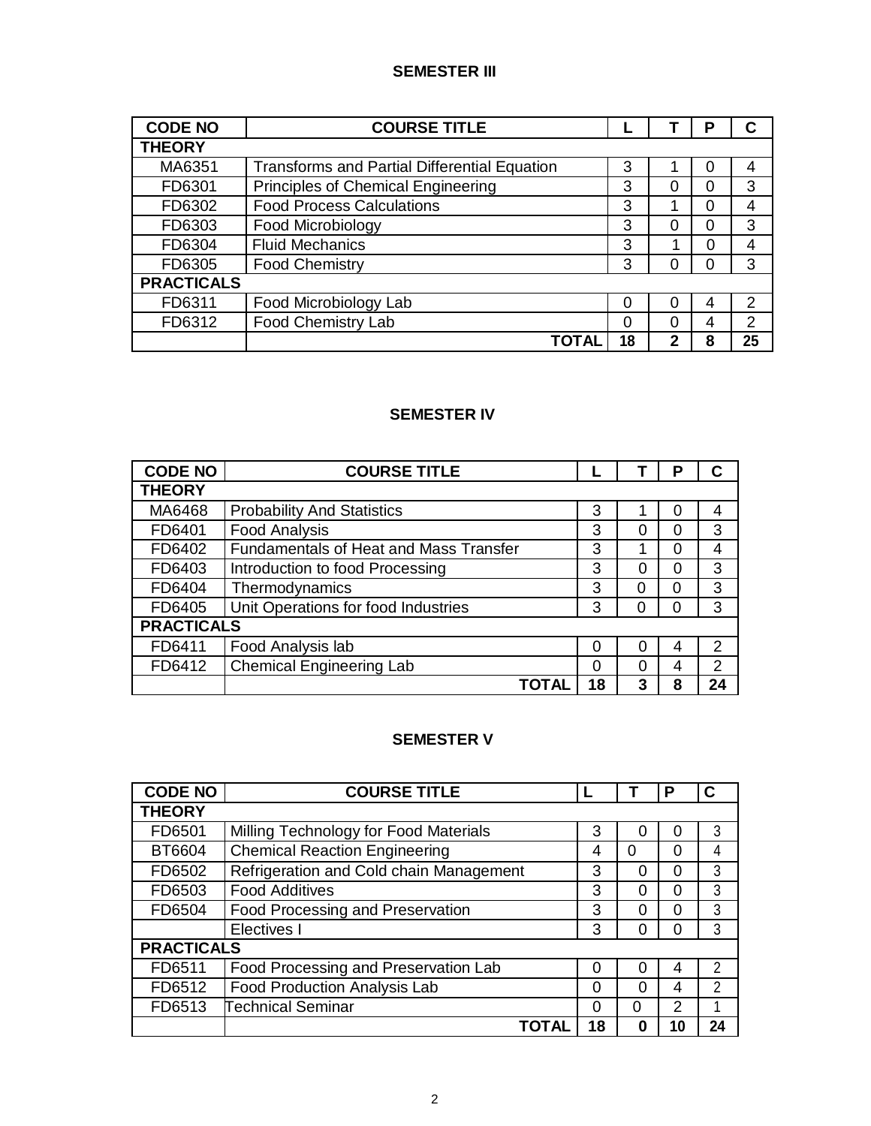## **SEMESTER III**

| <b>CODE NO</b>    | <b>COURSE TITLE</b>                          |    |   | o        | C  |
|-------------------|----------------------------------------------|----|---|----------|----|
| <b>THEORY</b>     |                                              |    |   |          |    |
| MA6351            | Transforms and Partial Differential Equation | 3  |   |          |    |
| FD6301            | <b>Principles of Chemical Engineering</b>    | 3  |   | $\Omega$ | 3  |
| FD6302            | <b>Food Process Calculations</b>             | 3  |   | 0        | 4  |
| FD6303            | Food Microbiology                            | 3  |   | 0        | 3  |
| FD6304            | <b>Fluid Mechanics</b>                       | 3  |   | ი        | 4  |
| FD6305            | <b>Food Chemistry</b>                        | 3  |   | O        | 3  |
| <b>PRACTICALS</b> |                                              |    |   |          |    |
| FD6311            | Food Microbiology Lab                        | 0  |   | 4        | 2  |
| FD6312            | <b>Food Chemistry Lab</b>                    | 0  |   | 4        | 2  |
|                   | TOTAL                                        | 18 | າ | ឧ        | 25 |

# **SEMESTER IV**

| <b>CODE NO</b>    | <b>COURSE TITLE</b>                           |    |   | P |    |
|-------------------|-----------------------------------------------|----|---|---|----|
| <b>THEORY</b>     |                                               |    |   |   |    |
| MA6468            | <b>Probability And Statistics</b>             | 3  |   |   | 4  |
| FD6401            | <b>Food Analysis</b>                          | 3  | Ⴖ |   | 3  |
| FD6402            | <b>Fundamentals of Heat and Mass Transfer</b> | 3  |   |   | 4  |
| FD6403            | Introduction to food Processing               | 3  | 0 |   | 3  |
| FD6404            | Thermodynamics                                | 3  | Ⴖ |   | 3  |
| FD6405            | Unit Operations for food Industries           | 3  |   |   | 3  |
| <b>PRACTICALS</b> |                                               |    |   |   |    |
| FD6411            | Food Analysis lab                             | 0  | O | 4 | 2  |
| FD6412            | <b>Chemical Engineering Lab</b>               | ი  | ∩ | 4 | 2  |
|                   | TOTAL                                         | 18 | 3 | 8 | 24 |

# **SEMESTER V**

| <b>CODE NO</b>    | <b>COURSE TITLE</b>                     |    |   | Р             | C             |
|-------------------|-----------------------------------------|----|---|---------------|---------------|
| <b>THEORY</b>     |                                         |    |   |               |               |
| FD6501            | Milling Technology for Food Materials   | 3  |   |               | 3             |
| BT6604            | <b>Chemical Reaction Engineering</b>    | 4  | 0 | O             | 4             |
| FD6502            | Refrigeration and Cold chain Management | 3  | O | O             | 3             |
| FD6503            | <b>Food Additives</b>                   | 3  | ი | O             | 3             |
| FD6504            | Food Processing and Preservation        | 3  | O | ∩             | 3             |
|                   | Electives I                             | 3  |   |               | 3             |
| <b>PRACTICALS</b> |                                         |    |   |               |               |
| FD6511            | Food Processing and Preservation Lab    | ∩  | O | 4             | $\mathcal{P}$ |
| FD6512            | <b>Food Production Analysis Lab</b>     | 0  | ი | 4             | $\mathcal{P}$ |
| FD6513            | <b>Technical Seminar</b>                | ∩  | 0 | $\mathcal{P}$ |               |
|                   | ΤΟΤΑΙ                                   | 18 |   | 10            | 24            |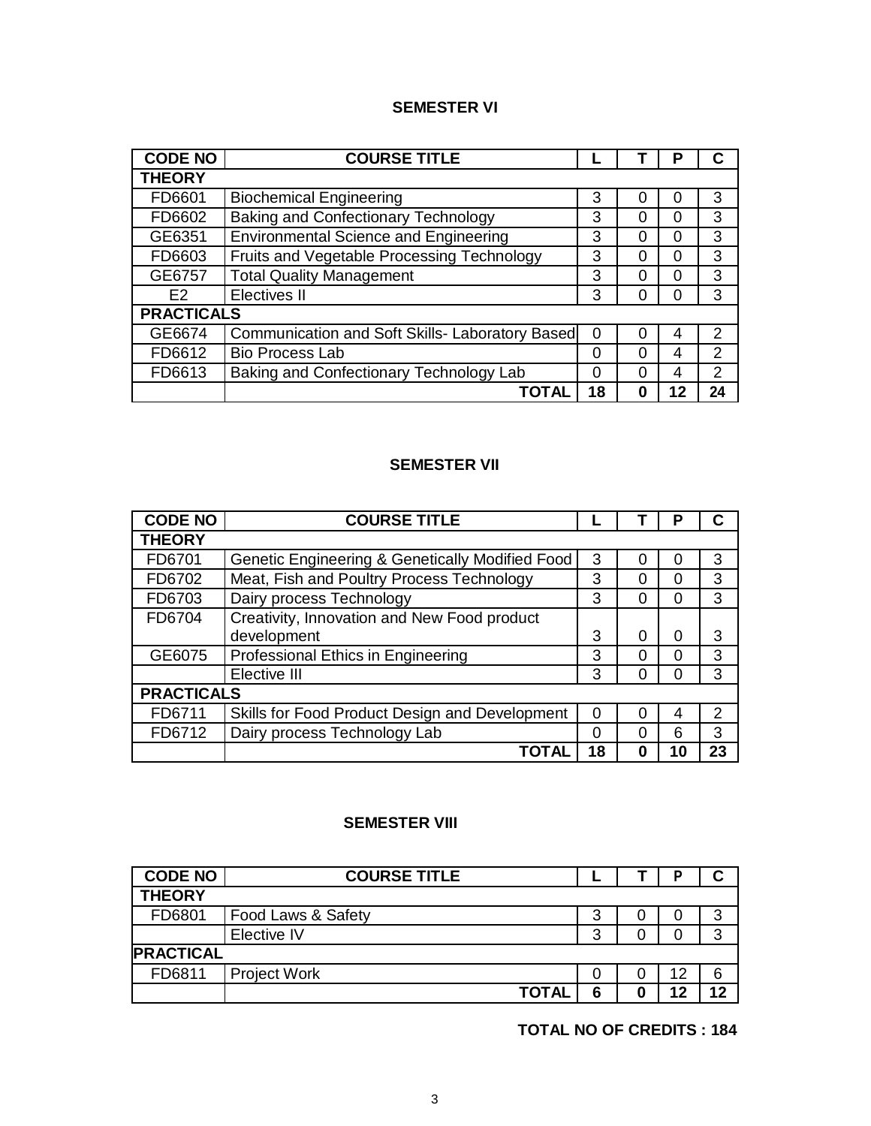#### **SEMESTER VI**

| <b>CODE NO</b>    | <b>COURSE TITLE</b>                             |    |   | Р  |               |
|-------------------|-------------------------------------------------|----|---|----|---------------|
| <b>THEORY</b>     |                                                 |    |   |    |               |
| FD6601            | <b>Biochemical Engineering</b>                  | 3  |   |    | 3             |
| FD6602            | <b>Baking and Confectionary Technology</b>      | 3  |   |    | 3             |
| GE6351            | <b>Environmental Science and Engineering</b>    | 3  | 0 | O  | 3             |
| FD6603            | Fruits and Vegetable Processing Technology      | 3  | O | O  | 3             |
| GE6757            | <b>Total Quality Management</b>                 | 3  |   | 0  | 3             |
| F <sub>2</sub>    | <b>Electives II</b>                             | 3  |   |    | 3             |
| <b>PRACTICALS</b> |                                                 |    |   |    |               |
| GE6674            | Communication and Soft Skills- Laboratory Based | 0  |   | 4  | 2             |
| FD6612            | <b>Bio Process Lab</b>                          | 0  | ∩ | 4  | $\mathcal{P}$ |
| FD6613            | Baking and Confectionary Technology Lab         | 0  |   | 4  | 2             |
|                   | TOTAL                                           | 18 |   | 12 | 24            |

# **SEMESTER VII**

| <b>CODE NO</b>    | <b>COURSE TITLE</b>                             |    |   | Р  |               |
|-------------------|-------------------------------------------------|----|---|----|---------------|
| <b>THEORY</b>     |                                                 |    |   |    |               |
| FD6701            | Genetic Engineering & Genetically Modified Food | 3  |   | O  | 3             |
| FD6702            | Meat, Fish and Poultry Process Technology       | 3  | ∩ | ი  | 3             |
| FD6703            | Dairy process Technology                        | 3  | ∩ | ი  | 3             |
| FD6704            | Creativity, Innovation and New Food product     |    |   |    |               |
|                   | development                                     | 3  | ∩ | U  | 3             |
| GE6075            | Professional Ethics in Engineering              | 3  | ∩ | n  | 3             |
|                   | Elective III                                    | 3  |   |    | 3             |
| <b>PRACTICALS</b> |                                                 |    |   |    |               |
| FD6711            | Skills for Food Product Design and Development  | 0  |   | 4  | $\mathcal{P}$ |
| FD6712            | Dairy process Technology Lab                    | 0  |   | 6  | 3             |
|                   | ΤΟΤΑΙ                                           | 18 | 0 | 10 | 23            |

# **SEMESTER VIII**

| <b>CODE NO</b>   | <b>COURSE TITLE</b> |   |    |    |
|------------------|---------------------|---|----|----|
| <b>THEORY</b>    |                     |   |    |    |
| FD6801           | Food Laws & Safety  | 3 |    | 3  |
|                  | Elective IV         | 3 |    | 3  |
| <b>PRACTICAL</b> |                     |   |    |    |
| FD6811           | <b>Project Work</b> |   | 12 | 6  |
|                  | <b>TOTAL</b>        |   |    | ィク |

**TOTAL NO OF CREDITS : 184**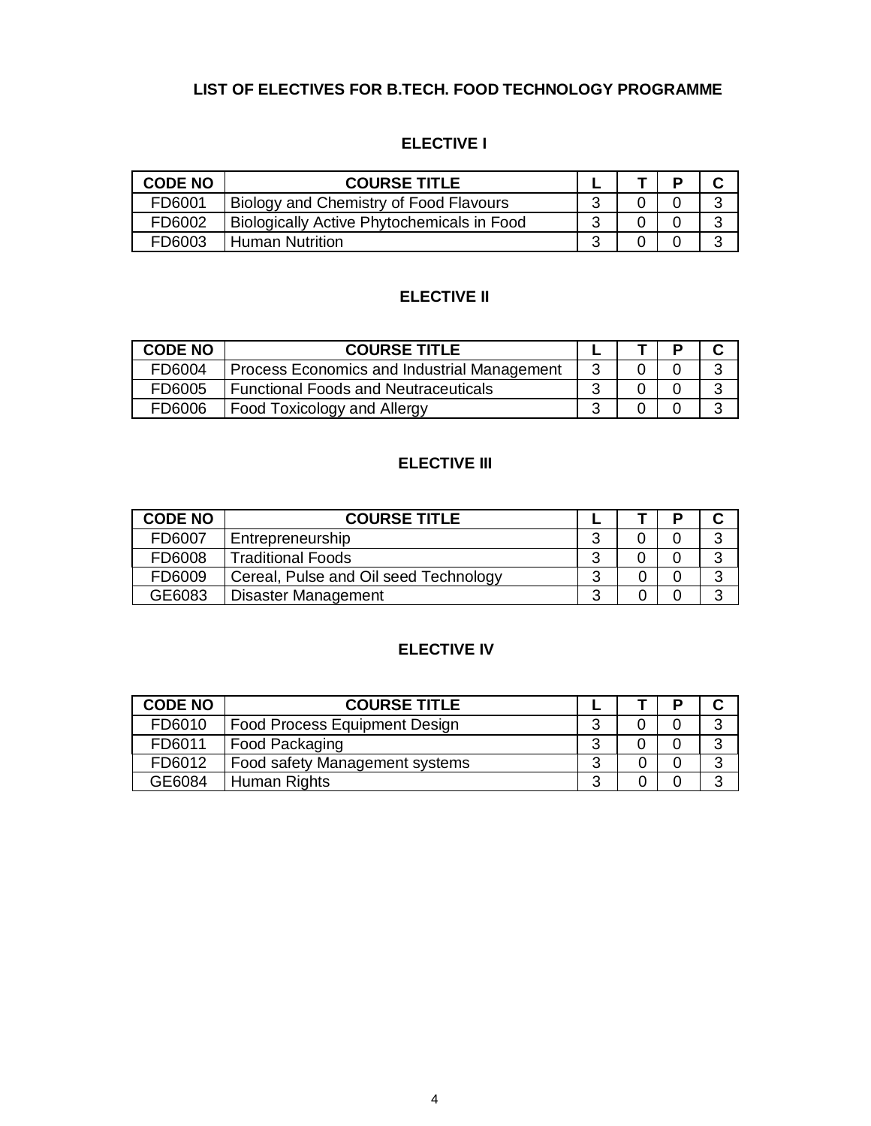# **LIST OF ELECTIVES FOR B.TECH. FOOD TECHNOLOGY PROGRAMME**

# **ELECTIVE I**

| <b>CODE NO</b> | <b>COURSE TITLE</b>                               |  |  |
|----------------|---------------------------------------------------|--|--|
| FD6001         | Biology and Chemistry of Food Flavours            |  |  |
| FD6002         | <b>Biologically Active Phytochemicals in Food</b> |  |  |
| <b>FD6003</b>  | Human Nutrition                                   |  |  |

# **ELECTIVE II**

| <b>CODE NO</b> | <b>COURSE TITLE</b>                         |  |  |
|----------------|---------------------------------------------|--|--|
| FD6004         | Process Economics and Industrial Management |  |  |
| FD6005         | <b>Functional Foods and Neutraceuticals</b> |  |  |
| FD6006         | Food Toxicology and Allergy                 |  |  |

# **ELECTIVE III**

| <b>CODE NO</b> | <b>COURSE TITLE</b>                   |  |                   |
|----------------|---------------------------------------|--|-------------------|
| FD6007         | Entrepreneurship                      |  | າ                 |
| FD6008         | <b>Traditional Foods</b>              |  | $\mathbf{\Omega}$ |
| FD6009         | Cereal, Pulse and Oil seed Technology |  | 2                 |
| GE6083         | <b>Disaster Management</b>            |  | ◠                 |

# **ELECTIVE IV**

| <b>CODE NO</b> | <b>COURSE TITLE</b>                  |   |  |   |
|----------------|--------------------------------------|---|--|---|
| FD6010         | <b>Food Process Equipment Design</b> |   |  | ົ |
| FD6011         | Food Packaging                       |   |  |   |
| FD6012         | Food safety Management systems       |   |  |   |
| GE6084         | Human Rights                         | ⌒ |  | ⌒ |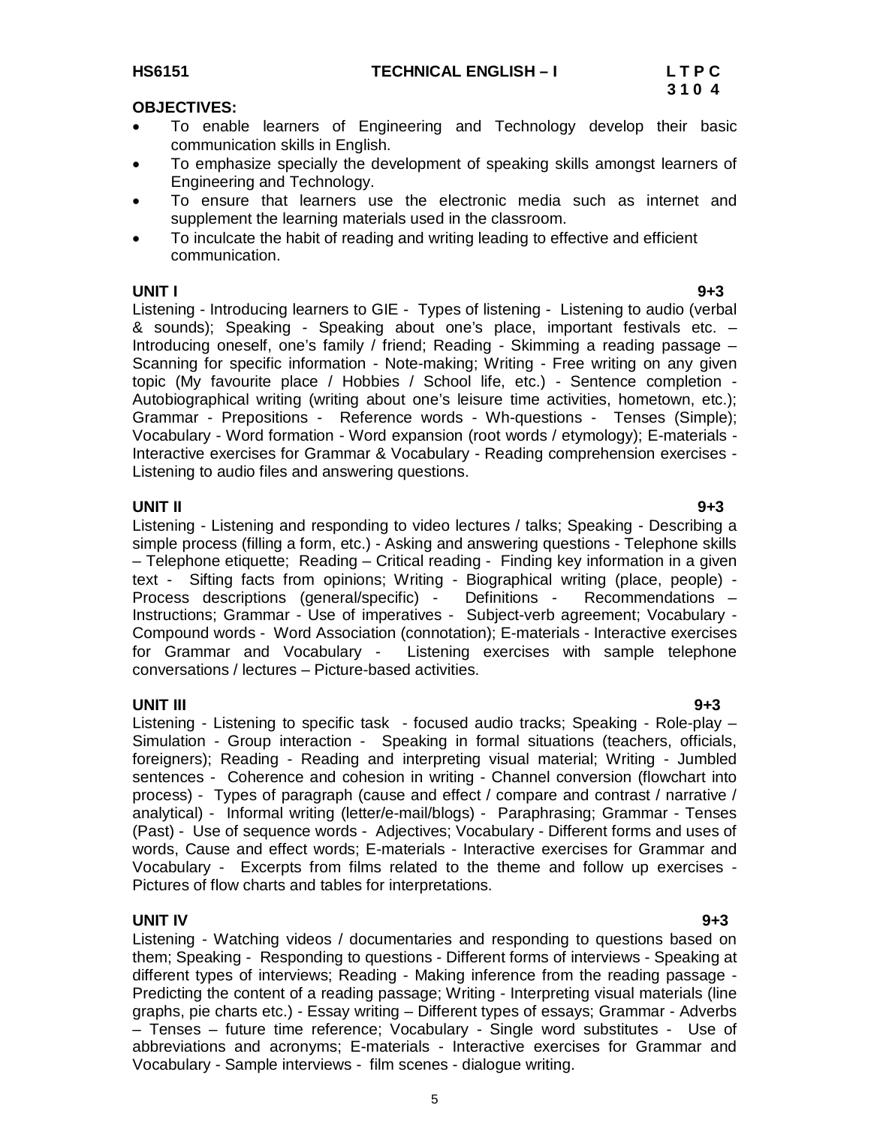#### **OBJECTIVES:**

- To enable learners of Engineering and Technology develop their basic communication skills in English.
- To emphasize specially the development of speaking skills amongst learners of Engineering and Technology.
- To ensure that learners use the electronic media such as internet and supplement the learning materials used in the classroom.
- To inculcate the habit of reading and writing leading to effective and efficient communication.

#### **UNIT I 9+3**

Listening - Introducing learners to GIE - Types of listening - Listening to audio (verbal & sounds); Speaking - Speaking about one's place, important festivals etc. – Introducing oneself, one's family / friend; Reading - Skimming a reading passage – Scanning for specific information - Note-making; Writing - Free writing on any given topic (My favourite place / Hobbies / School life, etc.) - Sentence completion - Autobiographical writing (writing about one's leisure time activities, hometown, etc.); Grammar - Prepositions - Reference words - Wh-questions - Tenses (Simple); Vocabulary - Word formation - Word expansion (root words / etymology); E-materials - Interactive exercises for Grammar & Vocabulary - Reading comprehension exercises - Listening to audio files and answering questions.

**UNIT II 9+3** Listening - Listening and responding to video lectures / talks; Speaking - Describing a simple process (filling a form, etc.) - Asking and answering questions - Telephone skills – Telephone etiquette; Reading – Critical reading - Finding key information in a given text - Sifting facts from opinions; Writing - Biographical writing (place, people) - Process descriptions (general/specific) - Definitions - Recommendations – Instructions; Grammar - Use of imperatives - Subject-verb agreement; Vocabulary - Compound words - Word Association (connotation); E-materials - Interactive exercises for Grammar and Vocabulary - Listening exercises with sample telephone conversations / lectures – Picture-based activities.

**UNIT III 9+3** Listening - Listening to specific task - focused audio tracks; Speaking - Role-play – Simulation - Group interaction - Speaking in formal situations (teachers, officials, foreigners); Reading - Reading and interpreting visual material; Writing - Jumbled sentences - Coherence and cohesion in writing - Channel conversion (flowchart into process) - Types of paragraph (cause and effect / compare and contrast / narrative / analytical) - Informal writing (letter/e-mail/blogs) - Paraphrasing; Grammar - Tenses (Past) - Use of sequence words - Adjectives; Vocabulary - Different forms and uses of words, Cause and effect words; E-materials - Interactive exercises for Grammar and Vocabulary - Excerpts from films related to the theme and follow up exercises - Pictures of flow charts and tables for interpretations.

### **UNIT IV 9+3**

Listening - Watching videos / documentaries and responding to questions based on them; Speaking - Responding to questions - Different forms of interviews - Speaking at different types of interviews; Reading - Making inference from the reading passage - Predicting the content of a reading passage; Writing - Interpreting visual materials (line graphs, pie charts etc.) - Essay writing – Different types of essays; Grammar - Adverbs – Tenses – future time reference; Vocabulary - Single word substitutes - Use of abbreviations and acronyms; E-materials - Interactive exercises for Grammar and Vocabulary - Sample interviews - film scenes - dialogue writing.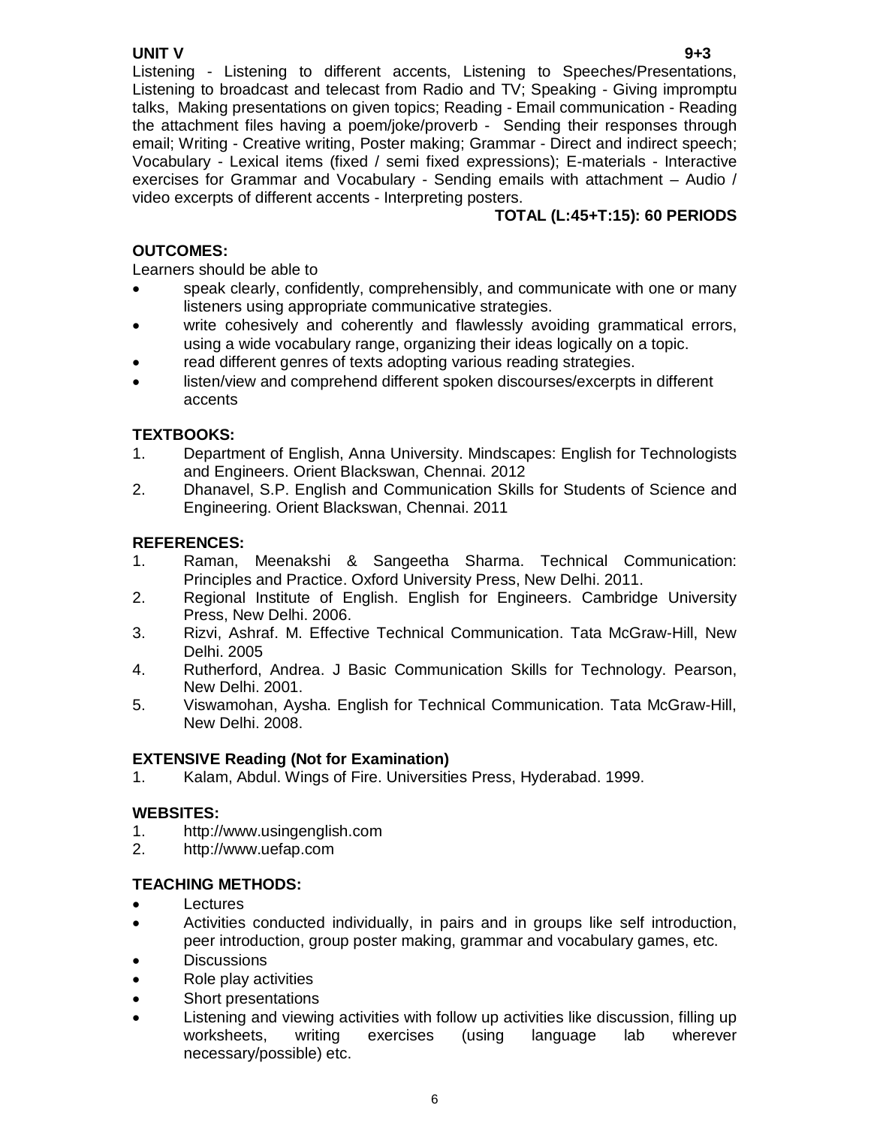# **UNIT V 9+3**

Listening - Listening to different accents, Listening to Speeches/Presentations, Listening to broadcast and telecast from Radio and TV; Speaking - Giving impromptu talks, Making presentations on given topics; Reading - Email communication - Reading the attachment files having a poem/joke/proverb - Sending their responses through email; Writing - Creative writing, Poster making; Grammar - Direct and indirect speech; Vocabulary - Lexical items (fixed / semi fixed expressions); E-materials - Interactive exercises for Grammar and Vocabulary - Sending emails with attachment – Audio / video excerpts of different accents - Interpreting posters.

# **TOTAL (L:45+T:15): 60 PERIODS**

## **OUTCOMES:**

Learners should be able to

- speak clearly, confidently, comprehensibly, and communicate with one or many listeners using appropriate communicative strategies.
- write cohesively and coherently and flawlessly avoiding grammatical errors, using a wide vocabulary range, organizing their ideas logically on a topic.
- read different genres of texts adopting various reading strategies.
- listen/view and comprehend different spoken discourses/excerpts in different accents

## **TEXTBOOKS:**

- 1. Department of English, Anna University. Mindscapes: English for Technologists and Engineers. Orient Blackswan, Chennai. 2012
- 2. Dhanavel, S.P. English and Communication Skills for Students of Science and Engineering. Orient Blackswan, Chennai. 2011

## **REFERENCES:**

- 1. Raman, Meenakshi & Sangeetha Sharma. Technical Communication: Principles and Practice. Oxford University Press, New Delhi. 2011.
- 2. Regional Institute of English. English for Engineers. Cambridge University Press, New Delhi. 2006.
- 3. Rizvi, Ashraf. M. Effective Technical Communication. Tata McGraw-Hill, New Delhi. 2005
- 4. Rutherford, Andrea. J Basic Communication Skills for Technology. Pearson, New Delhi. 2001.
- 5. Viswamohan, Aysha. English for Technical Communication. Tata McGraw-Hill, New Delhi. 2008.

#### **EXTENSIVE Reading (Not for Examination)**

1. Kalam, Abdul. Wings of Fire. Universities Press, Hyderabad. 1999.

#### **WEBSITES:**

- 1. http://www.usingenglish.com
- 2. http://www.uefap.com

#### **TEACHING METHODS:**

- Lectures
- Activities conducted individually, in pairs and in groups like self introduction, peer introduction, group poster making, grammar and vocabulary games, etc.
- **Discussions**
- Role play activities
- Short presentations
- Listening and viewing activities with follow up activities like discussion, filling up worksheets, writing exercises (using language lab wherever necessary/possible) etc.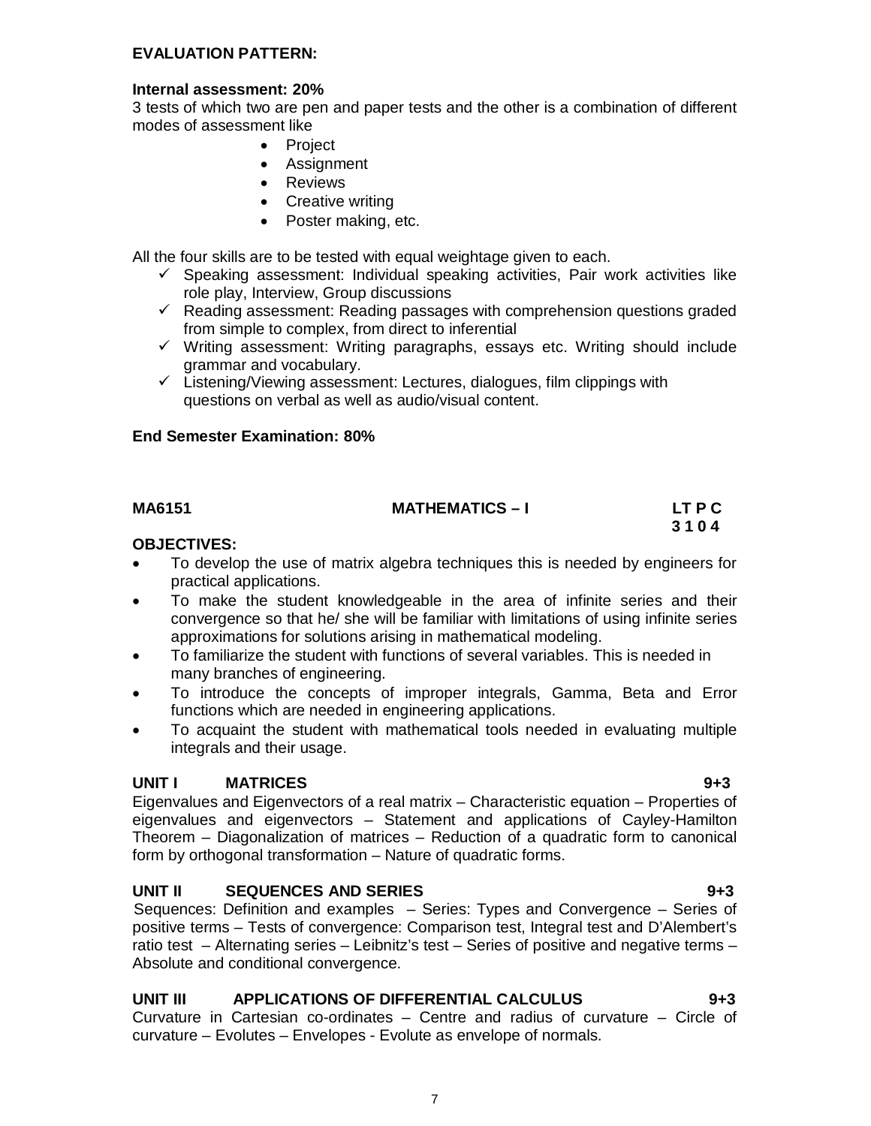#### **EVALUATION PATTERN:**

#### **Internal assessment: 20%**

3 tests of which two are pen and paper tests and the other is a combination of different modes of assessment like

- Project
- Assignment
- Reviews
- Creative writing
- Poster making, etc.

All the four skills are to be tested with equal weightage given to each.

- $\checkmark$  Speaking assessment: Individual speaking activities, Pair work activities like role play, Interview, Group discussions
- $\checkmark$  Reading assessment: Reading passages with comprehension questions graded from simple to complex, from direct to inferential
- $\checkmark$  Writing assessment: Writing paragraphs, essays etc. Writing should include grammar and vocabulary.
- $\checkmark$  Listening/Viewing assessment: Lectures, dialogues, film clippings with questions on verbal as well as audio/visual content.

#### **End Semester Examination: 80%**

#### **MA6151 MATHEMATICS – I LT P C**

# **3 1 0 4**

#### **OBJECTIVES:**

- To develop the use of matrix algebra techniques this is needed by engineers for practical applications.
- To make the student knowledgeable in the area of infinite series and their convergence so that he/ she will be familiar with limitations of using infinite series approximations for solutions arising in mathematical modeling.
- To familiarize the student with functions of several variables. This is needed in many branches of engineering.
- To introduce the concepts of improper integrals, Gamma, Beta and Error functions which are needed in engineering applications.
- To acquaint the student with mathematical tools needed in evaluating multiple integrals and their usage.

#### **UNIT I MATRICES 9+3**

Eigenvalues and Eigenvectors of a real matrix – Characteristic equation – Properties of eigenvalues and eigenvectors – Statement and applications of Cayley-Hamilton Theorem – Diagonalization of matrices – Reduction of a quadratic form to canonical form by orthogonal transformation – Nature of quadratic forms.

#### **UNIT II SEQUENCES AND SERIES 9+3**

Sequences: Definition and examples – Series: Types and Convergence – Series of positive terms – Tests of convergence: Comparison test, Integral test and D'Alembert's ratio test – Alternating series – Leibnitz's test – Series of positive and negative terms – Absolute and conditional convergence.

#### **UNIT III APPLICATIONS OF DIFFERENTIAL CALCULUS 9+3**

Curvature in Cartesian co-ordinates – Centre and radius of curvature – Circle of curvature – Evolutes – Envelopes - Evolute as envelope of normals.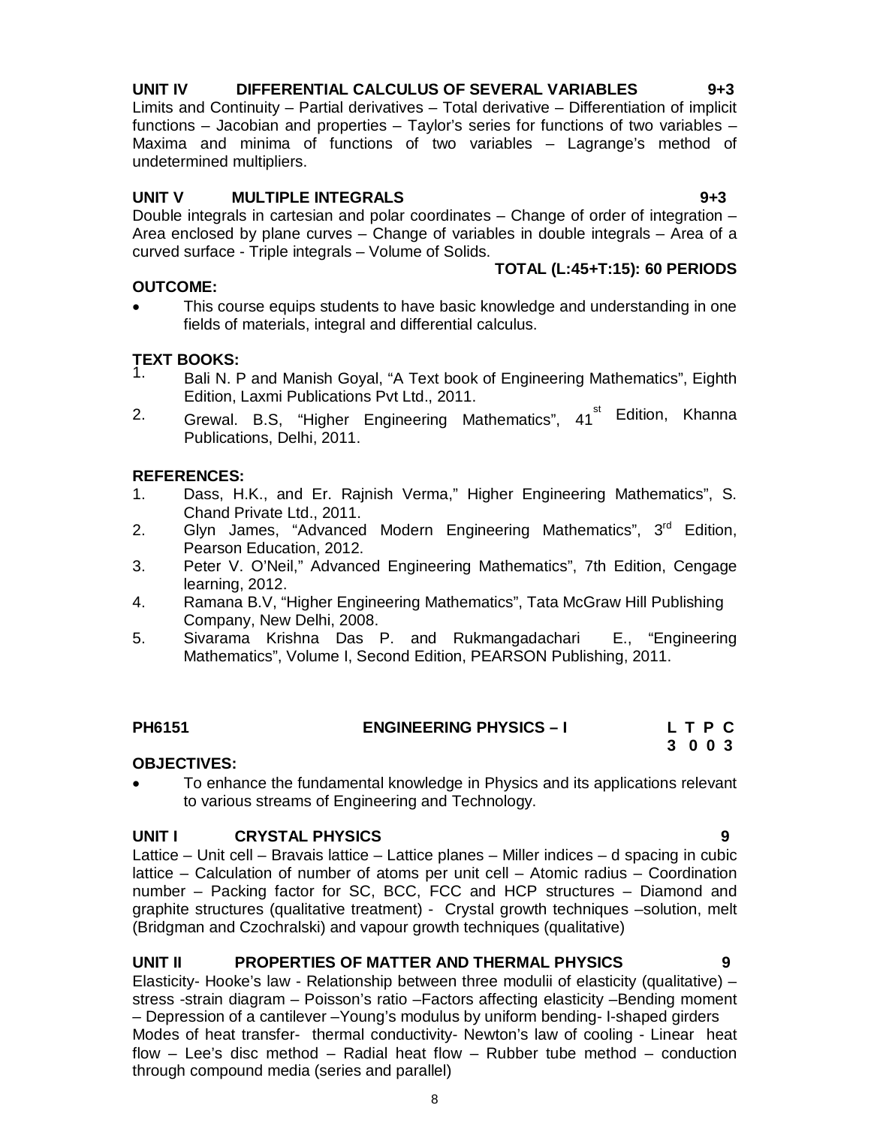# **UNIT IV DIFFERENTIAL CALCULUS OF SEVERAL VARIABLES 9+3**

Limits and Continuity – Partial derivatives – Total derivative – Differentiation of implicit functions – Jacobian and properties – Taylor's series for functions of two variables – Maxima and minima of functions of two variables – Lagrange's method of undetermined multipliers.

### **UNIT V MULTIPLE INTEGRALS 9+3**

Double integrals in cartesian and polar coordinates – Change of order of integration – Area enclosed by plane curves – Change of variables in double integrals – Area of a curved surface - Triple integrals – Volume of Solids. **TOTAL (L:45+T:15): 60 PERIODS**

### **OUTCOME:**

 This course equips students to have basic knowledge and understanding in one fields of materials, integral and differential calculus.

# **TEXT BOOKS:**

- 1. Bali N. P and Manish Goyal, "A Text book of Engineering Mathematics", Eighth Edition, Laxmi Publications Pvt Ltd., 2011.
- <sup>2.</sup> Grewal. B.S, "Higher Engineering Mathematics", 41<sup>st</sup> Edition, Khanna Publications, Delhi, 2011.

## **REFERENCES:**

- 1. Dass, H.K., and Er. Rajnish Verma," Higher Engineering Mathematics", S. Chand Private Ltd., 2011.
- 2. Glyn James, "Advanced Modern Engineering Mathematics", 3<sup>rd</sup> Edition, Pearson Education, 2012.
- 3. Peter V. O'Neil," Advanced Engineering Mathematics", 7th Edition, Cengage learning, 2012.
- 4. Ramana B.V, "Higher Engineering Mathematics", Tata McGraw Hill Publishing Company, New Delhi, 2008.
- 5. Sivarama Krishna Das P. and Rukmangadachari E., "Engineering Mathematics", Volume I, Second Edition, PEARSON Publishing, 2011.

# **PH6151 ENGINEERING PHYSICS – I L T P C**

# **3 0 0 3**

#### **OBJECTIVES:**

 To enhance the fundamental knowledge in Physics and its applications relevant to various streams of Engineering and Technology.

#### **UNIT I CRYSTAL PHYSICS 9**

Lattice – Unit cell – Bravais lattice – Lattice planes – Miller indices – d spacing in cubic lattice – Calculation of number of atoms per unit cell – Atomic radius – Coordination number – Packing factor for SC, BCC, FCC and HCP structures – Diamond and graphite structures (qualitative treatment) - Crystal growth techniques –solution, melt (Bridgman and Czochralski) and vapour growth techniques (qualitative)

#### **UNIT II PROPERTIES OF MATTER AND THERMAL PHYSICS 9**

Elasticity- Hooke's law - Relationship between three modulii of elasticity (qualitative) – stress -strain diagram – Poisson's ratio –Factors affecting elasticity –Bending moment – Depression of a cantilever –Young's modulus by uniform bending- I-shaped girders Modes of heat transfer- thermal conductivity- Newton's law of cooling - Linear heat flow – Lee's disc method – Radial heat flow – Rubber tube method – conduction through compound media (series and parallel)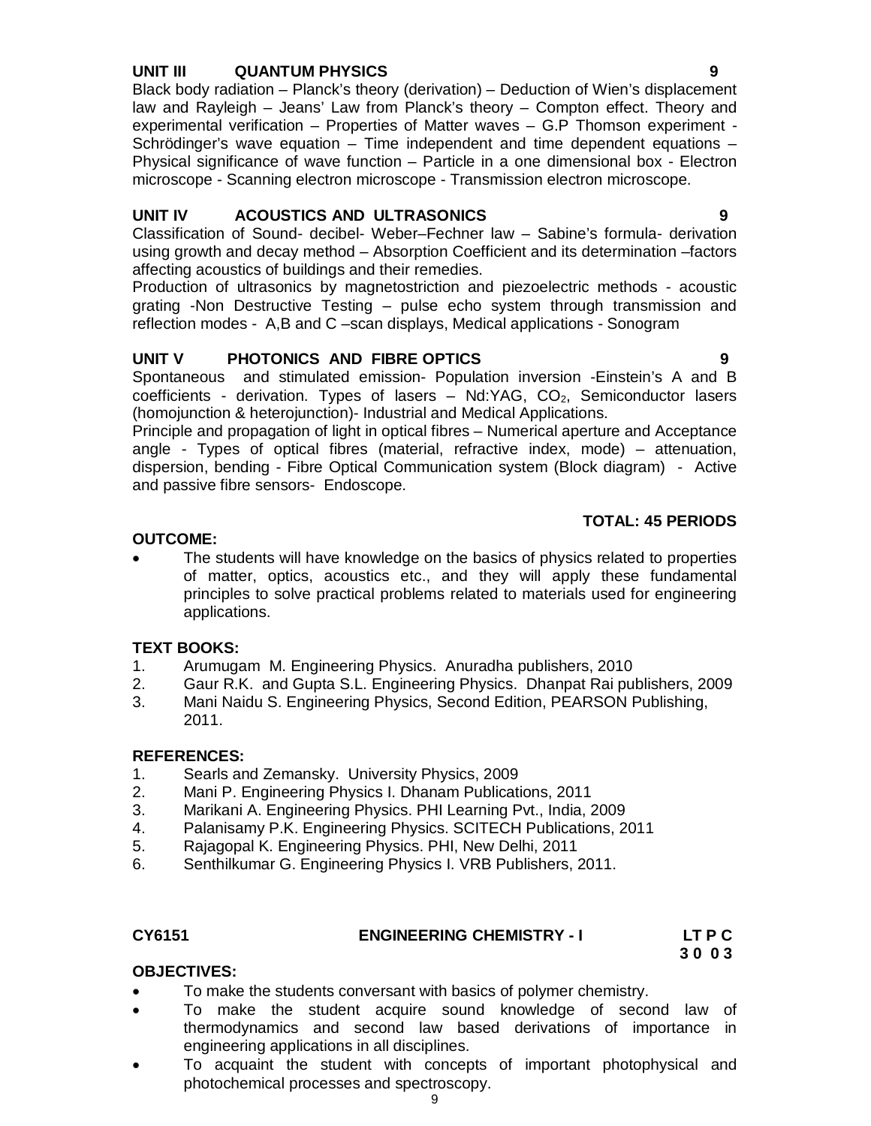### **UNIT III QUANTUM PHYSICS 9**

Black body radiation – Planck's theory (derivation) – Deduction of Wien's displacement law and Rayleigh – Jeans' Law from Planck's theory – Compton effect. Theory and experimental verification – Properties of Matter waves – G.P Thomson experiment - Schrödinger's wave equation – Time independent and time dependent equations – Physical significance of wave function – Particle in a one dimensional box - Electron microscope - Scanning electron microscope - Transmission electron microscope.

# **UNIT IV ACOUSTICS AND ULTRASONICS 9**

Classification of Sound- decibel- Weber–Fechner law – Sabine's formula- derivation using growth and decay method – Absorption Coefficient and its determination –factors affecting acoustics of buildings and their remedies.

Production of ultrasonics by magnetostriction and piezoelectric methods - acoustic grating -Non Destructive Testing – pulse echo system through transmission and reflection modes - A,B and C –scan displays, Medical applications - Sonogram

## **UNIT V PHOTONICS AND FIBRE OPTICS 9**

Spontaneous and stimulated emission- Population inversion -Einstein's A and B coefficients - derivation. Types of lasers  $-$  Nd:YAG, CO<sub>2</sub>, Semiconductor lasers (homojunction & heterojunction)- Industrial and Medical Applications.

Principle and propagation of light in optical fibres – Numerical aperture and Acceptance angle - Types of optical fibres (material, refractive index, mode) – attenuation, dispersion, bending - Fibre Optical Communication system (Block diagram) - Active and passive fibre sensors- Endoscope.

#### **TOTAL: 45 PERIODS**

#### **OUTCOME:**

 The students will have knowledge on the basics of physics related to properties of matter, optics, acoustics etc., and they will apply these fundamental principles to solve practical problems related to materials used for engineering applications.

#### **TEXT BOOKS:**

- 1. Arumugam M. Engineering Physics. Anuradha publishers, 2010
- 2. Gaur R.K. and Gupta S.L. Engineering Physics. Dhanpat Rai publishers, 2009
- 3. Mani Naidu S. Engineering Physics, Second Edition, PEARSON Publishing, 2011.

# **REFERENCES:**

- 1. Searls and Zemansky. University Physics, 2009
- 2. Mani P. Engineering Physics I. Dhanam Publications, 2011
- 3. Marikani A. Engineering Physics. PHI Learning Pvt., India, 2009
- 4. Palanisamy P.K. Engineering Physics. SCITECH Publications, 2011<br>5. Raiagopal K. Engineering Physics. PHI. New Delhi. 2011
- 5. Rajagopal K. Engineering Physics. PHI, New Delhi, 2011
- 6. Senthilkumar G. Engineering Physics I. VRB Publishers, 2011.

#### **CY6151 ENGINEERING CHEMISTRY - I LT P C**

 **3 0 0 3** 

### **OBJECTIVES:**

- To make the students conversant with basics of polymer chemistry.
- To make the student acquire sound knowledge of second law of thermodynamics and second law based derivations of importance in engineering applications in all disciplines.
- To acquaint the student with concepts of important photophysical and photochemical processes and spectroscopy.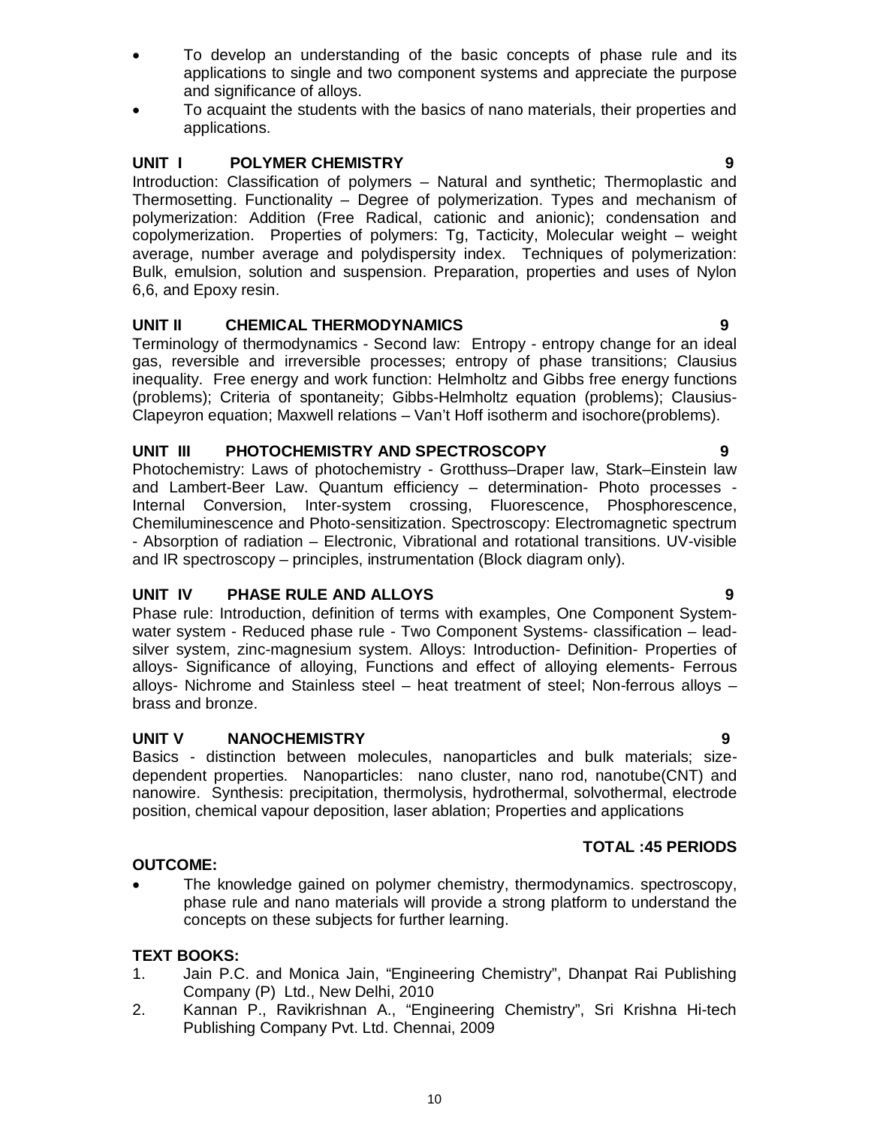- To develop an understanding of the basic concepts of phase rule and its applications to single and two component systems and appreciate the purpose and significance of alloys.
- To acquaint the students with the basics of nano materials, their properties and applications.

## **UNIT I** POLYMER CHEMISTRY **POLYMER CHEMISTRY**

Introduction: Classification of polymers – Natural and synthetic; Thermoplastic and Thermosetting. Functionality – Degree of polymerization. Types and mechanism of polymerization: Addition (Free Radical, cationic and anionic); condensation and copolymerization. Properties of polymers: Tg, Tacticity, Molecular weight – weight average, number average and polydispersity index. Techniques of polymerization: Bulk, emulsion, solution and suspension. Preparation, properties and uses of Nylon 6,6, and Epoxy resin.

#### **UNIT II CHEMICAL THERMODYNAMICS 9**

Terminology of thermodynamics - Second law: Entropy - entropy change for an ideal gas, reversible and irreversible processes; entropy of phase transitions; Clausius inequality. Free energy and work function: Helmholtz and Gibbs free energy functions (problems); Criteria of spontaneity; Gibbs-Helmholtz equation (problems); Clausius-Clapeyron equation; Maxwell relations – Van't Hoff isotherm and isochore(problems).

#### **UNIT III PHOTOCHEMISTRY AND SPECTROSCOPY 9**

Photochemistry: Laws of photochemistry - Grotthuss–Draper law, Stark–Einstein law and Lambert-Beer Law. Quantum efficiency – determination- Photo processes - Internal Conversion, Inter-system crossing, Fluorescence, Phosphorescence, Chemiluminescence and Photo-sensitization. Spectroscopy: Electromagnetic spectrum - Absorption of radiation – Electronic, Vibrational and rotational transitions. UV-visible and IR spectroscopy – principles, instrumentation (Block diagram only).

### **UNIT IV PHASE RULE AND ALLOYS 9**

Phase rule: Introduction, definition of terms with examples, One Component Systemwater system - Reduced phase rule - Two Component Systems- classification – leadsilver system, zinc-magnesium system. Alloys: Introduction- Definition- Properties of alloys- Significance of alloying, Functions and effect of alloying elements- Ferrous alloys- Nichrome and Stainless steel – heat treatment of steel; Non-ferrous alloys – brass and bronze.

#### **UNIT V NANOCHEMISTRY 9**

Basics - distinction between molecules, nanoparticles and bulk materials; sizedependent properties. Nanoparticles: nano cluster, nano rod, nanotube(CNT) and nanowire. Synthesis: precipitation, thermolysis, hydrothermal, solvothermal, electrode position, chemical vapour deposition, laser ablation; Properties and applications

#### **OUTCOME:**

 The knowledge gained on polymer chemistry, thermodynamics. spectroscopy, phase rule and nano materials will provide a strong platform to understand the concepts on these subjects for further learning.

#### **TEXT BOOKS:**

- 1. Jain P.C. and Monica Jain, "Engineering Chemistry", Dhanpat Rai Publishing Company (P) Ltd., New Delhi, 2010
- 2. Kannan P., Ravikrishnan A., "Engineering Chemistry", Sri Krishna Hi-tech Publishing Company Pvt. Ltd. Chennai, 2009

**TOTAL :45 PERIODS**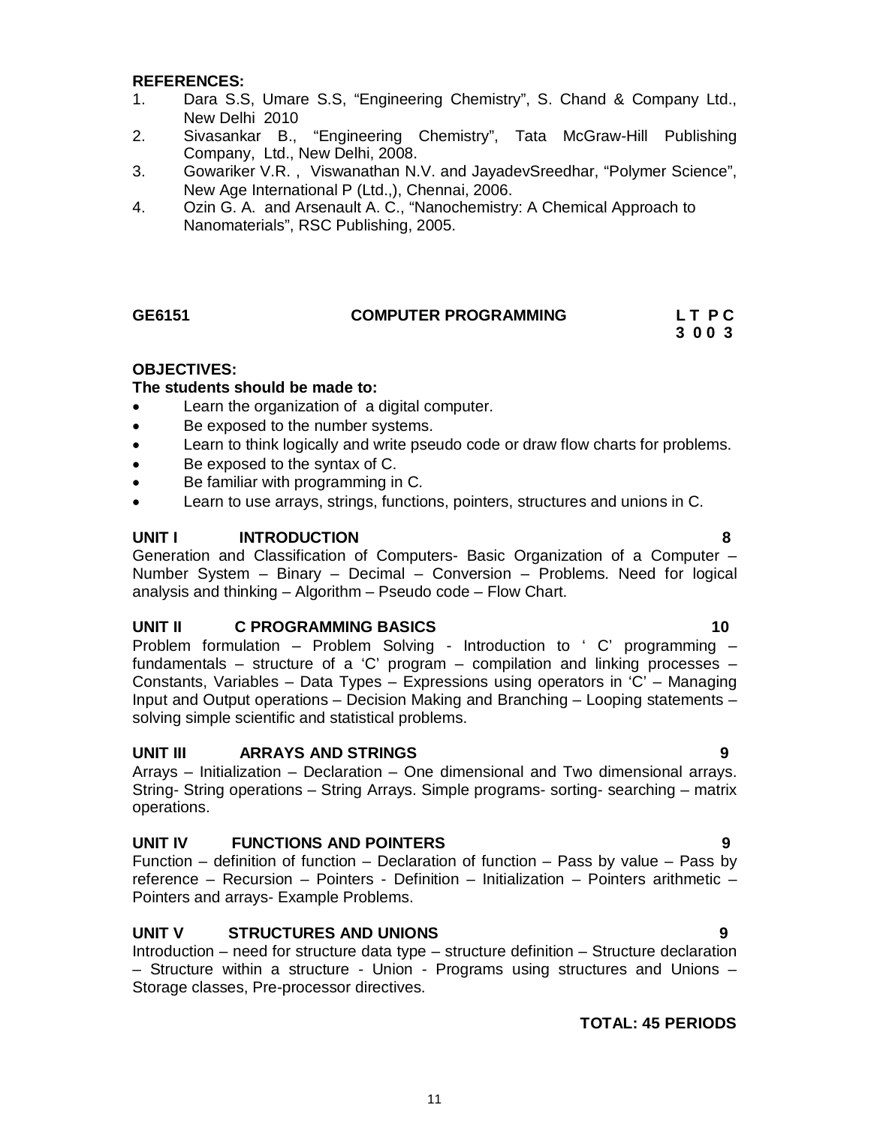#### **REFERENCES:**

- 1. Dara S.S, Umare S.S, "Engineering Chemistry", S. Chand & Company Ltd., New Delhi 2010
- 2. Sivasankar B., "Engineering Chemistry", Tata McGraw-Hill Publishing Company, Ltd., New Delhi, 2008.
- 3. Gowariker V.R. , Viswanathan N.V. and JayadevSreedhar, "Polymer Science", New Age International P (Ltd.,), Chennai, 2006.
- 4. Ozin G. A. and Arsenault A. C., "Nanochemistry: A Chemical Approach to Nanomaterials", RSC Publishing, 2005.

#### **GE6151 COMPUTER PROGRAMMING L T P C**

 **3 0 0 3** 

#### **OBJECTIVES:**

#### **The students should be made to:**

- Learn the organization of a digital computer.
- Be exposed to the number systems.
- Learn to think logically and write pseudo code or draw flow charts for problems.
- Be exposed to the syntax of C.
- Be familiar with programming in C.
- Learn to use arrays, strings, functions, pointers, structures and unions in C.

#### **UNIT I INTRODUCTION 8**

Generation and Classification of Computers- Basic Organization of a Computer – Number System – Binary – Decimal – Conversion – Problems. Need for logical analysis and thinking – Algorithm – Pseudo code – Flow Chart.

#### **UNIT II C PROGRAMMING BASICS** 10

Problem formulation – Problem Solving - Introduction to ' C' programming – fundamentals – structure of a 'C' program – compilation and linking processes – Constants, Variables – Data Types – Expressions using operators in 'C' – Managing Input and Output operations – Decision Making and Branching – Looping statements – solving simple scientific and statistical problems.

#### **UNIT III ARRAYS AND STRINGS 9**

Arrays – Initialization – Declaration – One dimensional and Two dimensional arrays. String- String operations – String Arrays. Simple programs- sorting- searching – matrix operations.

#### **UNIT IV FUNCTIONS AND POINTERS 9**

Function – definition of function – Declaration of function – Pass by value – Pass by reference – Recursion – Pointers - Definition – Initialization – Pointers arithmetic – Pointers and arrays- Example Problems.

#### **UNIT V STRUCTURES AND UNIONS 9**

Introduction – need for structure data type – structure definition – Structure declaration – Structure within a structure - Union - Programs using structures and Unions – Storage classes, Pre-processor directives.

#### **TOTAL: 45 PERIODS**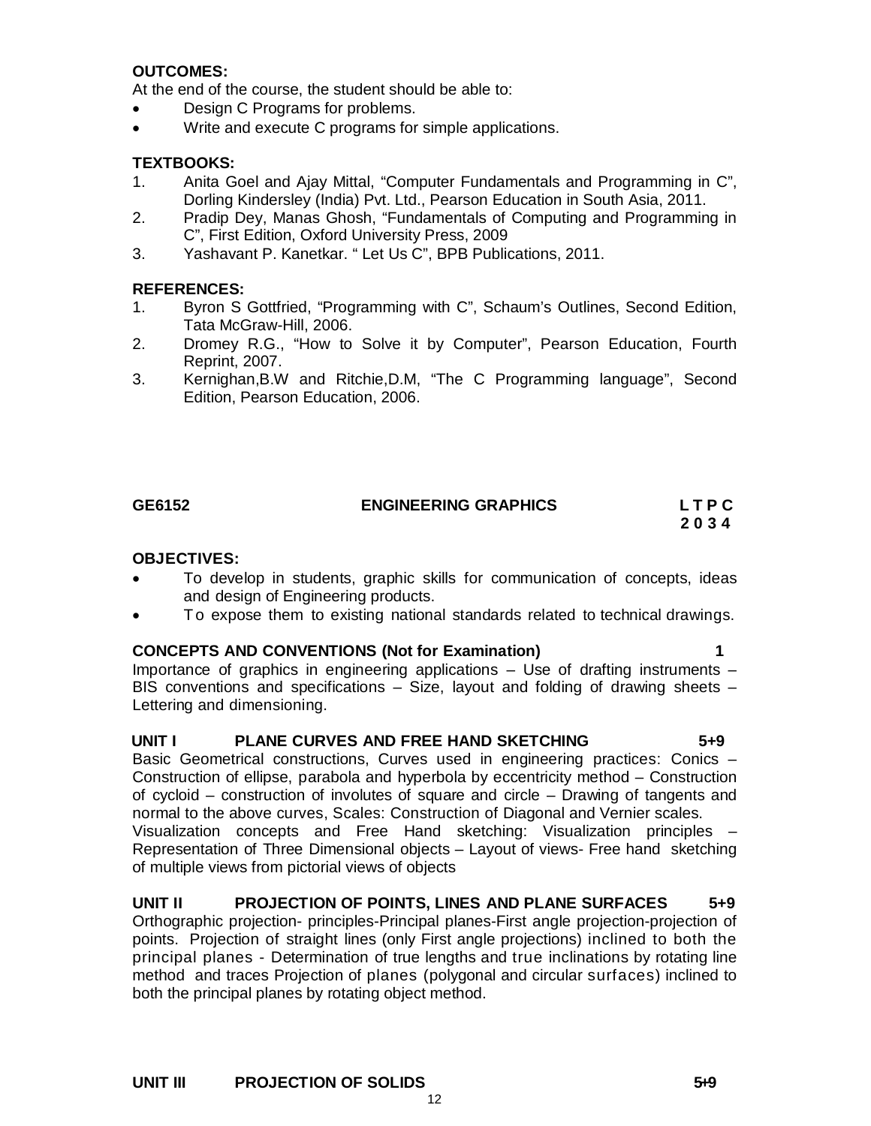## **OUTCOMES:**

At the end of the course, the student should be able to:

- Design C Programs for problems.
- Write and execute C programs for simple applications.

#### **TEXTBOOKS:**

- 1. Anita Goel and Ajay Mittal, "Computer Fundamentals and Programming in C", Dorling Kindersley (India) Pvt. Ltd., Pearson Education in South Asia, 2011.
- 2. Pradip Dey, Manas Ghosh, "Fundamentals of Computing and Programming in C", First Edition, Oxford University Press, 2009
- 3. Yashavant P. Kanetkar. " Let Us C", BPB Publications, 2011.

#### **REFERENCES:**

- 1. Byron S Gottfried, "Programming with C", Schaum's Outlines, Second Edition, Tata McGraw-Hill, 2006.
- 2. Dromey R.G., "How to Solve it by Computer", Pearson Education, Fourth Reprint, 2007.
- 3. Kernighan,B.W and Ritchie,D.M, "The C Programming language", Second Edition, Pearson Education, 2006.

## **GE6152 ENGINEERING GRAPHICS L T P C**

# **2 0 3 4**

#### **OBJECTIVES:**

- To develop in students, graphic skills for communication of concepts, ideas and design of Engineering products.
- To expose them to existing national standards related to technical drawings.

#### **CONCEPTS AND CONVENTIONS (Not for Examination) 1**

Importance of graphics in engineering applications – Use of drafting instruments – BIS conventions and specifications – Size, layout and folding of drawing sheets – Lettering and dimensioning.

#### **UNIT I PLANE CURVES AND FREE HAND SKETCHING 5+9**

Basic Geometrical constructions, Curves used in engineering practices: Conics – Construction of ellipse, parabola and hyperbola by eccentricity method – Construction of cycloid – construction of involutes of square and circle – Drawing of tangents and normal to the above curves, Scales: Construction of Diagonal and Vernier scales. Visualization concepts and Free Hand sketching: Visualization principles – Representation of Three Dimensional objects – Layout of views- Free hand sketching of multiple views from pictorial views of objects

#### **UNIT II PROJECTION OF POINTS, LINES AND PLANE SURFACES 5+9**

Orthographic projection- principles-Principal planes-First angle projection-projection of points. Projection of straight lines (only First angle projections) inclined to both the principal planes - Determination of true lengths and true inclinations by rotating line method and traces Projection of planes (polygonal and circular surfaces) inclined to both the principal planes by rotating object method.

12

#### UNIT III PROJECTION OF SOLIDS 549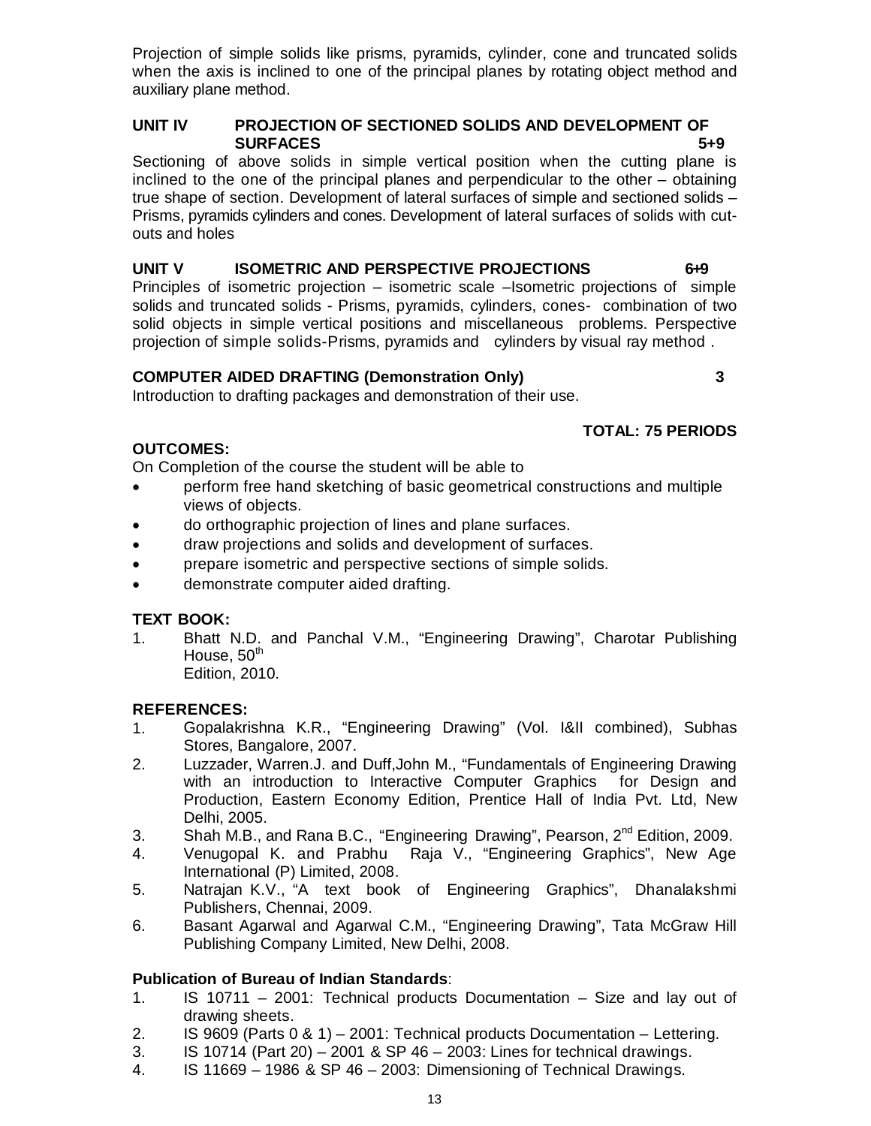Projection of simple solids like prisms, pyramids, cylinder, cone and truncated solids when the axis is inclined to one of the principal planes by rotating object method and auxiliary plane method.

### **UNIT IV PROJECTION OF SECTIONED SOLIDS AND DEVELOPMENT OF SURFACES** 5+9

Sectioning of above solids in simple vertical position when the cutting plane is inclined to the one of the principal planes and perpendicular to the other – obtaining true shape of section. Development of lateral surfaces of simple and sectioned solids – Prisms, pyramids cylinders and cones. Development of lateral surfaces of solids with cutouts and holes

# **UNIT V ISOMETRIC AND PERSPECTIVE PROJECTIONS 6 + 9**

Principles of isometric projection – isometric scale –Isometric projections of simple solids and truncated solids - Prisms, pyramids, cylinders, cones- combination of two solid objects in simple vertical positions and miscellaneous problems. Perspective projection of simple solids-Prisms, pyramids and cylinders by visual ray method .

# **COMPUTER AIDED DRAFTING (Demonstration Only) 3**

Introduction to drafting packages and demonstration of their use.

# **TOTAL: 75 PERIODS**

# **OUTCOMES:**

On Completion of the course the student will be able to

- perform free hand sketching of basic geometrical constructions and multiple views of objects.
- do orthographic projection of lines and plane surfaces.
- draw projections and solids and development of surfaces.
- prepare isometric and perspective sections of simple solids.
- demonstrate computer aided drafting.

# **TEXT BOOK:**

- 1. Bhatt N.D. and Panchal V.M., "Engineering Drawing", Charotar Publishing House,  $50<sup>th</sup>$ 
	- Edition, 2010.

# **REFERENCES:**

- 1. Gopalakrishna K.R., "Engineering Drawing" (Vol. I&II combined), Subhas Stores, Bangalore, 2007.
- 2. Luzzader, Warren.J. and Duff,John M., "Fundamentals of Engineering Drawing with an introduction to Interactive Computer Graphics for Design and Production, Eastern Economy Edition, Prentice Hall of India Pvt. Ltd, New Delhi, 2005.
- 3. Shah M.B., and Rana B.C., "Engineering Drawing", Pearson,  $2^{nd}$  Edition, 2009.
- 4. Venugopal K. and Prabhu Raja V., "Engineering Graphics", New Age International (P) Limited, 2008.
- 5. Natrajan K.V., "A text book of Engineering Graphics", Dhanalakshmi Publishers, Chennai, 2009.
- 6. Basant Agarwal and Agarwal C.M., "Engineering Drawing", Tata McGraw Hill Publishing Company Limited, New Delhi, 2008.

# **Publication of Bureau of Indian Standards**:

- 1. IS 10711 2001: Technical products Documentation Size and lay out of drawing sheets.
- 2. IS 9609 (Parts 0 & 1) 2001: Technical products Documentation Lettering.
- 3. IS 10714 (Part 20) 2001 & SP 46 2003: Lines for technical drawings.
- 4. IS 11669 1986 & SP 46 2003: Dimensioning of Technical Drawings.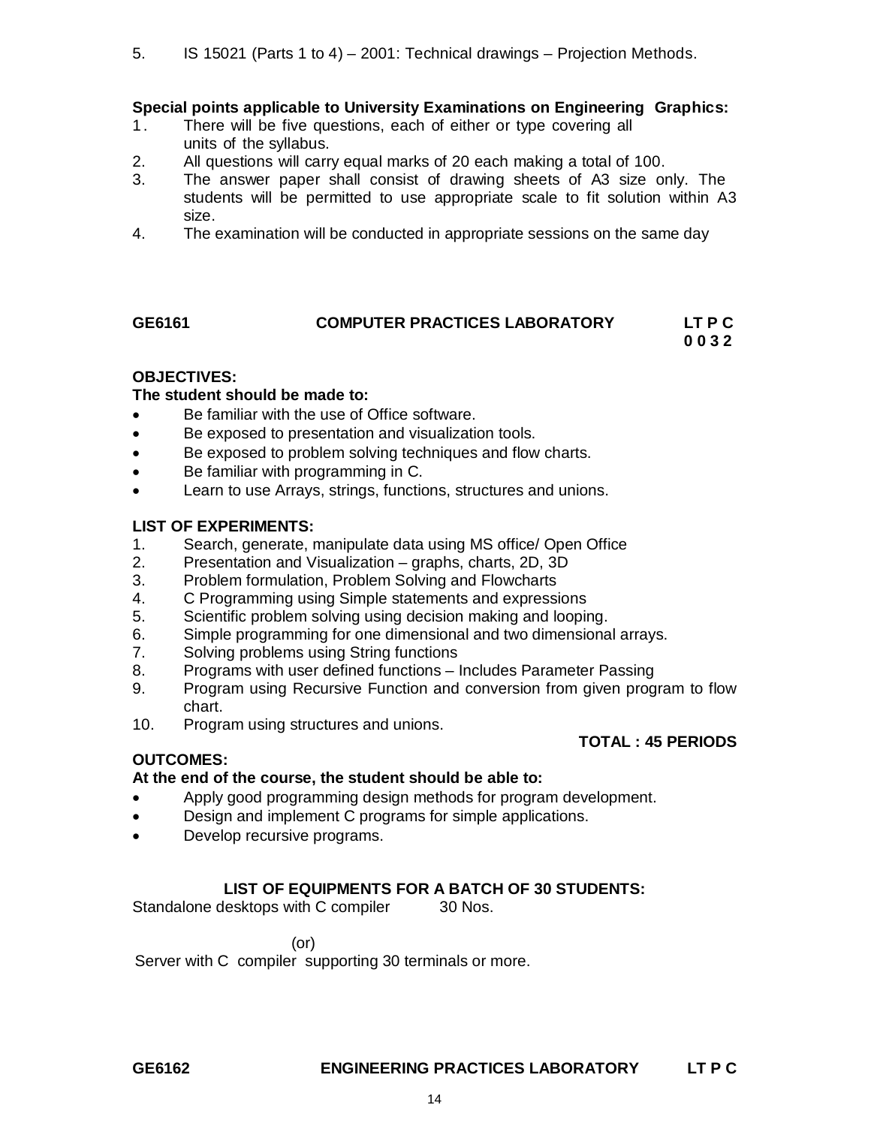#### **Special points applicable to University Examinations on Engineering Graphics:**

- 1. There will be five questions, each of either or type covering all units of the syllabus.
- 2. All questions will carry equal marks of 20 each making a total of 100.
- 3. The answer paper shall consist of drawing sheets of A3 size only. The students will be permitted to use appropriate scale to fit solution within A3 size.
- 4. The examination will be conducted in appropriate sessions on the same day

### **GE6161 COMPUTER PRACTICES LABORATORY LT P C 0 0 3 2**

 **TOTAL : 45 PERIODS**

#### **OBJECTIVES:**

# **The student should be made to:**

- Be familiar with the use of Office software.
- Be exposed to presentation and visualization tools.
- Be exposed to problem solving techniques and flow charts.
- Be familiar with programming in C.
- Learn to use Arrays, strings, functions, structures and unions.

#### **LIST OF EXPERIMENTS:**

- 1. Search, generate, manipulate data using MS office/ Open Office<br>2. Presentation and Visualization graphs. charts. 2D. 3D
- 2. Presentation and Visualization graphs, charts, 2D, 3D
- 3. Problem formulation, Problem Solving and Flowcharts
- 4. C Programming using Simple statements and expressions
- 5. Scientific problem solving using decision making and looping.
- 6. Simple programming for one dimensional and two dimensional arrays.<br>7. Solving problems using String functions
- 7. Solving problems using String functions
- 8. Programs with user defined functions Includes Parameter Passing
- 9. Program using Recursive Function and conversion from given program to flow chart.
- 10. Program using structures and unions.

#### **OUTCOMES:**

# **At the end of the course, the student should be able to:**

- Apply good programming design methods for program development.
- Design and implement C programs for simple applications.
- Develop recursive programs.

#### **LIST OF EQUIPMENTS FOR A BATCH OF 30 STUDENTS:**

Standalone desktops with C compiler 30 Nos.

(or)

Server with C compiler supporting 30 terminals or more.

#### **GE6162 ENGINEERING PRACTICES LABORATORY LT P C**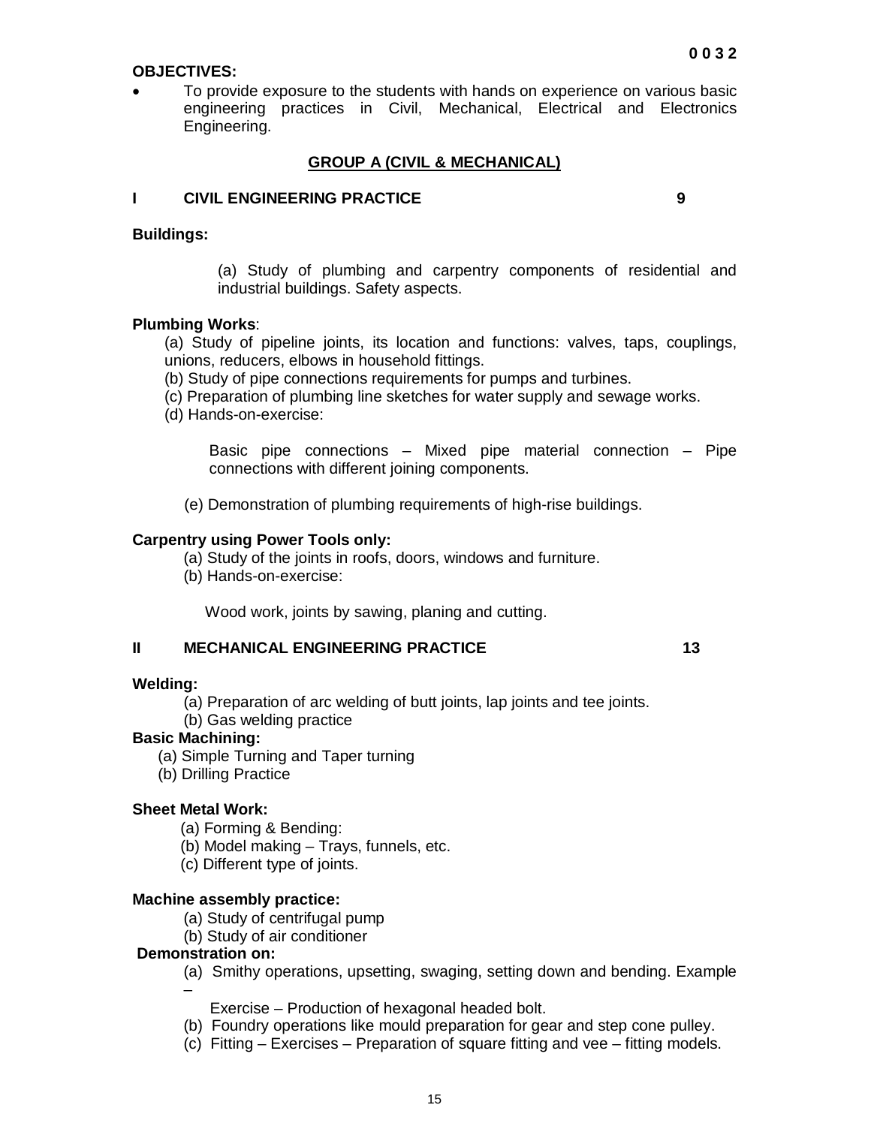#### **OBJECTIVES:**

 To provide exposure to the students with hands on experience on various basic engineering practices in Civil, Mechanical, Electrical and Electronics Engineering.

#### **GROUP A (CIVIL & MECHANICAL)**

#### **I CIVIL ENGINEERING PRACTICE 9**

#### **Buildings:**

(a) Study of plumbing and carpentry components of residential and industrial buildings. Safety aspects.

#### **Plumbing Works**:

(a) Study of pipeline joints, its location and functions: valves, taps, couplings, unions, reducers, elbows in household fittings.

(b) Study of pipe connections requirements for pumps and turbines.

(c) Preparation of plumbing line sketches for water supply and sewage works.

(d) Hands-on-exercise:

Basic pipe connections – Mixed pipe material connection – Pipe connections with different joining components.

(e) Demonstration of plumbing requirements of high-rise buildings.

#### **Carpentry using Power Tools only:**

- (a) Study of the joints in roofs, doors, windows and furniture.
- (b) Hands-on-exercise:

Wood work, joints by sawing, planing and cutting.

#### **II MECHANICAL ENGINEERING PRACTICE 13** 13

#### **Welding:**

(a) Preparation of arc welding of butt joints, lap joints and tee joints.

(b) Gas welding practice

#### **Basic Machining:**

- (a) Simple Turning and Taper turning
- (b) Drilling Practice

#### **Sheet Metal Work:**

- (a) Forming & Bending:
- (b) Model making Trays, funnels, etc.
- (c) Different type of joints.

#### **Machine assembly practice:**

- (a) Study of centrifugal pump
- (b) Study of air conditioner

#### **Demonstration on:**

- (a) Smithy operations, upsetting, swaging, setting down and bending. Example –
	- Exercise Production of hexagonal headed bolt.
- (b) Foundry operations like mould preparation for gear and step cone pulley.
- (c) Fitting Exercises Preparation of square fitting and vee fitting models.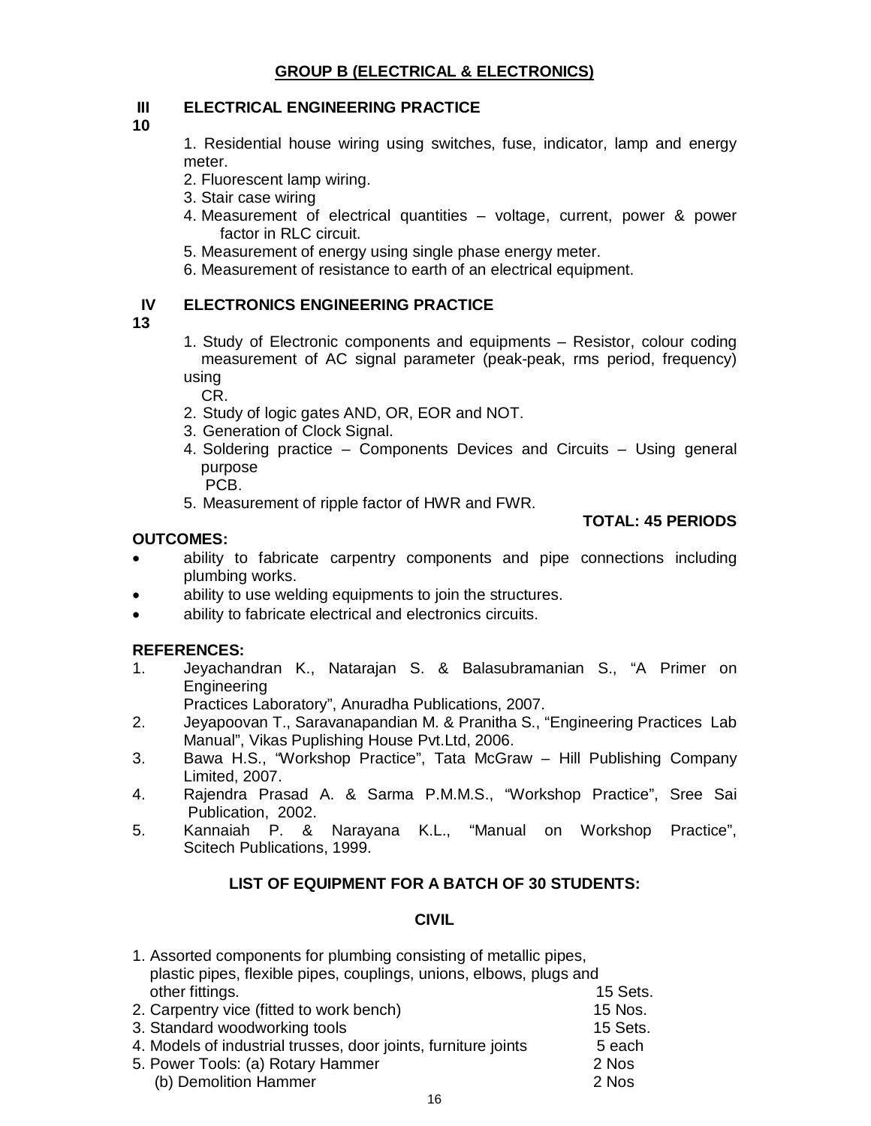## **GROUP B (ELECTRICAL & ELECTRONICS)**

## **III ELECTRICAL ENGINEERING PRACTICE**

**10** 

1. Residential house wiring using switches, fuse, indicator, lamp and energy meter.

- 2. Fluorescent lamp wiring.
- 3. Stair case wiring
- 4. Measurement of electrical quantities voltage, current, power & power factor in RLC circuit.
- 5. Measurement of energy using single phase energy meter.
- 6. Measurement of resistance to earth of an electrical equipment.

## **IV ELECTRONICS ENGINEERING PRACTICE**

- **13**
- 1. Study of Electronic components and equipments Resistor, colour coding measurement of AC signal parameter (peak-peak, rms period, frequency) using

CR.

- 2. Study of logic gates AND, OR, EOR and NOT.
- 3. Generation of Clock Signal.
- 4. Soldering practice Components Devices and Circuits Using general purpose

PCB.

5. Measurement of ripple factor of HWR and FWR.

## **OUTCOMES:**

## **TOTAL: 45 PERIODS**

- ability to fabricate carpentry components and pipe connections including plumbing works.
- ability to use welding equipments to join the structures.
- ability to fabricate electrical and electronics circuits.

# **REFERENCES:**

1. Jeyachandran K., Natarajan S. & Balasubramanian S., "A Primer on Engineering

Practices Laboratory", Anuradha Publications, 2007.

- 2. Jeyapoovan T., Saravanapandian M. & Pranitha S., "Engineering Practices Lab Manual", Vikas Puplishing House Pvt.Ltd, 2006.
- 3. Bawa H.S., "Workshop Practice", Tata McGraw Hill Publishing Company Limited, 2007.
- 4. Rajendra Prasad A. & Sarma P.M.M.S., "Workshop Practice", Sree Sai Publication, 2002.
- 5. Kannaiah P. & Narayana K.L., "Manual on Workshop Practice", Scitech Publications, 1999.

# **LIST OF EQUIPMENT FOR A BATCH OF 30 STUDENTS:**

#### **CIVIL**

| 1. Assorted components for plumbing consisting of metallic pipes,   |          |
|---------------------------------------------------------------------|----------|
| plastic pipes, flexible pipes, couplings, unions, elbows, plugs and |          |
| other fittings.                                                     | 15 Sets. |
| 2. Carpentry vice (fitted to work bench)                            | 15 Nos.  |
| 3. Standard woodworking tools                                       | 15 Sets. |
| 4. Models of industrial trusses, door joints, furniture joints      | 5 each   |
| 5. Power Tools: (a) Rotary Hammer                                   | 2 Nos    |
| (b) Demolition Hammer                                               | 2 Nos    |
|                                                                     |          |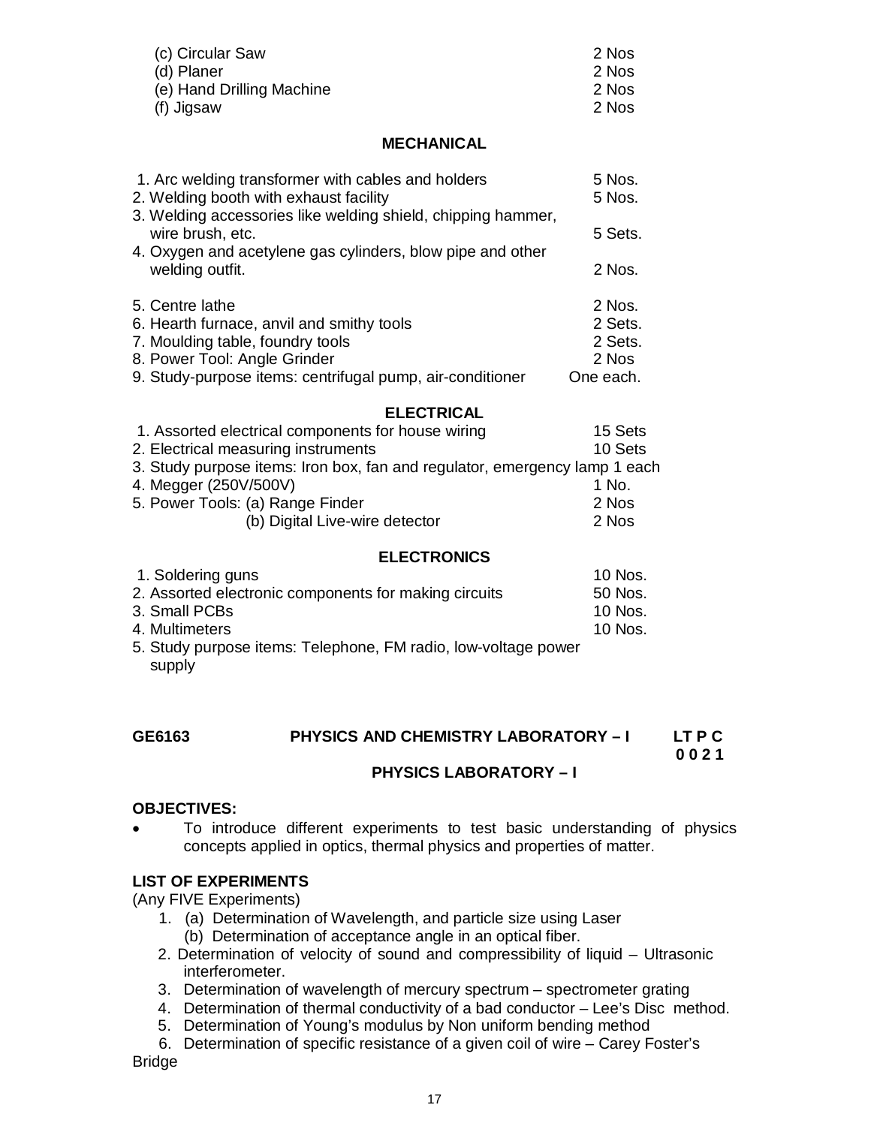| (c) Circular Saw          | 2 Nos |
|---------------------------|-------|
| (d) Planer                | 2 Nos |
| (e) Hand Drilling Machine | 2 Nos |
| (f) Jigsaw                | 2 Nos |

#### **MECHANICAL**

| 1. Arc welding transformer with cables and holders<br>2. Welding booth with exhaust facility | 5 Nos.<br>5 Nos. |
|----------------------------------------------------------------------------------------------|------------------|
| 3. Welding accessories like welding shield, chipping hammer,<br>wire brush, etc.             | 5 Sets.          |
| 4. Oxygen and acetylene gas cylinders, blow pipe and other<br>welding outfit.                | 2 Nos.           |
| 5. Centre lathe                                                                              | 2 Nos.           |
| 6. Hearth furnace, anvil and smithy tools                                                    | 2 Sets.          |
| 7. Moulding table, foundry tools                                                             | 2 Sets.          |
| 8. Power Tool: Angle Grinder                                                                 | 2 Nos            |
| 9. Study-purpose items: centrifugal pump, air-conditioner                                    | One each.        |

#### **ELECTRICAL**

| 1. Assorted electrical components for house wiring                         | 15 Sets |
|----------------------------------------------------------------------------|---------|
| 2. Electrical measuring instruments                                        | 10 Sets |
| 3. Study purpose items: Iron box, fan and regulator, emergency lamp 1 each |         |
| 4. Megger (250V/500V)                                                      | 1 No.   |
| 5. Power Tools: (a) Range Finder                                           | 2 Nos   |
| (b) Digital Live-wire detector                                             | 2 Nos   |

#### **ELECTRONICS**

| 1. Soldering guns                                              | 10 Nos. |
|----------------------------------------------------------------|---------|
| 2. Assorted electronic components for making circuits          | 50 Nos. |
| 3. Small PCBs                                                  | 10 Nos. |
| 4. Multimeters                                                 | 10 Nos. |
| 5. Study purpose items: Telephone, FM radio, low-voltage power |         |
| supply                                                         |         |

# GE6163 PHYSICS AND CHEMISTRY LABORATORY – I LT P C<br>0 0 2 1

 **0 0 2 1**

#### **PHYSICS LABORATORY – I**

#### **OBJECTIVES:**

 To introduce different experiments to test basic understanding of physics concepts applied in optics, thermal physics and properties of matter.

#### **LIST OF EXPERIMENTS**

(Any FIVE Experiments)

- 1. (a) Determination of Wavelength, and particle size using Laser (b) Determination of acceptance angle in an optical fiber.
- 2. Determination of velocity of sound and compressibility of liquid Ultrasonic interferometer.
- 3. Determination of wavelength of mercury spectrum spectrometer grating
- 4. Determination of thermal conductivity of a bad conductor Lee's Disc method.
- 5. Determination of Young's modulus by Non uniform bending method

 6. Determination of specific resistance of a given coil of wire – Carey Foster's Bridge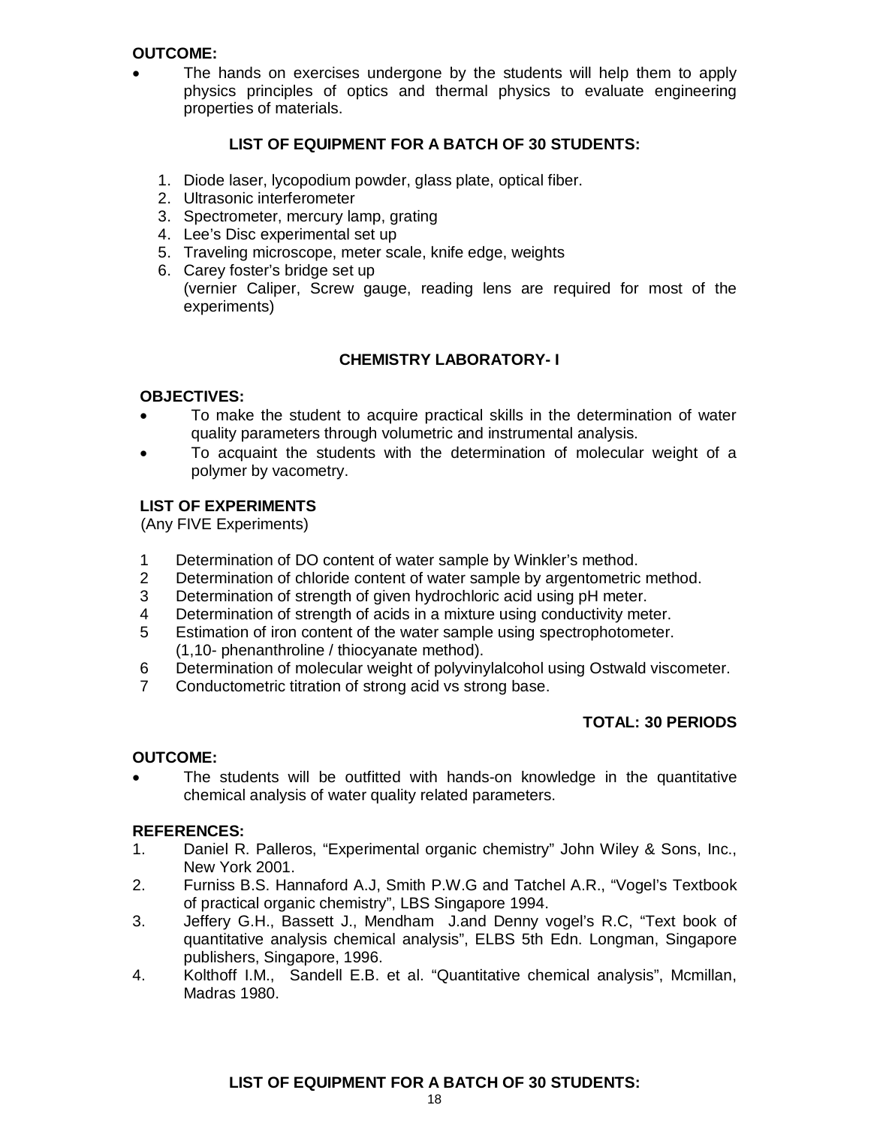#### **OUTCOME:**

 The hands on exercises undergone by the students will help them to apply physics principles of optics and thermal physics to evaluate engineering properties of materials.

#### **LIST OF EQUIPMENT FOR A BATCH OF 30 STUDENTS:**

- 1. Diode laser, lycopodium powder, glass plate, optical fiber.
- 2. Ultrasonic interferometer
- 3. Spectrometer, mercury lamp, grating
- 4. Lee's Disc experimental set up
- 5. Traveling microscope, meter scale, knife edge, weights
- 6. Carey foster's bridge set up (vernier Caliper, Screw gauge, reading lens are required for most of the experiments)

#### **CHEMISTRY LABORATORY- I**

#### **OBJECTIVES:**

- To make the student to acquire practical skills in the determination of water quality parameters through volumetric and instrumental analysis.
- To acquaint the students with the determination of molecular weight of a polymer by vacometry.

#### **LIST OF EXPERIMENTS**

(Any FIVE Experiments)

- 1 Determination of DO content of water sample by Winkler's method.
- 2 Determination of chloride content of water sample by argentometric method.
- 3 Determination of strength of given hydrochloric acid using pH meter.
- 4 Determination of strength of acids in a mixture using conductivity meter.
- 5 Estimation of iron content of the water sample using spectrophotometer. (1,10- phenanthroline / thiocyanate method).
- 6 Determination of molecular weight of polyvinylalcohol using Ostwald viscometer.
- 7 Conductometric titration of strong acid vs strong base.

#### **TOTAL: 30 PERIODS**

#### **OUTCOME:**

 The students will be outfitted with hands-on knowledge in the quantitative chemical analysis of water quality related parameters.

#### **REFERENCES:**

- 1. Daniel R. Palleros, "Experimental organic chemistry" John Wiley & Sons, Inc., New York 2001.
- 2. Furniss B.S. Hannaford A.J, Smith P.W.G and Tatchel A.R., "Vogel's Textbook of practical organic chemistry", LBS Singapore 1994.
- 3. Jeffery G.H., Bassett J., Mendham J.and Denny vogel's R.C, "Text book of quantitative analysis chemical analysis", ELBS 5th Edn. Longman, Singapore publishers, Singapore, 1996.
- 4. Kolthoff I.M., Sandell E.B. et al. "Quantitative chemical analysis", Mcmillan, Madras 1980.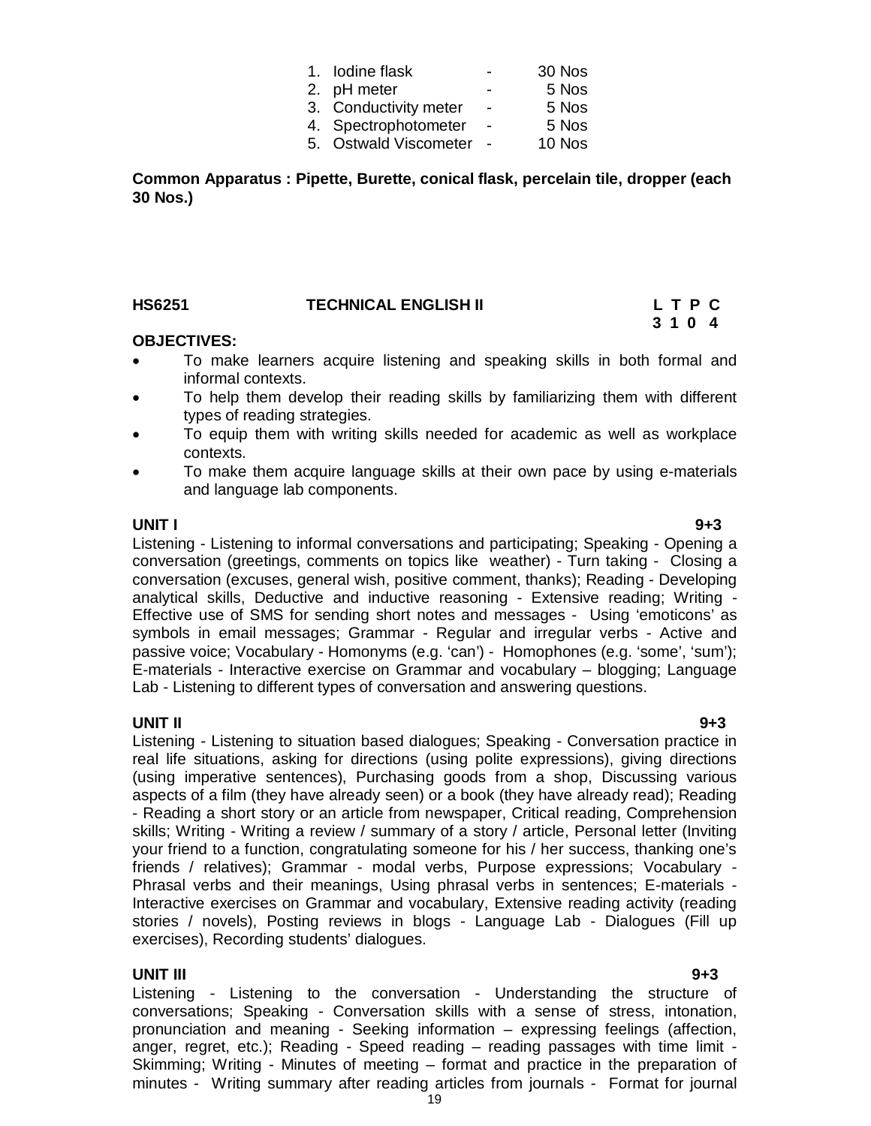| 1. Iodine flask       |   | 30 Nos |
|-----------------------|---|--------|
| 2. pH meter           | - | 5 Nos  |
| 3. Conductivity meter | ÷ | 5 Nos  |
| 4. Spectrophotometer  |   | 5 Nos  |
| 5. Ostwald Viscometer |   | 10 Nos |

**Common Apparatus : Pipette, Burette, conical flask, percelain tile, dropper (each 30 Nos.)**

| <b>HS6251</b> | <b>TECHNICAL ENGLISH II</b> | LTPC |  |  |
|---------------|-----------------------------|------|--|--|
|               |                             | 3104 |  |  |

#### **OBJECTIVES:**

- To make learners acquire listening and speaking skills in both formal and informal contexts.
- To help them develop their reading skills by familiarizing them with different types of reading strategies.
- To equip them with writing skills needed for academic as well as workplace contexts.
- To make them acquire language skills at their own pace by using e-materials and language lab components.

#### **UNIT I 9+3**

Listening - Listening to informal conversations and participating; Speaking - Opening a conversation (greetings, comments on topics like weather) - Turn taking - Closing a conversation (excuses, general wish, positive comment, thanks); Reading - Developing analytical skills, Deductive and inductive reasoning - Extensive reading; Writing - Effective use of SMS for sending short notes and messages - Using 'emoticons' as symbols in email messages; Grammar - Regular and irregular verbs - Active and passive voice; Vocabulary - Homonyms (e.g. 'can') - Homophones (e.g. 'some', 'sum'); E-materials - Interactive exercise on Grammar and vocabulary – blogging; Language Lab - Listening to different types of conversation and answering questions.

#### **UNIT II 9+3**

Listening - Listening to situation based dialogues; Speaking - Conversation practice in real life situations, asking for directions (using polite expressions), giving directions (using imperative sentences), Purchasing goods from a shop, Discussing various aspects of a film (they have already seen) or a book (they have already read); Reading - Reading a short story or an article from newspaper, Critical reading, Comprehension skills; Writing - Writing a review / summary of a story / article, Personal letter (Inviting your friend to a function, congratulating someone for his / her success, thanking one's friends / relatives); Grammar - modal verbs, Purpose expressions; Vocabulary - Phrasal verbs and their meanings, Using phrasal verbs in sentences; E-materials - Interactive exercises on Grammar and vocabulary, Extensive reading activity (reading stories / novels), Posting reviews in blogs - Language Lab - Dialogues (Fill up exercises), Recording students' dialogues.

#### **UNIT III 9+3**

Listening - Listening to the conversation - Understanding the structure of conversations; Speaking - Conversation skills with a sense of stress, intonation, pronunciation and meaning - Seeking information – expressing feelings (affection, anger, regret, etc.); Reading - Speed reading – reading passages with time limit - Skimming; Writing - Minutes of meeting – format and practice in the preparation of minutes - Writing summary after reading articles from journals - Format for journal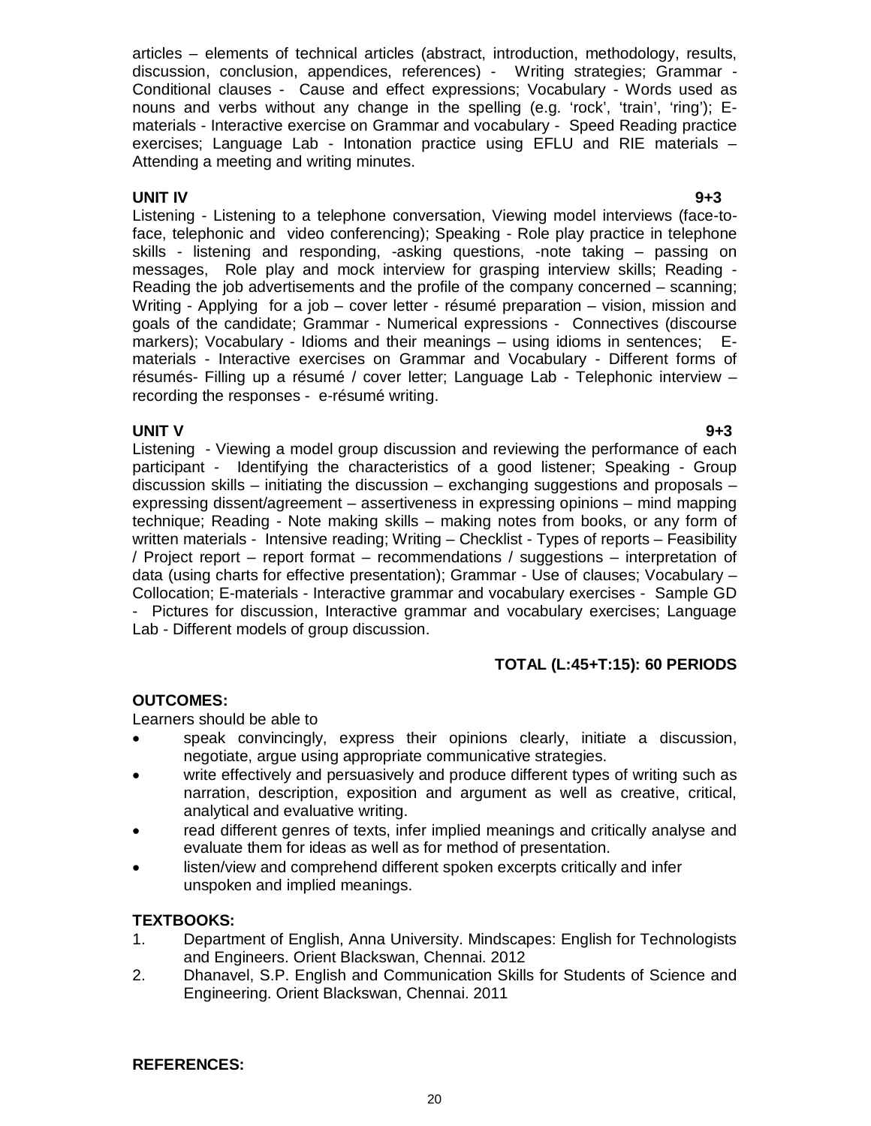articles – elements of technical articles (abstract, introduction, methodology, results, discussion, conclusion, appendices, references) - Writing strategies; Grammar - Conditional clauses - Cause and effect expressions; Vocabulary - Words used as nouns and verbs without any change in the spelling (e.g. 'rock', 'train', 'ring'); Ematerials - Interactive exercise on Grammar and vocabulary - Speed Reading practice exercises; Language Lab - Intonation practice using EFLU and RIE materials – Attending a meeting and writing minutes.

**UNIT IV 9+3** Listening - Listening to a telephone conversation, Viewing model interviews (face-toface, telephonic and video conferencing); Speaking - Role play practice in telephone skills - listening and responding, -asking questions, -note taking – passing on messages, Role play and mock interview for grasping interview skills; Reading - Reading the job advertisements and the profile of the company concerned – scanning; Writing - Applying for a job – cover letter - résumé preparation – vision, mission and goals of the candidate; Grammar - Numerical expressions - Connectives (discourse markers); Vocabulary - Idioms and their meanings – using idioms in sentences; Ematerials - Interactive exercises on Grammar and Vocabulary - Different forms of résumés- Filling up a résumé / cover letter; Language Lab - Telephonic interview – recording the responses - e-résumé writing.

#### **UNIT V 9+3**

Listening - Viewing a model group discussion and reviewing the performance of each participant - Identifying the characteristics of a good listener; Speaking - Group discussion skills – initiating the discussion – exchanging suggestions and proposals – expressing dissent/agreement – assertiveness in expressing opinions – mind mapping technique; Reading - Note making skills – making notes from books, or any form of written materials - Intensive reading; Writing – Checklist - Types of reports – Feasibility / Project report – report format – recommendations / suggestions – interpretation of data (using charts for effective presentation); Grammar - Use of clauses; Vocabulary – Collocation; E-materials - Interactive grammar and vocabulary exercises - Sample GD - Pictures for discussion, Interactive grammar and vocabulary exercises; Language Lab - Different models of group discussion.

# **TOTAL (L:45+T:15): 60 PERIODS**

#### **OUTCOMES:**

Learners should be able to

- speak convincingly, express their opinions clearly, initiate a discussion, negotiate, argue using appropriate communicative strategies.
- write effectively and persuasively and produce different types of writing such as narration, description, exposition and argument as well as creative, critical, analytical and evaluative writing.
- read different genres of texts, infer implied meanings and critically analyse and evaluate them for ideas as well as for method of presentation.
- listen/view and comprehend different spoken excerpts critically and infer unspoken and implied meanings.

#### **TEXTBOOKS:**

- 1. Department of English, Anna University. Mindscapes: English for Technologists and Engineers. Orient Blackswan, Chennai. 2012
- 2. Dhanavel, S.P. English and Communication Skills for Students of Science and Engineering. Orient Blackswan, Chennai. 2011

#### **REFERENCES:**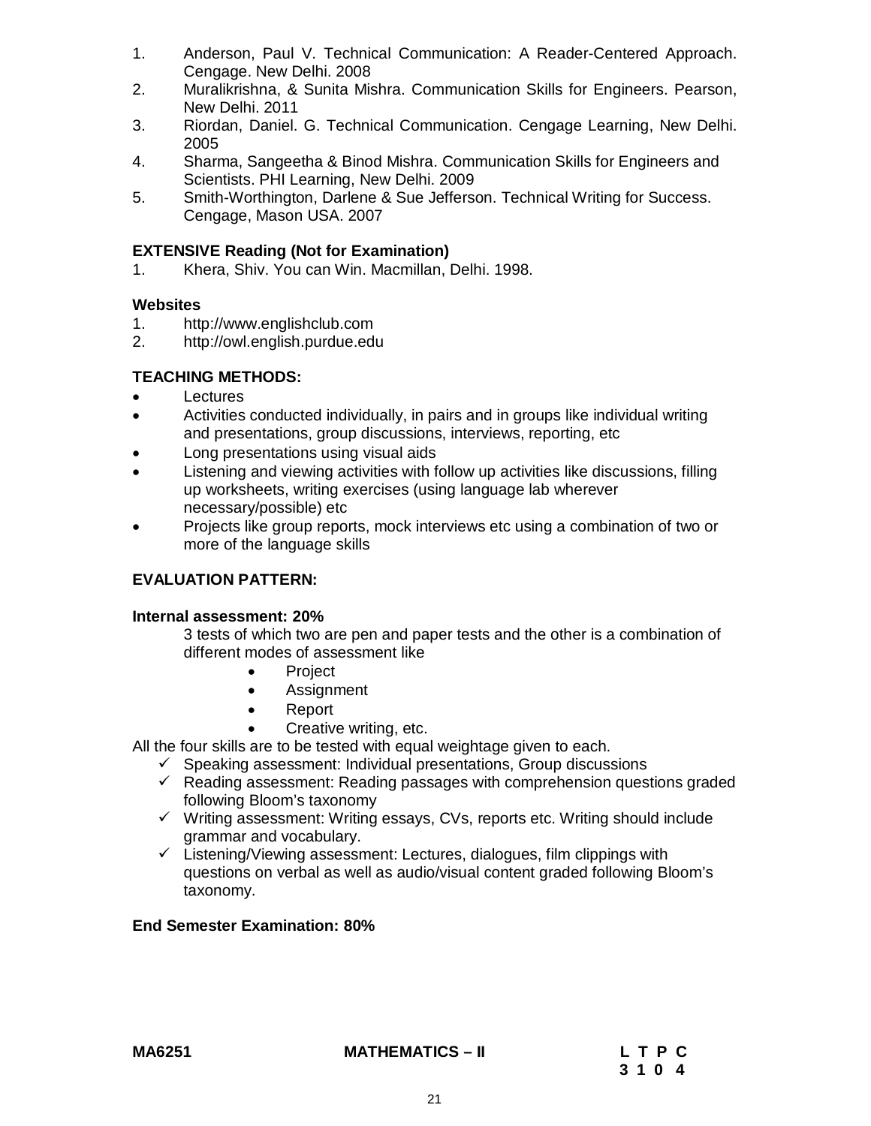- 1. Anderson, Paul V. Technical Communication: A Reader-Centered Approach. Cengage. New Delhi. 2008
- 2. Muralikrishna, & Sunita Mishra. Communication Skills for Engineers. Pearson, New Delhi. 2011
- 3. Riordan, Daniel. G. Technical Communication. Cengage Learning, New Delhi. 2005
- 4. Sharma, Sangeetha & Binod Mishra. Communication Skills for Engineers and Scientists. PHI Learning, New Delhi. 2009
- 5. Smith-Worthington, Darlene & Sue Jefferson. Technical Writing for Success. Cengage, Mason USA. 2007

### **EXTENSIVE Reading (Not for Examination)**

1. Khera, Shiv. You can Win. Macmillan, Delhi. 1998.

#### **Websites**

- 1. http://www.englishclub.com
- 2. http://owl.english.purdue.edu

## **TEACHING METHODS:**

- **Lectures**
- Activities conducted individually, in pairs and in groups like individual writing and presentations, group discussions, interviews, reporting, etc
- Long presentations using visual aids
- Listening and viewing activities with follow up activities like discussions, filling up worksheets, writing exercises (using language lab wherever necessary/possible) etc
- Projects like group reports, mock interviews etc using a combination of two or more of the language skills

### **EVALUATION PATTERN:**

#### **Internal assessment: 20%**

3 tests of which two are pen and paper tests and the other is a combination of different modes of assessment like

- Project
- **•** Assignment
- Report
- Creative writing, etc.

All the four skills are to be tested with equal weightage given to each.

- $\checkmark$  Speaking assessment: Individual presentations, Group discussions
- $\checkmark$  Reading assessment: Reading passages with comprehension questions graded following Bloom's taxonomy
- $\checkmark$  Writing assessment: Writing essays, CVs, reports etc. Writing should include grammar and vocabulary.
- $\checkmark$  Listening/Viewing assessment: Lectures, dialogues, film clippings with questions on verbal as well as audio/visual content graded following Bloom's taxonomy.

#### **End Semester Examination: 80%**

#### **MA6251 MATHEMATICS – II L T P C**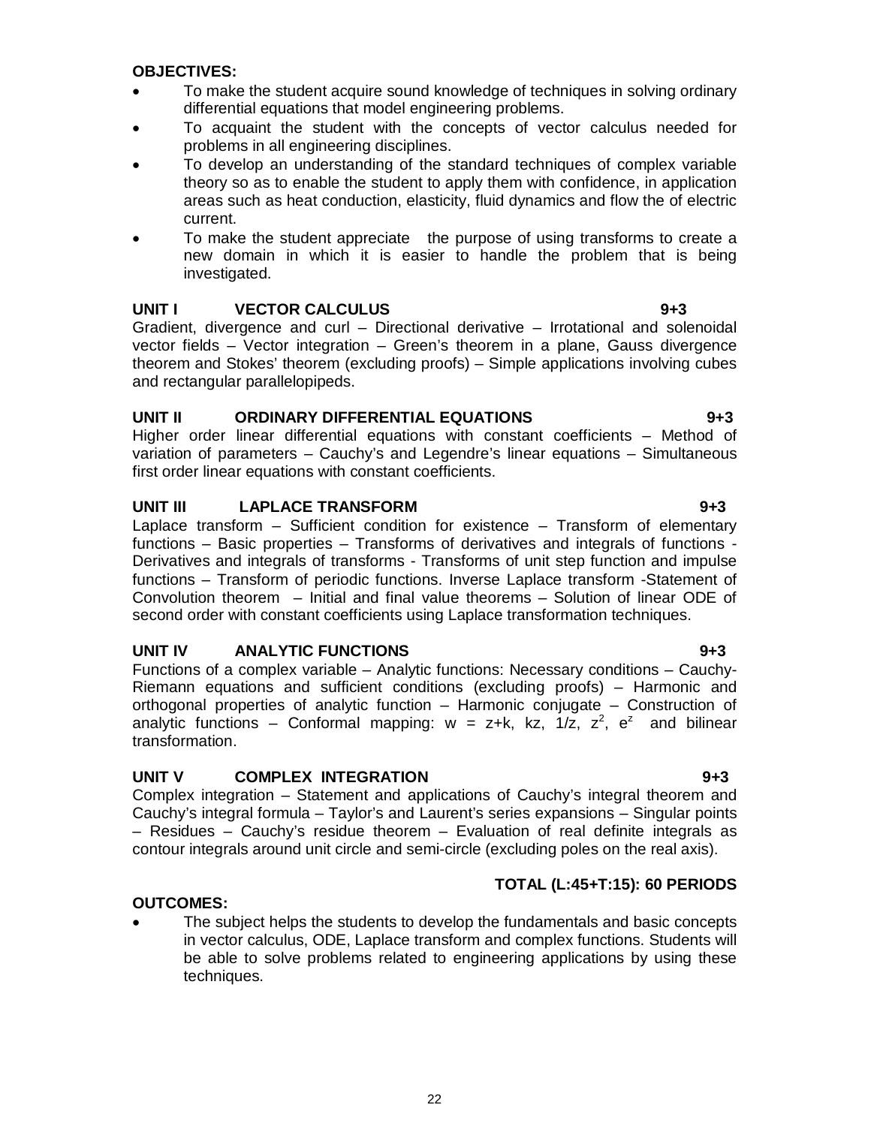#### **OBJECTIVES:**

- To make the student acquire sound knowledge of techniques in solving ordinary differential equations that model engineering problems.
- To acquaint the student with the concepts of vector calculus needed for problems in all engineering disciplines.
- To develop an understanding of the standard techniques of complex variable theory so as to enable the student to apply them with confidence, in application areas such as heat conduction, elasticity, fluid dynamics and flow the of electric current.
- To make the student appreciate the purpose of using transforms to create a new domain in which it is easier to handle the problem that is being investigated.

#### **UNIT I VECTOR CALCULUS 9+3**

Gradient, divergence and curl – Directional derivative – Irrotational and solenoidal vector fields – Vector integration – Green's theorem in a plane, Gauss divergence theorem and Stokes' theorem (excluding proofs) – Simple applications involving cubes and rectangular parallelopipeds.

#### **UNIT II ORDINARY DIFFERENTIAL EQUATIONS 9+3**

Higher order linear differential equations with constant coefficients – Method of variation of parameters – Cauchy's and Legendre's linear equations – Simultaneous first order linear equations with constant coefficients.

#### **UNIT III LAPLACE TRANSFORM 9+3**

Laplace transform – Sufficient condition for existence – Transform of elementary functions – Basic properties – Transforms of derivatives and integrals of functions - Derivatives and integrals of transforms - Transforms of unit step function and impulse functions – Transform of periodic functions. Inverse Laplace transform -Statement of Convolution theorem – Initial and final value theorems – Solution of linear ODE of second order with constant coefficients using Laplace transformation techniques.

#### **UNIT IV ANALYTIC FUNCTIONS 9+3**

Functions of a complex variable – Analytic functions: Necessary conditions – Cauchy-Riemann equations and sufficient conditions (excluding proofs) – Harmonic and orthogonal properties of analytic function – Harmonic conjugate – Construction of analytic functions – Conformal mapping:  $w = z+k$ , kz,  $1/z$ ,  $z^2$ ,  $e^z$  and bilinear transformation.

#### **UNIT V COMPLEX INTEGRATION 9+3**

Complex integration – Statement and applications of Cauchy's integral theorem and Cauchy's integral formula – Taylor's and Laurent's series expansions – Singular points – Residues – Cauchy's residue theorem – Evaluation of real definite integrals as contour integrals around unit circle and semi-circle (excluding poles on the real axis).

#### **TOTAL (L:45+T:15): 60 PERIODS**

#### **OUTCOMES:**

 The subject helps the students to develop the fundamentals and basic concepts in vector calculus, ODE, Laplace transform and complex functions. Students will be able to solve problems related to engineering applications by using these techniques.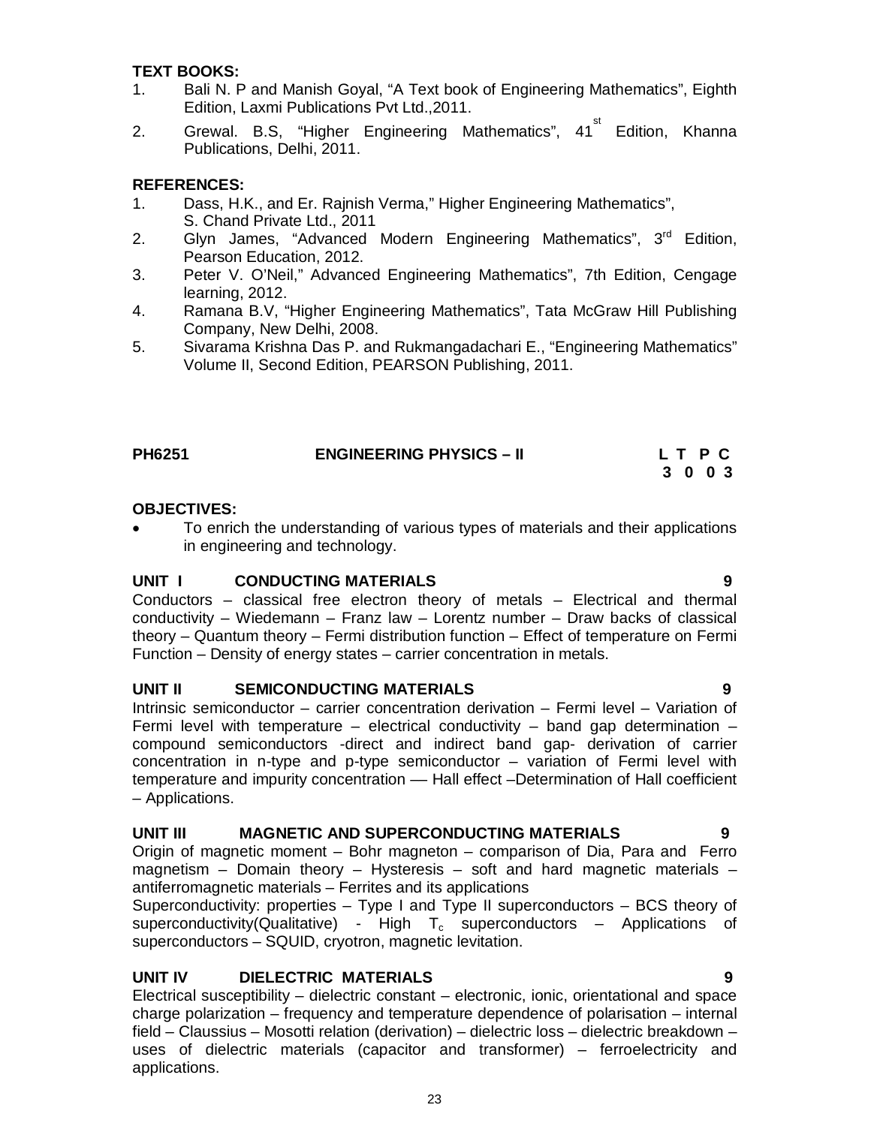### **TEXT BOOKS:**

- 1. Bali N. P and Manish Goyal, "A Text book of Engineering Mathematics", Eighth Edition, Laxmi Publications Pvt Ltd.,2011.
- 2. Grewal. B.S, "Higher Engineering Mathematics", 41<sup>st</sup> Edition, Khanna Publications, Delhi, 2011.

### **REFERENCES:**

- 1. Dass, H.K., and Er. Rajnish Verma," Higher Engineering Mathematics", S. Chand Private Ltd., 2011
- 2. Glyn James, "Advanced Modern Engineering Mathematics", 3<sup>rd</sup> Edition, Pearson Education, 2012.
- 3. Peter V. O'Neil," Advanced Engineering Mathematics", 7th Edition, Cengage learning, 2012.
- 4. Ramana B.V, "Higher Engineering Mathematics", Tata McGraw Hill Publishing Company, New Delhi, 2008.
- 5. Sivarama Krishna Das P. and Rukmangadachari E., "Engineering Mathematics" Volume II, Second Edition, PEARSON Publishing, 2011.

| <b>PH6251</b> | <b>ENGINEERING PHYSICS - II</b> | L T P C |
|---------------|---------------------------------|---------|
|               |                                 | 3 0 0 3 |

#### **OBJECTIVES:**

• To enrich the understanding of various types of materials and their applications in engineering and technology.

#### **UNIT I CONDUCTING MATERIALS 9**

Conductors – classical free electron theory of metals – Electrical and thermal conductivity – Wiedemann – Franz law – Lorentz number – Draw backs of classical theory – Quantum theory – Fermi distribution function – Effect of temperature on Fermi Function – Density of energy states – carrier concentration in metals.

#### **UNIT II SEMICONDUCTING MATERIALS 9**

Intrinsic semiconductor – carrier concentration derivation – Fermi level – Variation of Fermi level with temperature – electrical conductivity – band gap determination – compound semiconductors -direct and indirect band gap- derivation of carrier concentration in n-type and p-type semiconductor – variation of Fermi level with temperature and impurity concentration –– Hall effect –Determination of Hall coefficient – Applications.

#### **UNIT III MAGNETIC AND SUPERCONDUCTING MATERIALS 9**

Origin of magnetic moment – Bohr magneton – comparison of Dia, Para and Ferro magnetism – Domain theory – Hysteresis – soft and hard magnetic materials – antiferromagnetic materials – Ferrites and its applications

Superconductivity: properties – Type I and Type II superconductors – BCS theory of superconductivity(Qualitative) - High  $T_c$  superconductors – Applications of superconductors – SQUID, cryotron, magnetic levitation.

#### **UNIT IV DIELECTRIC MATERIALS 9**

Electrical susceptibility – dielectric constant – electronic, ionic, orientational and space charge polarization – frequency and temperature dependence of polarisation – internal field – Claussius – Mosotti relation (derivation) – dielectric loss – dielectric breakdown – uses of dielectric materials (capacitor and transformer) – ferroelectricity and applications.

23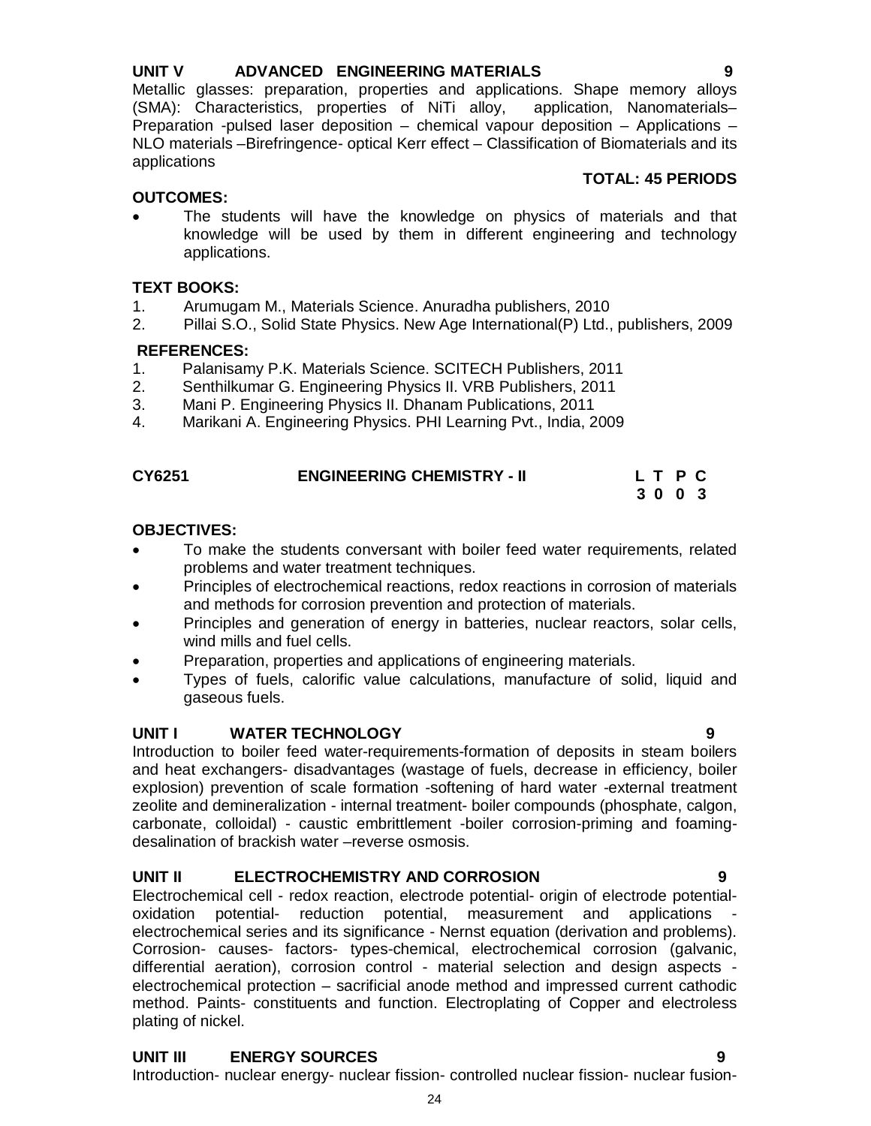# **UNIT V ADVANCED ENGINEERING MATERIALS 9**

Metallic glasses: preparation, properties and applications. Shape memory alloys (SMA): Characteristics, properties of NiTi alloy, application, Nanomaterials– Preparation -pulsed laser deposition – chemical vapour deposition – Applications – NLO materials –Birefringence- optical Kerr effect – Classification of Biomaterials and its applications

### **OUTCOMES:**

 The students will have the knowledge on physics of materials and that knowledge will be used by them in different engineering and technology applications.

# **TEXT BOOKS:**

- 1. Arumugam M., Materials Science. Anuradha publishers, 2010
- 2. Pillai S.O., Solid State Physics. New Age International(P) Ltd., publishers, 2009

#### **REFERENCES:**

- 1. Palanisamy P.K. Materials Science. SCITECH Publishers, 2011
- 2. Senthilkumar G. Engineering Physics II. VRB Publishers, 2011
- 3. Mani P. Engineering Physics II. Dhanam Publications, 2011
- 4. Marikani A. Engineering Physics. PHI Learning Pvt., India, 2009

| CY6251 | <b>ENGINEERING CHEMISTRY - II</b> | L T P C |  |  |
|--------|-----------------------------------|---------|--|--|
|        |                                   | 3003    |  |  |

#### **OBJECTIVES:**

- To make the students conversant with boiler feed water requirements, related problems and water treatment techniques.
- Principles of electrochemical reactions, redox reactions in corrosion of materials and methods for corrosion prevention and protection of materials.
- Principles and generation of energy in batteries, nuclear reactors, solar cells, wind mills and fuel cells.
- Preparation, properties and applications of engineering materials.
- Types of fuels, calorific value calculations, manufacture of solid, liquid and gaseous fuels.

#### **UNIT I WATER TECHNOLOGY 9**

Introduction to boiler feed water-requirements-formation of deposits in steam boilers and heat exchangers- disadvantages (wastage of fuels, decrease in efficiency, boiler explosion) prevention of scale formation -softening of hard water -external treatment zeolite and demineralization - internal treatment- boiler compounds (phosphate, calgon, carbonate, colloidal) - caustic embrittlement -boiler corrosion-priming and foamingdesalination of brackish water –reverse osmosis.

### **UNIT II ELECTROCHEMISTRY AND CORROSION 9**

Electrochemical cell - redox reaction, electrode potential- origin of electrode potentialoxidation potential- reduction potential, measurement and applications electrochemical series and its significance - Nernst equation (derivation and problems). Corrosion- causes- factors- types-chemical, electrochemical corrosion (galvanic, differential aeration), corrosion control - material selection and design aspects electrochemical protection – sacrificial anode method and impressed current cathodic method. Paints- constituents and function. Electroplating of Copper and electroless plating of nickel.

# **UNIT III ENERGY SOURCES 9**

24 Introduction- nuclear energy- nuclear fission- controlled nuclear fission- nuclear fusion-

**TOTAL: 45 PERIODS**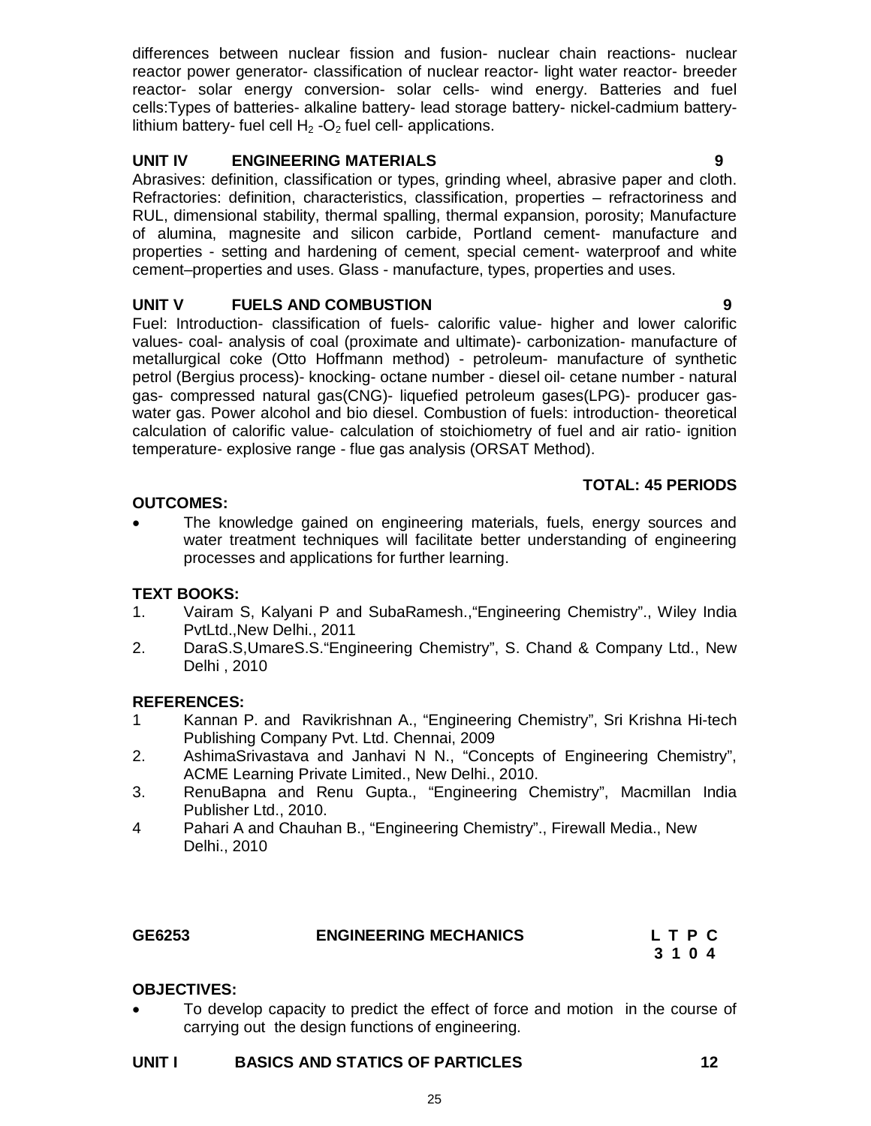differences between nuclear fission and fusion- nuclear chain reactions- nuclear reactor power generator- classification of nuclear reactor- light water reactor- breeder reactor- solar energy conversion- solar cells- wind energy. Batteries and fuel cells:Types of batteries- alkaline battery- lead storage battery- nickel-cadmium batterylithium battery- fuel cell  $H_2$ -O<sub>2</sub> fuel cell- applications.

## **UNIT IV ENGINEERING MATERIALS 9**

Abrasives: definition, classification or types, grinding wheel, abrasive paper and cloth. Refractories: definition, characteristics, classification, properties – refractoriness and RUL, dimensional stability, thermal spalling, thermal expansion, porosity; Manufacture of alumina, magnesite and silicon carbide, Portland cement- manufacture and properties - setting and hardening of cement, special cement- waterproof and white cement–properties and uses. Glass - manufacture, types, properties and uses.

# **UNIT V FUELS AND COMBUSTION 9**

Fuel: Introduction- classification of fuels- calorific value- higher and lower calorific values- coal- analysis of coal (proximate and ultimate)- carbonization- manufacture of metallurgical coke (Otto Hoffmann method) - petroleum- manufacture of synthetic petrol (Bergius process)- knocking- octane number - diesel oil- cetane number - natural gas- compressed natural gas(CNG)- liquefied petroleum gases(LPG)- producer gaswater gas. Power alcohol and bio diesel. Combustion of fuels: introduction- theoretical calculation of calorific value- calculation of stoichiometry of fuel and air ratio- ignition temperature- explosive range - flue gas analysis (ORSAT Method).

# **TOTAL: 45 PERIODS**

## **OUTCOMES:**

 The knowledge gained on engineering materials, fuels, energy sources and water treatment techniques will facilitate better understanding of engineering processes and applications for further learning.

# **TEXT BOOKS:**

- 1. Vairam S, Kalyani P and SubaRamesh.,"Engineering Chemistry"., Wiley India PvtLtd.,New Delhi., 2011
- 2. DaraS.S,UmareS.S."Engineering Chemistry", S. Chand & Company Ltd., New Delhi , 2010

#### **REFERENCES:**

- 1 Kannan P. and Ravikrishnan A., "Engineering Chemistry", Sri Krishna Hi-tech Publishing Company Pvt. Ltd. Chennai, 2009
- 2. AshimaSrivastava and Janhavi N N., "Concepts of Engineering Chemistry", ACME Learning Private Limited., New Delhi., 2010.
- 3. RenuBapna and Renu Gupta., "Engineering Chemistry", Macmillan India Publisher Ltd., 2010.
- 4 Pahari A and Chauhan B., "Engineering Chemistry"., Firewall Media., New Delhi., 2010

| GE6253 | <b>ENGINEERING MECHANICS</b> | L T P C |
|--------|------------------------------|---------|
|        |                              | 3104    |

#### **OBJECTIVES:**

 To develop capacity to predict the effect of force and motion in the course of carrying out the design functions of engineering.

#### **UNIT I BASICS AND STATICS OF PARTICLES 12**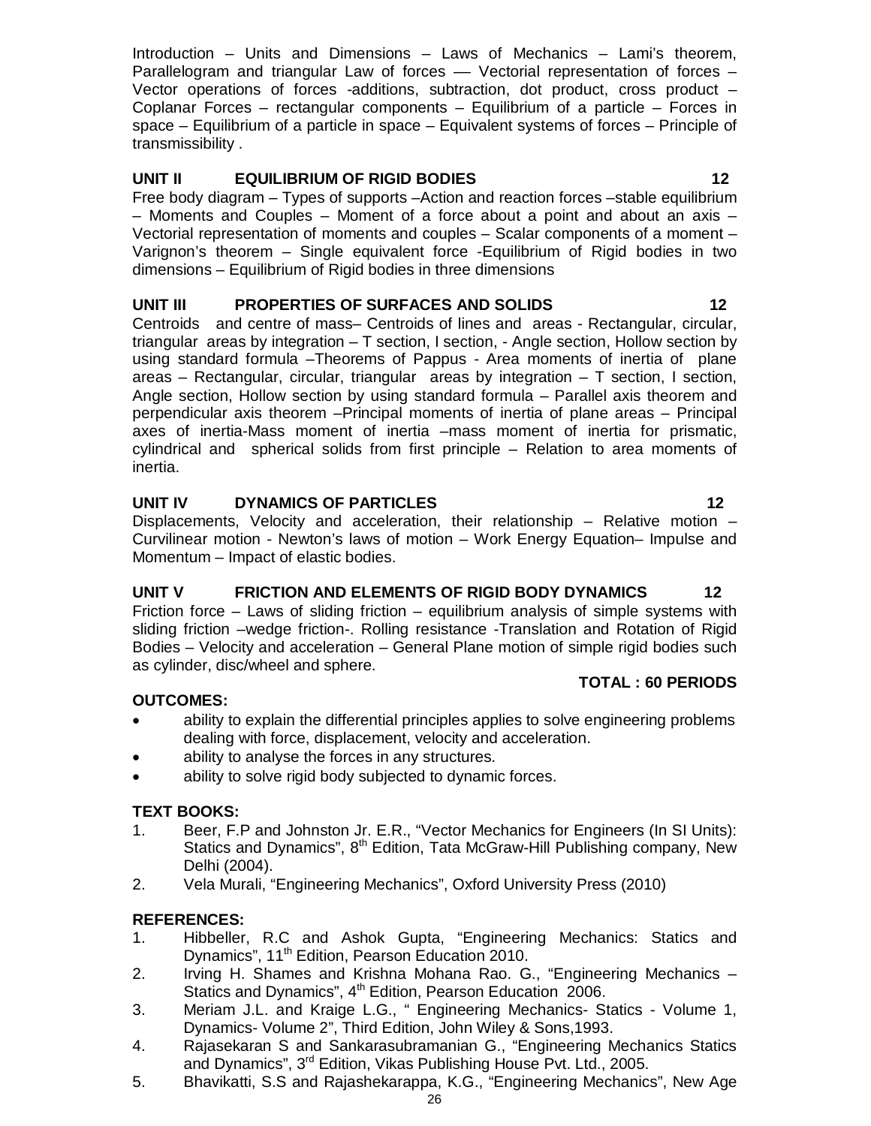Introduction – Units and Dimensions – Laws of Mechanics – Lami's theorem, Parallelogram and triangular Law of forces – Vectorial representation of forces – Vector operations of forces -additions, subtraction, dot product, cross product – Coplanar Forces – rectangular components – Equilibrium of a particle – Forces in space – Equilibrium of a particle in space – Equivalent systems of forces – Principle of transmissibility .

# **UNIT II EQUILIBRIUM OF RIGID BODIES 12**

Free body diagram – Types of supports –Action and reaction forces –stable equilibrium – Moments and Couples – Moment of a force about a point and about an axis – Vectorial representation of moments and couples – Scalar components of a moment – Varignon's theorem – Single equivalent force -Equilibrium of Rigid bodies in two dimensions – Equilibrium of Rigid bodies in three dimensions

## **UNIT III PROPERTIES OF SURFACES AND SOLIDS 12**

Centroids and centre of mass– Centroids of lines and areas - Rectangular, circular, triangular areas by integration – T section, I section, - Angle section, Hollow section by using standard formula –Theorems of Pappus - Area moments of inertia of plane areas – Rectangular, circular, triangular areas by integration –  $T$  section, I section, Angle section, Hollow section by using standard formula – Parallel axis theorem and perpendicular axis theorem –Principal moments of inertia of plane areas – Principal axes of inertia-Mass moment of inertia –mass moment of inertia for prismatic, cylindrical and spherical solids from first principle – Relation to area moments of inertia.

#### **UNIT IV DYNAMICS OF PARTICLES 12**

Displacements, Velocity and acceleration, their relationship – Relative motion – Curvilinear motion - Newton's laws of motion – Work Energy Equation– Impulse and Momentum – Impact of elastic bodies.

# UNIT V FRICTION AND ELEMENTS OF RIGID BODY DYNAMICS 12

Friction force – Laws of sliding friction – equilibrium analysis of simple systems with sliding friction –wedge friction-. Rolling resistance -Translation and Rotation of Rigid Bodies – Velocity and acceleration – General Plane motion of simple rigid bodies such as cylinder, disc/wheel and sphere. **TOTAL : 60 PERIODS**

#### **OUTCOMES:**

- ability to explain the differential principles applies to solve engineering problems dealing with force, displacement, velocity and acceleration.
- ability to analyse the forces in any structures.
- ability to solve rigid body subjected to dynamic forces.

#### **TEXT BOOKS:**

- 1. Beer, F.P and Johnston Jr. E.R., "Vector Mechanics for Engineers (In SI Units): Statics and Dynamics", 8<sup>th</sup> Edition, Tata McGraw-Hill Publishing company, New Delhi (2004).
- 2. Vela Murali, "Engineering Mechanics", Oxford University Press (2010)

# **REFERENCES:**

- 1. Hibbeller, R.C and Ashok Gupta, "Engineering Mechanics: Statics and Dynamics", 11<sup>th</sup> Edition, Pearson Education 2010.
- 2. Irving H. Shames and Krishna Mohana Rao. G., "Engineering Mechanics Statics and Dynamics",  $4<sup>th</sup>$  Edition, Pearson Education 2006.
- 3. Meriam J.L. and Kraige L.G., " Engineering Mechanics- Statics Volume 1, Dynamics- Volume 2", Third Edition, John Wiley & Sons,1993.
- 4. Rajasekaran S and Sankarasubramanian G., "Engineering Mechanics Statics and Dynamics", 3rd Edition, Vikas Publishing House Pvt. Ltd., 2005.
- 5. Bhavikatti, S.S and Rajashekarappa, K.G., "Engineering Mechanics", New Age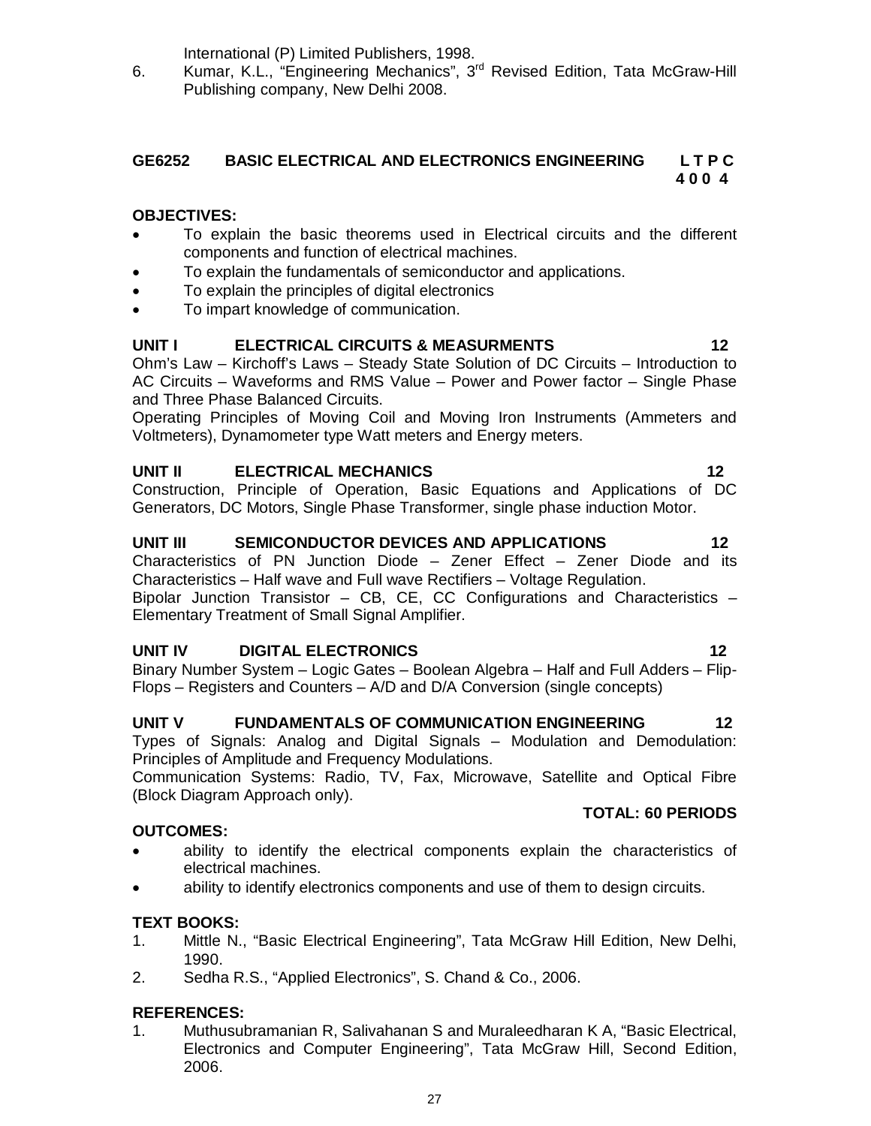International (P) Limited Publishers, 1998.

6. Kumar, K.L., "Engineering Mechanics", 3rd Revised Edition, Tata McGraw-Hill Publishing company, New Delhi 2008.

#### **GE6252 BASIC ELECTRICAL AND ELECTRONICS ENGINEERING L T P C 4 0 0 4**

# **OBJECTIVES:**

- To explain the basic theorems used in Electrical circuits and the different components and function of electrical machines.
- To explain the fundamentals of semiconductor and applications.
- To explain the principles of digital electronics
- To impart knowledge of communication.

#### **UNIT I ELECTRICAL CIRCUITS & MEASURMENTS 12**

Ohm's Law – Kirchoff's Laws – Steady State Solution of DC Circuits – Introduction to AC Circuits – Waveforms and RMS Value – Power and Power factor – Single Phase and Three Phase Balanced Circuits.

Operating Principles of Moving Coil and Moving Iron Instruments (Ammeters and Voltmeters), Dynamometer type Watt meters and Energy meters.

#### **UNIT II ELECTRICAL MECHANICS 12**

Construction, Principle of Operation, Basic Equations and Applications of DC Generators, DC Motors, Single Phase Transformer, single phase induction Motor.

#### **UNIT III SEMICONDUCTOR DEVICES AND APPLICATIONS 12**

Characteristics of PN Junction Diode – Zener Effect – Zener Diode and its Characteristics – Half wave and Full wave Rectifiers – Voltage Regulation. Bipolar Junction Transistor – CB, CE, CC Configurations and Characteristics – Elementary Treatment of Small Signal Amplifier.

#### **UNIT IV DIGITAL ELECTRONICS 12**

Binary Number System – Logic Gates – Boolean Algebra – Half and Full Adders – Flip-Flops – Registers and Counters – A/D and D/A Conversion (single concepts)

#### **UNIT V FUNDAMENTALS OF COMMUNICATION ENGINEERING 12**

Types of Signals: Analog and Digital Signals – Modulation and Demodulation: Principles of Amplitude and Frequency Modulations.

Communication Systems: Radio, TV, Fax, Microwave, Satellite and Optical Fibre (Block Diagram Approach only).

#### **OUTCOMES:**

- ability to identify the electrical components explain the characteristics of electrical machines.
- ability to identify electronics components and use of them to design circuits.

#### **TEXT BOOKS:**

- 1. Mittle N., "Basic Electrical Engineering", Tata McGraw Hill Edition, New Delhi, 1990.
- 2. Sedha R.S., "Applied Electronics", S. Chand & Co., 2006.

#### **REFERENCES:**

1. Muthusubramanian R, Salivahanan S and Muraleedharan K A, "Basic Electrical, Electronics and Computer Engineering", Tata McGraw Hill, Second Edition, 2006.

**TOTAL: 60 PERIODS**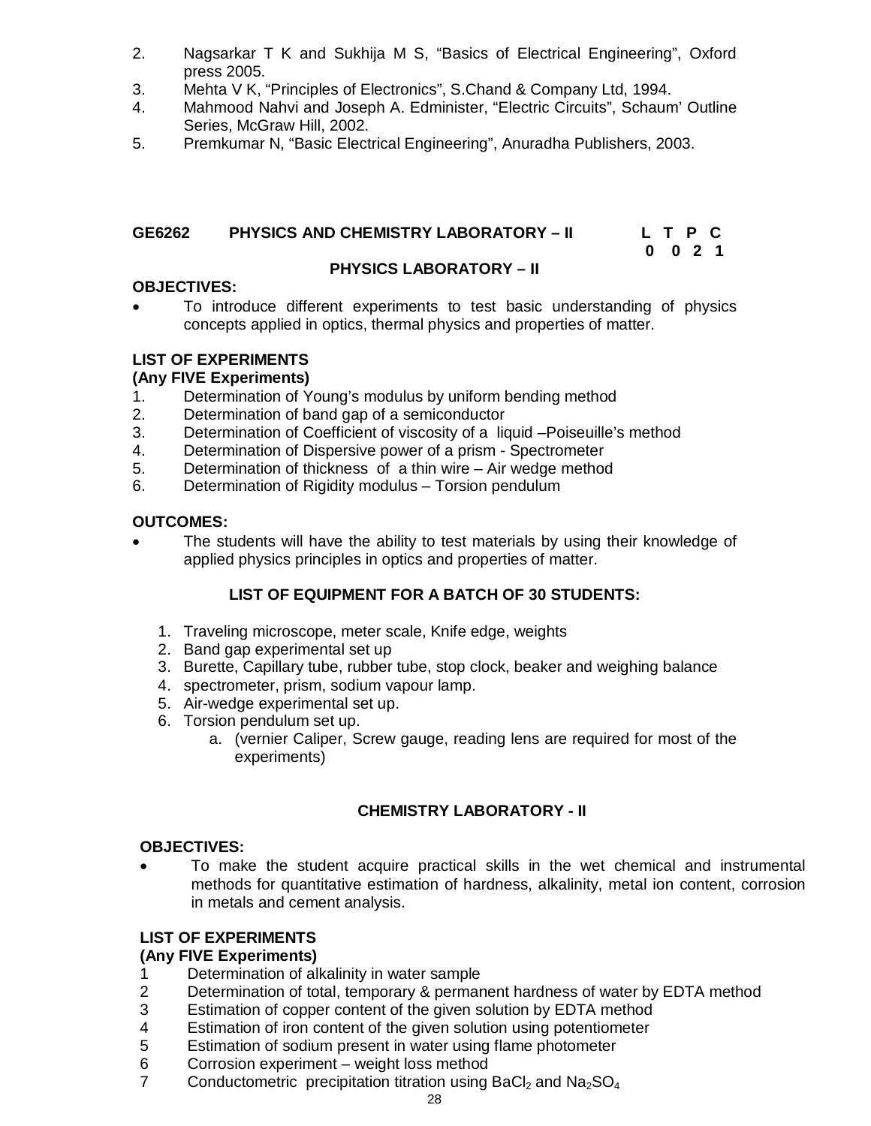- 2. Nagsarkar T K and Sukhija M S, "Basics of Electrical Engineering", Oxford press 2005.
- 3. Mehta V K, "Principles of Electronics", S.Chand & Company Ltd, 1994.
- 4. Mahmood Nahvi and Joseph A. Edminister, "Electric Circuits", Schaum' Outline Series, McGraw Hill, 2002.
- 5. Premkumar N, "Basic Electrical Engineering", Anuradha Publishers, 2003.

# **GE6262 PHYSICS AND CHEMISTRY LABORATORY – II L T P C**

### **0 0 2 1**

#### **PHYSICS LABORATORY – II**

# **OBJECTIVES:**

 To introduce different experiments to test basic understanding of physics concepts applied in optics, thermal physics and properties of matter.

# **LIST OF EXPERIMENTS**

## **(Any FIVE Experiments)**

- 1. Determination of Young's modulus by uniform bending method<br>2. Determination of band gap of a semiconductor
- Determination of band gap of a semiconductor
- 3. Determination of Coefficient of viscosity of a liquid –Poiseuille's method
- 4. Determination of Dispersive power of a prism Spectrometer
- 5. Determination of thickness of a thin wire Air wedge method
- 6. Determination of Rigidity modulus Torsion pendulum

#### **OUTCOMES:**

• The students will have the ability to test materials by using their knowledge of applied physics principles in optics and properties of matter.

# **LIST OF EQUIPMENT FOR A BATCH OF 30 STUDENTS:**

- 1. Traveling microscope, meter scale, Knife edge, weights
- 2. Band gap experimental set up
- 3. Burette, Capillary tube, rubber tube, stop clock, beaker and weighing balance
- 4. spectrometer, prism, sodium vapour lamp.
- 5. Air-wedge experimental set up.
- 6. Torsion pendulum set up.
	- a. (vernier Caliper, Screw gauge, reading lens are required for most of the experiments)

# **CHEMISTRY LABORATORY - II**

#### **OBJECTIVES:**

 To make the student acquire practical skills in the wet chemical and instrumental methods for quantitative estimation of hardness, alkalinity, metal ion content, corrosion in metals and cement analysis.

#### **LIST OF EXPERIMENTS**

# **(Any FIVE Experiments)**

- 1 Determination of alkalinity in water sample
- 2 Determination of total, temporary & permanent hardness of water by EDTA method
- 3 Estimation of copper content of the given solution by EDTA method
- 4 Estimation of iron content of the given solution using potentiometer
- 5 Estimation of sodium present in water using flame photometer
- 6 Corrosion experiment weight loss method
- 7 Conductometric precipitation titration using BaCl<sub>2</sub> and Na<sub>2</sub>SO<sub>4</sub>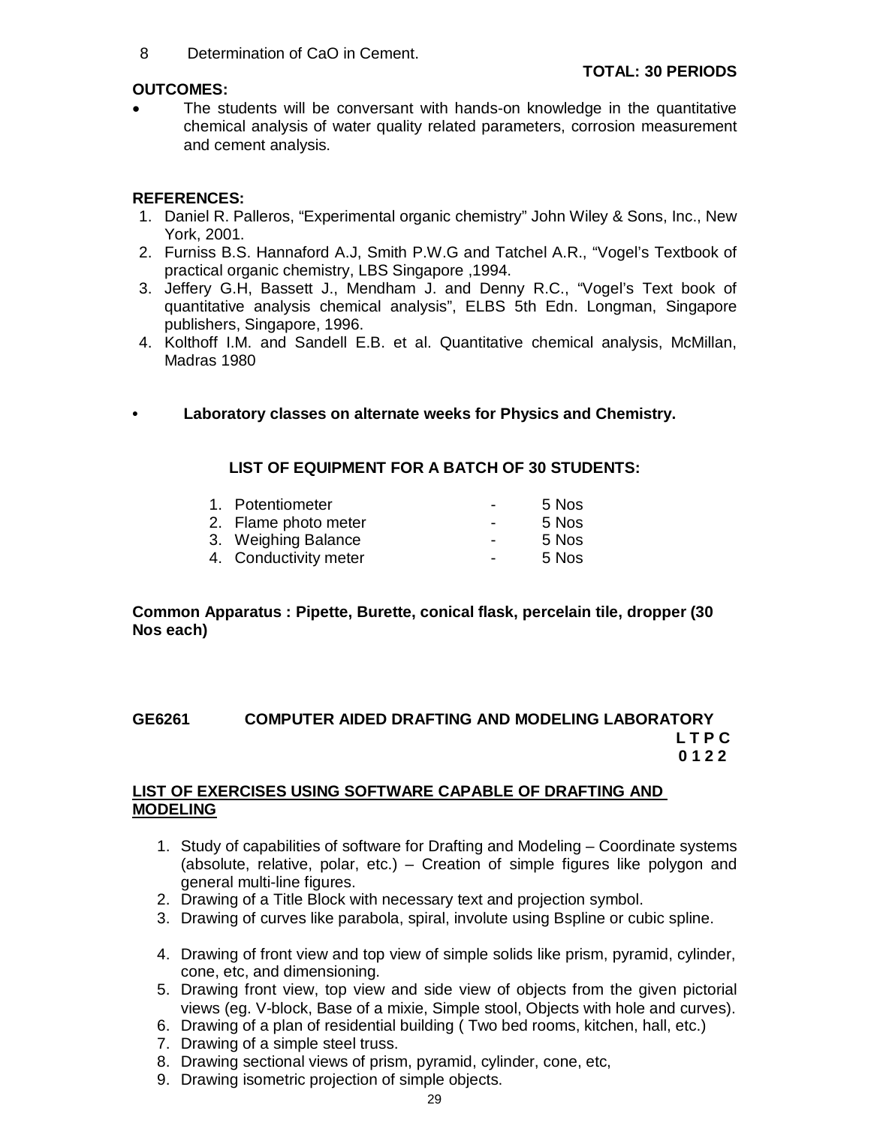8 Determination of CaO in Cement.

#### **TOTAL: 30 PERIODS**

#### **OUTCOMES:**

 The students will be conversant with hands-on knowledge in the quantitative chemical analysis of water quality related parameters, corrosion measurement and cement analysis.

## **REFERENCES:**

- 1. Daniel R. Palleros, "Experimental organic chemistry" John Wiley & Sons, Inc., New York, 2001.
- 2. Furniss B.S. Hannaford A.J, Smith P.W.G and Tatchel A.R., "Vogel's Textbook of practical organic chemistry, LBS Singapore ,1994.
- 3. Jeffery G.H, Bassett J., Mendham J. and Denny R.C., "Vogel's Text book of quantitative analysis chemical analysis", ELBS 5th Edn. Longman, Singapore publishers, Singapore, 1996.
- 4. Kolthoff I.M. and Sandell E.B. et al. Quantitative chemical analysis, McMillan, Madras 1980
- **Laboratory classes on alternate weeks for Physics and Chemistry.**

## **LIST OF EQUIPMENT FOR A BATCH OF 30 STUDENTS:**

| 1. Potentiometer      | $\overline{\phantom{a}}$ | 5 Nos |
|-----------------------|--------------------------|-------|
| 2. Flame photo meter  | $\overline{\phantom{a}}$ | 5 Nos |
| 3. Weighing Balance   | $\overline{\phantom{a}}$ | 5 Nos |
| 4. Conductivity meter | $\overline{\phantom{0}}$ | 5 Nos |

**Common Apparatus : Pipette, Burette, conical flask, percelain tile, dropper (30 Nos each)**

#### **GE6261 COMPUTER AIDED DRAFTING AND MODELING LABORATORY L T P C 0 1 2 2**

#### **LIST OF EXERCISES USING SOFTWARE CAPABLE OF DRAFTING AND MODELING**

- 1. Study of capabilities of software for Drafting and Modeling Coordinate systems (absolute, relative, polar, etc.) – Creation of simple figures like polygon and general multi-line figures.
- 2. Drawing of a Title Block with necessary text and projection symbol.
- 3. Drawing of curves like parabola, spiral, involute using Bspline or cubic spline.
- 4. Drawing of front view and top view of simple solids like prism, pyramid, cylinder, cone, etc, and dimensioning.
- 5. Drawing front view, top view and side view of objects from the given pictorial views (eg. V-block, Base of a mixie, Simple stool, Objects with hole and curves).
- 6. Drawing of a plan of residential building ( Two bed rooms, kitchen, hall, etc.)
- 7. Drawing of a simple steel truss.
- 8. Drawing sectional views of prism, pyramid, cylinder, cone, etc,
- 9. Drawing isometric projection of simple objects.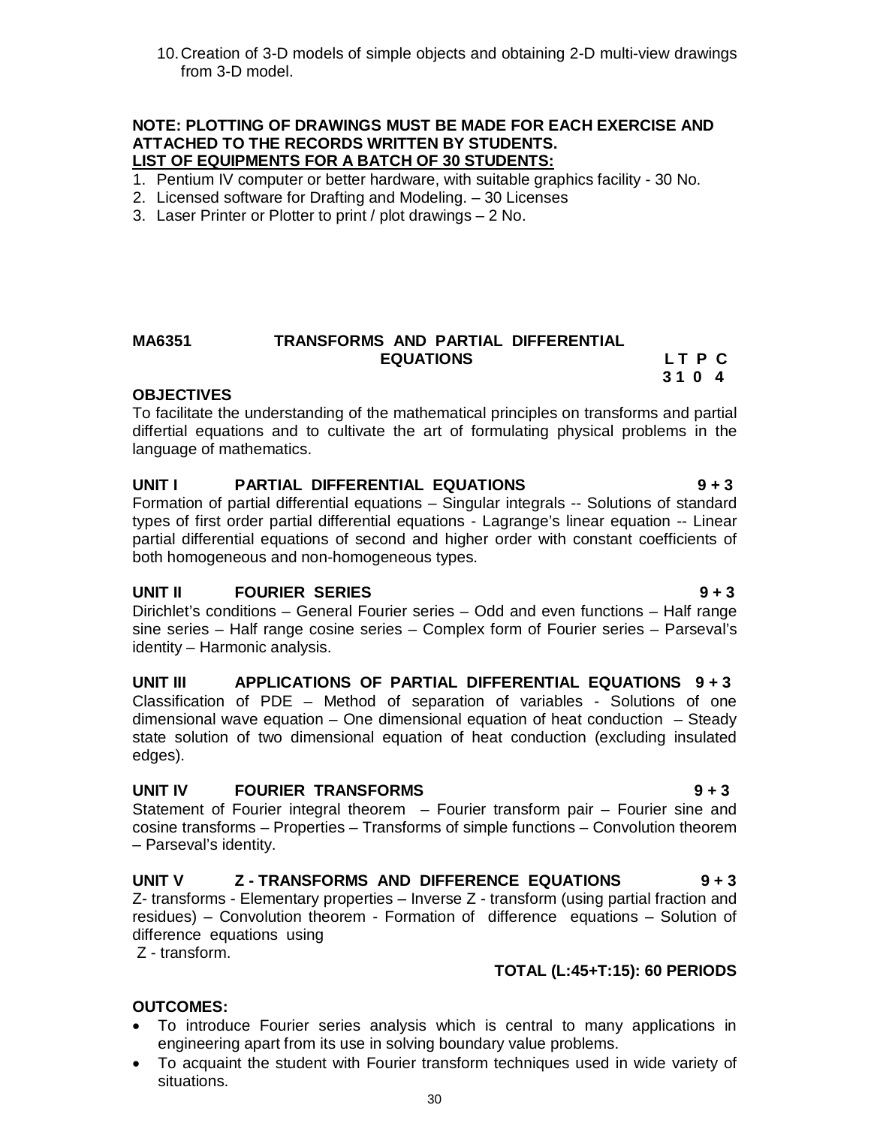10.Creation of 3-D models of simple objects and obtaining 2-D multi-view drawings from 3-D model.

#### **NOTE: PLOTTING OF DRAWINGS MUST BE MADE FOR EACH EXERCISE AND ATTACHED TO THE RECORDS WRITTEN BY STUDENTS. LIST OF EQUIPMENTS FOR A BATCH OF 30 STUDENTS:**

- 1. Pentium IV computer or better hardware, with suitable graphics facility 30 No.
- 2. Licensed software for Drafting and Modeling. 30 Licenses
- 3. Laser Printer or Plotter to print / plot drawings 2 No.

#### **MA6351 TRANSFORMS AND PARTIAL DIFFERENTIAL**  EQUATIONS LTPC

#### **OBJECTIVES**

To facilitate the understanding of the mathematical principles on transforms and partial differtial equations and to cultivate the art of formulating physical problems in the language of mathematics.

 **3 1 0 4**

# **UNIT I PARTIAL DIFFERENTIAL EQUATIONS 9 + 3**

Formation of partial differential equations – Singular integrals -- Solutions of standard types of first order partial differential equations - Lagrange's linear equation -- Linear partial differential equations of second and higher order with constant coefficients of both homogeneous and non-homogeneous types.

#### **UNIT II FOURIER SERIES 9 + 3**

Dirichlet's conditions – General Fourier series – Odd and even functions – Half range sine series – Half range cosine series – Complex form of Fourier series – Parseval's identity – Harmonic analysis.

**UNIT III APPLICATIONS OF PARTIAL DIFFERENTIAL EQUATIONS 9 + 3** Classification of PDE – Method of separation of variables - Solutions of one dimensional wave equation – One dimensional equation of heat conduction  $-$  Steady state solution of two dimensional equation of heat conduction (excluding insulated edges).

#### **UNIT IV FOURIER TRANSFORMS 9 + 3**

Statement of Fourier integral theorem – Fourier transform pair – Fourier sine and cosine transforms – Properties – Transforms of simple functions – Convolution theorem – Parseval's identity.

# **UNIT V Z - TRANSFORMS AND DIFFERENCE EQUATIONS 9 + 3**

Z- transforms - Elementary properties – Inverse Z - transform (using partial fraction and residues) – Convolution theorem - Formation of difference equations – Solution of difference equations using

Z - transform.

# **TOTAL (L:45+T:15): 60 PERIODS**

# **OUTCOMES:**

- To introduce Fourier series analysis which is central to many applications in engineering apart from its use in solving boundary value problems.
- To acquaint the student with Fourier transform techniques used in wide variety of situations.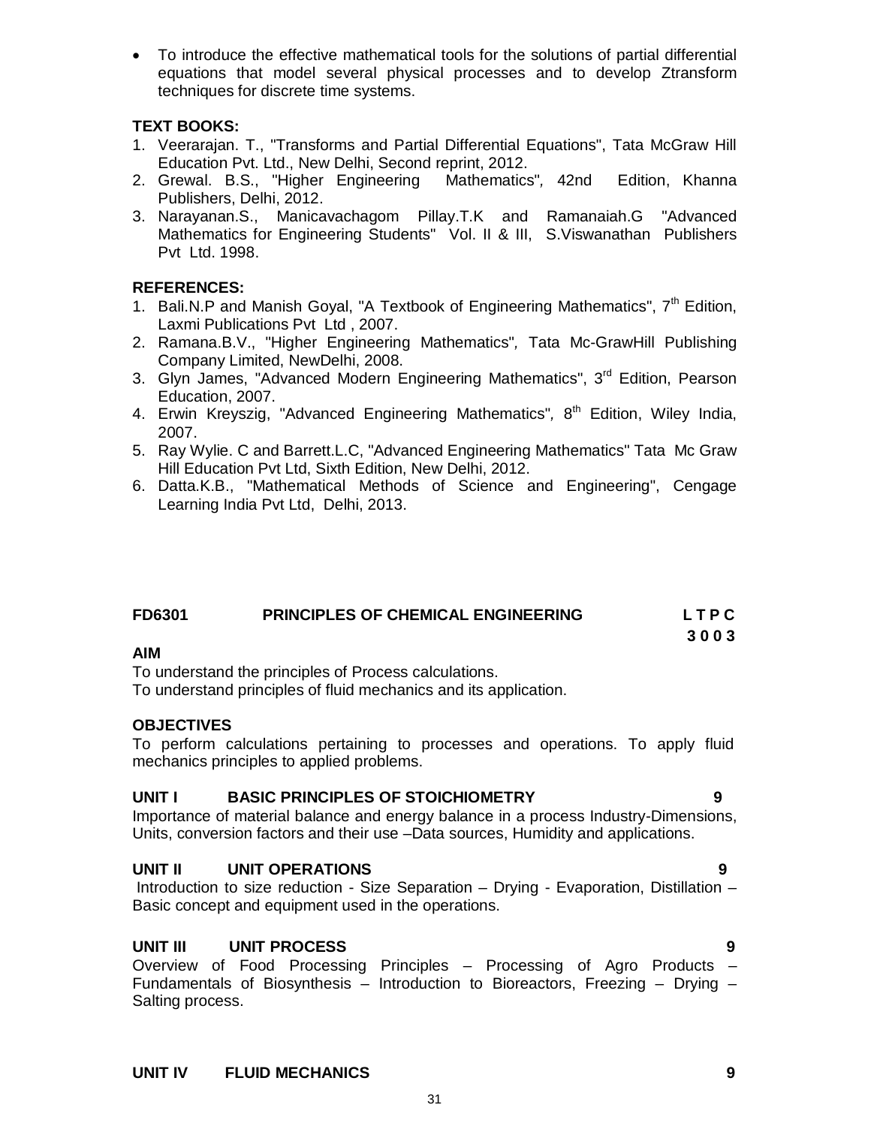To introduce the effective mathematical tools for the solutions of partial differential equations that model several physical processes and to develop Ztransform techniques for discrete time systems.

# **TEXT BOOKS:**

- 1. Veerarajan. T., "Transforms and Partial Differential Equations", Tata McGraw Hill Education Pvt. Ltd., New Delhi, Second reprint, 2012.
- 2. Grewal. B.S., "Higher Engineering Mathematics"*,* 42nd Edition, Khanna Publishers, Delhi, 2012.
- 3. Narayanan.S., Manicavachagom Pillay.T.K and Ramanaiah.G "Advanced Mathematics for Engineering Students" Vol. II & III, S.Viswanathan Publishers Pvt Ltd. 1998.

## **REFERENCES:**

- 1. Bali.N.P and Manish Goyal, "A Textbook of Engineering Mathematics",  $7<sup>th</sup>$  Edition, Laxmi Publications Pvt Ltd , 2007.
- 2. Ramana.B.V., "Higher Engineering Mathematics"*,* Tata Mc-GrawHill Publishing Company Limited, NewDelhi, 2008.
- 3. Glyn James, "Advanced Modern Engineering Mathematics", 3<sup>rd</sup> Edition, Pearson Education, 2007.
- 4. Erwin Kreyszig, "Advanced Engineering Mathematics"*,* 8 th Edition, Wiley India, 2007.
- 5. Ray Wylie. C and Barrett.L.C, "Advanced Engineering Mathematics" Tata Mc Graw Hill Education Pvt Ltd, Sixth Edition, New Delhi, 2012.
- 6. Datta.K.B., "Mathematical Methods of Science and Engineering", Cengage Learning India Pvt Ltd, Delhi, 2013.

| <b>FD6301</b> | <b>PRINCIPLES OF CHEMICAL ENGINEERING</b> | LTPC |
|---------------|-------------------------------------------|------|
|               |                                           | 3003 |

#### **AIM**

To understand the principles of Process calculations.

To understand principles of fluid mechanics and its application.

#### **OBJECTIVES**

To perform calculations pertaining to processes and operations. To apply fluid mechanics principles to applied problems.

#### **UNIT I BASIC PRINCIPLES OF STOICHIOMETRY 9**

Importance of material balance and energy balance in a process Industry-Dimensions, Units, conversion factors and their use –Data sources, Humidity and applications.

#### **UNIT II UNIT OPERATIONS 9**

Introduction to size reduction - Size Separation – Drying - Evaporation, Distillation – Basic concept and equipment used in the operations.

# **UNIT III UNIT PROCESS 9**

Overview of Food Processing Principles – Processing of Agro Products – Fundamentals of Biosynthesis – Introduction to Bioreactors, Freezing – Drying – Salting process.

31

#### **UNIT IV FLUID MECHANICS 9**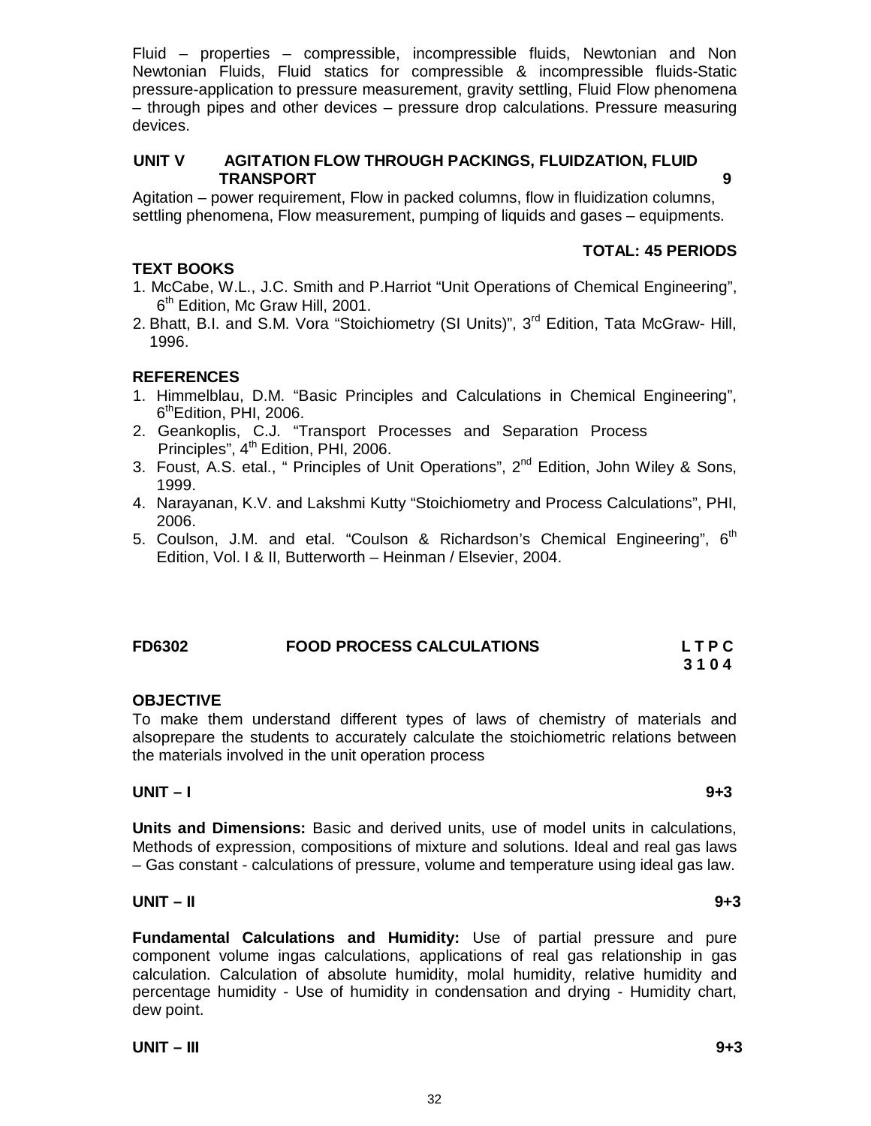Fluid – properties – compressible, incompressible fluids, Newtonian and Non Newtonian Fluids, Fluid statics for compressible & incompressible fluids-Static pressure-application to pressure measurement, gravity settling, Fluid Flow phenomena – through pipes and other devices – pressure drop calculations. Pressure measuring devices.

# **UNIT V AGITATION FLOW THROUGH PACKINGS, FLUIDZATION, FLUID TRANSPORT 9**

Agitation – power requirement, Flow in packed columns, flow in fluidization columns, settling phenomena, Flow measurement, pumping of liquids and gases – equipments.

# **TOTAL: 45 PERIODS**

# **TEXT BOOKS**

- 1. McCabe, W.L., J.C. Smith and P.Harriot "Unit Operations of Chemical Engineering", 6<sup>th</sup> Edition, Mc Graw Hill, 2001.
- 2. Bhatt, B.I. and S.M. Vora "Stoichiometry (SI Units)", 3<sup>rd</sup> Edition, Tata McGraw- Hill. 1996.

# **REFERENCES**

- 1. Himmelblau, D.M. "Basic Principles and Calculations in Chemical Engineering", 6<sup>th</sup>Edition, PHI, 2006.
- 2. Geankoplis, C.J. "Transport Processes and Separation Process Principles", 4<sup>th</sup> Edition, PHI, 2006.
- 3. Foust, A.S. etal., " Principles of Unit Operations", 2<sup>nd</sup> Edition, John Wiley & Sons, 1999.
- 4. Narayanan, K.V. and Lakshmi Kutty "Stoichiometry and Process Calculations", PHI, 2006.
- 5. Coulson, J.M. and etal. "Coulson & Richardson's Chemical Engineering",  $6<sup>th</sup>$ Edition, Vol. I & II, Butterworth – Heinman / Elsevier, 2004.

#### **FD6302 FOOD PROCESS CALCULATIONS L T P C 3 1 0 4**

# **OBJECTIVE**

To make them understand different types of laws of chemistry of materials and alsoprepare the students to accurately calculate the stoichiometric relations between the materials involved in the unit operation process

### **UNIT – I 9+3**

**Units and Dimensions:** Basic and derived units, use of model units in calculations, Methods of expression, compositions of mixture and solutions. Ideal and real gas laws – Gas constant - calculations of pressure, volume and temperature using ideal gas law.

#### **UNIT – II 9+3**

**Fundamental Calculations and Humidity:** Use of partial pressure and pure component volume ingas calculations, applications of real gas relationship in gas calculation. Calculation of absolute humidity, molal humidity, relative humidity and percentage humidity - Use of humidity in condensation and drying - Humidity chart, dew point.

**UNIT – III 9+3**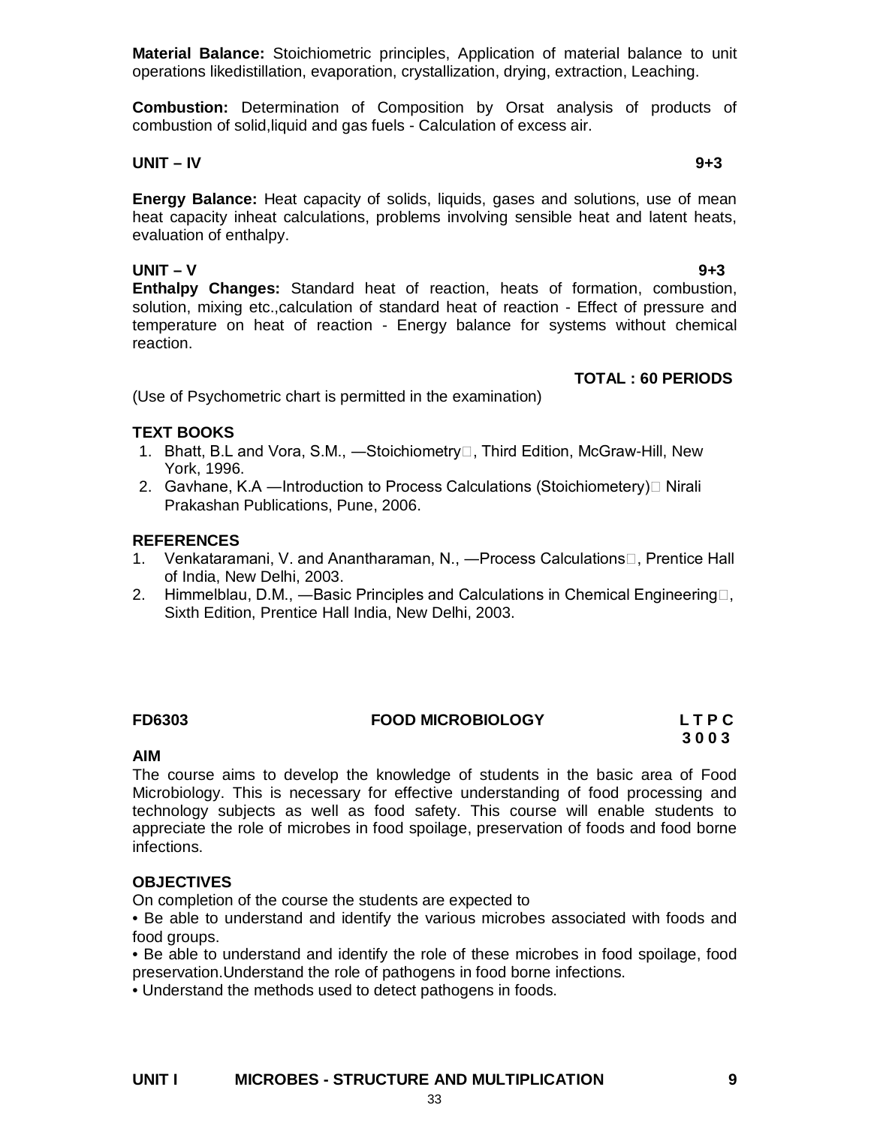**Material Balance:** Stoichiometric principles, Application of material balance to unit operations likedistillation, evaporation, crystallization, drying, extraction, Leaching.

**Combustion:** Determination of Composition by Orsat analysis of products of combustion of solid,liquid and gas fuels - Calculation of excess air.

#### **UNIT – IV 9+3**

**Energy Balance:** Heat capacity of solids, liquids, gases and solutions, use of mean heat capacity inheat calculations, problems involving sensible heat and latent heats, evaluation of enthalpy.

**UNIT – V 9+3 Enthalpy Changes:** Standard heat of reaction, heats of formation, combustion, solution, mixing etc.,calculation of standard heat of reaction - Effect of pressure and temperature on heat of reaction - Energy balance for systems without chemical reaction.

## **TOTAL : 60 PERIODS**

(Use of Psychometric chart is permitted in the examination)

#### **TEXT BOOKS**

- 1. Bhatt, B.L and Vora, S.M., —Stoichiometry<sup>[1]</sup>, Third Edition, McGraw-Hill, New York, 1996.
- 2. Gavhane, K.A —Introduction to Process Calculations (Stoichiometery) Nirali Prakashan Publications, Pune, 2006.

#### **REFERENCES**

- 1. Venkataramani, V. and Anantharaman, N., —Process Calculations<sup>[1]</sup>, Prentice Hall of India, New Delhi, 2003.
- 2. Himmelblau, D.M., —Basic Principles and Calculations in Chemical Engineering $\Box$ , Sixth Edition, Prentice Hall India, New Delhi, 2003.

# **FD6303 FOOD MICROBIOLOGY L T P C**

# **3 0 0 3**

#### **AIM**

The course aims to develop the knowledge of students in the basic area of Food Microbiology. This is necessary for effective understanding of food processing and technology subjects as well as food safety. This course will enable students to appreciate the role of microbes in food spoilage, preservation of foods and food borne infections.

#### **OBJECTIVES**

On completion of the course the students are expected to

• Be able to understand and identify the various microbes associated with foods and food groups.

• Be able to understand and identify the role of these microbes in food spoilage, food preservation.Understand the role of pathogens in food borne infections.

• Understand the methods used to detect pathogens in foods.

#### **UNIT I MICROBES - STRUCTURE AND MULTIPLICATION 9**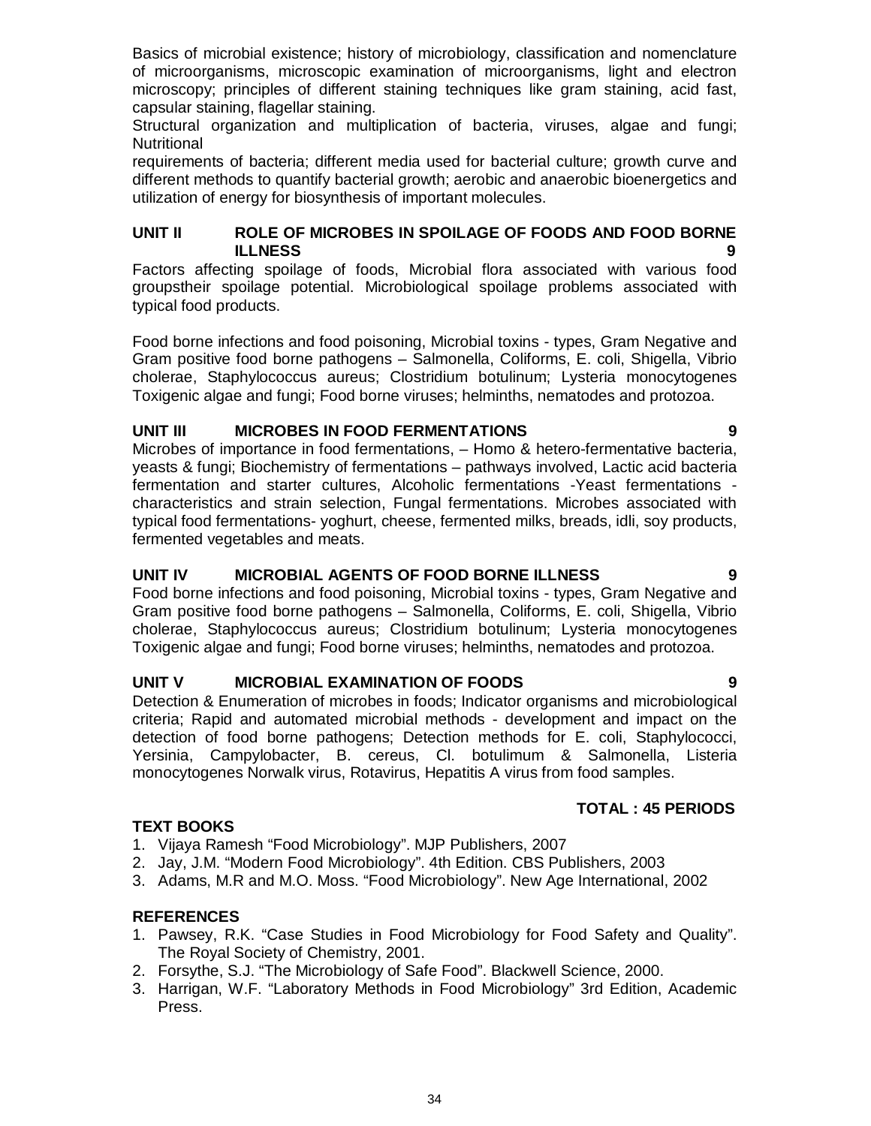Basics of microbial existence; history of microbiology, classification and nomenclature of microorganisms, microscopic examination of microorganisms, light and electron microscopy; principles of different staining techniques like gram staining, acid fast, capsular staining, flagellar staining.

Structural organization and multiplication of bacteria, viruses, algae and fungi; **Nutritional** 

requirements of bacteria; different media used for bacterial culture; growth curve and different methods to quantify bacterial growth; aerobic and anaerobic bioenergetics and utilization of energy for biosynthesis of important molecules.

#### **UNIT II ROLE OF MICROBES IN SPOILAGE OF FOODS AND FOOD BORNE ILLNESS 9**

Factors affecting spoilage of foods, Microbial flora associated with various food groupstheir spoilage potential. Microbiological spoilage problems associated with typical food products.

Food borne infections and food poisoning, Microbial toxins - types, Gram Negative and Gram positive food borne pathogens – Salmonella, Coliforms, E. coli, Shigella, Vibrio cholerae, Staphylococcus aureus; Clostridium botulinum; Lysteria monocytogenes Toxigenic algae and fungi; Food borne viruses; helminths, nematodes and protozoa.

# **UNIT III MICROBES IN FOOD FERMENTATIONS 9**

Microbes of importance in food fermentations, – Homo & hetero-fermentative bacteria, yeasts & fungi; Biochemistry of fermentations – pathways involved, Lactic acid bacteria fermentation and starter cultures, Alcoholic fermentations -Yeast fermentations characteristics and strain selection, Fungal fermentations. Microbes associated with typical food fermentations- yoghurt, cheese, fermented milks, breads, idli, soy products, fermented vegetables and meats.

#### **UNIT IV MICROBIAL AGENTS OF FOOD BORNE ILLNESS 9**

Food borne infections and food poisoning, Microbial toxins - types, Gram Negative and Gram positive food borne pathogens – Salmonella, Coliforms, E. coli, Shigella, Vibrio cholerae, Staphylococcus aureus; Clostridium botulinum; Lysteria monocytogenes Toxigenic algae and fungi; Food borne viruses; helminths, nematodes and protozoa.

# **UNIT V MICROBIAL EXAMINATION OF FOODS 9**

Detection & Enumeration of microbes in foods; Indicator organisms and microbiological criteria; Rapid and automated microbial methods - development and impact on the detection of food borne pathogens; Detection methods for E. coli, Staphylococci, Yersinia, Campylobacter, B. cereus, Cl. botulimum & Salmonella, Listeria monocytogenes Norwalk virus, Rotavirus, Hepatitis A virus from food samples.

#### **TOTAL : 45 PERIODS**

#### **TEXT BOOKS**

- 1. Vijaya Ramesh "Food Microbiology". MJP Publishers, 2007
- 2. Jay, J.M. "Modern Food Microbiology". 4th Edition. CBS Publishers, 2003
- 3. Adams, M.R and M.O. Moss. "Food Microbiology". New Age International, 2002

#### **REFERENCES**

- 1. Pawsey, R.K. "Case Studies in Food Microbiology for Food Safety and Quality". The Royal Society of Chemistry, 2001.
- 2. Forsythe, S.J. "The Microbiology of Safe Food". Blackwell Science, 2000.
- 3. Harrigan, W.F. "Laboratory Methods in Food Microbiology" 3rd Edition, Academic Press.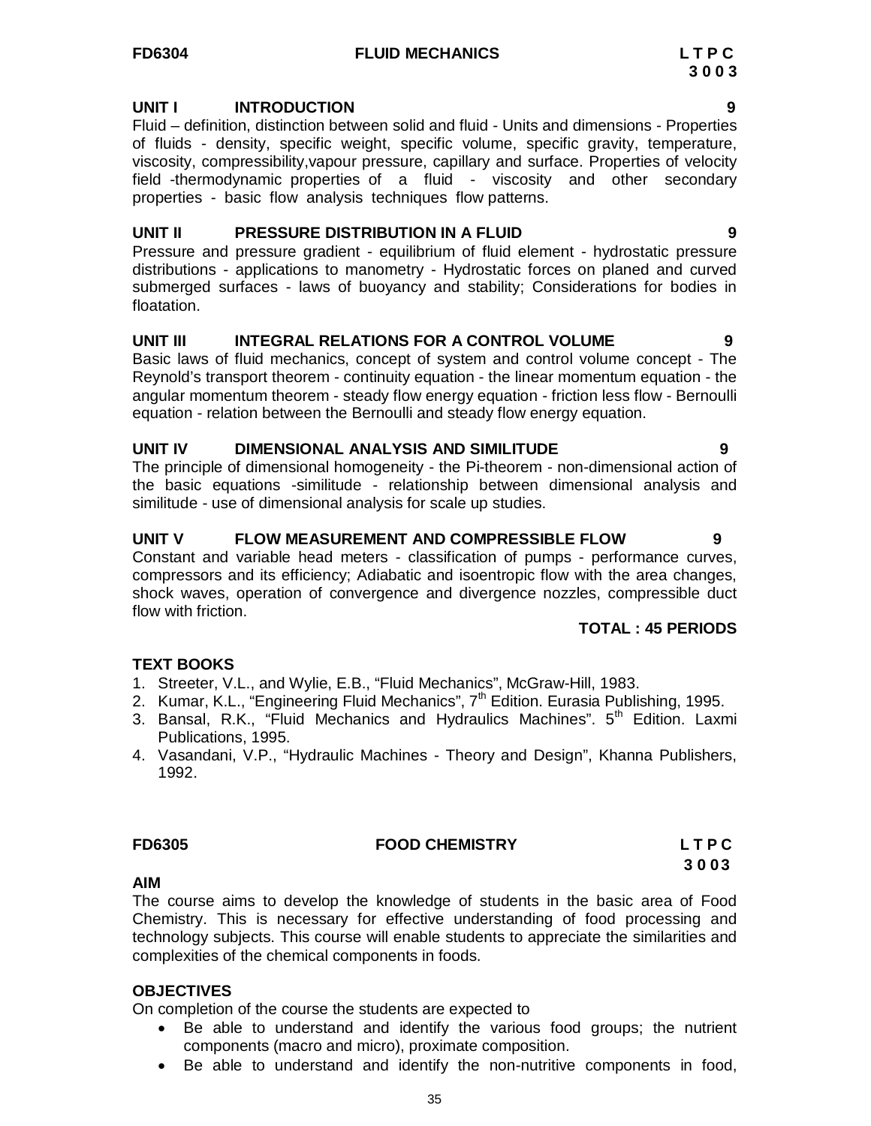### **FD6304 FLUID MECHANICS L T P C**

#### **UNIT I INTRODUCTION 9**

Fluid – definition, distinction between solid and fluid - Units and dimensions - Properties of fluids - density, specific weight, specific volume, specific gravity, temperature, viscosity, compressibility,vapour pressure, capillary and surface. Properties of velocity field -thermodynamic properties of a fluid - viscosity and other secondary properties - basic flow analysis techniques flow patterns.

#### **UNIT II PRESSURE DISTRIBUTION IN A FLUID 9**

Pressure and pressure gradient - equilibrium of fluid element - hydrostatic pressure distributions - applications to manometry - Hydrostatic forces on planed and curved submerged surfaces - laws of buoyancy and stability; Considerations for bodies in floatation.

#### **UNIT III INTEGRAL RELATIONS FOR A CONTROL VOLUME 9**

Basic laws of fluid mechanics, concept of system and control volume concept - The Reynold's transport theorem - continuity equation - the linear momentum equation - the angular momentum theorem - steady flow energy equation - friction less flow - Bernoulli equation - relation between the Bernoulli and steady flow energy equation.

#### **UNIT IV DIMENSIONAL ANALYSIS AND SIMILITUDE 9**

The principle of dimensional homogeneity - the Pi-theorem - non-dimensional action of the basic equations -similitude - relationship between dimensional analysis and similitude - use of dimensional analysis for scale up studies.

#### **UNIT V FLOW MEASUREMENT AND COMPRESSIBLE FLOW 9**

Constant and variable head meters - classification of pumps - performance curves, compressors and its efficiency; Adiabatic and isoentropic flow with the area changes, shock waves, operation of convergence and divergence nozzles, compressible duct flow with friction.

#### **TOTAL : 45 PERIODS**

# **TEXT BOOKS**

- 1. Streeter, V.L., and Wylie, E.B., "Fluid Mechanics", McGraw-Hill, 1983.
- 2. Kumar, K.L., "Engineering Fluid Mechanics", 7<sup>th</sup> Edition. Eurasia Publishing, 1995.
- 3. Bansal, R.K., "Fluid Mechanics and Hydraulics Machines".  $5<sup>th</sup>$  Edition. Laxmi Publications, 1995.
- 4. Vasandani, V.P., "Hydraulic Machines Theory and Design", Khanna Publishers, 1992.

# **FD6305 FOOD CHEMISTRY L T P C**

**3 0 0 3**

#### **AIM**

The course aims to develop the knowledge of students in the basic area of Food Chemistry. This is necessary for effective understanding of food processing and technology subjects. This course will enable students to appreciate the similarities and complexities of the chemical components in foods.

#### **OBJECTIVES**

On completion of the course the students are expected to

- Be able to understand and identify the various food groups; the nutrient components (macro and micro), proximate composition.
- Be able to understand and identify the non-nutritive components in food,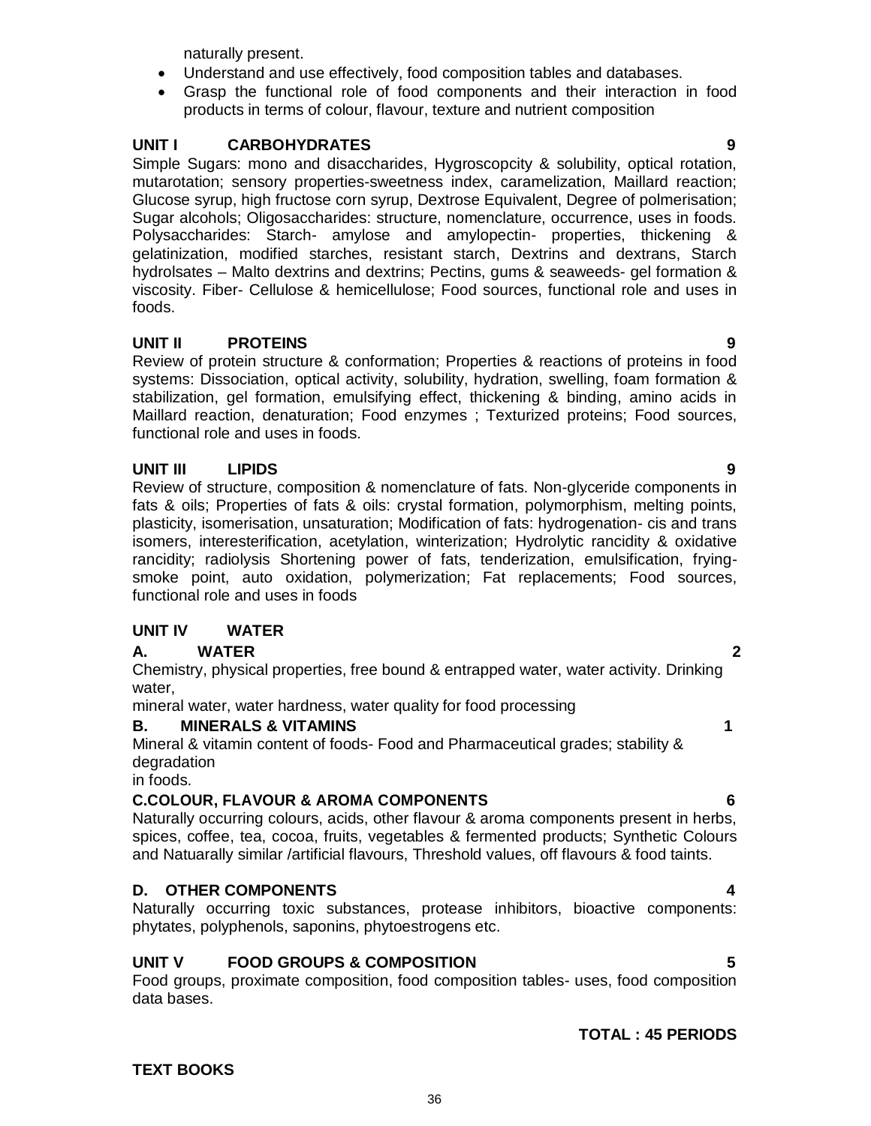naturally present.

- Understand and use effectively, food composition tables and databases.
- Grasp the functional role of food components and their interaction in food products in terms of colour, flavour, texture and nutrient composition

# **UNIT I CARBOHYDRATES 9**

Simple Sugars: mono and disaccharides, Hygroscopcity & solubility, optical rotation, mutarotation; sensory properties-sweetness index, caramelization, Maillard reaction; Glucose syrup, high fructose corn syrup, Dextrose Equivalent, Degree of polmerisation; Sugar alcohols; Oligosaccharides: structure, nomenclature, occurrence, uses in foods. Polysaccharides: Starch- amylose and amylopectin- properties, thickening & gelatinization, modified starches, resistant starch, Dextrins and dextrans, Starch hydrolsates – Malto dextrins and dextrins; Pectins, gums & seaweeds- gel formation & viscosity. Fiber- Cellulose & hemicellulose; Food sources, functional role and uses in foods.

# **UNIT II PROTEINS 9**

Review of protein structure & conformation; Properties & reactions of proteins in food systems: Dissociation, optical activity, solubility, hydration, swelling, foam formation & stabilization, gel formation, emulsifying effect, thickening & binding, amino acids in Maillard reaction, denaturation; Food enzymes ; Texturized proteins; Food sources, functional role and uses in foods.

# **UNIT III LIPIDS 9**

Review of structure, composition & nomenclature of fats. Non-glyceride components in fats & oils; Properties of fats & oils: crystal formation, polymorphism, melting points, plasticity, isomerisation, unsaturation; Modification of fats: hydrogenation- cis and trans isomers, interesterification, acetylation, winterization; Hydrolytic rancidity & oxidative rancidity; radiolysis Shortening power of fats, tenderization, emulsification, fryingsmoke point, auto oxidation, polymerization; Fat replacements; Food sources, functional role and uses in foods

# **UNIT IV WATER**

# **A. WATER 2**

Chemistry, physical properties, free bound & entrapped water, water activity. Drinking water,

mineral water, water hardness, water quality for food processing

# **B. MINERALS & VITAMINS 1**

Mineral & vitamin content of foods- Food and Pharmaceutical grades; stability & degradation

in foods.

# **C.COLOUR, FLAVOUR & AROMA COMPONENTS 6**

Naturally occurring colours, acids, other flavour & aroma components present in herbs, spices, coffee, tea, cocoa, fruits, vegetables & fermented products; Synthetic Colours and Natuarally similar /artificial flavours, Threshold values, off flavours & food taints.

# **D. OTHER COMPONENTS 4**

Naturally occurring toxic substances, protease inhibitors, bioactive components: phytates, polyphenols, saponins, phytoestrogens etc.

# **UNIT V FOOD GROUPS & COMPOSITION 5**

Food groups, proximate composition, food composition tables- uses, food composition data bases.

# **TEXT BOOKS**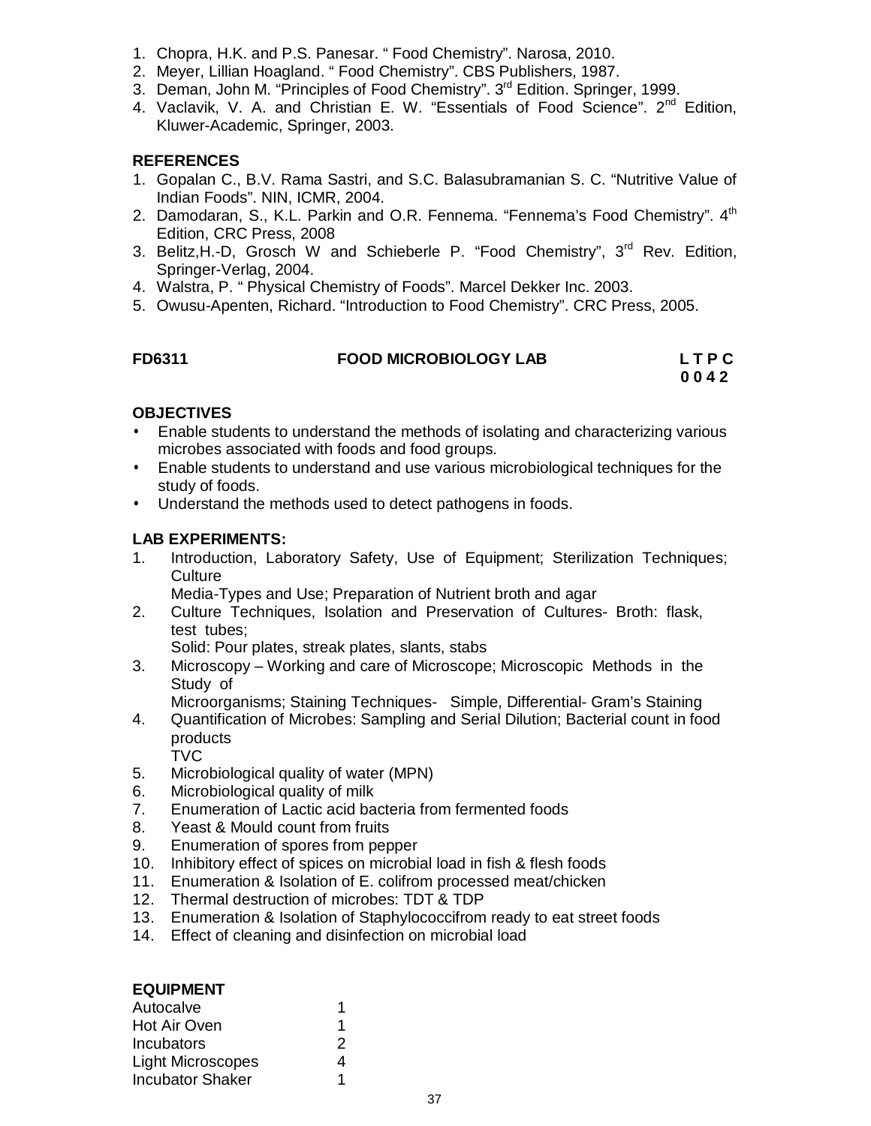- 1. Chopra, H.K. and P.S. Panesar. " Food Chemistry". Narosa, 2010.
- 2. Meyer, Lillian Hoagland. " Food Chemistry". CBS Publishers, 1987.
- 3. Deman, John M. "Principles of Food Chemistry". 3<sup>rd</sup> Edition. Springer, 1999.
- 4. Vaclavik, V. A. and Christian E. W. "Essentials of Food Science". 2<sup>nd</sup> Edition, Kluwer-Academic, Springer, 2003.

#### **REFERENCES**

- 1. Gopalan C., B.V. Rama Sastri, and S.C. Balasubramanian S. C. "Nutritive Value of Indian Foods". NIN, ICMR, 2004.
- 2. Damodaran, S., K.L. Parkin and O.R. Fennema. "Fennema's Food Chemistry". 4<sup>th</sup> Edition, CRC Press, 2008
- 3. Belitz, H.-D, Grosch W and Schieberle P. "Food Chemistry", 3<sup>rd</sup> Rev. Edition, Springer-Verlag, 2004.
- 4. Walstra, P. " Physical Chemistry of Foods". Marcel Dekker Inc. 2003.
- 5. Owusu-Apenten, Richard. "Introduction to Food Chemistry". CRC Press, 2005.

# **FD6311 FOOD MICROBIOLOGY LAB L T P C 0 0 4 2**

#### **OBJECTIVES**

- Enable students to understand the methods of isolating and characterizing various microbes associated with foods and food groups.
- Enable students to understand and use various microbiological techniques for the study of foods.
- Understand the methods used to detect pathogens in foods.

#### **LAB EXPERIMENTS:**

1. Introduction, Laboratory Safety, Use of Equipment; Sterilization Techniques; **Culture** 

Media-Types and Use; Preparation of Nutrient broth and agar

2. Culture Techniques, Isolation and Preservation of Cultures- Broth: flask, test tubes;

Solid: Pour plates, streak plates, slants, stabs

3. Microscopy – Working and care of Microscope; Microscopic Methods in the Study of

Microorganisms; Staining Techniques- Simple, Differential- Gram's Staining

- 4. Quantification of Microbes: Sampling and Serial Dilution; Bacterial count in food products TVC
- 5. Microbiological quality of water (MPN)
- 6. Microbiological quality of milk
- 7. Enumeration of Lactic acid bacteria from fermented foods
- 8. Yeast & Mould count from fruits
- 9. Enumeration of spores from pepper
- 10. Inhibitory effect of spices on microbial load in fish & flesh foods
- 11. Enumeration & Isolation of E. colifrom processed meat/chicken
- 12. Thermal destruction of microbes: TDT & TDP
- 13. Enumeration & Isolation of Staphylococcifrom ready to eat street foods
- 14. Effect of cleaning and disinfection on microbial load

| <b>EQUIPMENT</b>         |   |
|--------------------------|---|
| Autocalve                |   |
| Hot Air Oven             |   |
| Incubators               | 2 |
| <b>Light Microscopes</b> | 4 |
| <b>Incubator Shaker</b>  |   |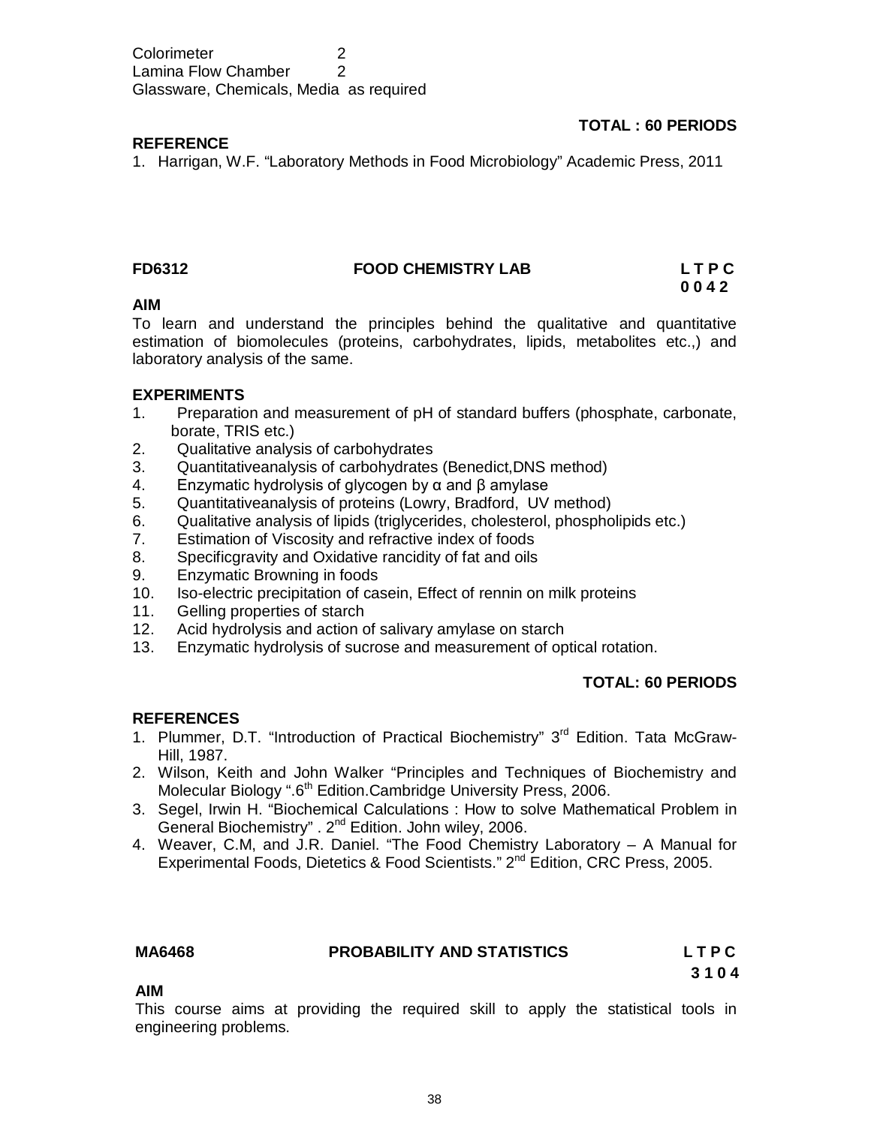Colorimeter 2 Lamina Flow Chamber 2 Glassware, Chemicals, Media as required

# **TOTAL : 60 PERIODS**

### **REFERENCE**

1. Harrigan, W.F. "Laboratory Methods in Food Microbiology" Academic Press, 2011

#### **FD6312 FOOD CHEMISTRY LAB L T P C**

 **0 0 4 2**

#### **AIM**

To learn and understand the principles behind the qualitative and quantitative estimation of biomolecules (proteins, carbohydrates, lipids, metabolites etc.,) and laboratory analysis of the same.

#### **EXPERIMENTS**

- 1. Preparation and measurement of pH of standard buffers (phosphate, carbonate, borate, TRIS etc.)
- 2. Qualitative analysis of carbohydrates
- 3. Quantitativeanalysis of carbohydrates (Benedict,DNS method)
- 4. Enzymatic hydrolysis of glycogen by α and β amylase
- 5. Quantitativeanalysis of proteins (Lowry, Bradford, UV method)
- 6. Qualitative analysis of lipids (triglycerides, cholesterol, phospholipids etc.)<br>7. Estimation of Viscosity and refractive index of foods
- Estimation of Viscosity and refractive index of foods
- 8. Specificgravity and Oxidative rancidity of fat and oils
- 9. Enzymatic Browning in foods
- 10. Iso-electric precipitation of casein, Effect of rennin on milk proteins
- 11. Gelling properties of starch
- 12. Acid hydrolysis and action of salivary amylase on starch
- 13. Enzymatic hydrolysis of sucrose and measurement of optical rotation.

#### **TOTAL: 60 PERIODS**

#### **REFERENCES**

- 1. Plummer, D.T. "Introduction of Practical Biochemistry" 3<sup>rd</sup> Edition. Tata McGraw-Hill, 1987.
- 2. Wilson, Keith and John Walker "Principles and Techniques of Biochemistry and Molecular Biology ".6<sup>th</sup> Edition.Cambridge University Press, 2006.
- 3. Segel, Irwin H. "Biochemical Calculations : How to solve Mathematical Problem in General Biochemistry" . 2nd Edition. John wiley, 2006.
- 4. Weaver, C.M, and J.R. Daniel. "The Food Chemistry Laboratory A Manual for Experimental Foods, Dietetics & Food Scientists." 2<sup>nd</sup> Edition, CRC Press, 2005.

#### **MA6468 PROBABILITY AND STATISTICS L T P C**

**3 1 0 4**

#### **AIM**

This course aims at providing the required skill to apply the statistical tools in engineering problems.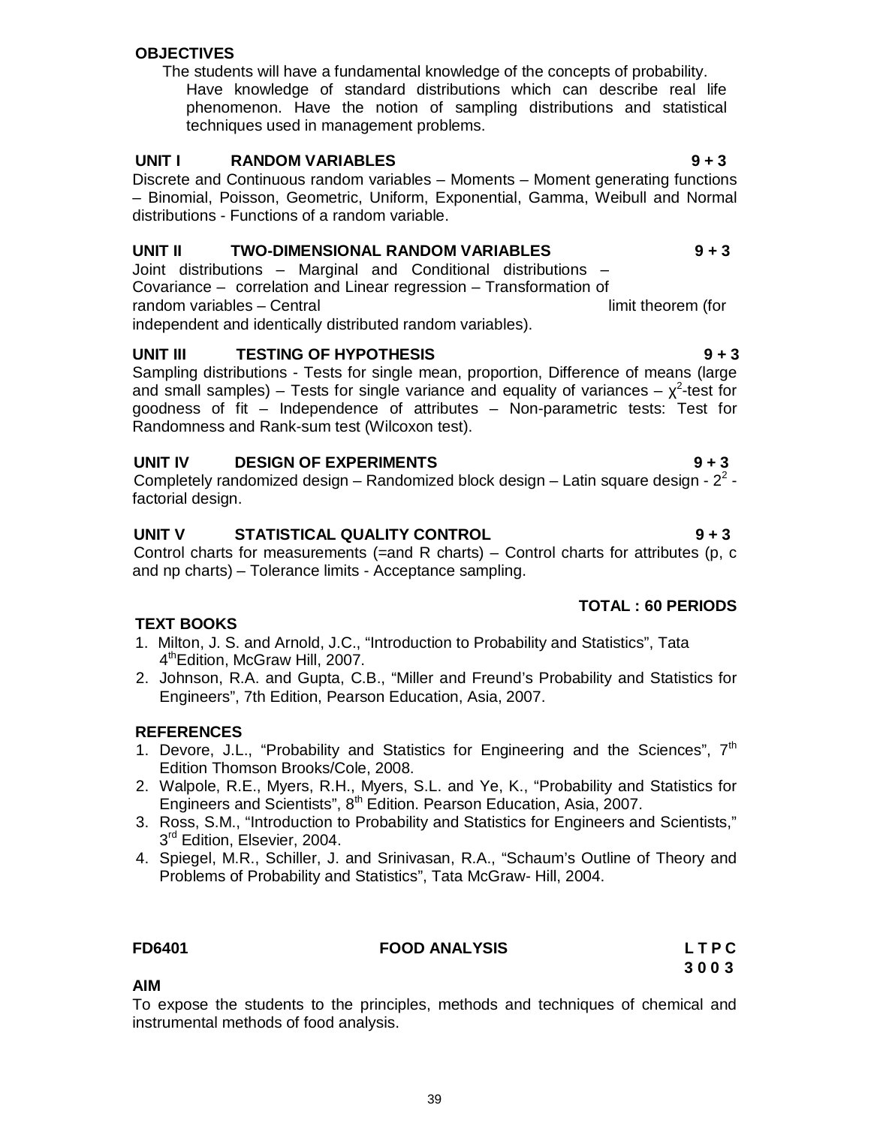#### **OBJECTIVES**

The students will have a fundamental knowledge of the concepts of probability. Have knowledge of standard distributions which can describe real life phenomenon. Have the notion of sampling distributions and statistical techniques used in management problems.

#### **UNIT I RANDOM VARIABLES 9 + 3**

Discrete and Continuous random variables – Moments – Moment generating functions – Binomial, Poisson, Geometric, Uniform, Exponential, Gamma, Weibull and Normal distributions - Functions of a random variable.

#### **UNIT II TWO-DIMENSIONAL RANDOM VARIABLES 9 + 3**

Joint distributions – Marginal and Conditional distributions – Covariance – correlation and Linear regression – Transformation of random variables – Central limit theorem (for limit theorem (for independent and identically distributed random variables).

**UNIT III TESTING OF HYPOTHESIS 9 + 3**

Sampling distributions - Tests for single mean, proportion, Difference of means (large and small samples) – Tests for single variance and equality of variances –  $\chi^2$ -test for goodness of fit – Independence of attributes – Non-parametric tests: Test for Randomness and Rank-sum test (Wilcoxon test).

#### **UNIT IV DESIGN OF EXPERIMENTS 9 + 3**

Completely randomized design  $-$  Randomized block design  $-$  Latin square design -  $2<sup>2</sup>$  factorial design.

## **UNIT V STATISTICAL QUALITY CONTROL 9 + 3**

Control charts for measurements (=and R charts) – Control charts for attributes (p, c and np charts) – Tolerance limits - Acceptance sampling.

# **TOTAL : 60 PERIODS**

#### **TEXT BOOKS**

- 1. Milton, J. S. and Arnold, J.C., "Introduction to Probability and Statistics", Tata 4<sup>th</sup>Edition, McGraw Hill, 2007.
- 2. Johnson, R.A. and Gupta, C.B., "Miller and Freund's Probability and Statistics for Engineers", 7th Edition, Pearson Education, Asia, 2007.

#### **REFERENCES**

- 1. Devore, J.L., "Probability and Statistics for Engineering and the Sciences", 7<sup>th</sup> Edition Thomson Brooks/Cole, 2008.
- 2. Walpole, R.E., Myers, R.H., Myers, S.L. and Ye, K., "Probability and Statistics for Engineers and Scientists", 8<sup>th</sup> Edition. Pearson Education, Asia, 2007.
- 3. Ross, S.M., "Introduction to Probability and Statistics for Engineers and Scientists," 3<sup>rd</sup> Edition, Elsevier, 2004.
- 4. Spiegel, M.R., Schiller, J. and Srinivasan, R.A., "Schaum's Outline of Theory and Problems of Probability and Statistics", Tata McGraw- Hill, 2004.

#### **FD6401 FOOD ANALYSIS L T P C**

**3 0 0 3**

#### **AIM**

To expose the students to the principles, methods and techniques of chemical and instrumental methods of food analysis.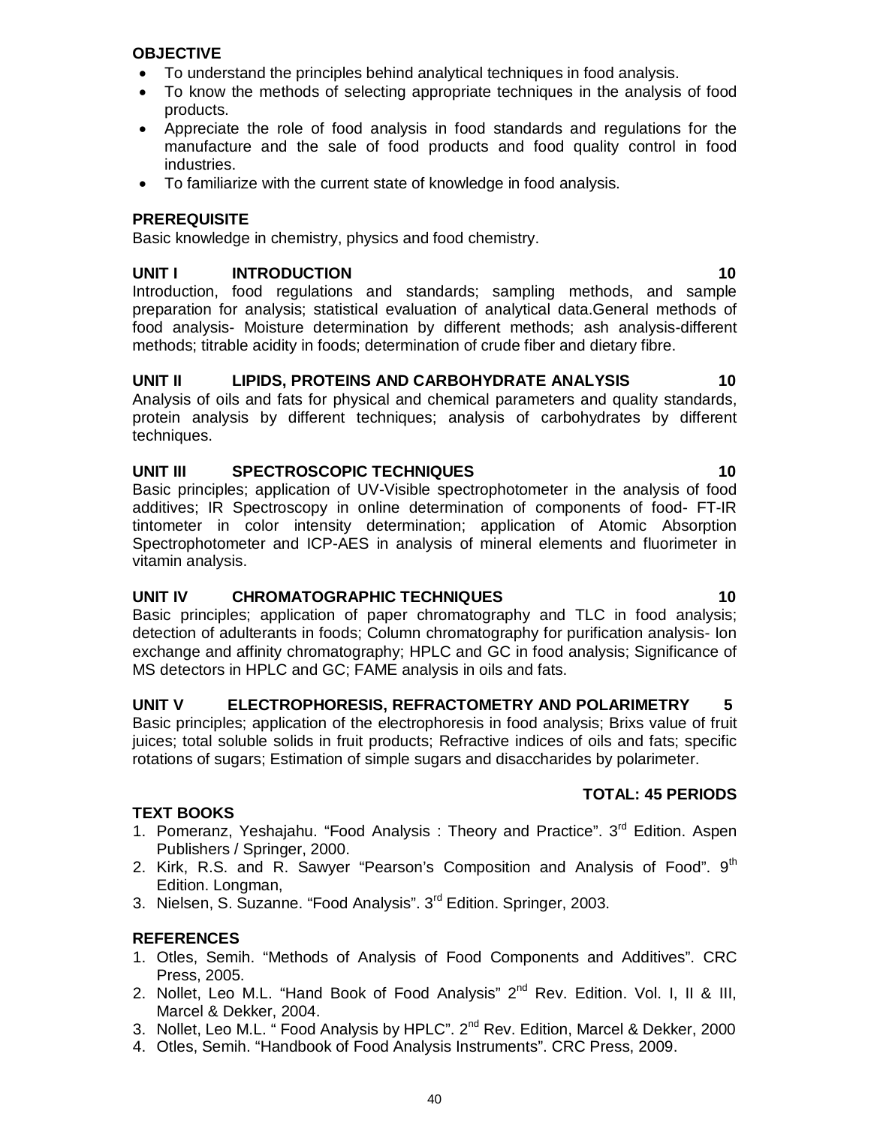#### **OBJECTIVE**

- To understand the principles behind analytical techniques in food analysis.
- To know the methods of selecting appropriate techniques in the analysis of food products.
- Appreciate the role of food analysis in food standards and regulations for the manufacture and the sale of food products and food quality control in food industries.
- To familiarize with the current state of knowledge in food analysis.

#### **PREREQUISITE**

Basic knowledge in chemistry, physics and food chemistry.

### **UNIT I INTRODUCTION 10**

Introduction, food regulations and standards; sampling methods, and sample preparation for analysis; statistical evaluation of analytical data.General methods of food analysis- Moisture determination by different methods; ash analysis-different methods; titrable acidity in foods; determination of crude fiber and dietary fibre.

## **UNIT II LIPIDS, PROTEINS AND CARBOHYDRATE ANALYSIS 10**

Analysis of oils and fats for physical and chemical parameters and quality standards, protein analysis by different techniques; analysis of carbohydrates by different techniques.

#### **UNIT III SPECTROSCOPIC TECHNIQUES 10**

Basic principles; application of UV-Visible spectrophotometer in the analysis of food additives; IR Spectroscopy in online determination of components of food- FT-IR tintometer in color intensity determination; application of Atomic Absorption Spectrophotometer and ICP-AES in analysis of mineral elements and fluorimeter in vitamin analysis.

#### **UNIT IV CHROMATOGRAPHIC TECHNIQUES 10**

Basic principles; application of paper chromatography and TLC in food analysis; detection of adulterants in foods; Column chromatography for purification analysis- Ion exchange and affinity chromatography; HPLC and GC in food analysis; Significance of MS detectors in HPLC and GC; FAME analysis in oils and fats.

# **UNIT V ELECTROPHORESIS, REFRACTOMETRY AND POLARIMETRY 5**

Basic principles; application of the electrophoresis in food analysis; Brixs value of fruit juices; total soluble solids in fruit products; Refractive indices of oils and fats; specific rotations of sugars; Estimation of simple sugars and disaccharides by polarimeter.

#### **TOTAL: 45 PERIODS**

#### **TEXT BOOKS**

- 1. Pomeranz, Yeshajahu. "Food Analysis : Theory and Practice". 3<sup>rd</sup> Edition. Aspen Publishers / Springer, 2000.
- 2. Kirk, R.S. and R. Sawyer "Pearson's Composition and Analysis of Food".  $9<sup>th</sup>$ Edition. Longman,
- 3. Nielsen, S. Suzanne. "Food Analysis". 3rd Edition. Springer, 2003.

#### **REFERENCES**

- 1. Otles, Semih. "Methods of Analysis of Food Components and Additives". CRC Press, 2005.
- 2. Nollet, Leo M.L. "Hand Book of Food Analysis"  $2^{nd}$  Rev. Edition. Vol. I, II & III, Marcel & Dekker, 2004.
- 3. Nollet, Leo M.L. " Food Analysis by HPLC". 2<sup>nd</sup> Rev. Edition, Marcel & Dekker, 2000
- 4. Otles, Semih. "Handbook of Food Analysis Instruments". CRC Press, 2009.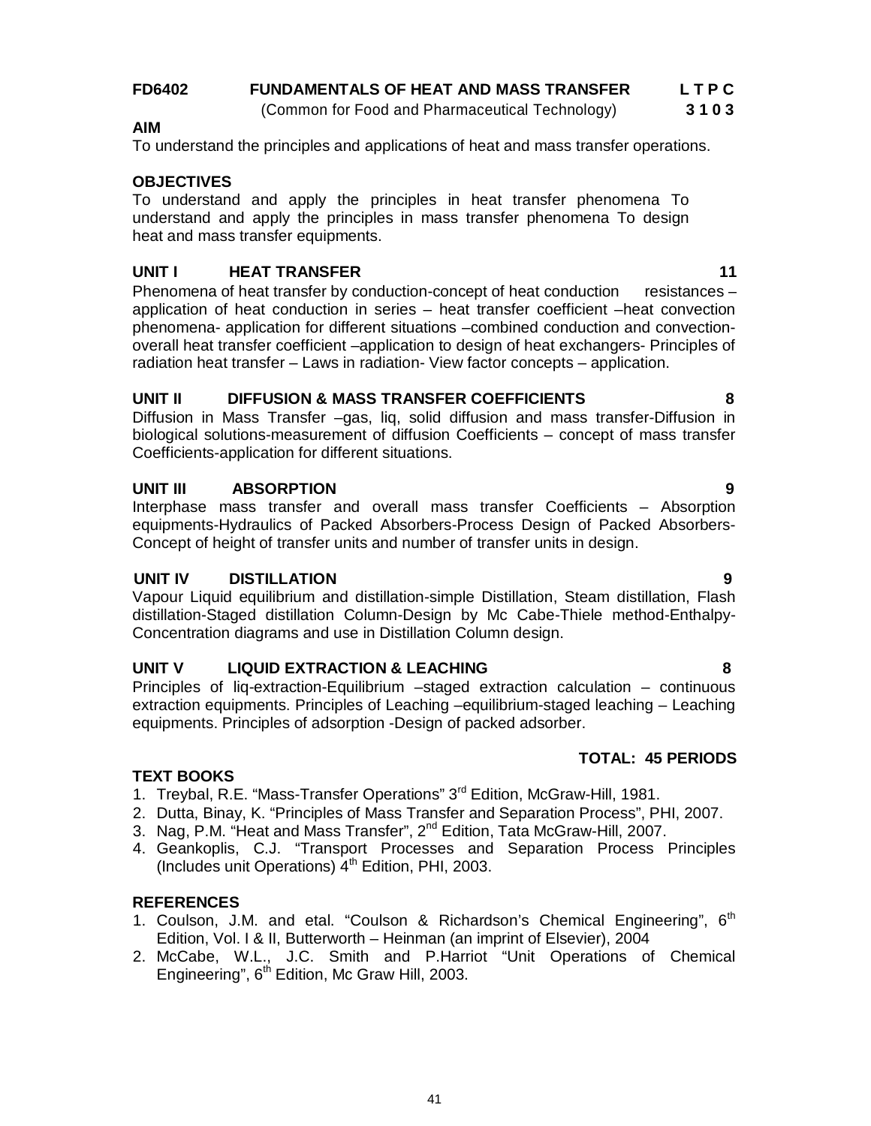# **FD6402 FUNDAMENTALS OF HEAT AND MASS TRANSFER L T P C**

(Common for Food and Pharmaceutical Technology) **3 1 0 3**

# To understand the principles and applications of heat and mass transfer operations.

# **OBJECTIVES**

**AIM**

To understand and apply the principles in heat transfer phenomena To understand and apply the principles in mass transfer phenomena To design heat and mass transfer equipments.

# **UNIT I HEAT TRANSFER 11**

Phenomena of heat transfer by conduction-concept of heat conduction resistances – application of heat conduction in series – heat transfer coefficient –heat convection phenomena- application for different situations –combined conduction and convectionoverall heat transfer coefficient –application to design of heat exchangers- Principles of radiation heat transfer – Laws in radiation- View factor concepts – application.

# **UNIT II DIFFUSION & MASS TRANSFER COEFFICIENTS 8**

Diffusion in Mass Transfer –gas, liq, solid diffusion and mass transfer-Diffusion in biological solutions-measurement of diffusion Coefficients – concept of mass transfer Coefficients-application for different situations.

# **UNIT III ABSORPTION 9**

Interphase mass transfer and overall mass transfer Coefficients – Absorption equipments-Hydraulics of Packed Absorbers-Process Design of Packed Absorbers-Concept of height of transfer units and number of transfer units in design.

#### **UNIT IV DISTILLATION 9**

Vapour Liquid equilibrium and distillation-simple Distillation, Steam distillation, Flash distillation-Staged distillation Column-Design by Mc Cabe-Thiele method-Enthalpy-Concentration diagrams and use in Distillation Column design.

# **UNIT V LIQUID EXTRACTION & LEACHING 8**

Principles of liq-extraction-Equilibrium –staged extraction calculation – continuous extraction equipments. Principles of Leaching –equilibrium-staged leaching – Leaching equipments. Principles of adsorption -Design of packed adsorber.

#### **TEXT BOOKS**

- 1. Treybal, R.E. "Mass-Transfer Operations" 3<sup>rd</sup> Edition, McGraw-Hill, 1981.
- 2. Dutta, Binay, K. "Principles of Mass Transfer and Separation Process", PHI, 2007.
- 3. Nag, P.M. "Heat and Mass Transfer", 2<sup>nd</sup> Edition, Tata McGraw-Hill, 2007.
- 4. Geankoplis, C.J. "Transport Processes and Separation Process Principles (Includes unit Operations)  $4<sup>th</sup>$  Edition, PHI, 2003.

#### **REFERENCES**

- 1. Coulson, J.M. and etal. "Coulson & Richardson's Chemical Engineering", 6<sup>th</sup> Edition, Vol. I & II, Butterworth – Heinman (an imprint of Elsevier), 2004
- 2. McCabe, W.L., J.C. Smith and P.Harriot "Unit Operations of Chemical Engineering", 6<sup>th</sup> Edition, Mc Graw Hill, 2003.

**TOTAL: 45 PERIODS**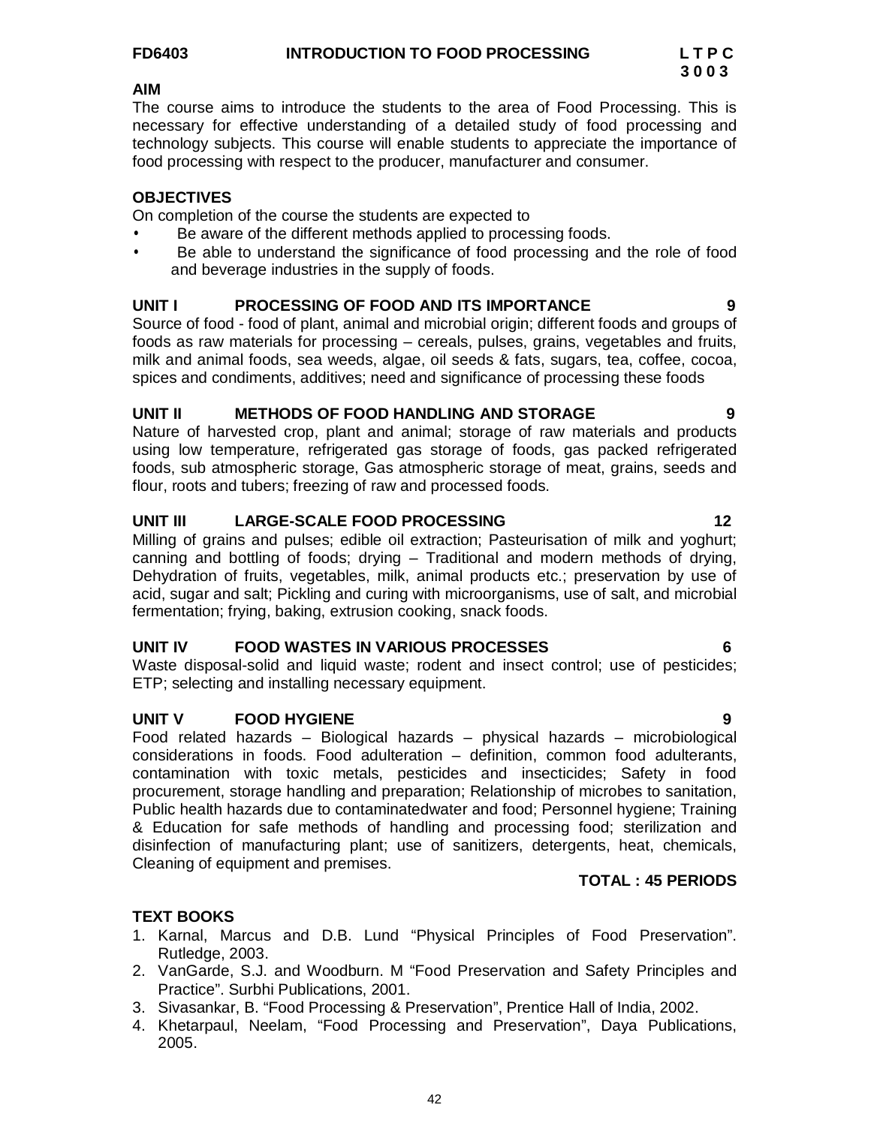#### **AIM**

The course aims to introduce the students to the area of Food Processing. This is necessary for effective understanding of a detailed study of food processing and technology subjects. This course will enable students to appreciate the importance of food processing with respect to the producer, manufacturer and consumer.

### **OBJECTIVES**

On completion of the course the students are expected to

- Be aware of the different methods applied to processing foods.
- Be able to understand the significance of food processing and the role of food and beverage industries in the supply of foods.

# **UNIT I PROCESSING OF FOOD AND ITS IMPORTANCE 9**

Source of food - food of plant, animal and microbial origin; different foods and groups of foods as raw materials for processing – cereals, pulses, grains, vegetables and fruits, milk and animal foods, sea weeds, algae, oil seeds & fats, sugars, tea, coffee, cocoa, spices and condiments, additives; need and significance of processing these foods

#### UNIT II METHODS OF FOOD HANDLING AND STORAGE

Nature of harvested crop, plant and animal; storage of raw materials and products using low temperature, refrigerated gas storage of foods, gas packed refrigerated foods, sub atmospheric storage, Gas atmospheric storage of meat, grains, seeds and flour, roots and tubers; freezing of raw and processed foods.

## **UNIT III LARGE-SCALE FOOD PROCESSING 12**

Milling of grains and pulses; edible oil extraction; Pasteurisation of milk and yoghurt; canning and bottling of foods; drying – Traditional and modern methods of drying, Dehydration of fruits, vegetables, milk, animal products etc.; preservation by use of acid, sugar and salt; Pickling and curing with microorganisms, use of salt, and microbial fermentation; frying, baking, extrusion cooking, snack foods.

#### **UNIT IV FOOD WASTES IN VARIOUS PROCESSES 6**

Waste disposal-solid and liquid waste; rodent and insect control; use of pesticides; ETP; selecting and installing necessary equipment.

#### **UNIT V FOOD HYGIENE 9**

Food related hazards – Biological hazards – physical hazards – microbiological considerations in foods. Food adulteration – definition, common food adulterants, contamination with toxic metals, pesticides and insecticides; Safety in food procurement, storage handling and preparation; Relationship of microbes to sanitation, Public health hazards due to contaminatedwater and food; Personnel hygiene; Training & Education for safe methods of handling and processing food; sterilization and disinfection of manufacturing plant; use of sanitizers, detergents, heat, chemicals, Cleaning of equipment and premises.

#### **TOTAL : 45 PERIODS**

#### **TEXT BOOKS**

- 1. Karnal, Marcus and D.B. Lund "Physical Principles of Food Preservation". Rutledge, 2003.
- 2. VanGarde, S.J. and Woodburn. M "Food Preservation and Safety Principles and Practice". Surbhi Publications, 2001.
- 3. Sivasankar, B. "Food Processing & Preservation", Prentice Hall of India, 2002.
- 4. Khetarpaul, Neelam, "Food Processing and Preservation", Daya Publications, 2005.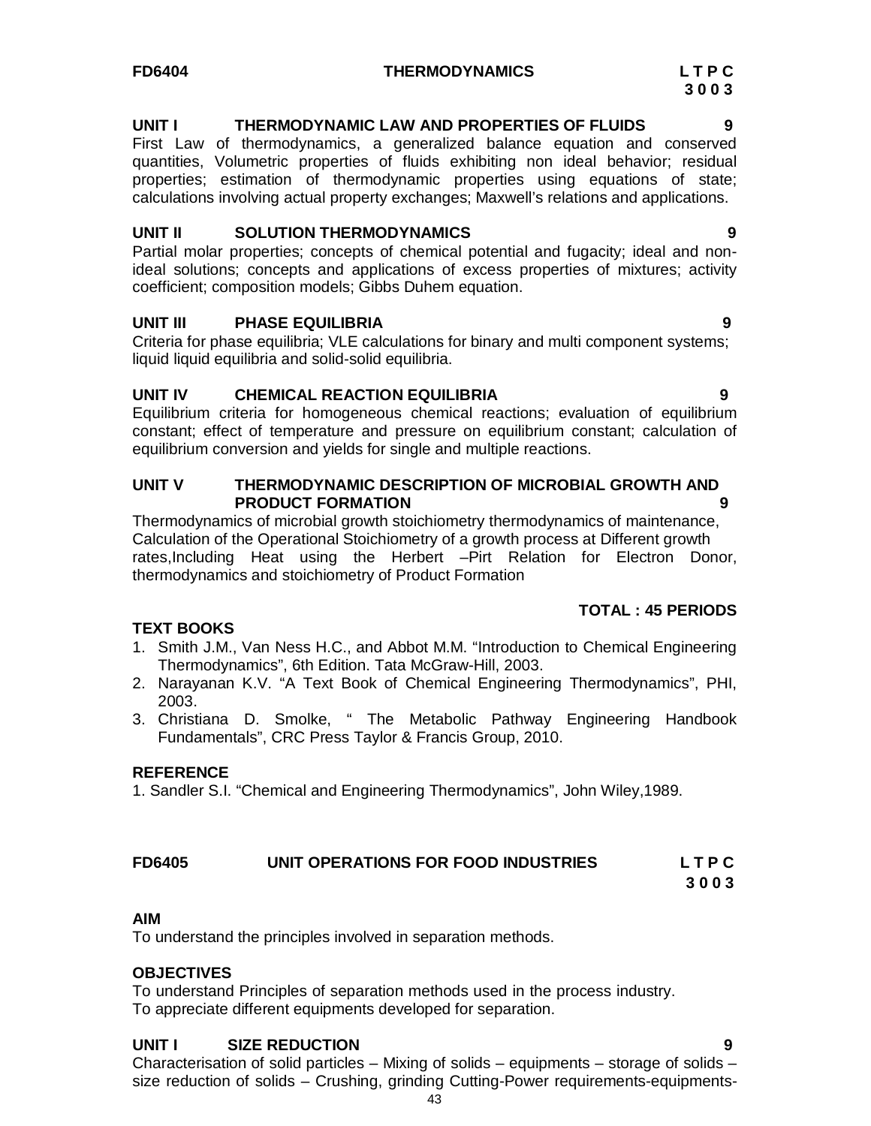#### **FD6404 THERMODYNAMICS L T P C**

#### **UNIT I THERMODYNAMIC LAW AND PROPERTIES OF FLUIDS 9**

First Law of thermodynamics, a generalized balance equation and conserved quantities, Volumetric properties of fluids exhibiting non ideal behavior; residual properties; estimation of thermodynamic properties using equations of state; calculations involving actual property exchanges; Maxwell's relations and applications.

#### UNIT II SOLUTION THERMODYNAMICS

Partial molar properties; concepts of chemical potential and fugacity; ideal and nonideal solutions; concepts and applications of excess properties of mixtures; activity coefficient; composition models; Gibbs Duhem equation.

#### **UNIT III PHASE EQUILIBRIA 9**

Criteria for phase equilibria; VLE calculations for binary and multi component systems; liquid liquid equilibria and solid-solid equilibria.

#### **UNIT IV CHEMICAL REACTION EQUILIBRIA 9**

Equilibrium criteria for homogeneous chemical reactions; evaluation of equilibrium constant; effect of temperature and pressure on equilibrium constant; calculation of equilibrium conversion and yields for single and multiple reactions.

#### **UNIT V THERMODYNAMIC DESCRIPTION OF MICROBIAL GROWTH AND PRODUCT FORMATION 9**

Thermodynamics of microbial growth stoichiometry thermodynamics of maintenance, Calculation of the Operational Stoichiometry of a growth process at Different growth rates,Including Heat using the Herbert –Pirt Relation for Electron Donor, thermodynamics and stoichiometry of Product Formation

### **TOTAL : 45 PERIODS**

#### **TEXT BOOKS**

- 1. Smith J.M., Van Ness H.C., and Abbot M.M. "Introduction to Chemical Engineering Thermodynamics", 6th Edition. Tata McGraw-Hill, 2003.
- 2. Narayanan K.V. "A Text Book of Chemical Engineering Thermodynamics", PHI, 2003.
- 3. Christiana D. Smolke, " The Metabolic Pathway Engineering Handbook Fundamentals", CRC Press Taylor & Francis Group, 2010.

#### **REFERENCE**

1. Sandler S.I. "Chemical and Engineering Thermodynamics", John Wiley,1989.

# **FD6405 UNIT OPERATIONS FOR FOOD INDUSTRIES L T P C**

**3 0 0 3**

#### **AIM**

To understand the principles involved in separation methods.

#### **OBJECTIVES**

To understand Principles of separation methods used in the process industry. To appreciate different equipments developed for separation.

#### **UNIT I SIZE REDUCTION 9**

Characterisation of solid particles – Mixing of solids – equipments – storage of solids – size reduction of solids – Crushing, grinding Cutting-Power requirements-equipments-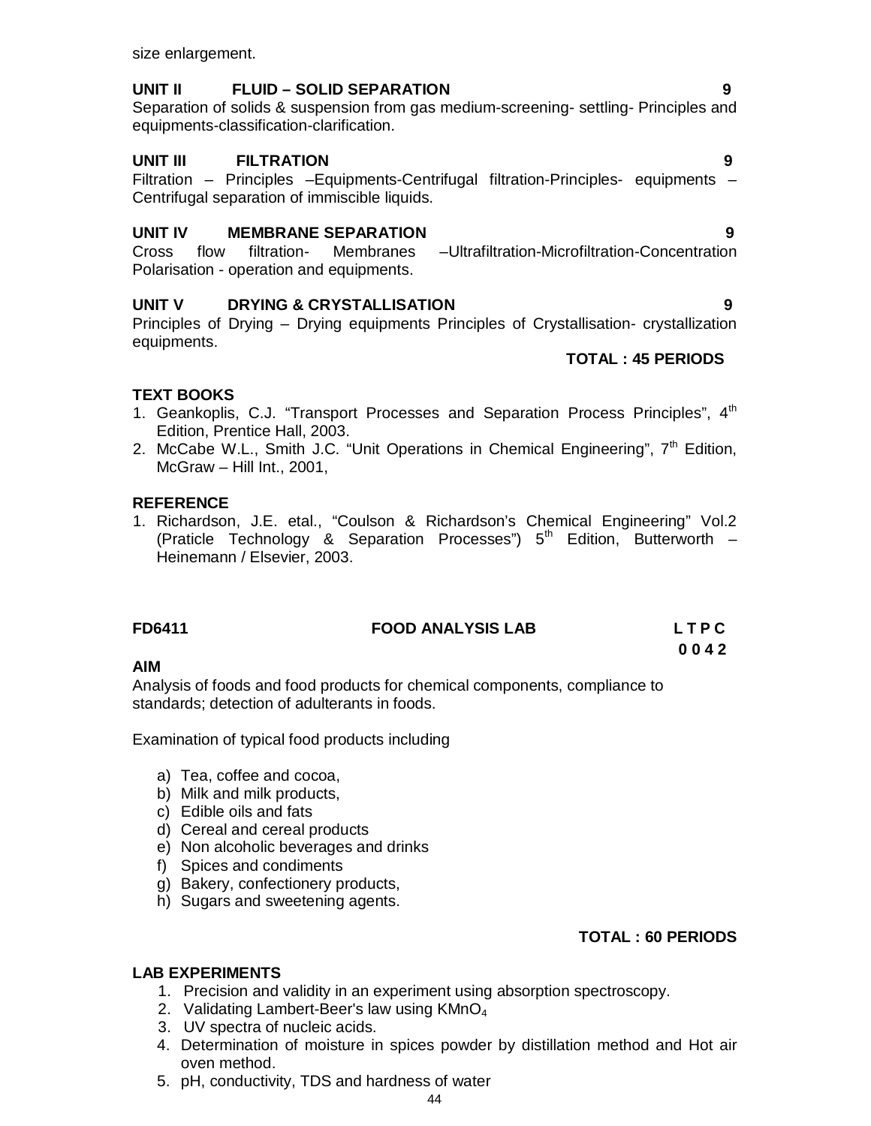size enlargement.

### **UNIT II FLUID – SOLID SEPARATION 9**

Separation of solids & suspension from gas medium-screening- settling- Principles and equipments-classification-clarification.

# **UNIT III FILTRATION 9**

Filtration – Principles –Equipments-Centrifugal filtration-Principles- equipments – Centrifugal separation of immiscible liquids.

## **UNIT IV MEMBRANE SEPARATION 9**

Cross flow filtration- Membranes –Ultrafiltration-Microfiltration-Concentration Polarisation - operation and equipments.

## **UNIT V DRYING & CRYSTALLISATION 9**

Principles of Drying – Drying equipments Principles of Crystallisation- crystallization equipments.

#### **TOTAL : 45 PERIODS**

# **TEXT BOOKS**

- 1. Geankoplis, C.J. "Transport Processes and Separation Process Principles", 4<sup>th</sup> Edition, Prentice Hall, 2003.
- 2. McCabe W.L., Smith J.C. "Unit Operations in Chemical Engineering",  $7<sup>th</sup>$  Edition, McGraw – Hill Int., 2001,

#### **REFERENCE**

1. Richardson, J.E. etal., "Coulson & Richardson's Chemical Engineering" Vol.2 (Praticle Technology & Separation Processes")  $5<sup>th</sup>$  Edition, Butterworth – Heinemann / Elsevier, 2003.

# **FD6411 FOOD ANALYSIS LAB L T P C**

#### **AIM**

Analysis of foods and food products for chemical components, compliance to standards; detection of adulterants in foods.

Examination of typical food products including

- a) Tea, coffee and cocoa,
- b) Milk and milk products,
- c) Edible oils and fats
- d) Cereal and cereal products
- e) Non alcoholic beverages and drinks
- f) Spices and condiments
- g) Bakery, confectionery products,
- h) Sugars and sweetening agents.

# **TOTAL : 60 PERIODS**

**0 0 4 2**

# **LAB EXPERIMENTS**

- 1. Precision and validity in an experiment using absorption spectroscopy.
- 2. Validating Lambert-Beer's law using  $KMnO<sub>4</sub>$
- 3. UV spectra of nucleic acids.
- 4. Determination of moisture in spices powder by distillation method and Hot air oven method.
- 5. pH, conductivity, TDS and hardness of water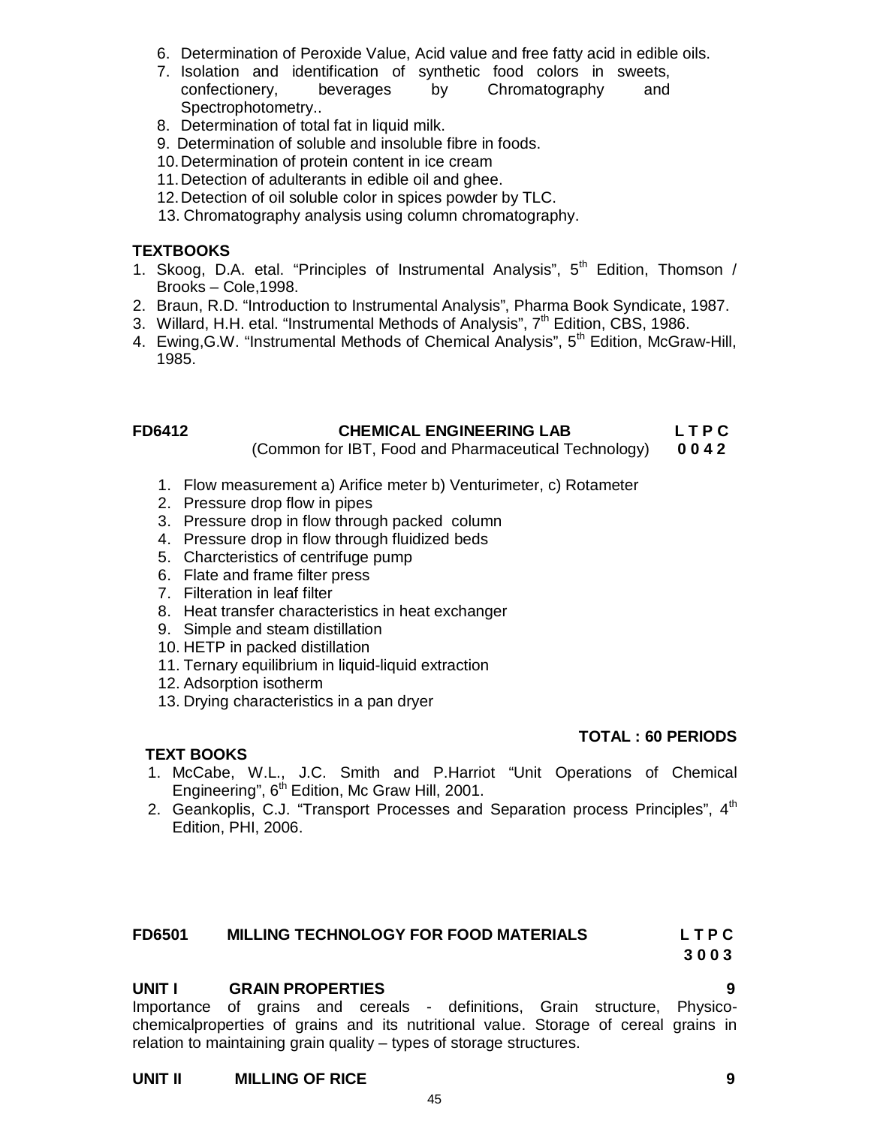- 6. Determination of Peroxide Value, Acid value and free fatty acid in edible oils.
- 7. Isolation and identification of synthetic food colors in sweets, confectionery, beverages by Chromatography and Spectrophotometry..
- 8. Determination of total fat in liquid milk.
- 9. Determination of soluble and insoluble fibre in foods.
- 10.Determination of protein content in ice cream
- 11.Detection of adulterants in edible oil and ghee.
- 12.Detection of oil soluble color in spices powder by TLC.
- 13. Chromatography analysis using column chromatography.

#### **TEXTBOOKS**

- 1. Skoog, D.A. etal. "Principles of Instrumental Analysis",  $5<sup>th</sup>$  Edition, Thomson / Brooks – Cole,1998.
- 2. Braun, R.D. "Introduction to Instrumental Analysis", Pharma Book Syndicate, 1987.
- 3. Willard, H.H. etal. "Instrumental Methods of Analysis",  $7<sup>th</sup>$  Edition, CBS, 1986.
- 4. Ewing, G.W. "Instrumental Methods of Chemical Analysis", 5<sup>th</sup> Edition, McGraw-Hill, 1985.

### **FD6412 CHEMICAL ENGINEERING LAB L T P C**

(Common for IBT, Food and Pharmaceutical Technology) **0 0 4 2**

- 1. Flow measurement a) Arifice meter b) Venturimeter, c) Rotameter
- 2. Pressure drop flow in pipes
- 3. Pressure drop in flow through packed column
- 4. Pressure drop in flow through fluidized beds
- 5. Charcteristics of centrifuge pump
- 6. Flate and frame filter press
- 7. Filteration in leaf filter
- 8. Heat transfer characteristics in heat exchanger
- 9. Simple and steam distillation
- 10. HETP in packed distillation
- 11. Ternary equilibrium in liquid-liquid extraction
- 12. Adsorption isotherm
- 13. Drying characteristics in a pan dryer

#### **TOTAL : 60 PERIODS**

#### **TEXT BOOKS**

- 1. McCabe, W.L., J.C. Smith and P.Harriot "Unit Operations of Chemical Engineering", 6<sup>th</sup> Edition, Mc Graw Hill, 2001.
- 2. Geankoplis, C.J. "Transport Processes and Separation process Principles", 4<sup>th</sup> Edition, PHI, 2006.

#### **FD6501 MILLING TECHNOLOGY FOR FOOD MATERIALS L T P C**

**3 0 0 3**

#### **UNIT I GRAIN PROPERTIES 9**

Importance of grains and cereals - definitions, Grain structure, Physicochemicalproperties of grains and its nutritional value. Storage of cereal grains in relation to maintaining grain quality – types of storage structures.

45

#### **UNIT II MILLING OF RICE 9**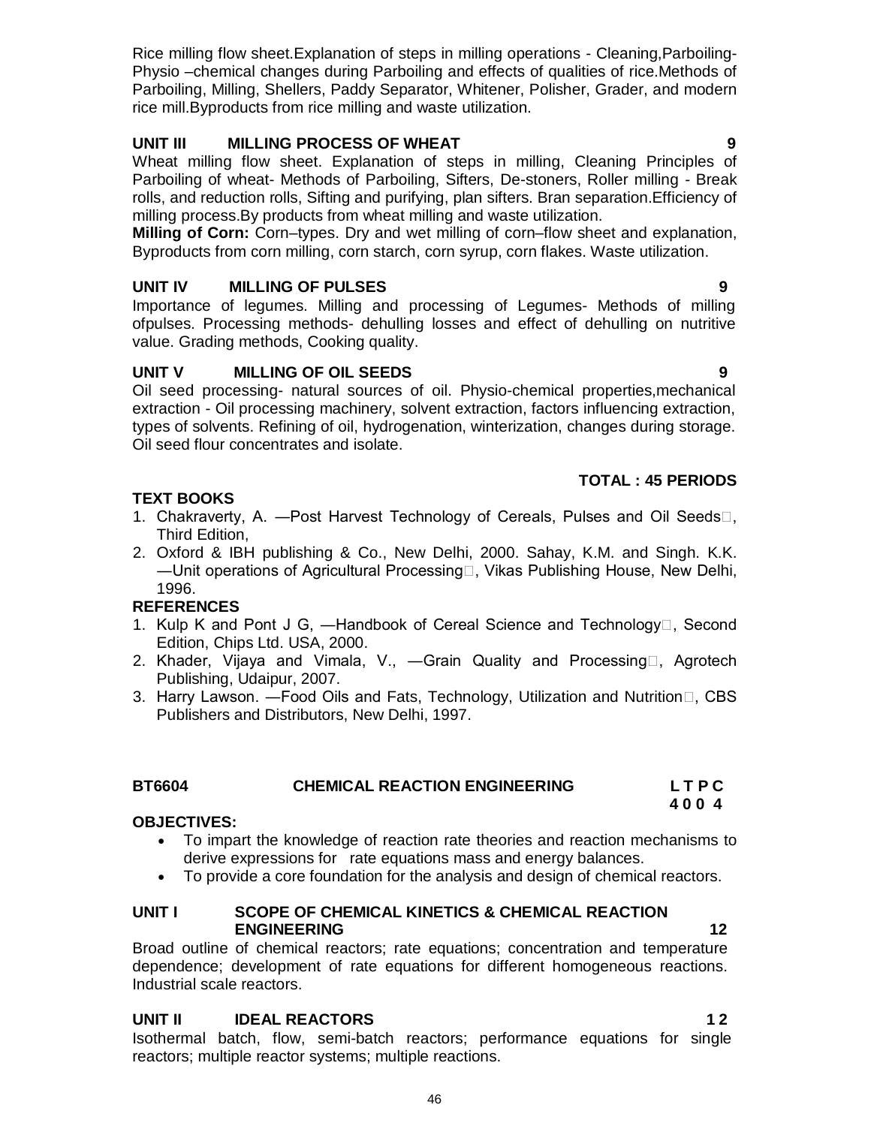Physio –chemical changes during Parboiling and effects of qualities of rice.Methods of Parboiling, Milling, Shellers, Paddy Separator, Whitener, Polisher, Grader, and modern rice mill.Byproducts from rice milling and waste utilization.

Rice milling flow sheet.Explanation of steps in milling operations - Cleaning,Parboiling-

# **UNIT III MILLING PROCESS OF WHEAT 9**

Wheat milling flow sheet. Explanation of steps in milling, Cleaning Principles of Parboiling of wheat- Methods of Parboiling, Sifters, De-stoners, Roller milling - Break rolls, and reduction rolls, Sifting and purifying, plan sifters. Bran separation.Efficiency of milling process.By products from wheat milling and waste utilization.

**Milling of Corn:** Corn–types. Dry and wet milling of corn–flow sheet and explanation, Byproducts from corn milling, corn starch, corn syrup, corn flakes. Waste utilization.

# **UNIT IV MILLING OF PULSES 9**

Importance of legumes. Milling and processing of Legumes- Methods of milling ofpulses. Processing methods- dehulling losses and effect of dehulling on nutritive value. Grading methods, Cooking quality.

# **UNIT V MILLING OF OIL SEEDS 9**

Oil seed processing- natural sources of oil. Physio-chemical properties,mechanical extraction - Oil processing machinery, solvent extraction, factors influencing extraction, types of solvents. Refining of oil, hydrogenation, winterization, changes during storage. Oil seed flour concentrates and isolate.

# **TOTAL : 45 PERIODS**

# **TEXT BOOKS**

- 1. Chakraverty, A. Post Harvest Technology of Cereals, Pulses and Oil Seeds $\Box$ , Third Edition,
- 2. Oxford & IBH publishing & Co., New Delhi, 2000. Sahay, K.M. and Singh. K.K. ―Unit operations of Agricultural Processing, Vikas Publishing House, New Delhi, 1996.

# **REFERENCES**

- 1. Kulp K and Pont J G, —Handbook of Cereal Science and Technology<sup>[1]</sup>, Second Edition, Chips Ltd. USA, 2000.
- 2. Khader, Vijaya and Vimala, V., —Grain Quality and Processing $\Box$ , Agrotech Publishing, Udaipur, 2007.
- 3. Harry Lawson. Food Oils and Fats, Technology, Utilization and Nutrition□, CBS Publishers and Distributors, New Delhi, 1997.

# **BT6604 CHEMICAL REACTION ENGINEERING L T P C**

# **OBJECTIVES:**

- To impart the knowledge of reaction rate theories and reaction mechanisms to derive expressions for rate equations mass and energy balances.
- To provide a core foundation for the analysis and design of chemical reactors.

#### **UNIT I SCOPE OF CHEMICAL KINETICS & CHEMICAL REACTION ENGINEERING 12**

 **4 0 0 4**

Broad outline of chemical reactors; rate equations; concentration and temperature dependence; development of rate equations for different homogeneous reactions. Industrial scale reactors.

# **UNIT II** IDEAL REACTORS 12

Isothermal batch, flow, semi-batch reactors; performance equations for single reactors; multiple reactor systems; multiple reactions.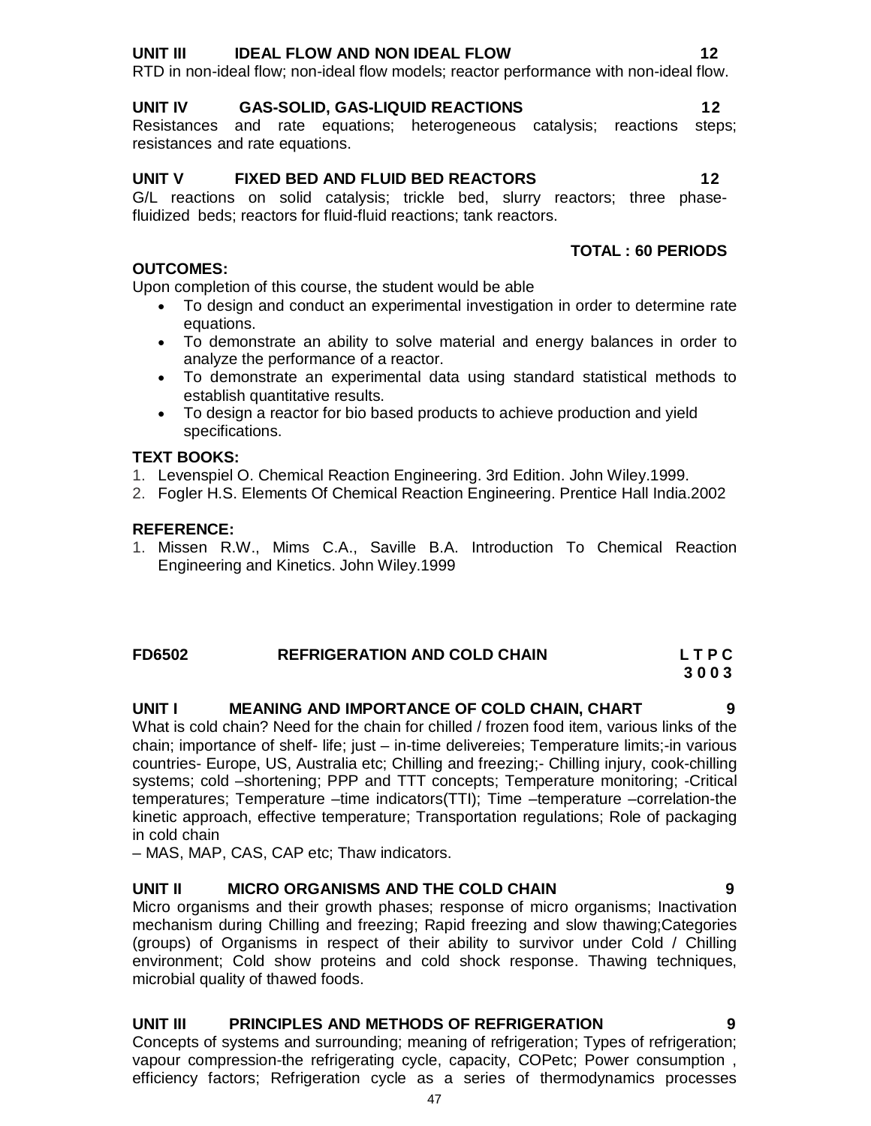Micro organisms and their growth phases; response of micro organisms; Inactivation mechanism during Chilling and freezing; Rapid freezing and slow thawing;Categories (groups) of Organisms in respect of their ability to survivor under Cold / Chilling environment; Cold show proteins and cold shock response. Thawing techniques, microbial quality of thawed foods.

#### **UNIT III PRINCIPLES AND METHODS OF REFRIGERATION 9**

Concepts of systems and surrounding; meaning of refrigeration; Types of refrigeration; vapour compression-the refrigerating cycle, capacity, COPetc; Power consumption , efficiency factors; Refrigeration cycle as a series of thermodynamics processes

#### **UNIT III IDEAL FLOW AND NON IDEAL FLOW 12**

RTD in non-ideal flow; non-ideal flow models; reactor performance with non-ideal flow.

#### **UNIT IV GAS-SOLID, GAS-LIQUID REACTIONS 12**

Resistances and rate equations; heterogeneous catalysis; reactions steps; resistances and rate equations.

#### **UNIT V FIXED BED AND FLUID BED REACTORS 12**

G/L reactions on solid catalysis; trickle bed, slurry reactors; three phasefluidized beds; reactors for fluid-fluid reactions; tank reactors.

## **TOTAL : 60 PERIODS**

Upon completion of this course, the student would be able

- To design and conduct an experimental investigation in order to determine rate equations.
- To demonstrate an ability to solve material and energy balances in order to analyze the performance of a reactor.
- To demonstrate an experimental data using standard statistical methods to establish quantitative results.
- To design a reactor for bio based products to achieve production and yield specifications.

#### **TEXT BOOKS:**

**OUTCOMES:**

- 1. Levenspiel O. Chemical Reaction Engineering. 3rd Edition. John Wiley.1999.
- 2. Fogler H.S. Elements Of Chemical Reaction Engineering. Prentice Hall India.2002

#### **REFERENCE:**

1. Missen R.W., Mims C.A., Saville B.A. Introduction To Chemical Reaction Engineering and Kinetics. John Wiley.1999

#### **FD6502 REFRIGERATION AND COLD CHAIN L T P C 3 0 0 3**

#### **UNIT I MEANING AND IMPORTANCE OF COLD CHAIN, CHART 9**

What is cold chain? Need for the chain for chilled / frozen food item, various links of the chain; importance of shelf- life; just – in-time delivereies; Temperature limits;-in various countries- Europe, US, Australia etc; Chilling and freezing;- Chilling injury, cook-chilling systems; cold –shortening; PPP and TTT concepts; Temperature monitoring; -Critical temperatures; Temperature –time indicators(TTI); Time –temperature –correlation-the kinetic approach, effective temperature; Transportation regulations; Role of packaging in cold chain

– MAS, MAP, CAS, CAP etc; Thaw indicators.

# **UNIT II MICRO ORGANISMS AND THE COLD CHAIN 9**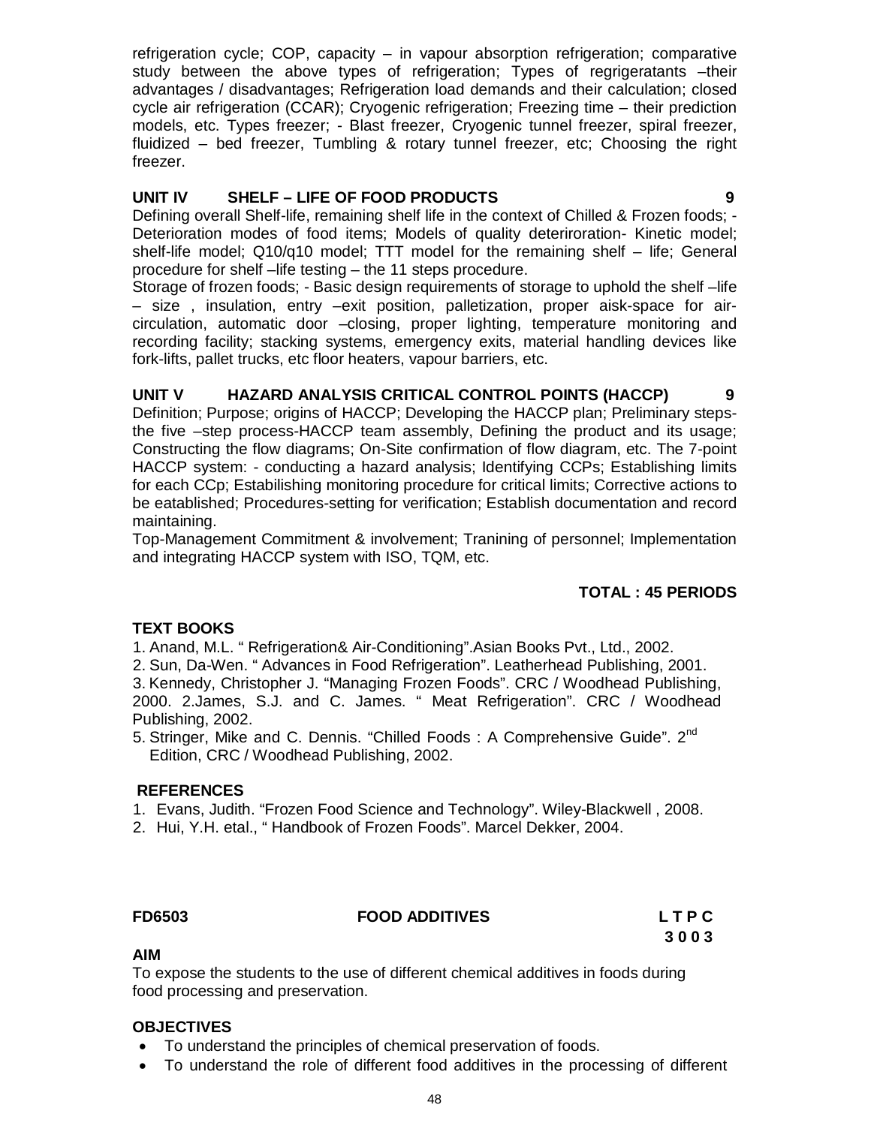refrigeration cycle; COP, capacity – in vapour absorption refrigeration; comparative study between the above types of refrigeration; Types of regrigeratants -their advantages / disadvantages; Refrigeration load demands and their calculation; closed cycle air refrigeration (CCAR); Cryogenic refrigeration; Freezing time – their prediction models, etc. Types freezer; - Blast freezer, Cryogenic tunnel freezer, spiral freezer, fluidized – bed freezer, Tumbling & rotary tunnel freezer, etc; Choosing the right freezer.

## **UNIT IV SHELF – LIFE OF FOOD PRODUCTS 9**

Defining overall Shelf-life, remaining shelf life in the context of Chilled & Frozen foods; - Deterioration modes of food items; Models of quality deteriroration- Kinetic model; shelf-life model; Q10/q10 model; TTT model for the remaining shelf – life; General procedure for shelf –life testing – the 11 steps procedure.

Storage of frozen foods; - Basic design requirements of storage to uphold the shelf –life – size , insulation, entry –exit position, palletization, proper aisk-space for aircirculation, automatic door –closing, proper lighting, temperature monitoring and recording facility; stacking systems, emergency exits, material handling devices like fork-lifts, pallet trucks, etc floor heaters, vapour barriers, etc.

# **UNIT V HAZARD ANALYSIS CRITICAL CONTROL POINTS (HACCP) 9**

Definition; Purpose; origins of HACCP; Developing the HACCP plan; Preliminary stepsthe five –step process-HACCP team assembly, Defining the product and its usage; Constructing the flow diagrams; On-Site confirmation of flow diagram, etc. The 7-point HACCP system: - conducting a hazard analysis; Identifying CCPs; Establishing limits for each CCp; Estabilishing monitoring procedure for critical limits; Corrective actions to be eatablished; Procedures-setting for verification; Establish documentation and record maintaining.

Top-Management Commitment & involvement; Tranining of personnel; Implementation and integrating HACCP system with ISO, TQM, etc.

# **TOTAL : 45 PERIODS**

# **TEXT BOOKS**

1. Anand, M.L. " Refrigeration& Air-Conditioning".Asian Books Pvt., Ltd., 2002.

2. Sun, Da-Wen. " Advances in Food Refrigeration". Leatherhead Publishing, 2001.

3. Kennedy, Christopher J. "Managing Frozen Foods". CRC / Woodhead Publishing, 2000. 2.James, S.J. and C. James. " Meat Refrigeration". CRC / Woodhead Publishing, 2002.

5. Stringer, Mike and C. Dennis. "Chilled Foods: A Comprehensive Guide". 2<sup>nd</sup> Edition, CRC / Woodhead Publishing, 2002.

#### **REFERENCES**

- 1. Evans, Judith. "Frozen Food Science and Technology". Wiley-Blackwell , 2008.
- 2. Hui, Y.H. etal., " Handbook of Frozen Foods". Marcel Dekker, 2004.

# **FD6503 FOOD ADDITIVES L T P C**

**3 0 0 3**

#### **AIM**

To expose the students to the use of different chemical additives in foods during food processing and preservation.

#### **OBJECTIVES**

- To understand the principles of chemical preservation of foods.
- To understand the role of different food additives in the processing of different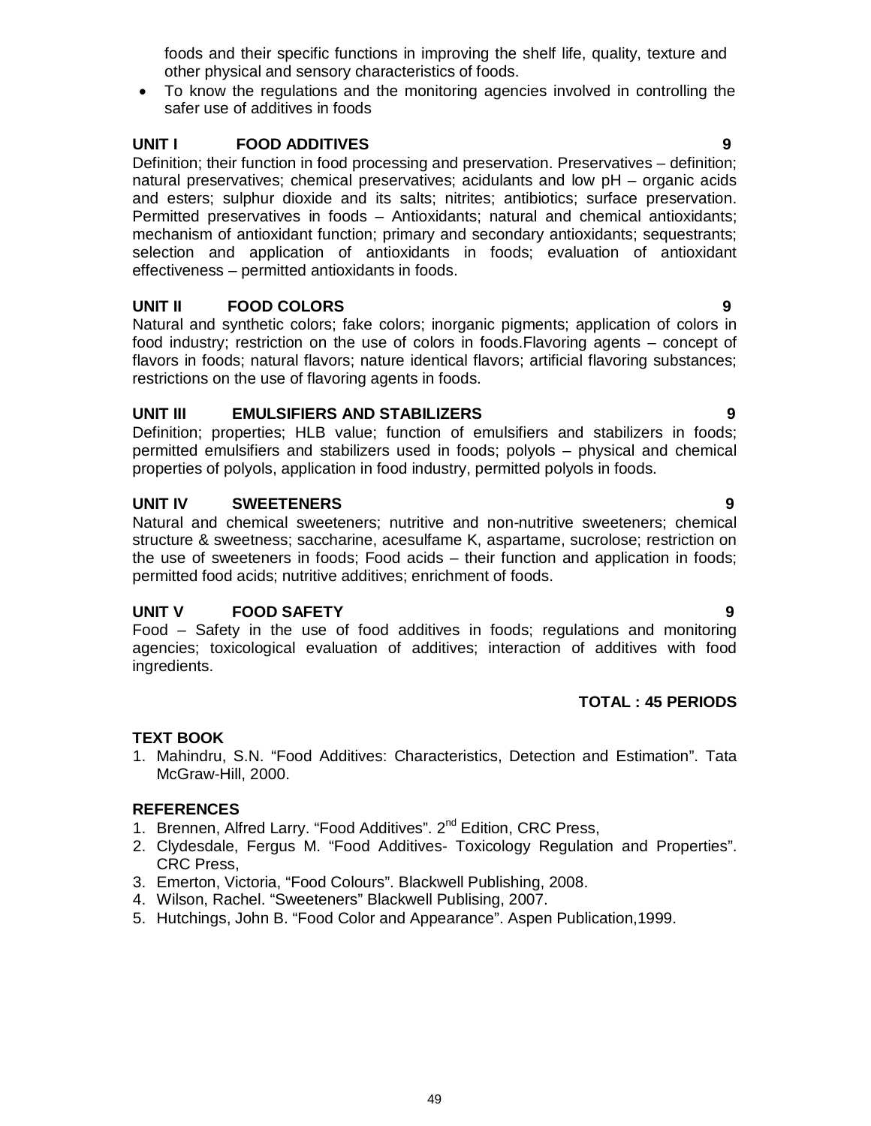foods and their specific functions in improving the shelf life, quality, texture and other physical and sensory characteristics of foods.

 To know the regulations and the monitoring agencies involved in controlling the safer use of additives in foods

# **UNIT I FOOD ADDITIVES 9**

Definition; their function in food processing and preservation. Preservatives – definition; natural preservatives; chemical preservatives; acidulants and low pH – organic acids and esters; sulphur dioxide and its salts; nitrites; antibiotics; surface preservation. Permitted preservatives in foods – Antioxidants; natural and chemical antioxidants; mechanism of antioxidant function; primary and secondary antioxidants; sequestrants; selection and application of antioxidants in foods; evaluation of antioxidant effectiveness – permitted antioxidants in foods.

# **UNIT II FOOD COLORS 9**

Natural and synthetic colors; fake colors; inorganic pigments; application of colors in food industry; restriction on the use of colors in foods.Flavoring agents – concept of flavors in foods; natural flavors; nature identical flavors; artificial flavoring substances; restrictions on the use of flavoring agents in foods.

# **UNIT III EMULSIFIERS AND STABILIZERS 9**

Definition; properties; HLB value; function of emulsifiers and stabilizers in foods; permitted emulsifiers and stabilizers used in foods; polyols – physical and chemical properties of polyols, application in food industry, permitted polyols in foods.

# **UNIT IV SWEETENERS 9**

Natural and chemical sweeteners; nutritive and non-nutritive sweeteners; chemical structure & sweetness; saccharine, acesulfame K, aspartame, sucrolose; restriction on the use of sweeteners in foods; Food acids – their function and application in foods; permitted food acids; nutritive additives; enrichment of foods.

# **UNIT V FOOD SAFETY 9**

Food – Safety in the use of food additives in foods; regulations and monitoring agencies; toxicological evaluation of additives; interaction of additives with food ingredients.

# **TOTAL : 45 PERIODS**

# **TEXT BOOK**

1. Mahindru, S.N. "Food Additives: Characteristics, Detection and Estimation". Tata McGraw-Hill, 2000.

# **REFERENCES**

- 1. Brennen, Alfred Larry. "Food Additives". 2<sup>nd</sup> Edition, CRC Press,
- 2. Clydesdale, Fergus M. "Food Additives- Toxicology Regulation and Properties". CRC Press,
- 3. Emerton, Victoria, "Food Colours". Blackwell Publishing, 2008.
- 4. Wilson, Rachel. "Sweeteners" Blackwell Publising, 2007.
- 5. Hutchings, John B. "Food Color and Appearance". Aspen Publication,1999.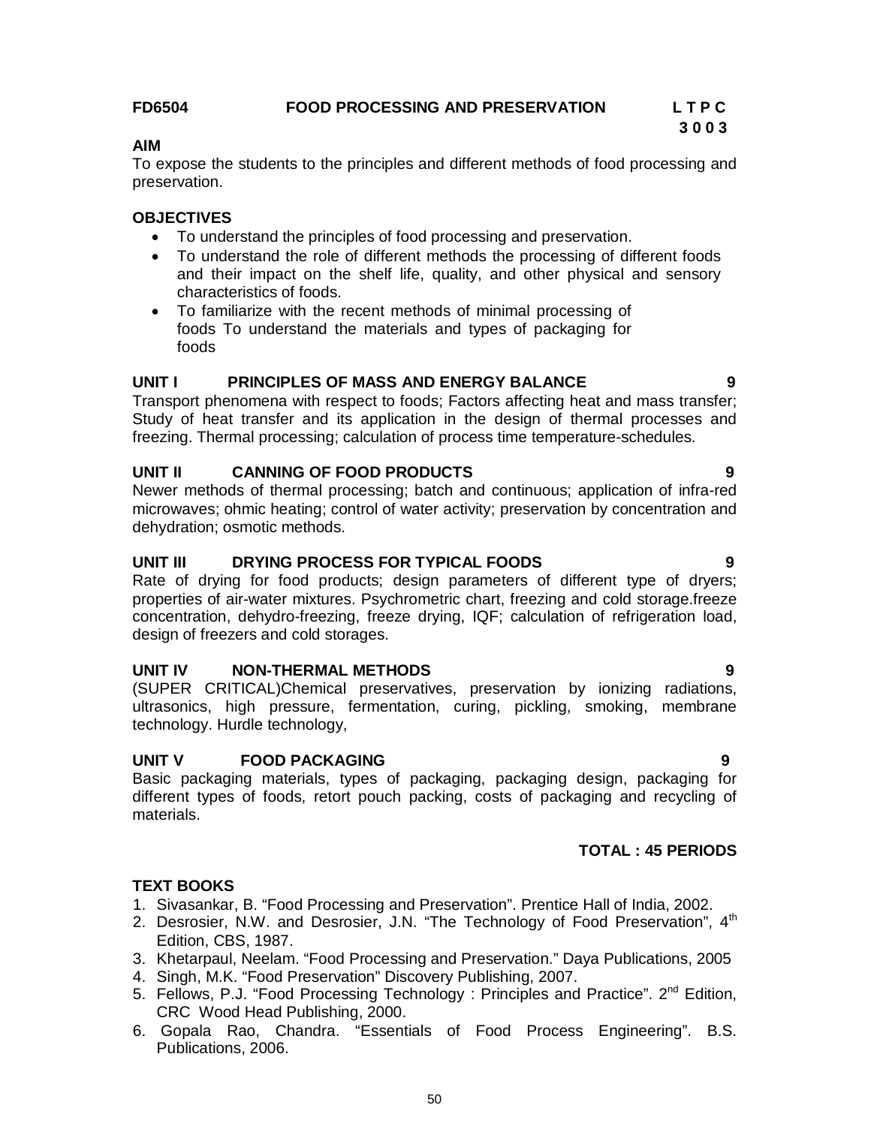#### **FD6504 FOOD PROCESSING AND PRESERVATION L T P C**

# **3 0 0 3**

### **AIM**

To expose the students to the principles and different methods of food processing and preservation.

#### **OBJECTIVES**

- To understand the principles of food processing and preservation.
- To understand the role of different methods the processing of different foods and their impact on the shelf life, quality, and other physical and sensory characteristics of foods.
- To familiarize with the recent methods of minimal processing of foods To understand the materials and types of packaging for foods

## **UNIT I PRINCIPLES OF MASS AND ENERGY BALANCE 9**

Transport phenomena with respect to foods; Factors affecting heat and mass transfer; Study of heat transfer and its application in the design of thermal processes and freezing. Thermal processing; calculation of process time temperature-schedules.

# **UNIT II CANNING OF FOOD PRODUCTS 9**

Newer methods of thermal processing; batch and continuous; application of infra-red microwaves; ohmic heating; control of water activity; preservation by concentration and dehydration; osmotic methods.

## **UNIT III DRYING PROCESS FOR TYPICAL FOODS 9**

Rate of drying for food products; design parameters of different type of dryers; properties of air-water mixtures. Psychrometric chart, freezing and cold storage.freeze concentration, dehydro-freezing, freeze drying, IQF; calculation of refrigeration load, design of freezers and cold storages.

#### **UNIT IV NON-THERMAL METHODS 9**

(SUPER CRITICAL)Chemical preservatives, preservation by ionizing radiations, ultrasonics, high pressure, fermentation, curing, pickling, smoking, membrane technology. Hurdle technology,

#### **UNIT V FOOD PACKAGING 9**

Basic packaging materials, types of packaging, packaging design, packaging for different types of foods, retort pouch packing, costs of packaging and recycling of materials.

# **TOTAL : 45 PERIODS**

# **TEXT BOOKS**

- 1. Sivasankar, B. "Food Processing and Preservation". Prentice Hall of India, 2002.
- 2. Desrosier, N.W. and Desrosier, J.N. "The Technology of Food Preservation", 4<sup>th</sup> Edition, CBS, 1987.
- 3. Khetarpaul, Neelam. "Food Processing and Preservation." Daya Publications, 2005
- 4. Singh, M.K. "Food Preservation" Discovery Publishing, 2007.
- 5. Fellows, P.J. "Food Processing Technology : Principles and Practice". 2<sup>nd</sup> Edition, CRC Wood Head Publishing, 2000.
- 6. Gopala Rao, Chandra. "Essentials of Food Process Engineering". B.S. Publications, 2006.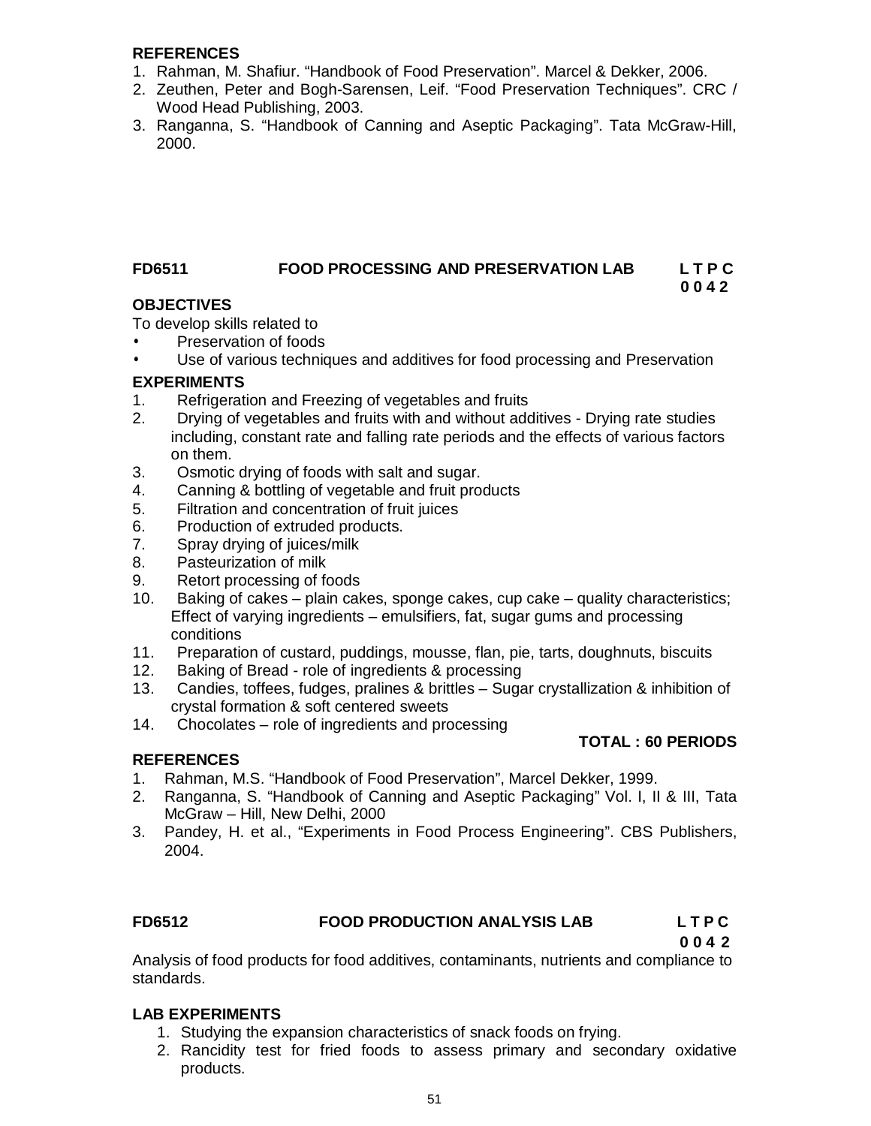#### **REFERENCES**

- 1. Rahman, M. Shafiur. "Handbook of Food Preservation". Marcel & Dekker, 2006.
- 2. Zeuthen, Peter and Bogh-Sarensen, Leif. "Food Preservation Techniques". CRC / Wood Head Publishing, 2003.
- 3. Ranganna, S. "Handbook of Canning and Aseptic Packaging". Tata McGraw-Hill, 2000.

# **FD6511 FOOD PROCESSING AND PRESERVATION LAB L T P C**

#### **0 0 4 2 OBJECTIVES**

To develop skills related to

- Preservation of foods
- Use of various techniques and additives for food processing and Preservation

## **EXPERIMENTS**

- 1. Refrigeration and Freezing of vegetables and fruits
- 2. Drying of vegetables and fruits with and without additives Drying rate studies including, constant rate and falling rate periods and the effects of various factors on them.
- 3. Osmotic drying of foods with salt and sugar.
- 4. Canning & bottling of vegetable and fruit products
- 5. Filtration and concentration of fruit juices
- 6. Production of extruded products.
- 7. Spray drying of juices/milk
- 8. Pasteurization of milk<br>9. Retort processing of fo
- Retort processing of foods
- 10. Baking of cakes plain cakes, sponge cakes, cup cake quality characteristics; Effect of varying ingredients – emulsifiers, fat, sugar gums and processing conditions
- 11. Preparation of custard, puddings, mousse, flan, pie, tarts, doughnuts, biscuits
- 12. Baking of Bread role of ingredients & processing
- 13. Candies, toffees, fudges, pralines & brittles Sugar crystallization & inhibition of crystal formation & soft centered sweets
- 14. Chocolates role of ingredients and processing

#### **REFERENCES**

#### **TOTAL : 60 PERIODS**

- 1. Rahman, M.S. "Handbook of Food Preservation", Marcel Dekker, 1999.
- 2. Ranganna, S. "Handbook of Canning and Aseptic Packaging" Vol. I, II & III, Tata McGraw – Hill, New Delhi, 2000
- 3. Pandey, H. et al., "Experiments in Food Process Engineering". CBS Publishers, 2004.

#### **FD6512 FOOD PRODUCTION ANALYSIS LAB L T P C**

**0 0 4 2**

Analysis of food products for food additives, contaminants, nutrients and compliance to standards.

#### **LAB EXPERIMENTS**

- 1. Studying the expansion characteristics of snack foods on frying.
- 2. Rancidity test for fried foods to assess primary and secondary oxidative products.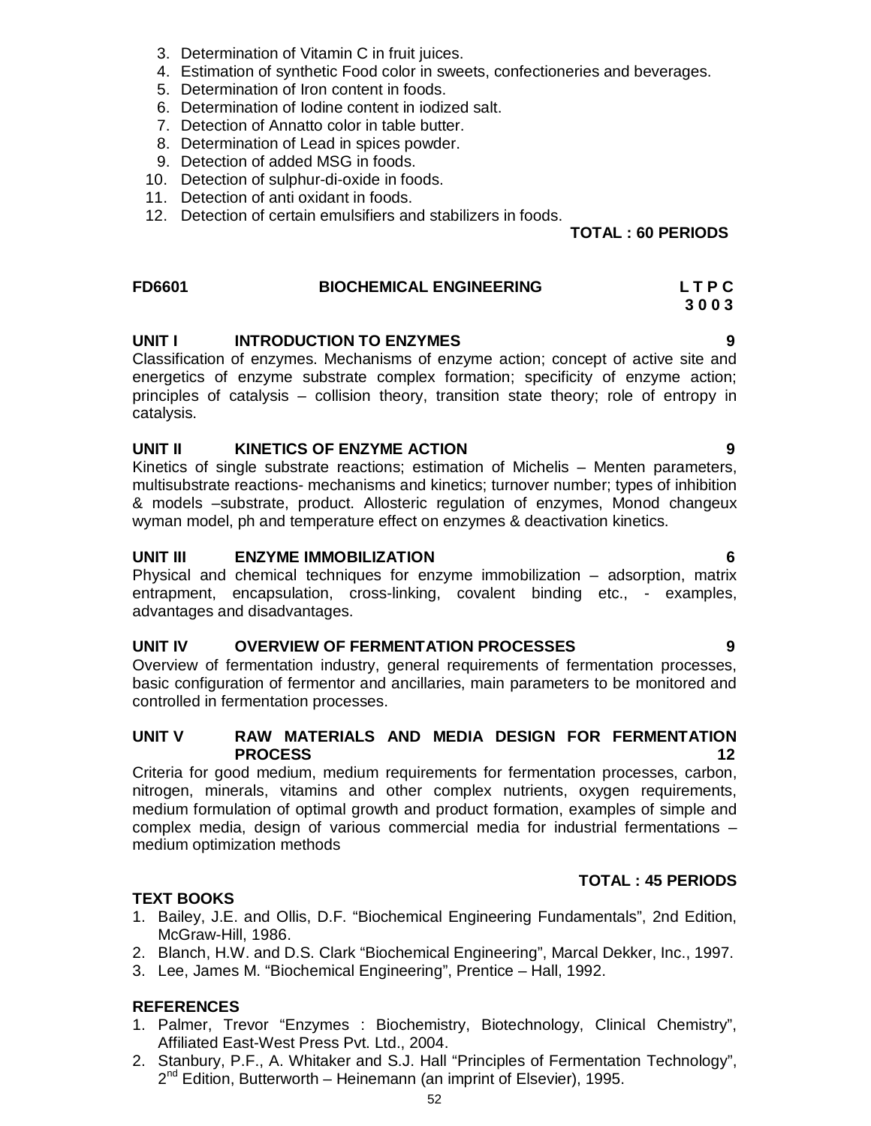- 3. Determination of Vitamin C in fruit juices.
- 4. Estimation of synthetic Food color in sweets, confectioneries and beverages.
- 5. Determination of Iron content in foods.
- 6. Determination of Iodine content in iodized salt.
- 7. Detection of Annatto color in table butter.
- 8. Determination of Lead in spices powder.
- 9. Detection of added MSG in foods.
- 10. Detection of sulphur-di-oxide in foods.
- 11. Detection of anti oxidant in foods.
- 12. Detection of certain emulsifiers and stabilizers in foods.

#### **TOTAL : 60 PERIODS**

#### **FD6601 BIOCHEMICAL ENGINEERING L T P C 3 0 0 3**

#### **UNIT I** INTRODUCTION TO ENZYMES 9

Classification of enzymes. Mechanisms of enzyme action; concept of active site and energetics of enzyme substrate complex formation; specificity of enzyme action; principles of catalysis – collision theory, transition state theory; role of entropy in catalysis.

#### **UNIT II KINETICS OF ENZYME ACTION 9**

Kinetics of single substrate reactions; estimation of Michelis – Menten parameters, multisubstrate reactions- mechanisms and kinetics; turnover number; types of inhibition & models –substrate, product. Allosteric regulation of enzymes, Monod changeux wyman model, ph and temperature effect on enzymes & deactivation kinetics.

#### **UNIT III ENZYME IMMOBILIZATION 6**

Physical and chemical techniques for enzyme immobilization – adsorption, matrix entrapment, encapsulation, cross-linking, covalent binding etc., - examples, advantages and disadvantages.

#### **UNIT IV OVERVIEW OF FERMENTATION PROCESSES 9**

Overview of fermentation industry, general requirements of fermentation processes, basic configuration of fermentor and ancillaries, main parameters to be monitored and controlled in fermentation processes.

#### **UNIT V RAW MATERIALS AND MEDIA DESIGN FOR FERMENTATION PROCESS 12**

Criteria for good medium, medium requirements for fermentation processes, carbon, nitrogen, minerals, vitamins and other complex nutrients, oxygen requirements, medium formulation of optimal growth and product formation, examples of simple and complex media, design of various commercial media for industrial fermentations – medium optimization methods

#### **TOTAL : 45 PERIODS**

#### **TEXT BOOKS**

- 1. Bailey, J.E. and Ollis, D.F. "Biochemical Engineering Fundamentals", 2nd Edition, McGraw-Hill, 1986.
- 2. Blanch, H.W. and D.S. Clark "Biochemical Engineering", Marcal Dekker, Inc., 1997.
- 3. Lee, James M. "Biochemical Engineering", Prentice Hall, 1992.

#### **REFERENCES**

- 1. Palmer, Trevor "Enzymes : Biochemistry, Biotechnology, Clinical Chemistry", Affiliated East-West Press Pvt. Ltd., 2004.
- 2. Stanbury, P.F., A. Whitaker and S.J. Hall "Principles of Fermentation Technology", 2<sup>nd</sup> Edition, Butterworth – Heinemann (an imprint of Elsevier), 1995.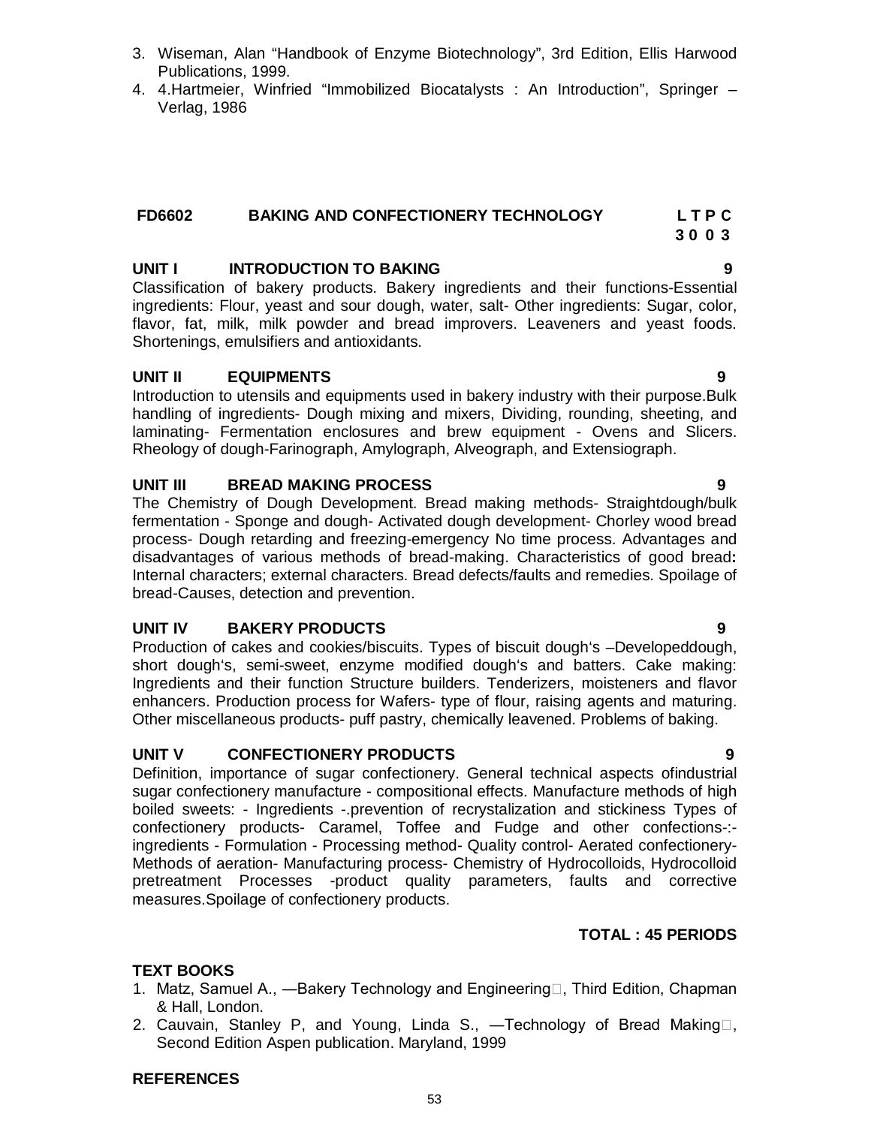- 3. Wiseman, Alan "Handbook of Enzyme Biotechnology", 3rd Edition, Ellis Harwood Publications, 1999.
- 4. 4.Hartmeier, Winfried "Immobilized Biocatalysts : An Introduction", Springer Verlag, 1986

#### **FD6602 BAKING AND CONFECTIONERY TECHNOLOGY L T P C 3 0 0 3**

# **UNIT I INTRODUCTION TO BAKING 9**

Classification of bakery products. Bakery ingredients and their functions-Essential ingredients: Flour, yeast and sour dough, water, salt- Other ingredients: Sugar, color, flavor, fat, milk, milk powder and bread improvers. Leaveners and yeast foods. Shortenings, emulsifiers and antioxidants.

## **UNIT II EQUIPMENTS 9**

Introduction to utensils and equipments used in bakery industry with their purpose.Bulk handling of ingredients- Dough mixing and mixers, Dividing, rounding, sheeting, and laminating- Fermentation enclosures and brew equipment - Ovens and Slicers. Rheology of dough-Farinograph, Amylograph, Alveograph, and Extensiograph.

## **UNIT III BREAD MAKING PROCESS 9**

The Chemistry of Dough Development. Bread making methods- Straightdough/bulk fermentation - Sponge and dough- Activated dough development- Chorley wood bread process- Dough retarding and freezing-emergency No time process. Advantages and disadvantages of various methods of bread-making. Characteristics of good bread**:** Internal characters; external characters. Bread defects/faults and remedies. Spoilage of bread-Causes, detection and prevention.

#### **UNIT IV BAKERY PRODUCTS 9**

Production of cakes and cookies/biscuits. Types of biscuit dough's –Developeddough, short dough's, semi-sweet, enzyme modified dough's and batters. Cake making: Ingredients and their function Structure builders. Tenderizers, moisteners and flavor enhancers. Production process for Wafers- type of flour, raising agents and maturing. Other miscellaneous products- puff pastry, chemically leavened. Problems of baking.

#### **UNIT V CONFECTIONERY PRODUCTS 9**

Definition, importance of sugar confectionery. General technical aspects ofindustrial sugar confectionery manufacture - compositional effects. Manufacture methods of high boiled sweets: - Ingredients -.prevention of recrystalization and stickiness Types of confectionery products- Caramel, Toffee and Fudge and other confections-: ingredients - Formulation - Processing method- Quality control- Aerated confectionery-Methods of aeration- Manufacturing process- Chemistry of Hydrocolloids, Hydrocolloid pretreatment Processes -product quality parameters, faults and corrective measures.Spoilage of confectionery products.

#### **TOTAL : 45 PERIODS**

# **TEXT BOOKS**

- 1. Matz, Samuel A., —Bakery Technology and Engineering , Third Edition, Chapman & Hall, London.
- 2. Cauvain, Stanley P, and Young, Linda S.,  $-$ Technology of Bread Making $\Box$ , Second Edition Aspen publication. Maryland, 1999

#### **REFERENCES**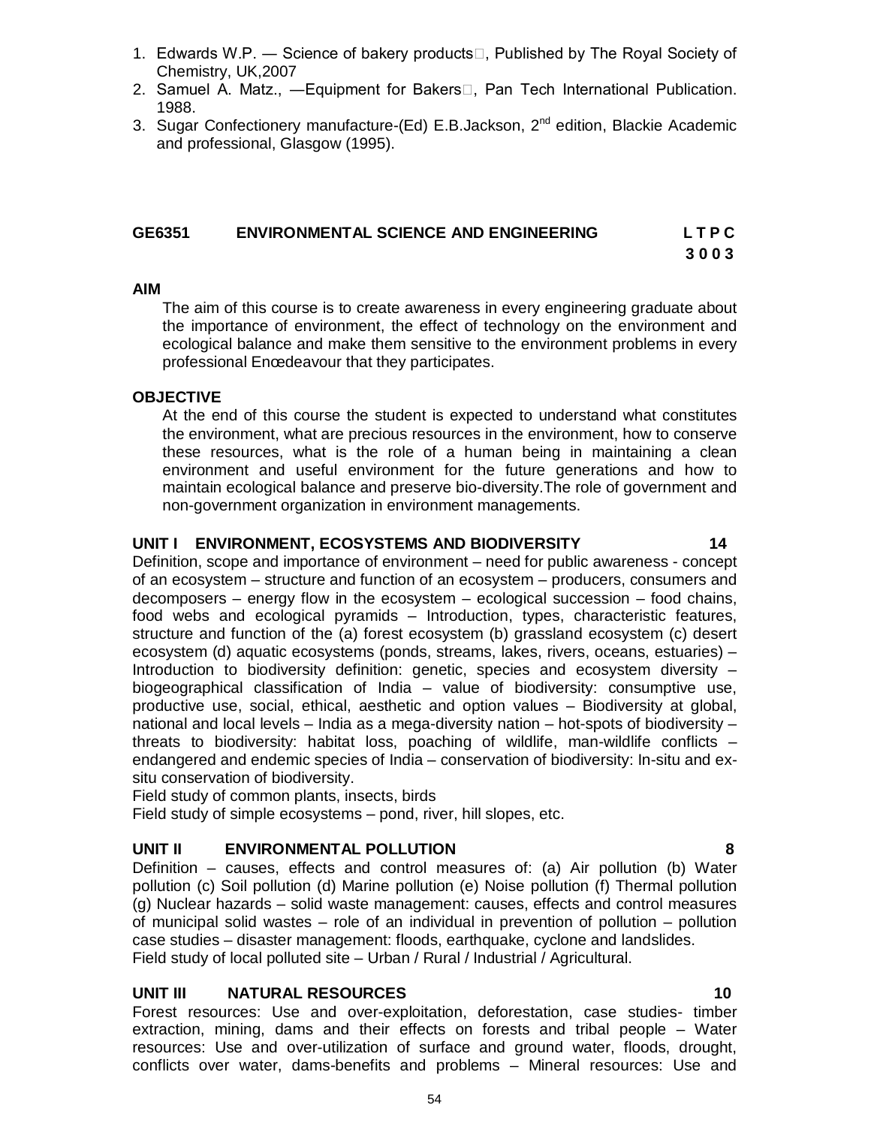1. Edwards W.P. — Science of bakery products $\Box$ , Published by The Royal Society of

2. Samuel A. Matz., -Equipment for Bakers<sup>[1]</sup>, Pan Tech International Publication.

## **GE6351 ENVIRONMENTAL SCIENCE AND ENGINEERING L T P C**

**3 0 0 3**

#### **AIM**

The aim of this course is to create awareness in every engineering graduate about the importance of environment, the effect of technology on the environment and ecological balance and make them sensitive to the environment problems in every professional Enœdeavour that they participates.

#### **OBJECTIVE**

Chemistry, UK,2007

1988.

At the end of this course the student is expected to understand what constitutes the environment, what are precious resources in the environment, how to conserve these resources, what is the role of a human being in maintaining a clean environment and useful environment for the future generations and how to maintain ecological balance and preserve bio-diversity.The role of government and non-government organization in environment managements.

#### **UNIT I ENVIRONMENT, ECOSYSTEMS AND BIODIVERSITY 14**

Definition, scope and importance of environment – need for public awareness - concept of an ecosystem – structure and function of an ecosystem – producers, consumers and decomposers – energy flow in the ecosystem – ecological succession – food chains, food webs and ecological pyramids – Introduction, types, characteristic features, structure and function of the (a) forest ecosystem (b) grassland ecosystem (c) desert ecosystem (d) aquatic ecosystems (ponds, streams, lakes, rivers, oceans, estuaries) – Introduction to biodiversity definition: genetic, species and ecosystem diversity – biogeographical classification of India – value of biodiversity: consumptive use, productive use, social, ethical, aesthetic and option values – Biodiversity at global, national and local levels – India as a mega-diversity nation – hot-spots of biodiversity – threats to biodiversity: habitat loss, poaching of wildlife, man-wildlife conflicts – endangered and endemic species of India – conservation of biodiversity: In-situ and exsitu conservation of biodiversity.

Field study of common plants, insects, birds

Field study of simple ecosystems – pond, river, hill slopes, etc.

#### **UNIT II ENVIRONMENTAL POLLUTION 8**

Definition – causes, effects and control measures of: (a) Air pollution (b) Water pollution (c) Soil pollution (d) Marine pollution (e) Noise pollution (f) Thermal pollution (g) Nuclear hazards – solid waste management: causes, effects and control measures of municipal solid wastes – role of an individual in prevention of pollution – pollution case studies – disaster management: floods, earthquake, cyclone and landslides. Field study of local polluted site – Urban / Rural / Industrial / Agricultural.

#### **UNIT III NATURAL RESOURCES 10**

Forest resources: Use and over-exploitation, deforestation, case studies- timber extraction, mining, dams and their effects on forests and tribal people – Water resources: Use and over-utilization of surface and ground water, floods, drought, conflicts over water, dams-benefits and problems – Mineral resources: Use and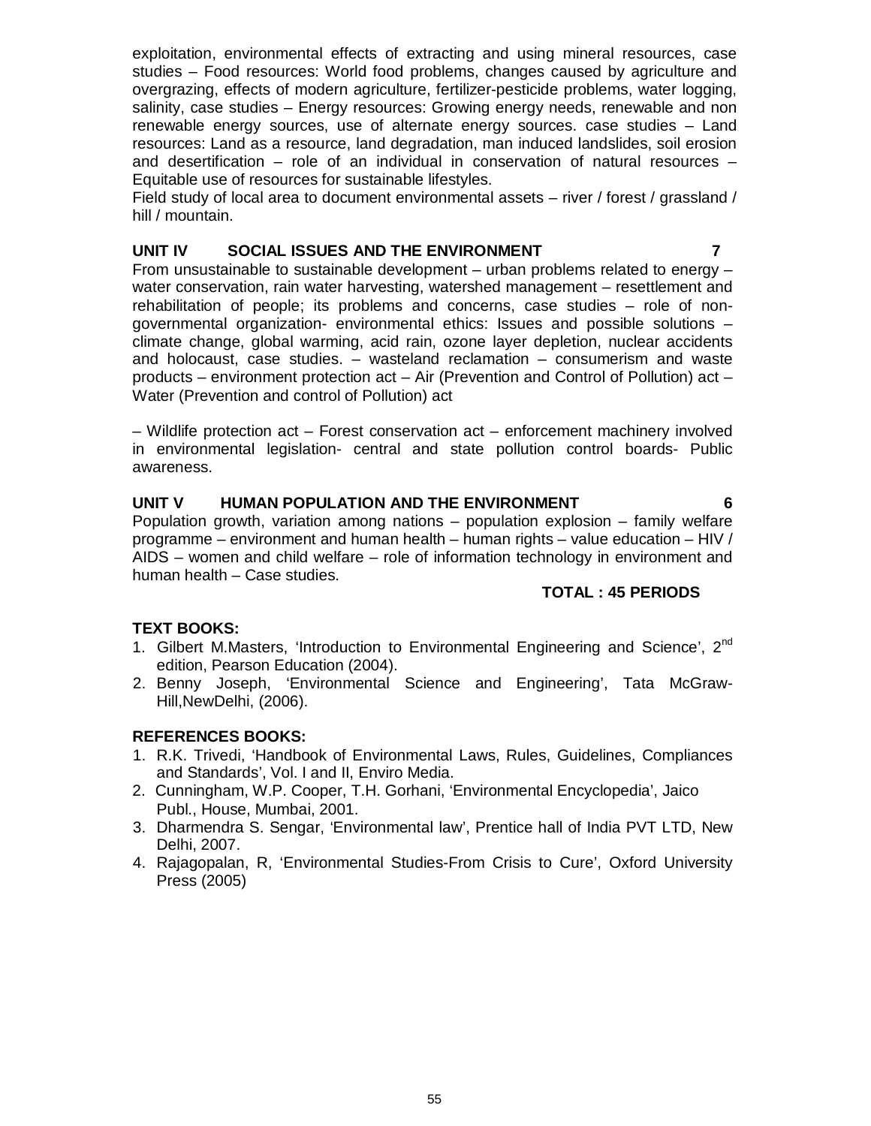exploitation, environmental effects of extracting and using mineral resources, case studies – Food resources: World food problems, changes caused by agriculture and overgrazing, effects of modern agriculture, fertilizer-pesticide problems, water logging, salinity, case studies – Energy resources: Growing energy needs, renewable and non renewable energy sources, use of alternate energy sources. case studies – Land resources: Land as a resource, land degradation, man induced landslides, soil erosion and desertification – role of an individual in conservation of natural resources – Equitable use of resources for sustainable lifestyles.

Field study of local area to document environmental assets – river / forest / grassland / hill / mountain.

#### **UNIT IV SOCIAL ISSUES AND THE ENVIRONMENT 7**

From unsustainable to sustainable development – urban problems related to energy – water conservation, rain water harvesting, watershed management – resettlement and rehabilitation of people; its problems and concerns, case studies – role of nongovernmental organization- environmental ethics: Issues and possible solutions – climate change, global warming, acid rain, ozone layer depletion, nuclear accidents and holocaust, case studies. – wasteland reclamation – consumerism and waste products – environment protection act – Air (Prevention and Control of Pollution) act – Water (Prevention and control of Pollution) act

– Wildlife protection act – Forest conservation act – enforcement machinery involved in environmental legislation- central and state pollution control boards- Public awareness.

#### **UNIT V HUMAN POPULATION AND THE ENVIRONMENT 6**

Population growth, variation among nations – population explosion – family welfare programme – environment and human health – human rights – value education – HIV / AIDS – women and child welfare – role of information technology in environment and human health – Case studies.

#### **TOTAL : 45 PERIODS**

#### **TEXT BOOKS:**

- 1. Gilbert M.Masters, 'Introduction to Environmental Engineering and Science', 2<sup>nd</sup> edition, Pearson Education (2004).
- 2. Benny Joseph, 'Environmental Science and Engineering', Tata McGraw-Hill,NewDelhi, (2006).

#### **REFERENCES BOOKS:**

- 1. R.K. Trivedi, 'Handbook of Environmental Laws, Rules, Guidelines, Compliances and Standards', Vol. I and II, Enviro Media.
- 2. Cunningham, W.P. Cooper, T.H. Gorhani, 'Environmental Encyclopedia', Jaico Publ., House, Mumbai, 2001.
- 3. Dharmendra S. Sengar, 'Environmental law', Prentice hall of India PVT LTD, New Delhi, 2007.
- 4. Rajagopalan, R, 'Environmental Studies-From Crisis to Cure', Oxford University Press (2005)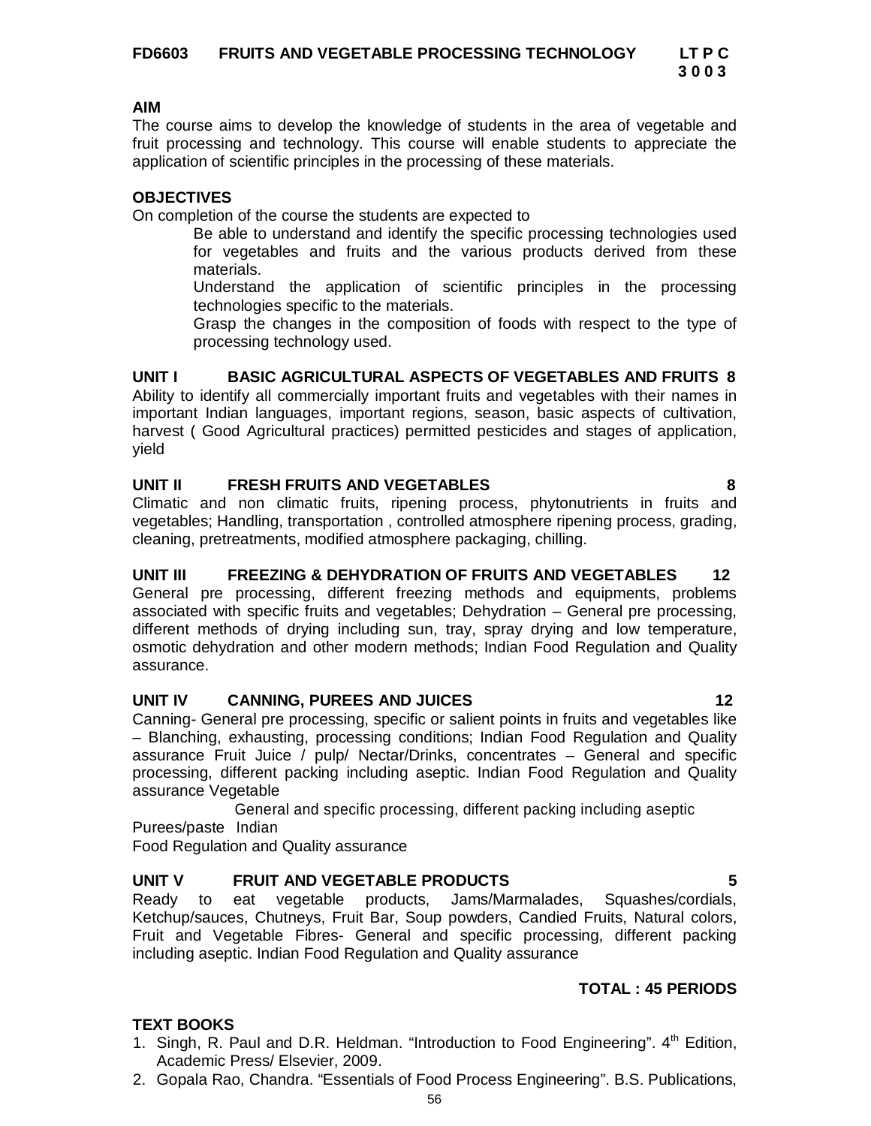# **3 0 0 3**

#### **AIM**

The course aims to develop the knowledge of students in the area of vegetable and fruit processing and technology. This course will enable students to appreciate the application of scientific principles in the processing of these materials.

# **OBJECTIVES**

On completion of the course the students are expected to

Be able to understand and identify the specific processing technologies used for vegetables and fruits and the various products derived from these materials.

Understand the application of scientific principles in the processing technologies specific to the materials.

Grasp the changes in the composition of foods with respect to the type of processing technology used.

# **UNIT I BASIC AGRICULTURAL ASPECTS OF VEGETABLES AND FRUITS 8**

Ability to identify all commercially important fruits and vegetables with their names in important Indian languages, important regions, season, basic aspects of cultivation, harvest ( Good Agricultural practices) permitted pesticides and stages of application, yield

## **UNIT II FRESH FRUITS AND VEGETABLES 8**

Climatic and non climatic fruits, ripening process, phytonutrients in fruits and vegetables; Handling, transportation , controlled atmosphere ripening process, grading, cleaning, pretreatments, modified atmosphere packaging, chilling.

# **UNIT III FREEZING & DEHYDRATION OF FRUITS AND VEGETABLES 12**

General pre processing, different freezing methods and equipments, problems associated with specific fruits and vegetables; Dehydration – General pre processing, different methods of drying including sun, tray, spray drying and low temperature, osmotic dehydration and other modern methods; Indian Food Regulation and Quality assurance.

# **UNIT IV CANNING, PUREES AND JUICES 12**

Canning- General pre processing, specific or salient points in fruits and vegetables like – Blanching, exhausting, processing conditions; Indian Food Regulation and Quality assurance Fruit Juice / pulp/ Nectar/Drinks, concentrates – General and specific processing, different packing including aseptic. Indian Food Regulation and Quality assurance Vegetable

General and specific processing, different packing including aseptic

Purees/paste Indian

Food Regulation and Quality assurance

# **UNIT V FRUIT AND VEGETABLE PRODUCTS 5**

Ready to eat vegetable products, Jams/Marmalades, Squashes/cordials, Ketchup/sauces, Chutneys, Fruit Bar, Soup powders, Candied Fruits, Natural colors, Fruit and Vegetable Fibres- General and specific processing, different packing including aseptic. Indian Food Regulation and Quality assurance

# **TOTAL : 45 PERIODS**

# **TEXT BOOKS**

- 1. Singh, R. Paul and D.R. Heldman. "Introduction to Food Engineering".  $4<sup>th</sup>$  Edition, Academic Press/ Elsevier, 2009.
- 2. Gopala Rao, Chandra. "Essentials of Food Process Engineering". B.S. Publications,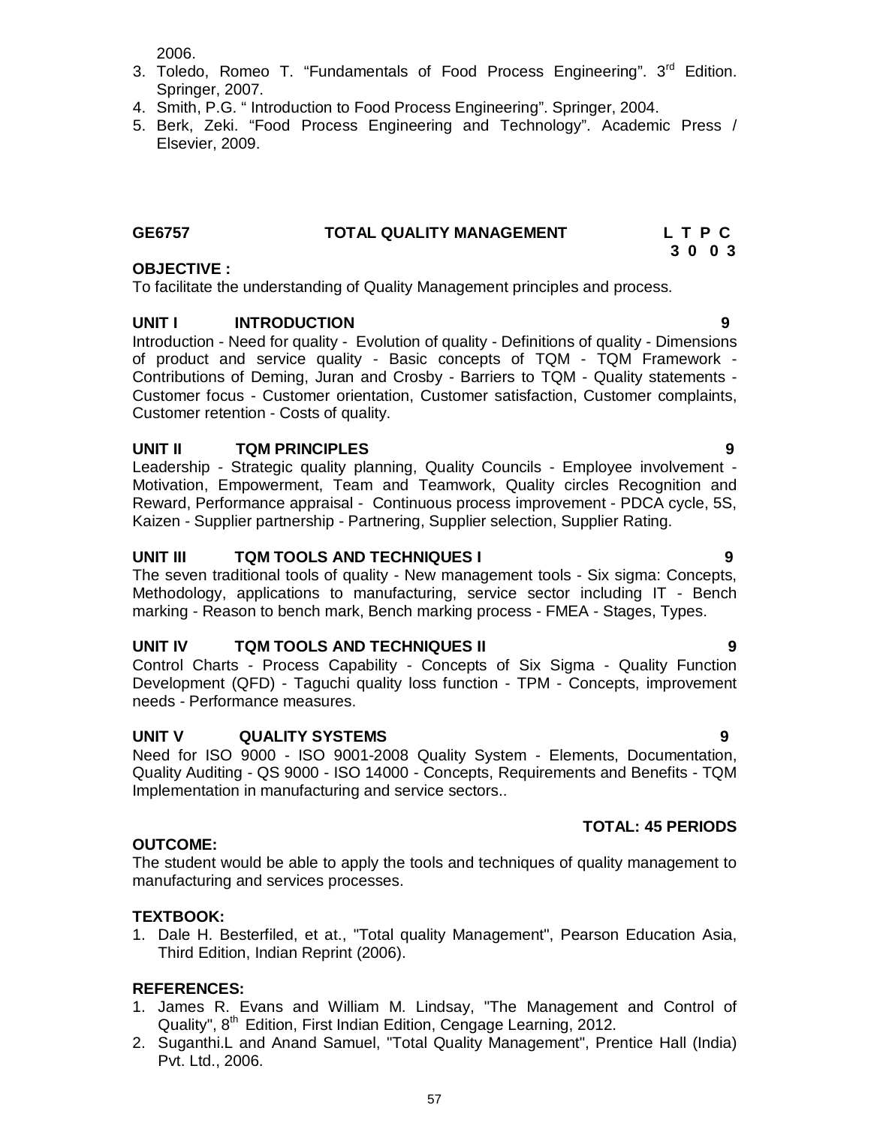2006.

- 3. Toledo, Romeo T. "Fundamentals of Food Process Engineering". 3<sup>rd</sup> Edition. Springer, 2007.
- 4. Smith, P.G. " Introduction to Food Process Engineering". Springer, 2004.
- 5. Berk, Zeki. "Food Process Engineering and Technology". Academic Press / Elsevier, 2009.

#### **GE6757 TOTAL QUALITY MANAGEMENT L T P C 3 0 0 3**

### **OBJECTIVE :**

To facilitate the understanding of Quality Management principles and process.

# **UNIT I INTRODUCTION 9**

Introduction - Need for quality - Evolution of quality - Definitions of quality - Dimensions of product and service quality - Basic concepts of TQM - TQM Framework - Contributions of Deming, Juran and Crosby - Barriers to TQM - Quality statements - Customer focus - Customer orientation, Customer satisfaction, Customer complaints, Customer retention - Costs of quality.

## **UNIT II TQM PRINCIPLES 9**

Leadership - Strategic quality planning, Quality Councils - Employee involvement - Motivation, Empowerment, Team and Teamwork, Quality circles Recognition and Reward, Performance appraisal - Continuous process improvement - PDCA cycle, 5S, Kaizen - Supplier partnership - Partnering, Supplier selection, Supplier Rating.

## **UNIT III TQM TOOLS AND TECHNIQUES I 9**

The seven traditional tools of quality - New management tools - Six sigma: Concepts, Methodology, applications to manufacturing, service sector including IT - Bench marking - Reason to bench mark, Bench marking process - FMEA - Stages, Types.

#### **UNIT IV TQM TOOLS AND TECHNIQUES II 9**

Control Charts - Process Capability - Concepts of Six Sigma - Quality Function Development (QFD) - Taguchi quality loss function - TPM - Concepts, improvement needs - Performance measures.

# **UNIT V QUALITY SYSTEMS 9**

Need for ISO 9000 - ISO 9001-2008 Quality System - Elements, Documentation, Quality Auditing - QS 9000 - ISO 14000 - Concepts, Requirements and Benefits - TQM Implementation in manufacturing and service sectors..

# **OUTCOME:**

The student would be able to apply the tools and techniques of quality management to manufacturing and services processes.

#### **TEXTBOOK:**

1. Dale H. Besterfiled, et at., "Total quality Management", Pearson Education Asia, Third Edition, Indian Reprint (2006).

#### **REFERENCES:**

- 1. James R. Evans and William M. Lindsay, "The Management and Control of Quality", 8<sup>th</sup> Edition, First Indian Edition, Cengage Learning, 2012.
- 2. Suganthi.L and Anand Samuel, "Total Quality Management", Prentice Hall (India) Pvt. Ltd., 2006.

#### **TOTAL: 45 PERIODS**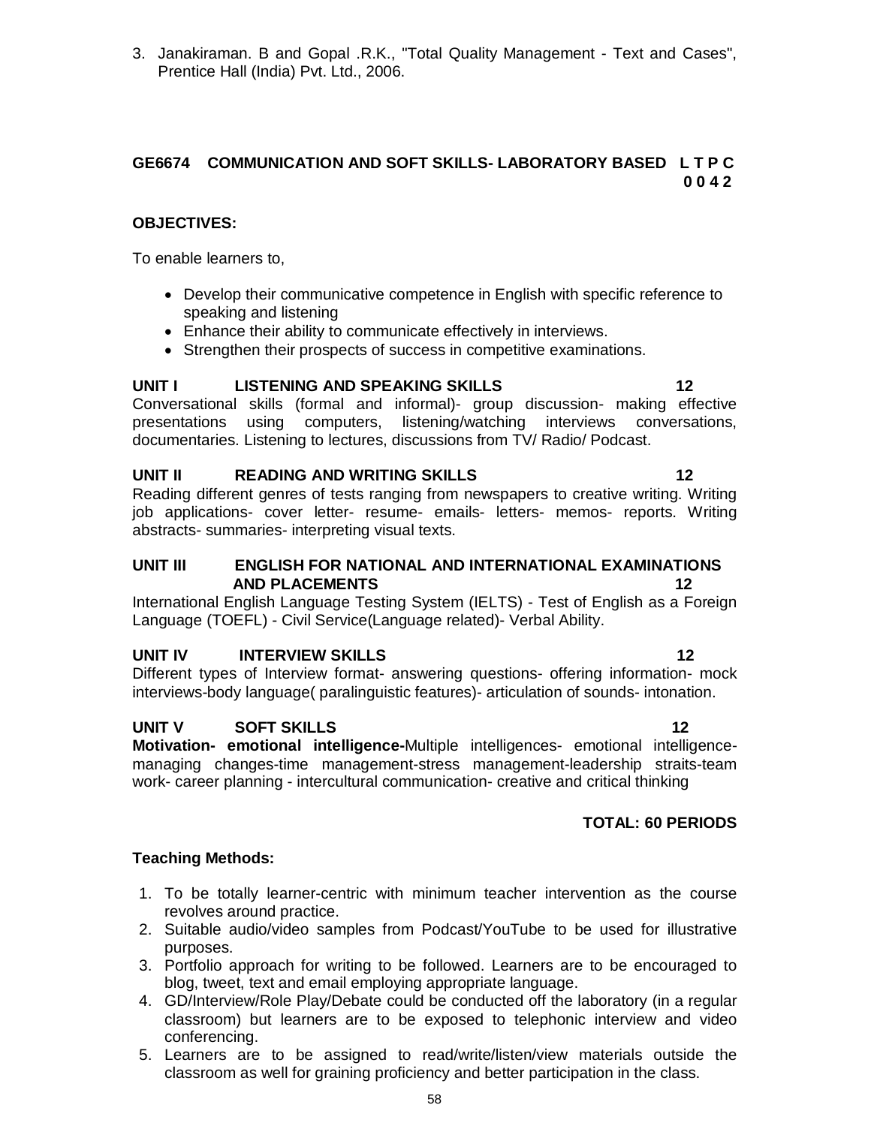3. Janakiraman. B and Gopal .R.K., "Total Quality Management - Text and Cases", Prentice Hall (India) Pvt. Ltd., 2006.

### **GE6674 COMMUNICATION AND SOFT SKILLS- LABORATORY BASED L T P C 0 0 4 2**

# **OBJECTIVES:**

To enable learners to,

- Develop their communicative competence in English with specific reference to speaking and listening
- Enhance their ability to communicate effectively in interviews.
- Strengthen their prospects of success in competitive examinations.

# **UNIT I LISTENING AND SPEAKING SKILLS 12**

Conversational skills (formal and informal)- group discussion- making effective presentations using computers, listening/watching interviews conversations, documentaries. Listening to lectures, discussions from TV/ Radio/ Podcast.

# **UNIT II READING AND WRITING SKILLS 12**

Reading different genres of tests ranging from newspapers to creative writing. Writing job applications- cover letter- resume- emails- letters- memos- reports. Writing abstracts- summaries- interpreting visual texts.

#### **UNIT III ENGLISH FOR NATIONAL AND INTERNATIONAL EXAMINATIONS AND PLACEMENTS** 12

International English Language Testing System (IELTS) - Test of English as a Foreign Language (TOEFL) - Civil Service(Language related)- Verbal Ability.

# **UNIT IV INTERVIEW SKILLS** 12

Different types of Interview format- answering questions- offering information- mock interviews-body language( paralinguistic features)- articulation of sounds- intonation.

# **UNIT V SOFT SKILLS 12**

**Motivation- emotional intelligence-**Multiple intelligences- emotional intelligencemanaging changes-time management-stress management-leadership straits-team work- career planning - intercultural communication- creative and critical thinking

# **TOTAL: 60 PERIODS**

# **Teaching Methods:**

- 1. To be totally learner-centric with minimum teacher intervention as the course revolves around practice.
- 2. Suitable audio/video samples from Podcast/YouTube to be used for illustrative purposes.
- 3. Portfolio approach for writing to be followed. Learners are to be encouraged to blog, tweet, text and email employing appropriate language.
- 4. GD/Interview/Role Play/Debate could be conducted off the laboratory (in a regular classroom) but learners are to be exposed to telephonic interview and video conferencing.
- 5. Learners are to be assigned to read/write/listen/view materials outside the classroom as well for graining proficiency and better participation in the class.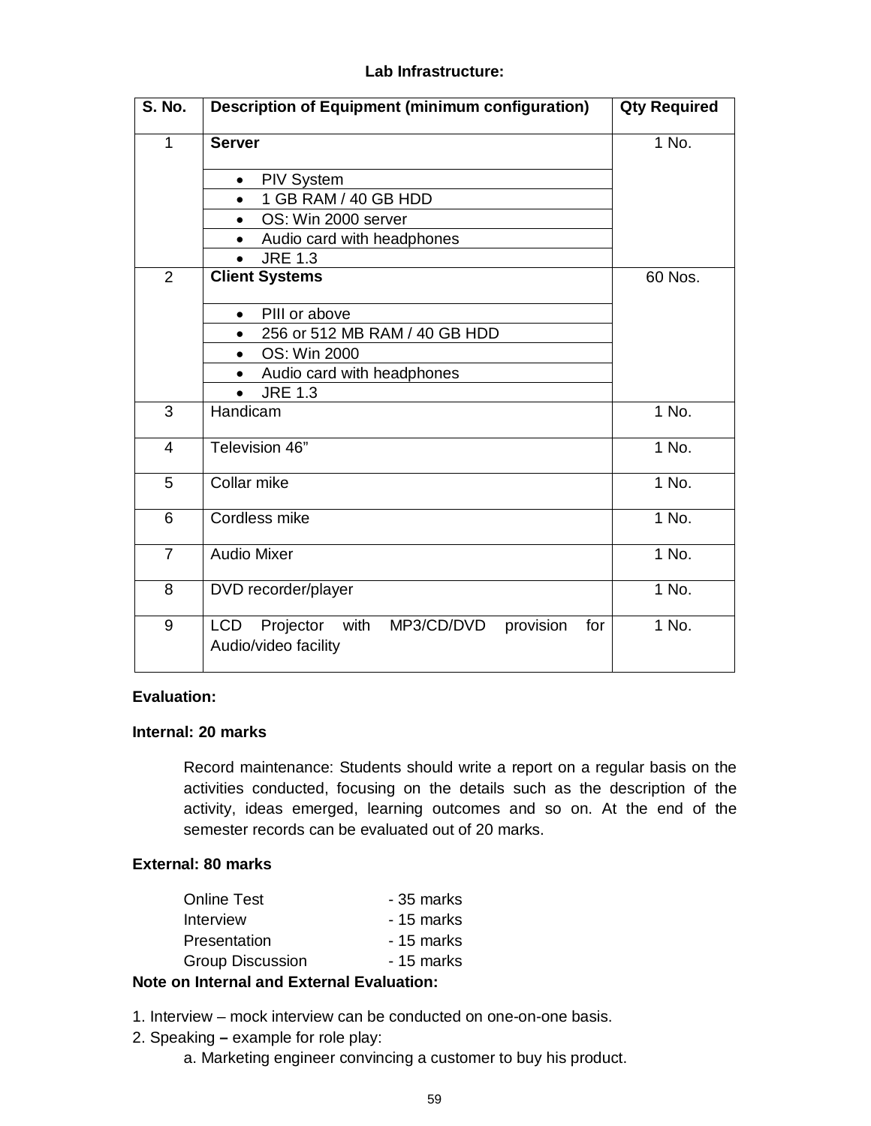#### **Lab Infrastructure:**

| S. No.         | <b>Description of Equipment (minimum configuration)</b>                         | <b>Qty Required</b> |
|----------------|---------------------------------------------------------------------------------|---------------------|
| 1              | <b>Server</b>                                                                   | 1 No.               |
|                | <b>PIV System</b>                                                               |                     |
|                | 1 GB RAM / 40 GB HDD<br>$\bullet$                                               |                     |
|                | OS: Win 2000 server<br>$\bullet$                                                |                     |
|                | Audio card with headphones<br>$\bullet$                                         |                     |
|                | <b>JRE 1.3</b>                                                                  |                     |
| $\overline{2}$ | <b>Client Systems</b>                                                           | 60 Nos.             |
|                | PIII or above<br>$\bullet$                                                      |                     |
|                | 256 or 512 MB RAM / 40 GB HDD<br>٠                                              |                     |
|                | OS: Win 2000                                                                    |                     |
|                | Audio card with headphones                                                      |                     |
|                | <b>JRE 1.3</b><br>$\bullet$                                                     |                     |
| 3              | Handicam                                                                        | 1 No.               |
| 4              | Television 46"                                                                  | 1 No.               |
| 5              | Collar mike                                                                     | 1 No.               |
| 6              | Cordless mike                                                                   | $1$ No.             |
| $\overline{7}$ | <b>Audio Mixer</b>                                                              | 1 No.               |
| 8              | DVD recorder/player                                                             | 1 No.               |
| 9              | Projector with<br>MP3/CD/DVD<br>provision<br>LCD<br>for<br>Audio/video facility | $\overline{1}$ No.  |

## **Evaluation:**

#### **Internal: 20 marks**

Record maintenance: Students should write a report on a regular basis on the activities conducted, focusing on the details such as the description of the activity, ideas emerged, learning outcomes and so on. At the end of the semester records can be evaluated out of 20 marks.

#### **External: 80 marks**

| <b>Online Test</b>                                | - 35 marks |  |
|---------------------------------------------------|------------|--|
| Interview                                         | - 15 marks |  |
| Presentation                                      | - 15 marks |  |
| <b>Group Discussion</b>                           | - 15 marks |  |
| (controlled a controlled and 国家的复数形式 国家的复数形式 化氧化物 |            |  |

# **Note on Internal and External Evaluation:**

1. Interview – mock interview can be conducted on one-on-one basis.

- 2. Speaking **–** example for role play:
	- a. Marketing engineer convincing a customer to buy his product.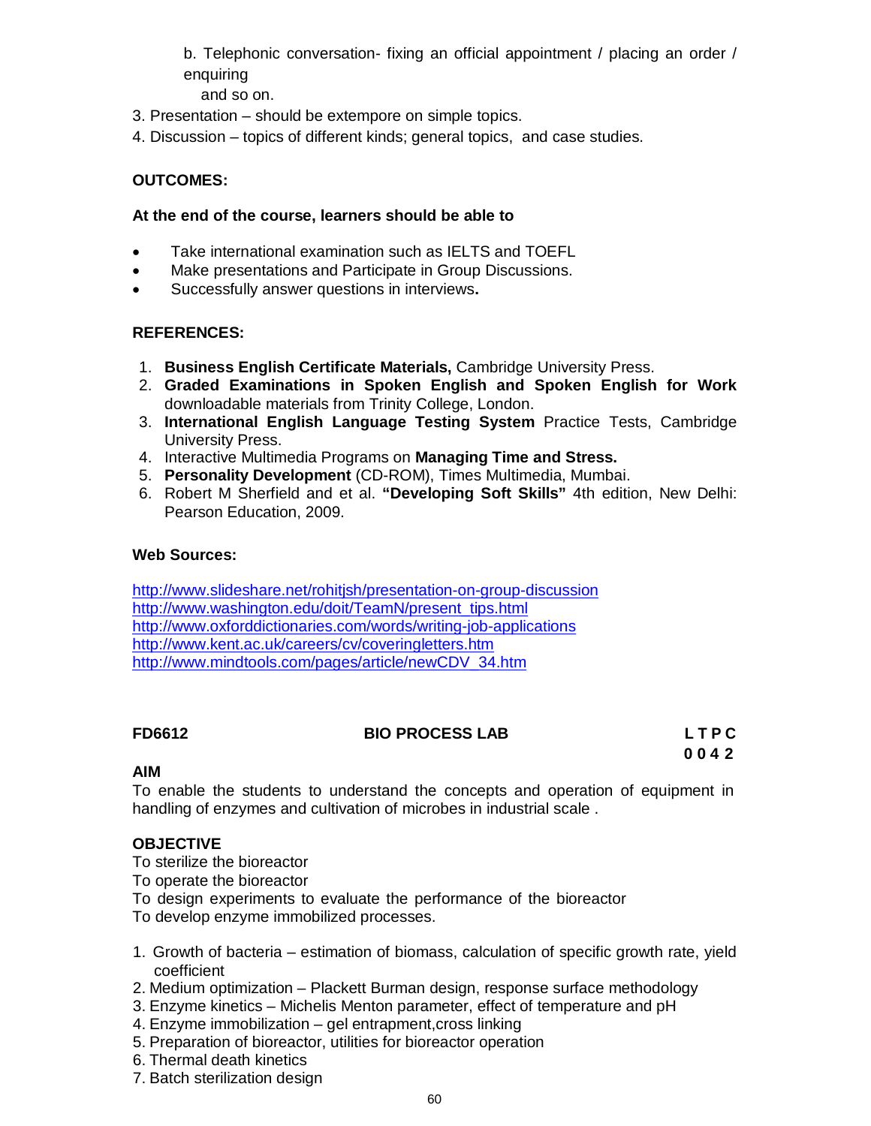b. Telephonic conversation- fixing an official appointment / placing an order / enquiring

and so on.

- 3. Presentation should be extempore on simple topics.
- 4. Discussion topics of different kinds; general topics, and case studies.

### **OUTCOMES:**

#### **At the end of the course, learners should be able to**

- Take international examination such as IELTS and TOEFL
- Make presentations and Participate in Group Discussions.
- Successfully answer questions in interviews**.**

#### **REFERENCES:**

- 1. **Business English Certificate Materials,** Cambridge University Press.
- 2. **Graded Examinations in Spoken English and Spoken English for Work**  downloadable materials from Trinity College, London.
- 3. **International English Language Testing System** Practice Tests, Cambridge University Press.
- 4. Interactive Multimedia Programs on **Managing Time and Stress.**
- 5. **Personality Development** (CD-ROM), Times Multimedia, Mumbai.
- 6. Robert M Sherfield and et al. **"Developing Soft Skills"** 4th edition, New Delhi: Pearson Education, 2009.

#### **Web Sources:**

http://www.slideshare.net/rohitjsh/presentation-on-group-discussion http://www.washington.edu/doit/TeamN/present\_tips.html http://www.oxforddictionaries.com/words/writing-job-applications http://www.kent.ac.uk/careers/cv/coveringletters.htm http://www.mindtools.com/pages/article/newCDV\_34.htm

# **FD6612 BIO PROCESS LAB L T P C**

**0 0 4 2**

# **AIM**

To enable the students to understand the concepts and operation of equipment in handling of enzymes and cultivation of microbes in industrial scale .

# **OBJECTIVE**

- To sterilize the bioreactor
- To operate the bioreactor
- To design experiments to evaluate the performance of the bioreactor
- To develop enzyme immobilized processes.
- 1. Growth of bacteria estimation of biomass, calculation of specific growth rate, yield coefficient
- 2. Medium optimization Plackett Burman design, response surface methodology
- 3. Enzyme kinetics Michelis Menton parameter, effect of temperature and pH
- 4. Enzyme immobilization gel entrapment,cross linking
- 5. Preparation of bioreactor, utilities for bioreactor operation
- 6. Thermal death kinetics
- 7. Batch sterilization design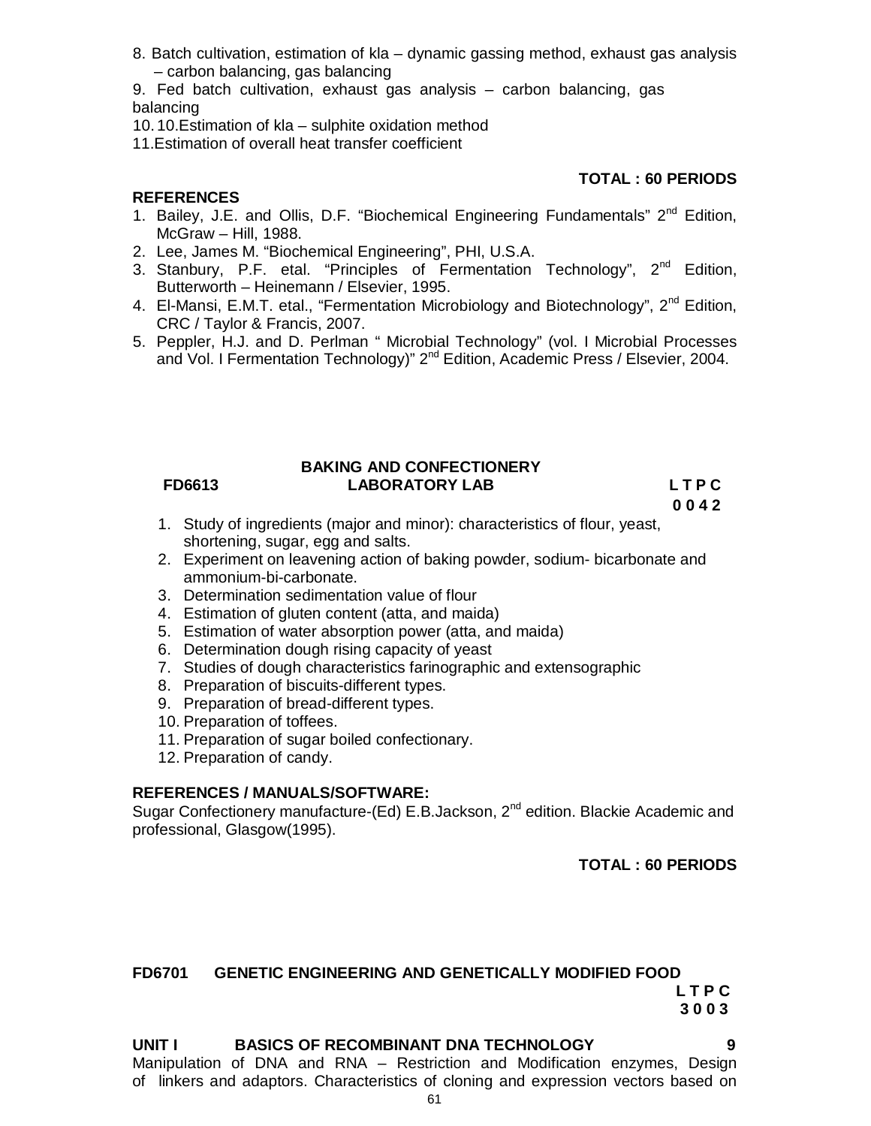- 8. Batch cultivation, estimation of kla dynamic gassing method, exhaust gas analysis – carbon balancing, gas balancing
- 9. Fed batch cultivation, exhaust gas analysis carbon balancing, gas balancing
- 10.10.Estimation of kla sulphite oxidation method
- 11.Estimation of overall heat transfer coefficient

# **REFERENCES**

- 1. Bailey, J.E. and Ollis, D.F. "Biochemical Engineering Fundamentals" 2<sup>nd</sup> Edition, McGraw – Hill, 1988.
- 2. Lee, James M. "Biochemical Engineering", PHI, U.S.A.
- 3. Stanbury, P.F. etal. "Principles of Fermentation Technology", 2<sup>nd</sup> Edition, Butterworth – Heinemann / Elsevier, 1995.
- 4. El-Mansi, E.M.T. etal., "Fermentation Microbiology and Biotechnology", 2<sup>nd</sup> Edition, CRC / Taylor & Francis, 2007.
- 5. Peppler, H.J. and D. Perlman " Microbial Technology" (vol. I Microbial Processes and Vol. I Fermentation Technology)" 2<sup>nd</sup> Edition, Academic Press / Elsevier, 2004.

#### **FD6613**

#### **BAKING AND CONFECTIONERY LABORATORY LAB L T P C**

**0 0 4 2**

- 1. Study of ingredients (major and minor): characteristics of flour, yeast, shortening, sugar, egg and salts.
- 2. Experiment on leavening action of baking powder, sodium- bicarbonate and ammonium-bi-carbonate.
- 3. Determination sedimentation value of flour
- 4. Estimation of gluten content (atta, and maida)
- 5. Estimation of water absorption power (atta, and maida)
- 6. Determination dough rising capacity of yeast
- 7. Studies of dough characteristics farinographic and extensographic
- 8. Preparation of biscuits-different types.
- 9. Preparation of bread-different types.
- 10. Preparation of toffees.
- 11. Preparation of sugar boiled confectionary.
- 12. Preparation of candy.

#### **REFERENCES / MANUALS/SOFTWARE:**

Sugar Confectionery manufacture-(Ed) E.B.Jackson, 2<sup>nd</sup> edition. Blackie Academic and professional, Glasgow(1995).

#### **TOTAL : 60 PERIODS**

#### **FD6701 GENETIC ENGINEERING AND GENETICALLY MODIFIED FOOD L T P C 3 0 0 3**

# UNIT I BASICS OF RECOMBINANT DNA TECHNOLOGY

Manipulation of DNA and RNA – Restriction and Modification enzymes, Design of linkers and adaptors. Characteristics of cloning and expression vectors based on

# **TOTAL : 60 PERIODS**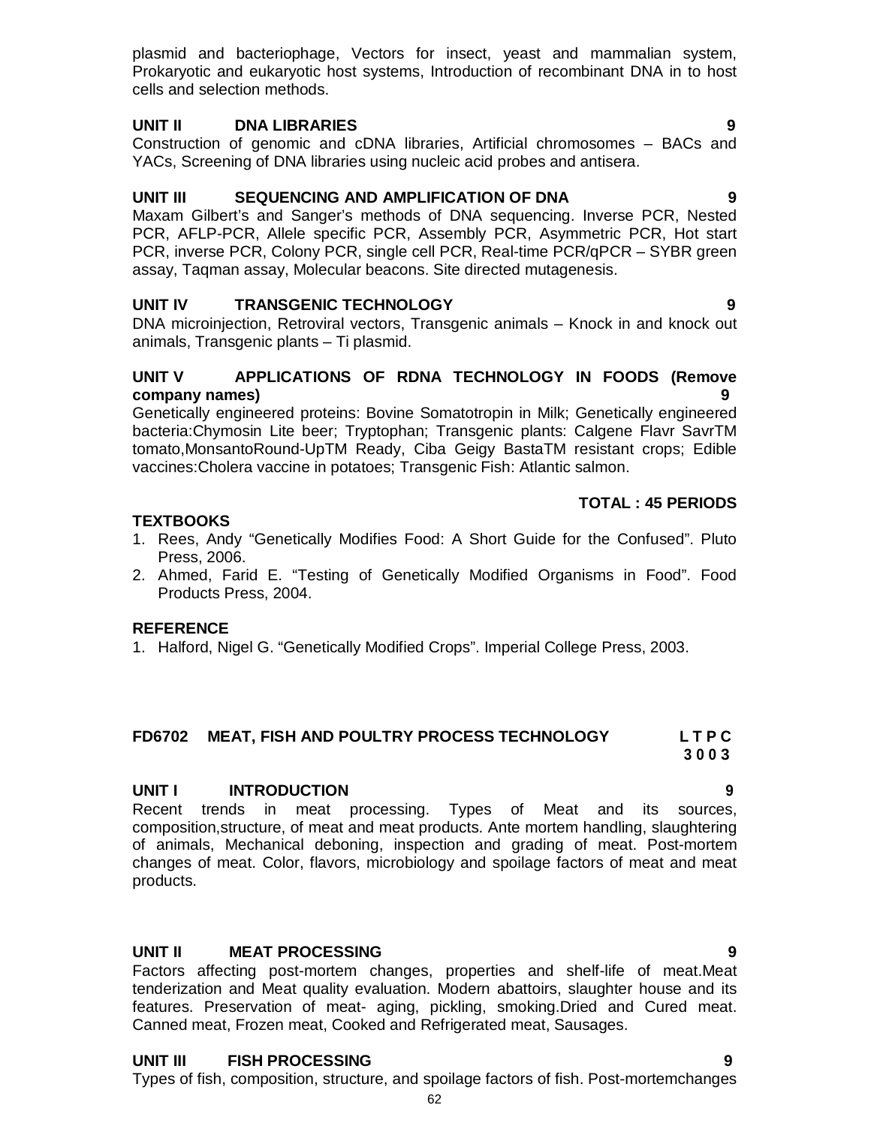**UNIT II DNA LIBRARIES 9**

plasmid and bacteriophage, Vectors for insect, yeast and mammalian system, Prokaryotic and eukaryotic host systems, Introduction of recombinant DNA in to host

Construction of genomic and cDNA libraries, Artificial chromosomes – BACs and YACs, Screening of DNA libraries using nucleic acid probes and antisera.

#### **UNIT III SEQUENCING AND AMPLIFICATION OF DNA 9**

Maxam Gilbert's and Sanger's methods of DNA sequencing. Inverse PCR, Nested PCR, AFLP-PCR, Allele specific PCR, Assembly PCR, Asymmetric PCR, Hot start PCR, inverse PCR, Colony PCR, single cell PCR, Real-time PCR/qPCR – SYBR green assay, Taqman assay, Molecular beacons. Site directed mutagenesis.

#### **UNIT IV TRANSGENIC TECHNOLOGY 9**

cells and selection methods.

DNA microinjection, Retroviral vectors, Transgenic animals – Knock in and knock out animals, Transgenic plants – Ti plasmid.

#### **UNIT V APPLICATIONS OF RDNA TECHNOLOGY IN FOODS (Remove company names) 9**

Genetically engineered proteins: Bovine Somatotropin in Milk; Genetically engineered bacteria:Chymosin Lite beer; Tryptophan; Transgenic plants: Calgene Flavr SavrTM tomato,MonsantoRound-UpTM Ready, Ciba Geigy BastaTM resistant crops; Edible vaccines:Cholera vaccine in potatoes; Transgenic Fish: Atlantic salmon.

#### **TOTAL : 45 PERIODS**

#### **TEXTBOOKS**

- 1. Rees, Andy "Genetically Modifies Food: A Short Guide for the Confused". Pluto Press, 2006.
- 2. Ahmed, Farid E. "Testing of Genetically Modified Organisms in Food". Food Products Press, 2004.

#### **REFERENCE**

1. Halford, Nigel G. "Genetically Modified Crops". Imperial College Press, 2003.

#### **FD6702 MEAT, FISH AND POULTRY PROCESS TECHNOLOGY L T P C**

**3 0 0 3**

# **UNIT I INTRODUCTION 9**

Recent trends in meat processing. Types of Meat and its sources, composition,structure, of meat and meat products. Ante mortem handling, slaughtering of animals, Mechanical deboning, inspection and grading of meat. Post-mortem changes of meat. Color, flavors, microbiology and spoilage factors of meat and meat products.

#### **UNIT II MEAT PROCESSING 9**

Factors affecting post-mortem changes, properties and shelf-life of meat.Meat tenderization and Meat quality evaluation. Modern abattoirs, slaughter house and its features. Preservation of meat- aging, pickling, smoking.Dried and Cured meat. Canned meat, Frozen meat, Cooked and Refrigerated meat, Sausages.

# **UNIT III FISH PROCESSING 9**

Types of fish, composition, structure, and spoilage factors of fish. Post-mortemchanges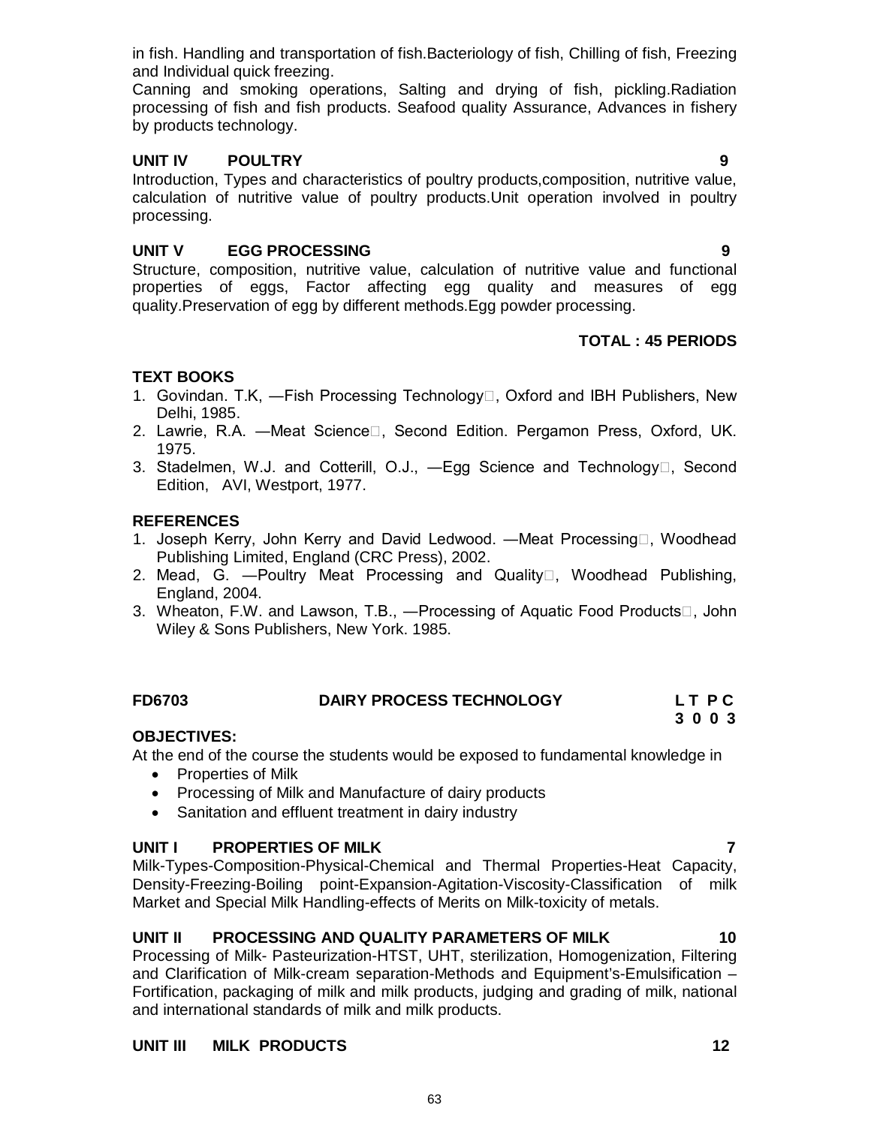in fish. Handling and transportation of fish.Bacteriology of fish, Chilling of fish, Freezing and Individual quick freezing.

Canning and smoking operations, Salting and drying of fish, pickling.Radiation processing of fish and fish products. Seafood quality Assurance, Advances in fishery by products technology.

## **UNIT IV POULTRY 9**

Introduction, Types and characteristics of poultry products,composition, nutritive value, calculation of nutritive value of poultry products.Unit operation involved in poultry processing.

# **UNIT V EGG PROCESSING 9**

Structure, composition, nutritive value, calculation of nutritive value and functional properties of eggs, Factor affecting egg quality and measures of egg quality.Preservation of egg by different methods.Egg powder processing.

# **TOTAL : 45 PERIODS**

# **TEXT BOOKS**

- 1. Govindan. T.K, —Fish Processing Technology<sup>[]</sup>, Oxford and IBH Publishers, New Delhi, 1985.
- 2. Lawrie, R.A. Meat Science D., Second Edition. Pergamon Press, Oxford, UK. 1975.
- 3. Stadelmen, W.J. and Cotterill, O.J., -Egg Science and Technology<sup>[1]</sup>, Second Edition, AVI, Westport, 1977.

## **REFERENCES**

- 1. Joseph Kerry, John Kerry and David Ledwood. —Meat Processing□, Woodhead Publishing Limited, England (CRC Press), 2002.
- 2. Mead, G. Poultry Meat Processing and Quality  $\Box$ , Woodhead Publishing, England, 2004.
- 3. Wheaton, F.W. and Lawson, T.B., —Processing of Aquatic Food Products $\Box$ , John Wiley & Sons Publishers, New York. 1985.

# **FD6703 DAIRY PROCESS TECHNOLOGY L T P C**

# **3 0 0 3**

# **OBJECTIVES:**

At the end of the course the students would be exposed to fundamental knowledge in

- Properties of Milk
- Processing of Milk and Manufacture of dairy products
- Sanitation and effluent treatment in dairy industry

#### **UNIT I PROPERTIES OF MILK 7**

Milk-Types-Composition-Physical-Chemical and Thermal Properties-Heat Capacity, Density-Freezing-Boiling point-Expansion-Agitation-Viscosity-Classification of milk Market and Special Milk Handling-effects of Merits on Milk-toxicity of metals.

# **UNIT II PROCESSING AND QUALITY PARAMETERS OF MILK 10**

Processing of Milk- Pasteurization-HTST, UHT, sterilization, Homogenization, Filtering and Clarification of Milk-cream separation-Methods and Equipment's-Emulsification – Fortification, packaging of milk and milk products, judging and grading of milk, national and international standards of milk and milk products.

# **UNIT III MILK PRODUCTS 12**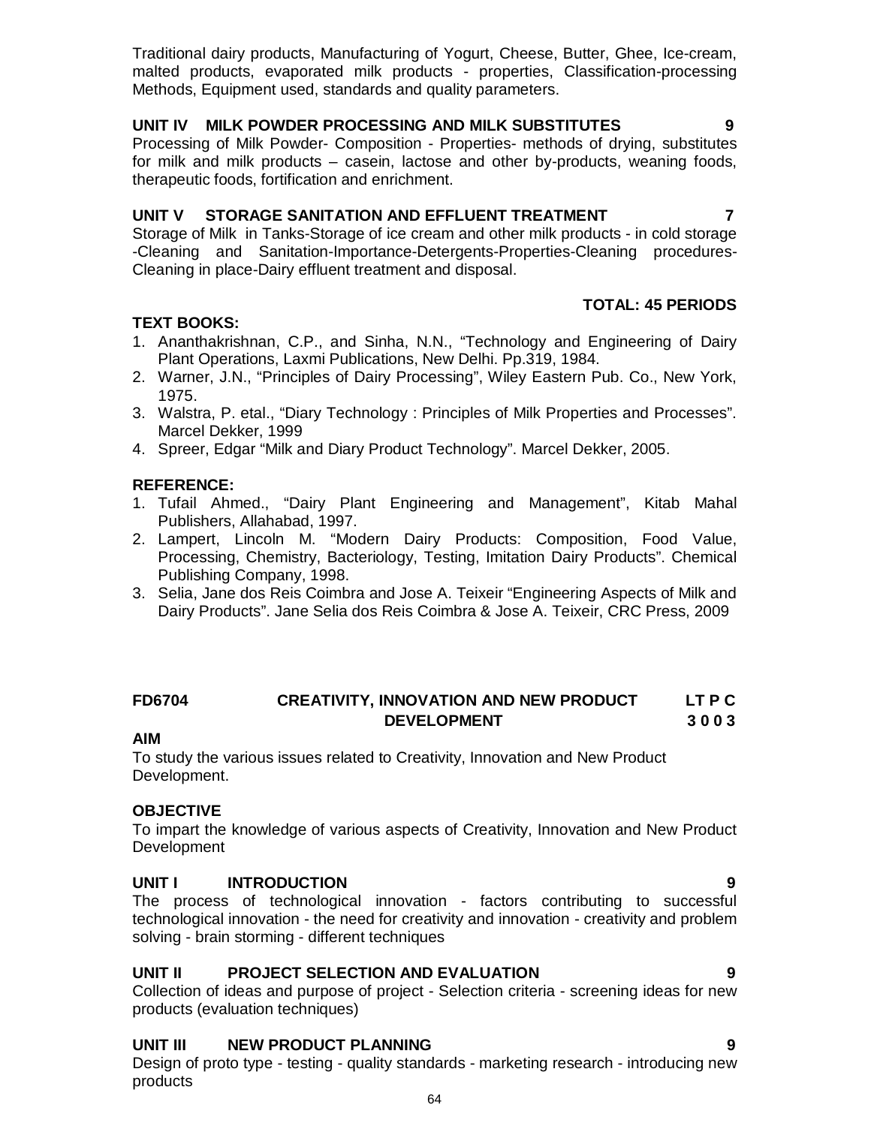Traditional dairy products, Manufacturing of Yogurt, Cheese, Butter, Ghee, Ice-cream, malted products, evaporated milk products - properties, Classification-processing Methods, Equipment used, standards and quality parameters.

### **UNIT IV MILK POWDER PROCESSING AND MILK SUBSTITUTES 9**

Processing of Milk Powder- Composition - Properties- methods of drying, substitutes for milk and milk products – casein, lactose and other by-products, weaning foods, therapeutic foods, fortification and enrichment.

## **UNIT V STORAGE SANITATION AND EFFLUENT TREATMENT 7**

Storage of Milk in Tanks-Storage of ice cream and other milk products - in cold storage -Cleaning and Sanitation-Importance-Detergents-Properties-Cleaning procedures-Cleaning in place-Dairy effluent treatment and disposal.

# **TEXT BOOKS:**

- 1. Ananthakrishnan, C.P., and Sinha, N.N., "Technology and Engineering of Dairy Plant Operations, Laxmi Publications, New Delhi. Pp.319, 1984.
- 2. Warner, J.N., "Principles of Dairy Processing", Wiley Eastern Pub. Co., New York, 1975.
- 3. Walstra, P. etal., "Diary Technology : Principles of Milk Properties and Processes". Marcel Dekker, 1999
- 4. Spreer, Edgar "Milk and Diary Product Technology". Marcel Dekker, 2005.

# **REFERENCE:**

- 1. Tufail Ahmed., "Dairy Plant Engineering and Management", Kitab Mahal Publishers, Allahabad, 1997.
- 2. Lampert, Lincoln M. "Modern Dairy Products: Composition, Food Value, Processing, Chemistry, Bacteriology, Testing, Imitation Dairy Products". Chemical Publishing Company, 1998.
- 3. Selia, Jane dos Reis Coimbra and Jose A. Teixeir "Engineering Aspects of Milk and Dairy Products". Jane Selia dos Reis Coimbra & Jose A. Teixeir, CRC Press, 2009

# **FD6704 CREATIVITY, INNOVATION AND NEW PRODUCT LT P C DEVELOPMENT 3 0 0 3**

#### **AIM**

To study the various issues related to Creativity, Innovation and New Product Development.

#### **OBJECTIVE**

To impart the knowledge of various aspects of Creativity, Innovation and New Product Development

#### **UNIT I INTRODUCTION 9**

The process of technological innovation - factors contributing to successful technological innovation - the need for creativity and innovation - creativity and problem solving - brain storming - different techniques

#### **UNIT II PROJECT SELECTION AND EVALUATION 9**

Collection of ideas and purpose of project - Selection criteria - screening ideas for new products (evaluation techniques)

#### **UNIT III NEW PRODUCT PLANNING 9**

Design of proto type - testing - quality standards - marketing research - introducing new products

 **TOTAL: 45 PERIODS**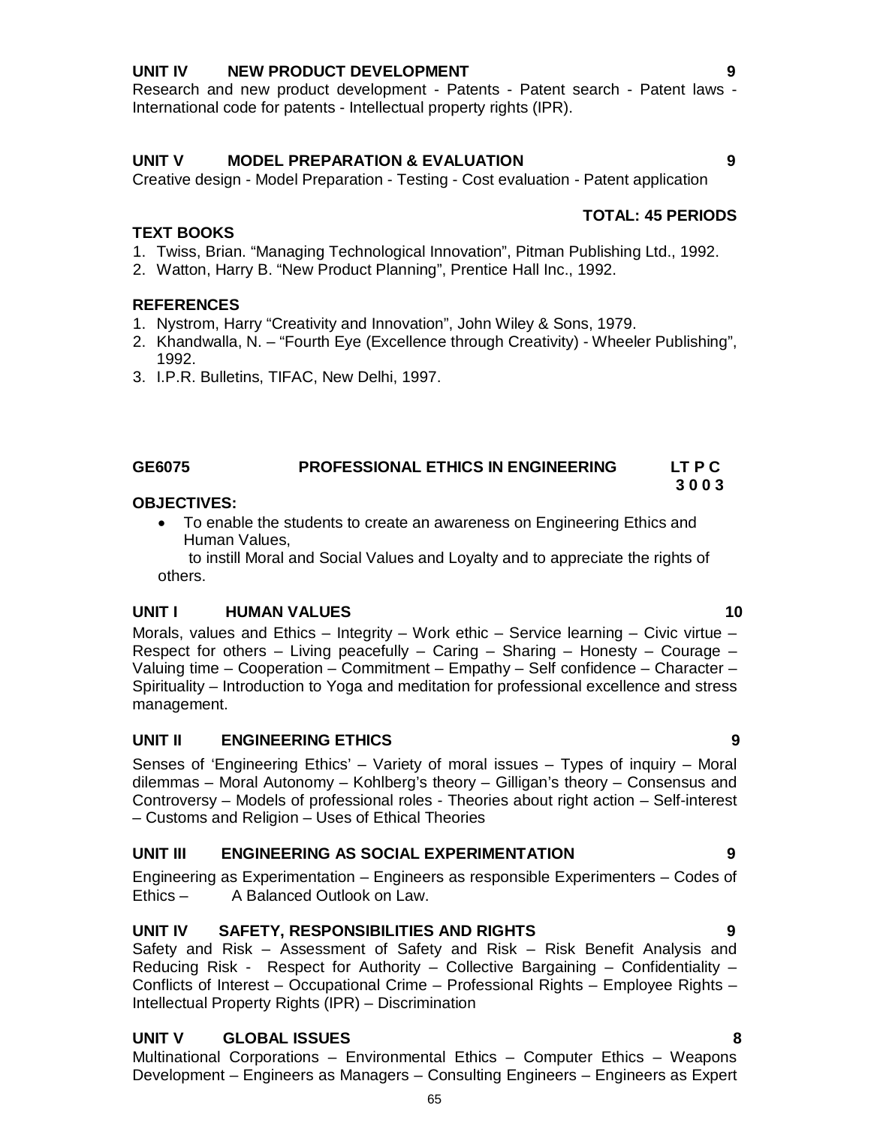### **UNIT IV NEW PRODUCT DEVELOPMENT 9**

Research and new product development - Patents - Patent search - Patent laws -International code for patents - Intellectual property rights (IPR).

# **UNIT V MODEL PREPARATION & EVALUATION 9**

Creative design - Model Preparation - Testing - Cost evaluation - Patent application

## **TOTAL: 45 PERIODS**

### **TEXT BOOKS**

- 1. Twiss, Brian. "Managing Technological Innovation", Pitman Publishing Ltd., 1992.
- 2. Watton, Harry B. "New Product Planning", Prentice Hall Inc., 1992.

## **REFERENCES**

- 1. Nystrom, Harry "Creativity and Innovation", John Wiley & Sons, 1979.
- 2. Khandwalla, N. "Fourth Eye (Excellence through Creativity) Wheeler Publishing", 1992.
- 3. I.P.R. Bulletins, TIFAC, New Delhi, 1997.

# **GE6075 PROFESSIONAL ETHICS IN ENGINEERING LT P C**

#### **3 0 0 3 OBJECTIVES:**

 To enable the students to create an awareness on Engineering Ethics and Human Values,

 to instill Moral and Social Values and Loyalty and to appreciate the rights of others.

#### **UNIT I HUMAN VALUES 10**

Morals, values and Ethics – Integrity – Work ethic – Service learning – Civic virtue – Respect for others  $-$  Living peacefully  $-$  Caring  $-$  Sharing  $-$  Honesty  $-$  Courage  $-$ Valuing time – Cooperation – Commitment – Empathy – Self confidence – Character – Spirituality – Introduction to Yoga and meditation for professional excellence and stress management.

# **UNIT II ENGINEERING ETHICS 9**

Senses of 'Engineering Ethics' – Variety of moral issues – Types of inquiry – Moral dilemmas – Moral Autonomy – Kohlberg's theory – Gilligan's theory – Consensus and Controversy – Models of professional roles - Theories about right action – Self-interest – Customs and Religion – Uses of Ethical Theories

# **UNIT III ENGINEERING AS SOCIAL EXPERIMENTATION 9**

Engineering as Experimentation – Engineers as responsible Experimenters – Codes of Ethics – A Balanced Outlook on Law.

# **UNIT IV SAFETY, RESPONSIBILITIES AND RIGHTS 9**

Safety and Risk – Assessment of Safety and Risk – Risk Benefit Analysis and Reducing Risk - Respect for Authority – Collective Bargaining – Confidentiality – Conflicts of Interest – Occupational Crime – Professional Rights – Employee Rights – Intellectual Property Rights (IPR) – Discrimination

# **UNIT V GLOBAL ISSUES 8**

Multinational Corporations – Environmental Ethics – Computer Ethics – Weapons Development – Engineers as Managers – Consulting Engineers – Engineers as Expert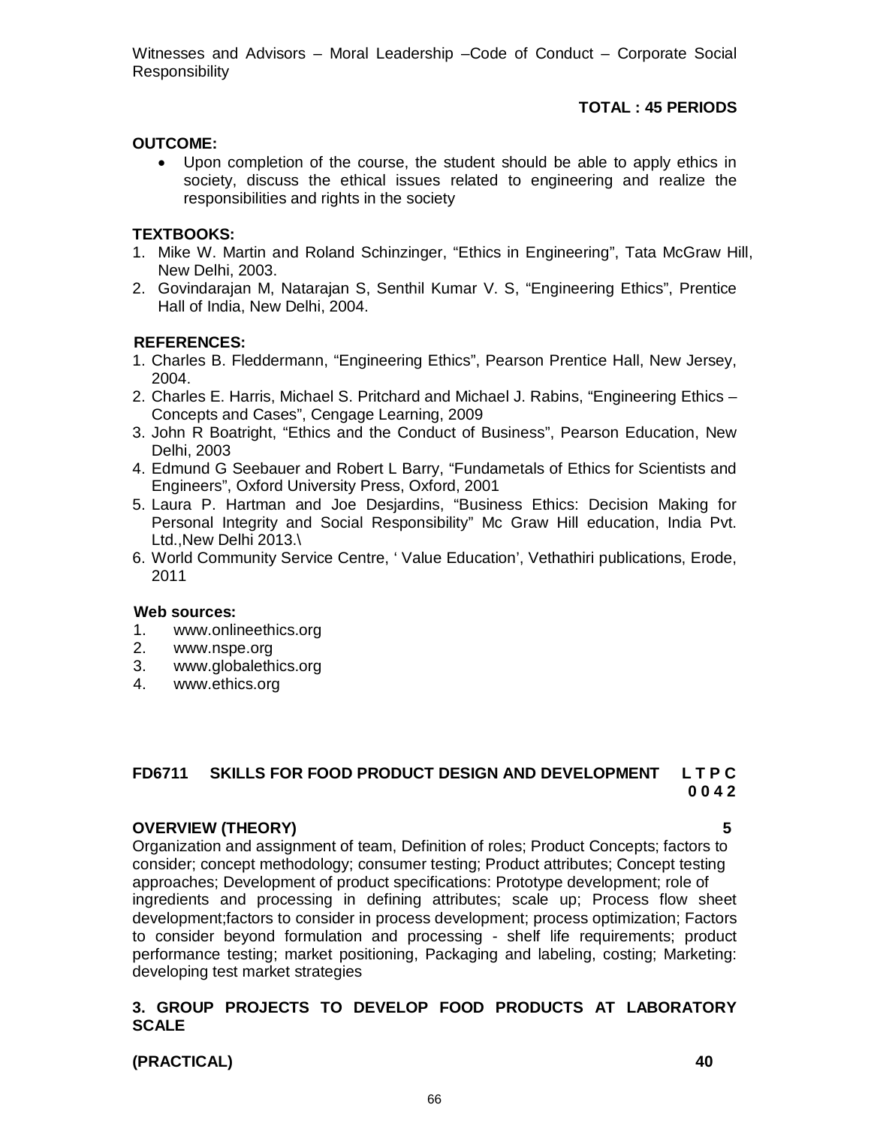Witnesses and Advisors – Moral Leadership –Code of Conduct – Corporate Social **Responsibility** 

### **TOTAL : 45 PERIODS**

#### **OUTCOME:**

 Upon completion of the course, the student should be able to apply ethics in society, discuss the ethical issues related to engineering and realize the responsibilities and rights in the society

#### **TEXTBOOKS:**

- 1. Mike W. Martin and Roland Schinzinger, "Ethics in Engineering", Tata McGraw Hill, New Delhi, 2003.
- 2. Govindarajan M, Natarajan S, Senthil Kumar V. S, "Engineering Ethics", Prentice Hall of India, New Delhi, 2004.

#### **REFERENCES:**

- 1. Charles B. Fleddermann, "Engineering Ethics", Pearson Prentice Hall, New Jersey, 2004.
- 2. Charles E. Harris, Michael S. Pritchard and Michael J. Rabins, "Engineering Ethics Concepts and Cases", Cengage Learning, 2009
- 3. John R Boatright, "Ethics and the Conduct of Business", Pearson Education, New Delhi, 2003
- 4. Edmund G Seebauer and Robert L Barry, "Fundametals of Ethics for Scientists and Engineers", Oxford University Press, Oxford, 2001
- 5. Laura P. Hartman and Joe Desjardins, "Business Ethics: Decision Making for Personal Integrity and Social Responsibility" Mc Graw Hill education, India Pvt. Ltd.,New Delhi 2013.\
- 6. World Community Service Centre, ' Value Education', Vethathiri publications, Erode, 2011

#### **Web sources:**

- 1. www.onlineethics.org
- 2. www.nspe.org
- 3. www.globalethics.org<br>4. www.ethics.org
- www.ethics.org

# **FD6711 SKILLS FOR FOOD PRODUCT DESIGN AND DEVELOPMENT L T P C 0 0 4 2**

#### **OVERVIEW (THEORY) 5**

Organization and assignment of team, Definition of roles; Product Concepts; factors to consider; concept methodology; consumer testing; Product attributes; Concept testing approaches; Development of product specifications: Prototype development; role of ingredients and processing in defining attributes; scale up; Process flow sheet development;factors to consider in process development; process optimization; Factors to consider beyond formulation and processing - shelf life requirements; product performance testing; market positioning, Packaging and labeling, costing; Marketing: developing test market strategies

#### **3. GROUP PROJECTS TO DEVELOP FOOD PRODUCTS AT LABORATORY SCALE**

**(PRACTICAL) 40**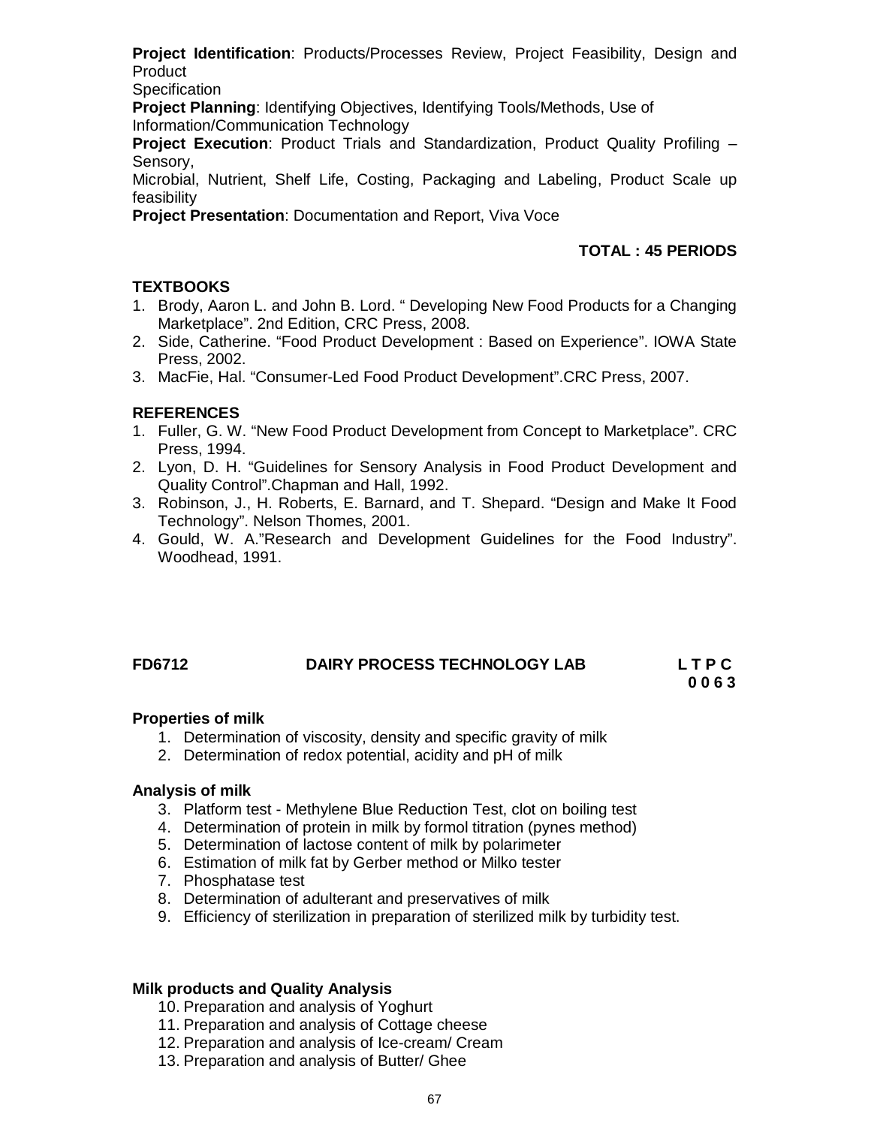**Project Identification**: Products/Processes Review, Project Feasibility, Design and Product

**Specification** 

**Project Planning**: Identifying Objectives, Identifying Tools/Methods, Use of Information/Communication Technology

**Project Execution**: Product Trials and Standardization, Product Quality Profiling – Sensory,

Microbial, Nutrient, Shelf Life, Costing, Packaging and Labeling, Product Scale up feasibility

**Project Presentation**: Documentation and Report, Viva Voce

#### **TOTAL : 45 PERIODS**

#### **TEXTBOOKS**

- 1. Brody, Aaron L. and John B. Lord. " Developing New Food Products for a Changing Marketplace". 2nd Edition, CRC Press, 2008.
- 2. Side, Catherine. "Food Product Development : Based on Experience". IOWA State Press, 2002.
- 3. MacFie, Hal. "Consumer-Led Food Product Development".CRC Press, 2007.

#### **REFERENCES**

- 1. Fuller, G. W. "New Food Product Development from Concept to Marketplace". CRC Press, 1994.
- 2. Lyon, D. H. "Guidelines for Sensory Analysis in Food Product Development and Quality Control".Chapman and Hall, 1992.
- 3. Robinson, J., H. Roberts, E. Barnard, and T. Shepard. "Design and Make It Food Technology". Nelson Thomes, 2001.
- 4. Gould, W. A."Research and Development Guidelines for the Food Industry". Woodhead, 1991.

#### **FD6712 DAIRY PROCESS TECHNOLOGY LAB L T P C**

 **0 0 6 3**

#### **Properties of milk**

- 1. Determination of viscosity, density and specific gravity of milk
- 2. Determination of redox potential, acidity and pH of milk

#### **Analysis of milk**

- 3. Platform test Methylene Blue Reduction Test, clot on boiling test
- 4. Determination of protein in milk by formol titration (pynes method)
- 5. Determination of lactose content of milk by polarimeter
- 6. Estimation of milk fat by Gerber method or Milko tester
- 7. Phosphatase test
- 8. Determination of adulterant and preservatives of milk
- 9. Efficiency of sterilization in preparation of sterilized milk by turbidity test.

#### **Milk products and Quality Analysis**

10. Preparation and analysis of Yoghurt

- 11. Preparation and analysis of Cottage cheese
- 12. Preparation and analysis of Ice-cream/ Cream
- 13. Preparation and analysis of Butter/ Ghee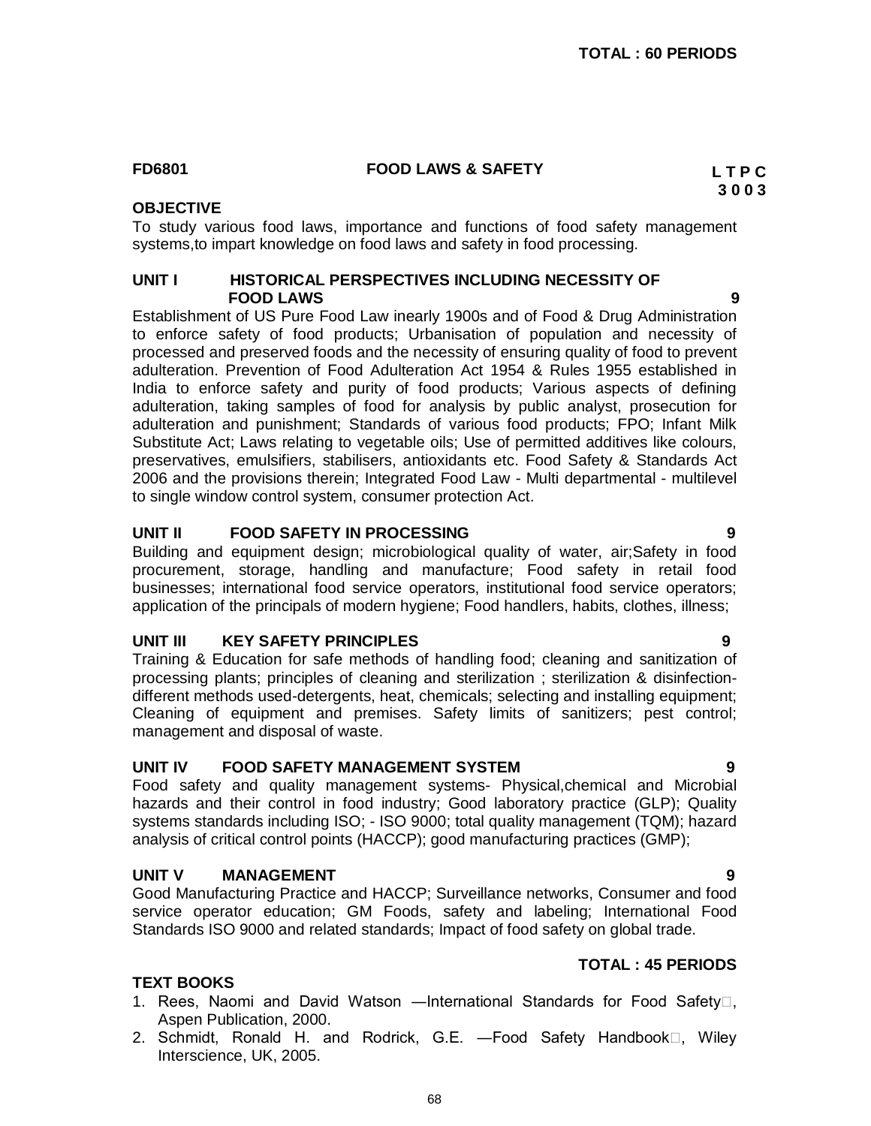#### **FD6801 FOOD LAWS & SAFETY L T P C**

### **OBJECTIVE**

To study various food laws, importance and functions of food safety management systems,to impart knowledge on food laws and safety in food processing.

#### **UNIT I HISTORICAL PERSPECTIVES INCLUDING NECESSITY OF FOOD LAWS 9**

Establishment of US Pure Food Law inearly 1900s and of Food & Drug Administration to enforce safety of food products; Urbanisation of population and necessity of processed and preserved foods and the necessity of ensuring quality of food to prevent adulteration. Prevention of Food Adulteration Act 1954 & Rules 1955 established in India to enforce safety and purity of food products; Various aspects of defining adulteration, taking samples of food for analysis by public analyst, prosecution for adulteration and punishment; Standards of various food products; FPO; Infant Milk Substitute Act; Laws relating to vegetable oils; Use of permitted additives like colours, preservatives, emulsifiers, stabilisers, antioxidants etc. Food Safety & Standards Act 2006 and the provisions therein; Integrated Food Law - Multi departmental - multilevel to single window control system, consumer protection Act.

#### **UNIT II FOOD SAFETY IN PROCESSING 9**

Building and equipment design; microbiological quality of water, air;Safety in food procurement, storage, handling and manufacture; Food safety in retail food businesses; international food service operators, institutional food service operators; application of the principals of modern hygiene; Food handlers, habits, clothes, illness;

#### **UNIT III KEY SAFETY PRINCIPLES 9**

Training & Education for safe methods of handling food; cleaning and sanitization of processing plants; principles of cleaning and sterilization ; sterilization & disinfectiondifferent methods used-detergents, heat, chemicals; selecting and installing equipment; Cleaning of equipment and premises. Safety limits of sanitizers; pest control; management and disposal of waste.

#### **UNIT IV FOOD SAFETY MANAGEMENT SYSTEM 9**

Food safety and quality management systems- Physical,chemical and Microbial hazards and their control in food industry; Good laboratory practice (GLP); Quality systems standards including ISO; - ISO 9000; total quality management (TQM); hazard analysis of critical control points (HACCP); good manufacturing practices (GMP);

#### **UNIT V MANAGEMENT 9**

**TEXT BOOKS**

Good Manufacturing Practice and HACCP; Surveillance networks, Consumer and food service operator education; GM Foods, safety and labeling; International Food Standards ISO 9000 and related standards; Impact of food safety on global trade.

#### **TOTAL : 45 PERIODS**

#### 1. Rees, Naomi and David Watson —International Standards for Food Safety<sup>[1]</sup>, Aspen Publication, 2000.

2. Schmidt, Ronald H. and Rodrick, G.E. —Food Safety Handbook□, Wiley Interscience, UK, 2005.

**3 0 0 3**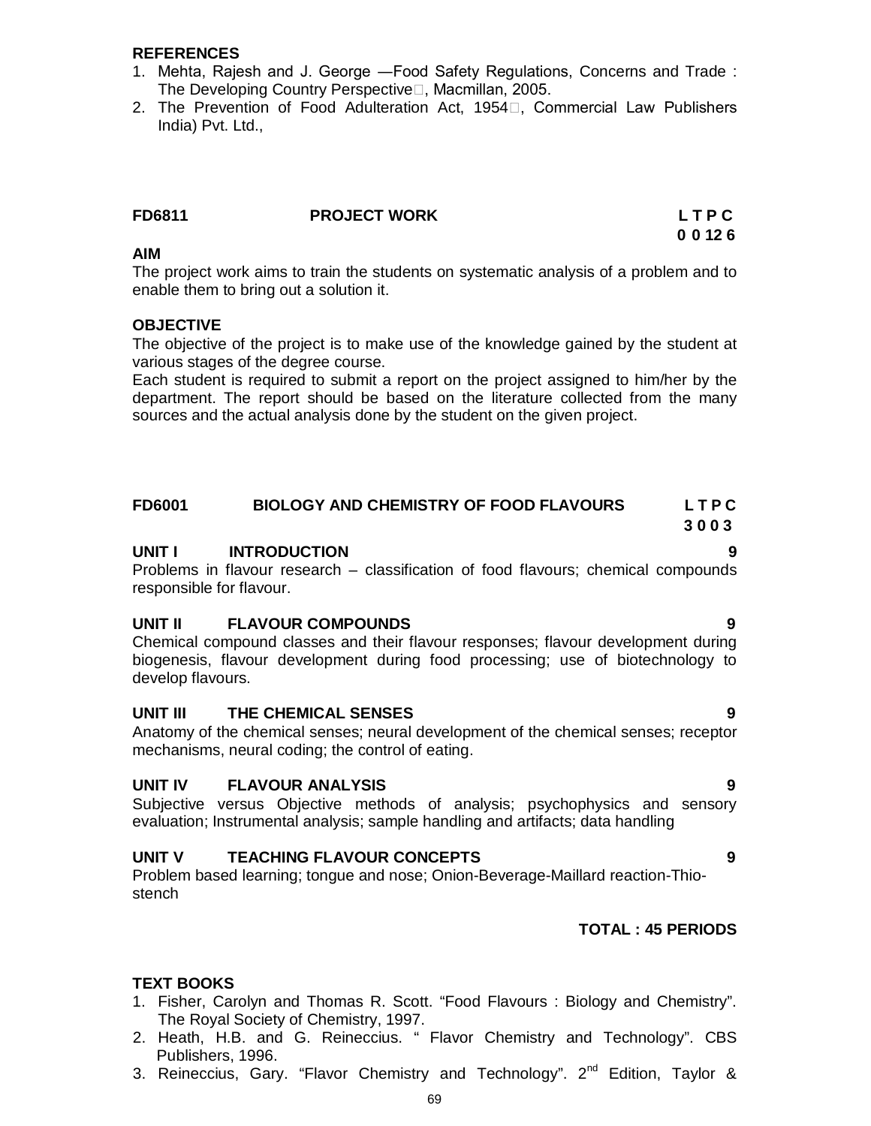#### **REFERENCES**

- 1. Mehta, Rajesh and J. George ―Food Safety Regulations, Concerns and Trade : The Developing Country Perspective<sup>∩</sup>. Macmillan, 2005.
- 2. The Prevention of Food Adulteration Act, 1954 $\Box$ , Commercial Law Publishers India) Pvt. Ltd.,

| <b>FD6811</b> | <b>PROJECT WORK</b> | LTPC  |
|---------------|---------------------|-------|
|               |                     | 00126 |

#### **AIM**

The project work aims to train the students on systematic analysis of a problem and to enable them to bring out a solution it.

#### **OBJECTIVE**

The objective of the project is to make use of the knowledge gained by the student at various stages of the degree course.

Each student is required to submit a report on the project assigned to him/her by the department. The report should be based on the literature collected from the many sources and the actual analysis done by the student on the given project.

# **FD6001 BIOLOGY AND CHEMISTRY OF FOOD FLAVOURS L T P C**

# **UNIT I INTRODUCTION 9**

Problems in flavour research – classification of food flavours; chemical compounds responsible for flavour.

#### **UNIT II FLAVOUR COMPOUNDS 9**

Chemical compound classes and their flavour responses; flavour development during biogenesis, flavour development during food processing; use of biotechnology to develop flavours.

#### **UNIT III THE CHEMICAL SENSES 9**

Anatomy of the chemical senses; neural development of the chemical senses; receptor mechanisms, neural coding; the control of eating.

#### **UNIT IV FLAVOUR ANALYSIS 9**

Subjective versus Objective methods of analysis; psychophysics and sensory evaluation; Instrumental analysis; sample handling and artifacts; data handling

#### **UNIT V TEACHING FLAVOUR CONCEPTS 9**

Problem based learning; tongue and nose; Onion-Beverage-Maillard reaction-Thiostench

#### **TOTAL : 45 PERIODS**

#### **TEXT BOOKS**

- 1. Fisher, Carolyn and Thomas R. Scott. "Food Flavours : Biology and Chemistry". The Royal Society of Chemistry, 1997.
- 2. Heath, H.B. and G. Reineccius. " Flavor Chemistry and Technology". CBS Publishers, 1996.
- 3. Reineccius, Gary. "Flavor Chemistry and Technology".  $2^{nd}$  Edition, Taylor &

**3 0 0 3**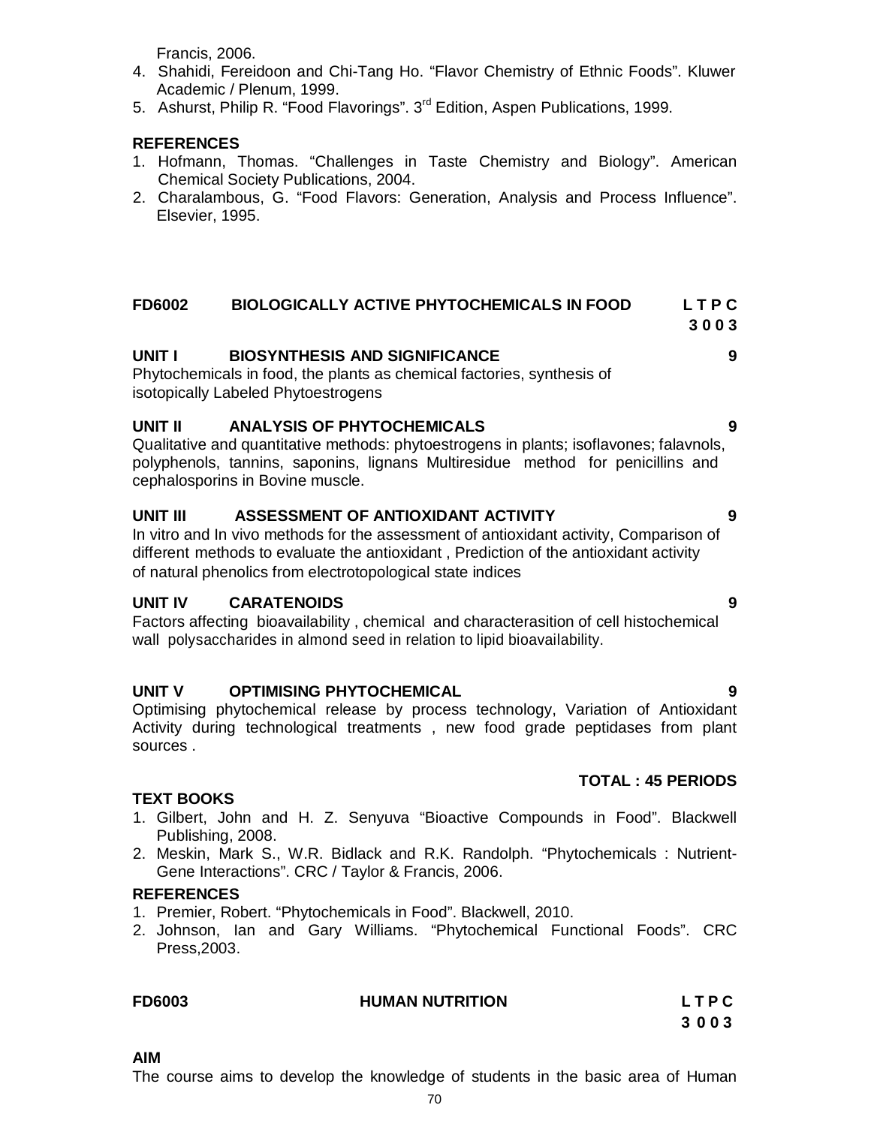Francis, 2006.

- 4. Shahidi, Fereidoon and Chi-Tang Ho. "Flavor Chemistry of Ethnic Foods". Kluwer Academic / Plenum, 1999.
- 5. Ashurst, Philip R. "Food Flavorings". 3<sup>rd</sup> Edition, Aspen Publications, 1999.

#### **REFERENCES**

- 1. Hofmann, Thomas. "Challenges in Taste Chemistry and Biology". American Chemical Society Publications, 2004.
- 2. Charalambous, G. "Food Flavors: Generation, Analysis and Process Influence". Elsevier, 1995.

#### **FD6002 BIOLOGICALLY ACTIVE PHYTOCHEMICALS IN FOOD L T P C**

## **3 0 0 3**

#### **UNIT I BIOSYNTHESIS AND SIGNIFICANCE 9**

Phytochemicals in food, the plants as chemical factories, synthesis of isotopically Labeled Phytoestrogens

#### **UNIT II ANALYSIS OF PHYTOCHEMICALS 9**

Qualitative and quantitative methods: phytoestrogens in plants; isoflavones; falavnols, polyphenols, tannins, saponins, lignans Multiresidue method for penicillins and cephalosporins in Bovine muscle.

# **UNIT III ASSESSMENT OF ANTIOXIDANT ACTIVITY 9**

In vitro and In vivo methods for the assessment of antioxidant activity, Comparison of different methods to evaluate the antioxidant , Prediction of the antioxidant activity of natural phenolics from electrotopological state indices

#### **UNIT IV CARATENOIDS 9**

Factors affecting bioavailability , chemical and characterasition of cell histochemical wall polysaccharides in almond seed in relation to lipid bioavailability.

#### **UNIT V OPTIMISING PHYTOCHEMICAL 9**

Optimising phytochemical release by process technology, Variation of Antioxidant Activity during technological treatments , new food grade peptidases from plant sources .

#### **TOTAL : 45 PERIODS**

#### **TEXT BOOKS**

- 1. Gilbert, John and H. Z. Senyuva "Bioactive Compounds in Food". Blackwell Publishing, 2008.
- 2. Meskin, Mark S., W.R. Bidlack and R.K. Randolph. "Phytochemicals : Nutrient-Gene Interactions". CRC / Taylor & Francis, 2006.

#### **REFERENCES**

- 1. Premier, Robert. "Phytochemicals in Food". Blackwell, 2010.
- 2. Johnson, Ian and Gary Williams. "Phytochemical Functional Foods". CRC Press,2003.

| <b>FD6003</b> | <b>HUMAN NUTRITION</b> | LTPC |
|---------------|------------------------|------|
|               |                        | 3003 |

#### **AIM**

The course aims to develop the knowledge of students in the basic area of Human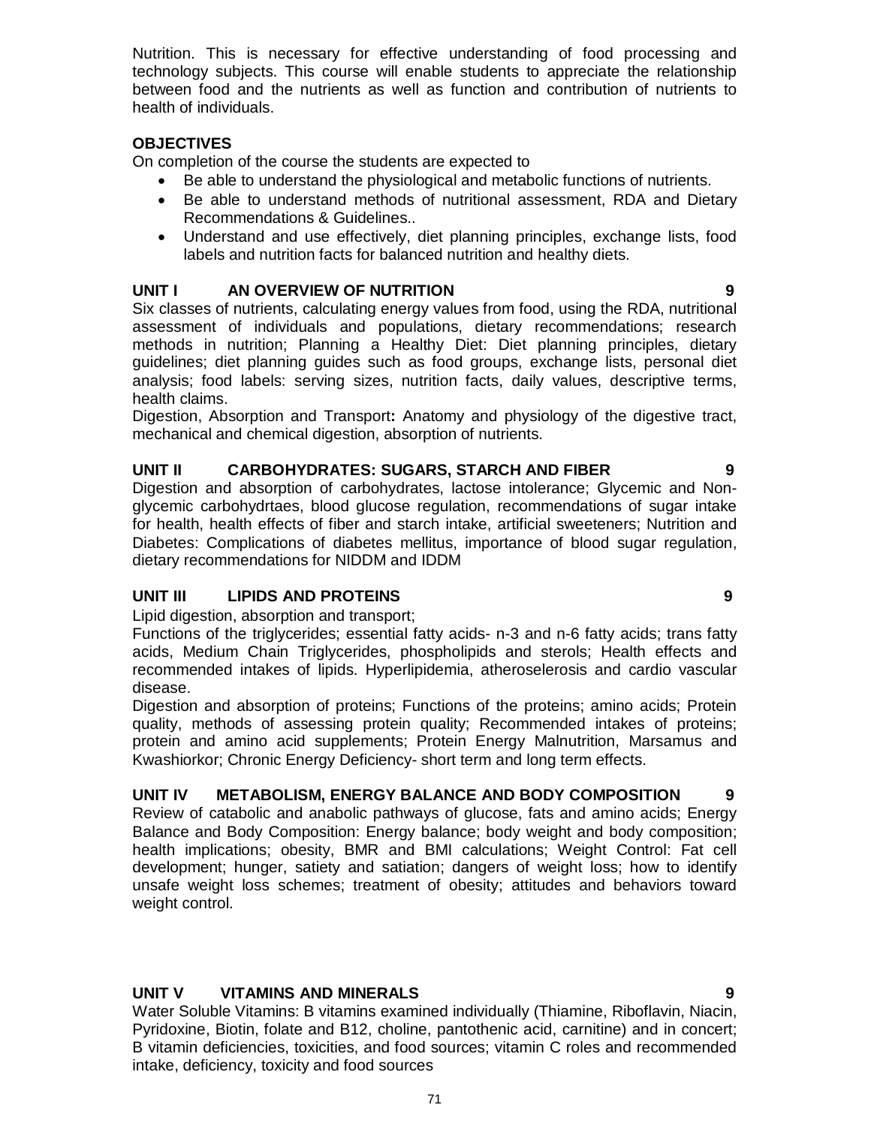Nutrition. This is necessary for effective understanding of food processing and technology subjects. This course will enable students to appreciate the relationship between food and the nutrients as well as function and contribution of nutrients to health of individuals.

# **OBJECTIVES**

On completion of the course the students are expected to

- Be able to understand the physiological and metabolic functions of nutrients.
- Be able to understand methods of nutritional assessment, RDA and Dietary Recommendations & Guidelines..
- Understand and use effectively, diet planning principles, exchange lists, food labels and nutrition facts for balanced nutrition and healthy diets.

### **UNIT I AN OVERVIEW OF NUTRITION 9**

Six classes of nutrients, calculating energy values from food, using the RDA, nutritional assessment of individuals and populations, dietary recommendations; research methods in nutrition; Planning a Healthy Diet: Diet planning principles, dietary guidelines; diet planning guides such as food groups, exchange lists, personal diet analysis; food labels: serving sizes, nutrition facts, daily values, descriptive terms, health claims.

Digestion, Absorption and Transport**:** Anatomy and physiology of the digestive tract, mechanical and chemical digestion, absorption of nutrients.

## **UNIT II CARBOHYDRATES: SUGARS, STARCH AND FIBER 9**

Digestion and absorption of carbohydrates, lactose intolerance; Glycemic and Nonglycemic carbohydrtaes, blood glucose regulation, recommendations of sugar intake for health, health effects of fiber and starch intake, artificial sweeteners; Nutrition and Diabetes: Complications of diabetes mellitus, importance of blood sugar regulation, dietary recommendations for NIDDM and IDDM

### **UNIT III LIPIDS AND PROTEINS 9**

Lipid digestion, absorption and transport;

Functions of the triglycerides; essential fatty acids- n-3 and n-6 fatty acids; trans fatty acids, Medium Chain Triglycerides, phospholipids and sterols; Health effects and recommended intakes of lipids. Hyperlipidemia, atheroselerosis and cardio vascular disease.

Digestion and absorption of proteins; Functions of the proteins; amino acids; Protein quality, methods of assessing protein quality; Recommended intakes of proteins; protein and amino acid supplements; Protein Energy Malnutrition, Marsamus and Kwashiorkor; Chronic Energy Deficiency- short term and long term effects.

#### **UNIT IV METABOLISM, ENERGY BALANCE AND BODY COMPOSITION 9**

Review of catabolic and anabolic pathways of glucose, fats and amino acids; Energy Balance and Body Composition: Energy balance; body weight and body composition; health implications; obesity, BMR and BMI calculations; Weight Control: Fat cell development; hunger, satiety and satiation; dangers of weight loss; how to identify unsafe weight loss schemes; treatment of obesity; attitudes and behaviors toward weight control.

# **UNIT V VITAMINS AND MINERALS 9**

Water Soluble Vitamins: B vitamins examined individually (Thiamine, Riboflavin, Niacin, Pyridoxine, Biotin, folate and B12, choline, pantothenic acid, carnitine) and in concert; B vitamin deficiencies, toxicities, and food sources; vitamin C roles and recommended intake, deficiency, toxicity and food sources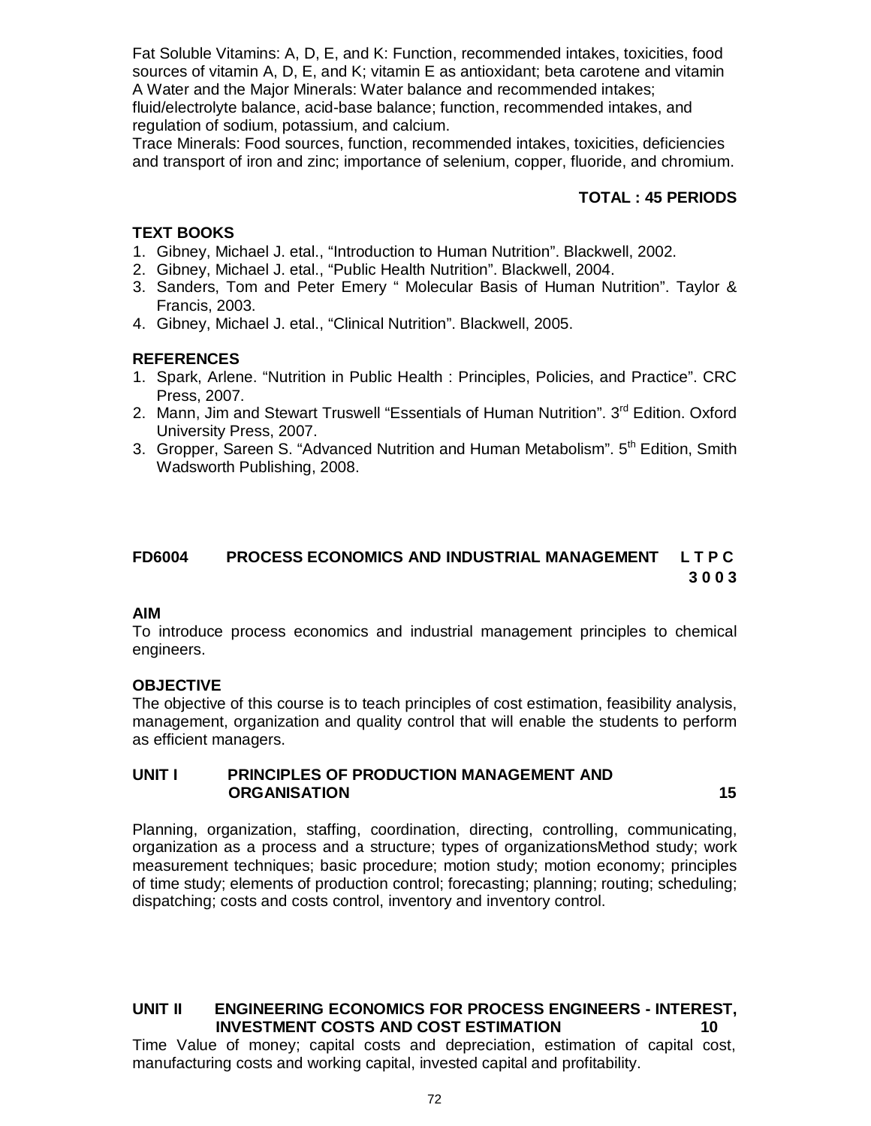Fat Soluble Vitamins: A, D, E, and K: Function, recommended intakes, toxicities, food sources of vitamin A, D, E, and K; vitamin E as antioxidant; beta carotene and vitamin A Water and the Major Minerals: Water balance and recommended intakes; fluid/electrolyte balance, acid-base balance; function, recommended intakes, and regulation of sodium, potassium, and calcium.

Trace Minerals: Food sources, function, recommended intakes, toxicities, deficiencies and transport of iron and zinc; importance of selenium, copper, fluoride, and chromium.

### **TOTAL : 45 PERIODS**

#### **TEXT BOOKS**

- 1. Gibney, Michael J. etal., "Introduction to Human Nutrition". Blackwell, 2002.
- 2. Gibney, Michael J. etal., "Public Health Nutrition". Blackwell, 2004.
- 3. Sanders, Tom and Peter Emery " Molecular Basis of Human Nutrition". Taylor & Francis, 2003.
- 4. Gibney, Michael J. etal., "Clinical Nutrition". Blackwell, 2005.

#### **REFERENCES**

- 1. Spark, Arlene. "Nutrition in Public Health : Principles, Policies, and Practice". CRC Press, 2007.
- 2. Mann, Jim and Stewart Truswell "Essentials of Human Nutrition". 3<sup>rd</sup> Edition. Oxford University Press, 2007.
- 3. Gropper, Sareen S. "Advanced Nutrition and Human Metabolism". 5<sup>th</sup> Edition, Smith Wadsworth Publishing, 2008.

### **FD6004 PROCESS ECONOMICS AND INDUSTRIAL MANAGEMENT L T P C 3 0 0 3**

#### **AIM**

To introduce process economics and industrial management principles to chemical engineers.

#### **OBJECTIVE**

The objective of this course is to teach principles of cost estimation, feasibility analysis, management, organization and quality control that will enable the students to perform as efficient managers.

#### **UNIT I PRINCIPLES OF PRODUCTION MANAGEMENT AND ORGANISATION** 15

Planning, organization, staffing, coordination, directing, controlling, communicating, organization as a process and a structure; types of organizationsMethod study; work measurement techniques; basic procedure; motion study; motion economy; principles of time study; elements of production control; forecasting; planning; routing; scheduling; dispatching; costs and costs control, inventory and inventory control.

# **UNIT II ENGINEERING ECONOMICS FOR PROCESS ENGINEERS - INTEREST, INVESTMENT COSTS AND COST ESTIMATION 10**

Time Value of money; capital costs and depreciation, estimation of capital cost, manufacturing costs and working capital, invested capital and profitability.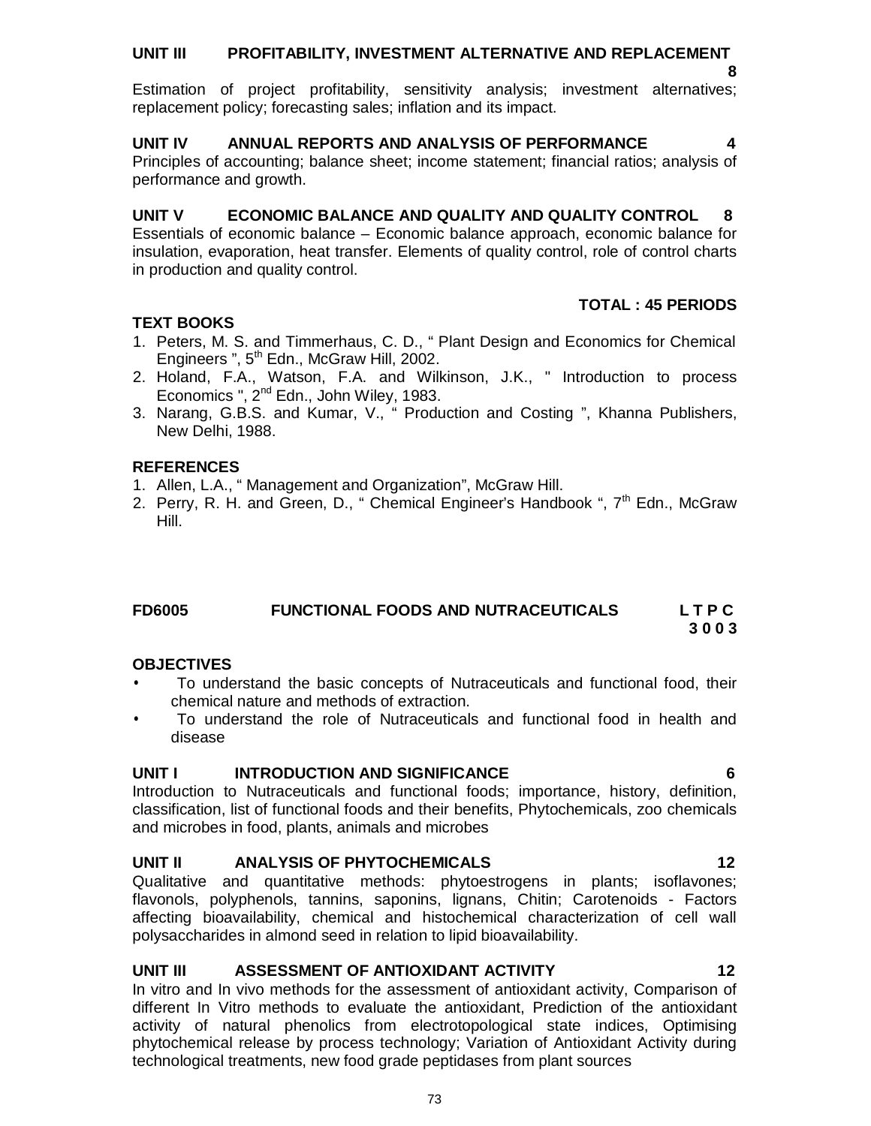73

# **UNIT III PROFITABILITY, INVESTMENT ALTERNATIVE AND REPLACEMENT**

 **8** Estimation of project profitability, sensitivity analysis; investment alternatives; replacement policy; forecasting sales; inflation and its impact.

# **UNIT IV ANNUAL REPORTS AND ANALYSIS OF PERFORMANCE 4**

Principles of accounting; balance sheet; income statement; financial ratios; analysis of performance and growth.

# **UNIT V ECONOMIC BALANCE AND QUALITY AND QUALITY CONTROL 8**

Essentials of economic balance – Economic balance approach, economic balance for insulation, evaporation, heat transfer. Elements of quality control, role of control charts in production and quality control.

# **TEXT BOOKS**

- 1. Peters, M. S. and Timmerhaus, C. D., " Plant Design and Economics for Chemical Engineers ", 5<sup>th</sup> Edn., McGraw Hill, 2002.
- 2. Holand, F.A., Watson, F.A. and Wilkinson, J.K., " Introduction to process Economics ", 2<sup>nd</sup> Edn., John Wiley, 1983.
- 3. Narang, G.B.S. and Kumar, V., " Production and Costing ", Khanna Publishers, New Delhi, 1988.

# **REFERENCES**

- 1. Allen, L.A., " Management and Organization", McGraw Hill.
- 2. Perry, R. H. and Green, D., " Chemical Engineer's Handbook ", 7<sup>th</sup> Edn., McGraw Hill.

#### **FD6005 FUNCTIONAL FOODS AND NUTRACEUTICALS L T P C 3 0 0 3**

# **OBJECTIVES**

- To understand the basic concepts of Nutraceuticals and functional food, their chemical nature and methods of extraction.
- To understand the role of Nutraceuticals and functional food in health and disease

# **UNIT I INTRODUCTION AND SIGNIFICANCE 6**

Introduction to Nutraceuticals and functional foods; importance, history, definition, classification, list of functional foods and their benefits, Phytochemicals, zoo chemicals and microbes in food, plants, animals and microbes

# **UNIT II ANALYSIS OF PHYTOCHEMICALS 12**

Qualitative and quantitative methods: phytoestrogens in plants; isoflavones; flavonols, polyphenols, tannins, saponins, lignans, Chitin; Carotenoids - Factors affecting bioavailability, chemical and histochemical characterization of cell wall polysaccharides in almond seed in relation to lipid bioavailability.

# **UNIT III ASSESSMENT OF ANTIOXIDANT ACTIVITY 12**

In vitro and In vivo methods for the assessment of antioxidant activity, Comparison of different In Vitro methods to evaluate the antioxidant, Prediction of the antioxidant activity of natural phenolics from electrotopological state indices, Optimising phytochemical release by process technology; Variation of Antioxidant Activity during technological treatments, new food grade peptidases from plant sources

**TOTAL : 45 PERIODS**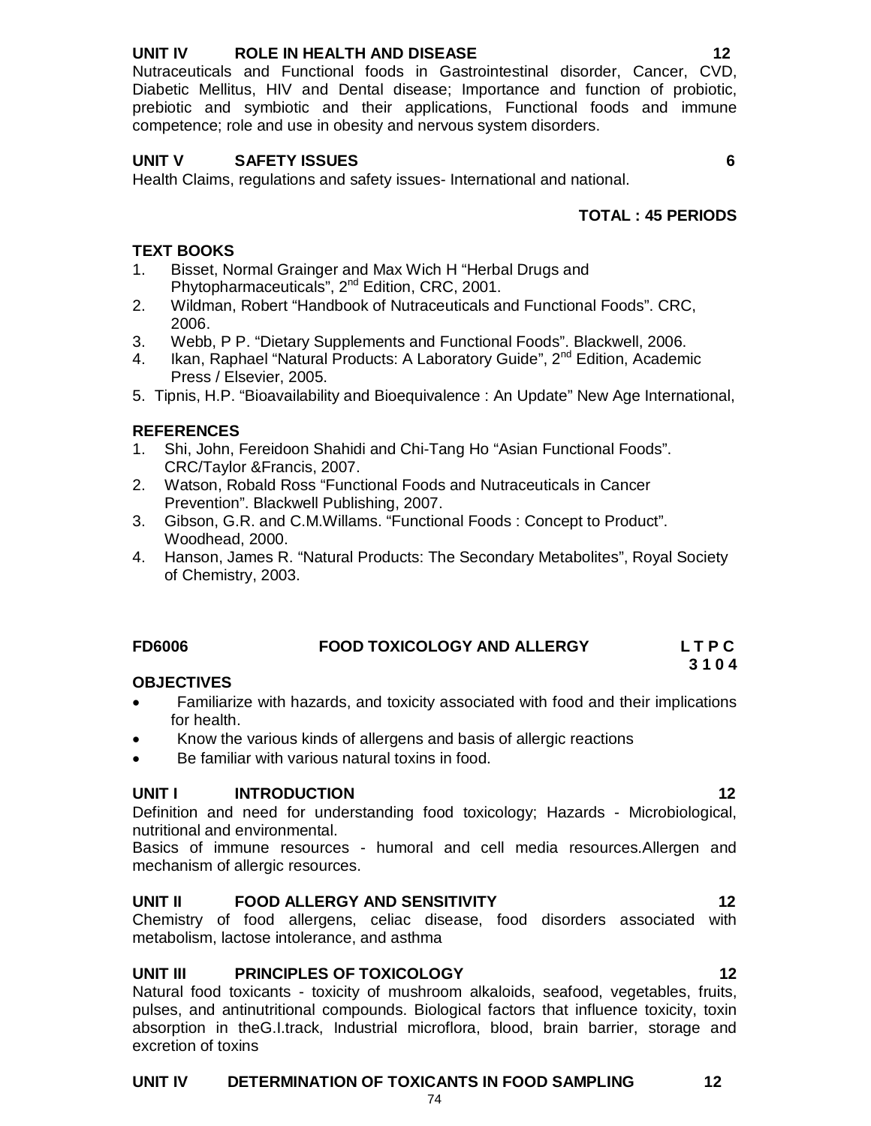# **UNIT IV ROLE IN HEALTH AND DISEASE 12**

Nutraceuticals and Functional foods in Gastrointestinal disorder, Cancer, CVD, Diabetic Mellitus, HIV and Dental disease; Importance and function of probiotic, prebiotic and symbiotic and their applications, Functional foods and immune competence; role and use in obesity and nervous system disorders.

# **UNIT V SAFETY ISSUES 6**

Health Claims, regulations and safety issues- International and national.

# **TOTAL : 45 PERIODS**

# **TEXT BOOKS**

- 1. Bisset, Normal Grainger and Max Wich H "Herbal Drugs and Phytopharmaceuticals", 2<sup>nd</sup> Edition, CRC, 2001.
- 2. Wildman, Robert "Handbook of Nutraceuticals and Functional Foods". CRC, 2006.
- 3. Webb, P P. "Dietary Supplements and Functional Foods". Blackwell, 2006.
- 4. Ikan, Raphael "Natural Products: A Laboratory Guide", 2<sup>nd</sup> Edition, Academic Press / Elsevier, 2005.
- 5. Tipnis, H.P. "Bioavailability and Bioequivalence : An Update" New Age International,

# **REFERENCES**

- 1. Shi, John, Fereidoon Shahidi and Chi-Tang Ho "Asian Functional Foods". CRC/Taylor &Francis, 2007.
- 2. Watson, Robald Ross "Functional Foods and Nutraceuticals in Cancer Prevention". Blackwell Publishing, 2007.
- 3. Gibson, G.R. and C.M.Willams. "Functional Foods : Concept to Product". Woodhead, 2000.
- 4. Hanson, James R. "Natural Products: The Secondary Metabolites", Royal Society of Chemistry, 2003.

#### **FD6006 FOOD TOXICOLOGY AND ALLERGY L T P C 3 1 0 4**

## **OBJECTIVES**

- Familiarize with hazards, and toxicity associated with food and their implications for health.
- Know the various kinds of allergens and basis of allergic reactions
- Be familiar with various natural toxins in food.

## **UNIT I** INTRODUCTION 12

Definition and need for understanding food toxicology; Hazards - Microbiological, nutritional and environmental.

Basics of immune resources - humoral and cell media resources.Allergen and mechanism of allergic resources.

# **UNIT II FOOD ALLERGY AND SENSITIVITY 12**

Chemistry of food allergens, celiac disease, food disorders associated with metabolism, lactose intolerance, and asthma

# **UNIT III PRINCIPLES OF TOXICOLOGY 12**

Natural food toxicants - toxicity of mushroom alkaloids, seafood, vegetables, fruits, pulses, and antinutritional compounds. Biological factors that influence toxicity, toxin absorption in theG.I.track, Industrial microflora, blood, brain barrier, storage and excretion of toxins

## **UNIT IV DETERMINATION OF TOXICANTS IN FOOD SAMPLING 12**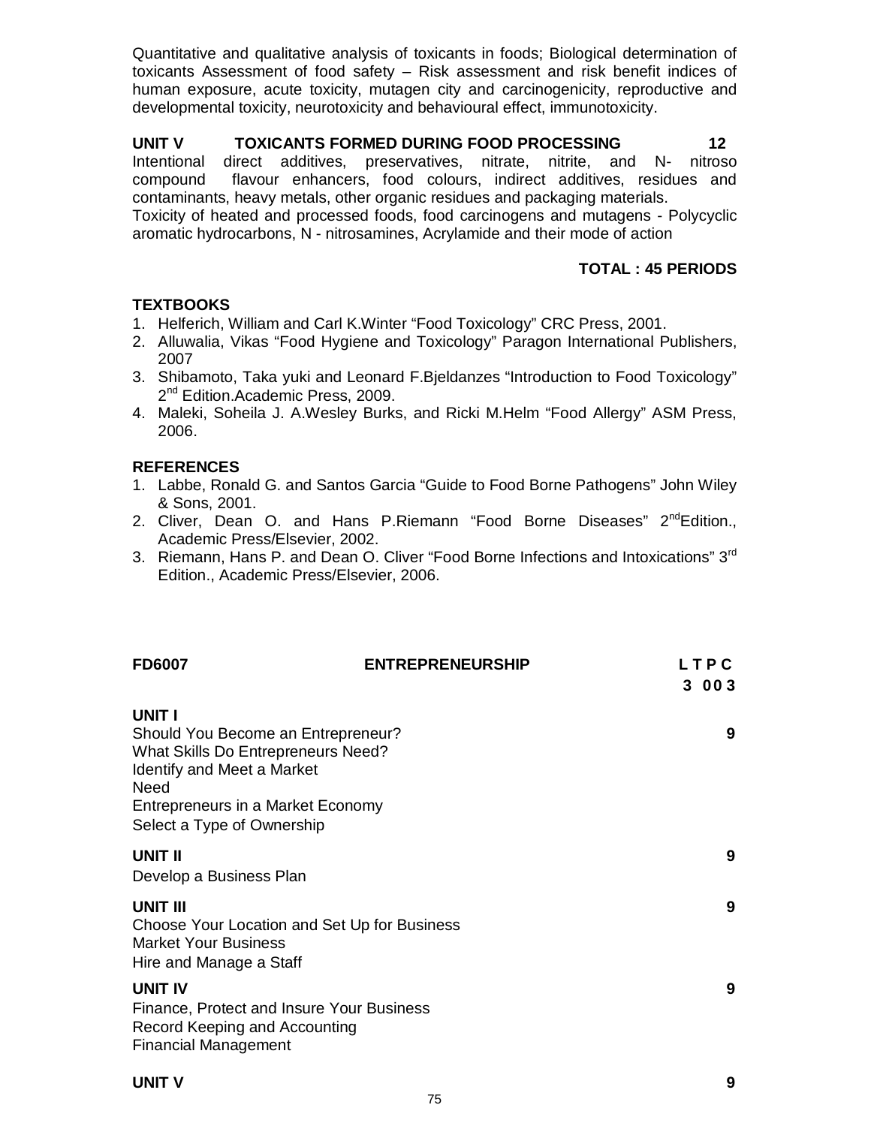Quantitative and qualitative analysis of toxicants in foods; Biological determination of toxicants Assessment of food safety – Risk assessment and risk benefit indices of human exposure, acute toxicity, mutagen city and carcinogenicity, reproductive and developmental toxicity, neurotoxicity and behavioural effect, immunotoxicity.

# **UNIT V TOXICANTS FORMED DURING FOOD PROCESSING 12**

Intentional direct additives, preservatives, nitrate, nitrite, and N- nitroso compound flavour enhancers, food colours, indirect additives, residues and contaminants, heavy metals, other organic residues and packaging materials.

Toxicity of heated and processed foods, food carcinogens and mutagens - Polycyclic aromatic hydrocarbons, N - nitrosamines, Acrylamide and their mode of action

# **TOTAL : 45 PERIODS**

# **TEXTBOOKS**

- 1. Helferich, William and Carl K.Winter "Food Toxicology" CRC Press, 2001.
- 2. Alluwalia, Vikas "Food Hygiene and Toxicology" Paragon International Publishers, 2007
- 3. Shibamoto, Taka yuki and Leonard F.Bjeldanzes "Introduction to Food Toxicology" 2<sup>nd</sup> Edition.Academic Press, 2009.
- 4. Maleki, Soheila J. A.Wesley Burks, and Ricki M.Helm "Food Allergy" ASM Press, 2006.

# **REFERENCES**

- 1. Labbe, Ronald G. and Santos Garcia "Guide to Food Borne Pathogens" John Wiley & Sons, 2001.
- 2. Cliver, Dean O. and Hans P. Riemann "Food Borne Diseases" 2<sup>nd</sup>Edition., Academic Press/Elsevier, 2002.
- 3. Riemann, Hans P. and Dean O. Cliver "Food Borne Infections and Intoxications" 3<sup>rd</sup> Edition., Academic Press/Elsevier, 2006.

| <b>FD6007</b>                                                                                                                                                                               | <b>ENTREPRENEURSHIP</b> | LTPC<br>3 00 3 |
|---------------------------------------------------------------------------------------------------------------------------------------------------------------------------------------------|-------------------------|----------------|
| UNIT I<br>Should You Become an Entrepreneur?<br>What Skills Do Entrepreneurs Need?<br>Identify and Meet a Market<br>Need<br>Entrepreneurs in a Market Economy<br>Select a Type of Ownership |                         | 9              |
| UNIT II<br>Develop a Business Plan                                                                                                                                                          |                         | 9              |
| UNIT III<br>Choose Your Location and Set Up for Business<br><b>Market Your Business</b><br>Hire and Manage a Staff                                                                          |                         | 9              |
| UNIT IV<br>Finance, Protect and Insure Your Business<br>Record Keeping and Accounting<br><b>Financial Management</b>                                                                        |                         | 9              |

# **UNIT V 9**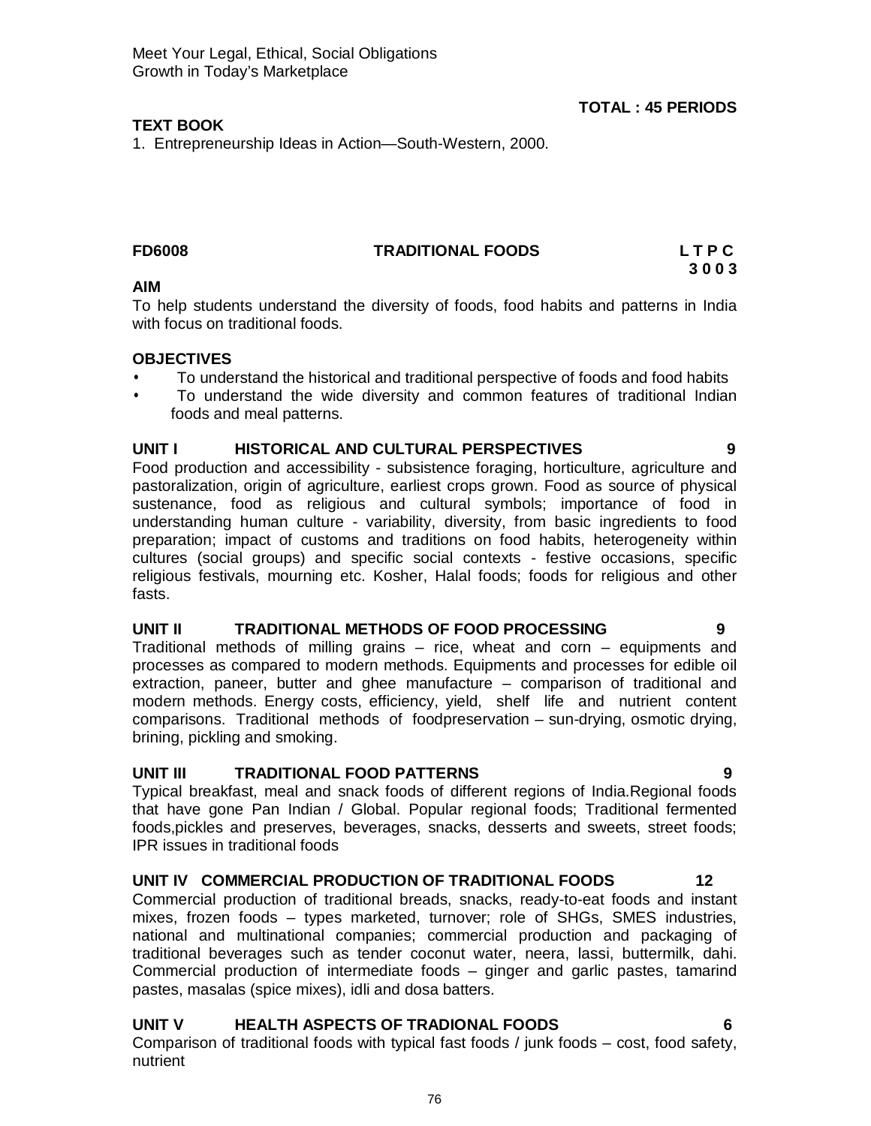# **TEXT BOOK**

1. Entrepreneurship Ideas in Action—South-Western, 2000.

# **FD6008 TRADITIONAL FOODS L T P C**

**3 0 0 3**

**TOTAL : 45 PERIODS**

# **AIM**

To help students understand the diversity of foods, food habits and patterns in India with focus on traditional foods.

# **OBJECTIVES**

- To understand the historical and traditional perspective of foods and food habits
- To understand the wide diversity and common features of traditional Indian foods and meal patterns.

# **UNIT I HISTORICAL AND CULTURAL PERSPECTIVES 9**

Food production and accessibility - subsistence foraging, horticulture, agriculture and pastoralization, origin of agriculture, earliest crops grown. Food as source of physical sustenance, food as religious and cultural symbols; importance of food in understanding human culture - variability, diversity, from basic ingredients to food preparation; impact of customs and traditions on food habits, heterogeneity within cultures (social groups) and specific social contexts - festive occasions, specific religious festivals, mourning etc. Kosher, Halal foods; foods for religious and other fasts.

# **UNIT II TRADITIONAL METHODS OF FOOD PROCESSING 9**

Traditional methods of milling grains – rice, wheat and corn – equipments and processes as compared to modern methods. Equipments and processes for edible oil extraction, paneer, butter and ghee manufacture – comparison of traditional and modern methods. Energy costs, efficiency, yield, shelf life and nutrient content comparisons. Traditional methods of foodpreservation – sun-drying, osmotic drying, brining, pickling and smoking.

# **UNIT III TRADITIONAL FOOD PATTERNS 9**

Typical breakfast, meal and snack foods of different regions of India.Regional foods that have gone Pan Indian / Global. Popular regional foods; Traditional fermented foods,pickles and preserves, beverages, snacks, desserts and sweets, street foods; IPR issues in traditional foods

# **UNIT IV COMMERCIAL PRODUCTION OF TRADITIONAL FOODS 12**

Commercial production of traditional breads, snacks, ready-to-eat foods and instant mixes, frozen foods – types marketed, turnover; role of SHGs, SMES industries, national and multinational companies; commercial production and packaging of traditional beverages such as tender coconut water, neera, lassi, buttermilk, dahi. Commercial production of intermediate foods – ginger and garlic pastes, tamarind pastes, masalas (spice mixes), idli and dosa batters.

# **UNIT V HEALTH ASPECTS OF TRADIONAL FOODS 6**

Comparison of traditional foods with typical fast foods / junk foods – cost, food safety, nutrient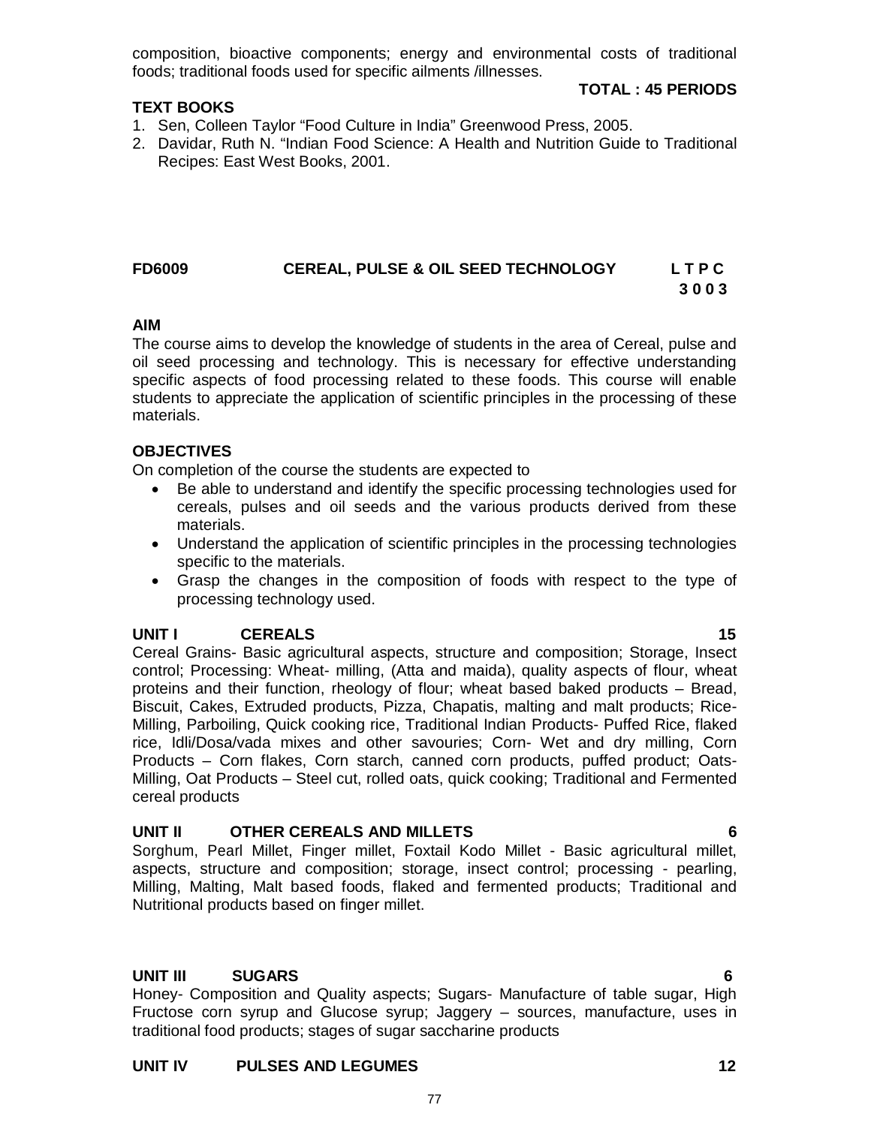composition, bioactive components; energy and environmental costs of traditional foods; traditional foods used for specific ailments /illnesses.

### **TEXT BOOKS**

- 1. Sen, Colleen Taylor "Food Culture in India" Greenwood Press, 2005.
- 2. Davidar, Ruth N. "Indian Food Science: A Health and Nutrition Guide to Traditional Recipes: East West Books, 2001.

#### **FD6009 CEREAL, PULSE & OIL SEED TECHNOLOGY L T P C 3 0 0 3**

#### **AIM**

The course aims to develop the knowledge of students in the area of Cereal, pulse and oil seed processing and technology. This is necessary for effective understanding specific aspects of food processing related to these foods. This course will enable students to appreciate the application of scientific principles in the processing of these materials.

### **OBJECTIVES**

On completion of the course the students are expected to

- Be able to understand and identify the specific processing technologies used for cereals, pulses and oil seeds and the various products derived from these materials.
- Understand the application of scientific principles in the processing technologies specific to the materials.
- Grasp the changes in the composition of foods with respect to the type of processing technology used.

## **UNIT I CEREALS 15**

Cereal Grains- Basic agricultural aspects, structure and composition; Storage, Insect control; Processing: Wheat- milling, (Atta and maida), quality aspects of flour, wheat proteins and their function, rheology of flour; wheat based baked products – Bread, Biscuit, Cakes, Extruded products, Pizza, Chapatis, malting and malt products; Rice-Milling, Parboiling, Quick cooking rice, Traditional Indian Products- Puffed Rice, flaked rice, Idli/Dosa/vada mixes and other savouries; Corn- Wet and dry milling, Corn Products – Corn flakes, Corn starch, canned corn products, puffed product; Oats-Milling, Oat Products – Steel cut, rolled oats, quick cooking; Traditional and Fermented cereal products

#### **UNIT II OTHER CEREALS AND MILLETS 6**

Sorghum, Pearl Millet, Finger millet, Foxtail Kodo Millet - Basic agricultural millet, aspects, structure and composition; storage, insect control; processing - pearling, Milling, Malting, Malt based foods, flaked and fermented products; Traditional and Nutritional products based on finger millet.

#### **UNIT III SUGARS 6**

Honey- Composition and Quality aspects; Sugars- Manufacture of table sugar, High Fructose corn syrup and Glucose syrup; Jaggery – sources, manufacture, uses in traditional food products; stages of sugar saccharine products

#### **UNIT IV PULSES AND LEGUMES 12**

# **TOTAL : 45 PERIODS**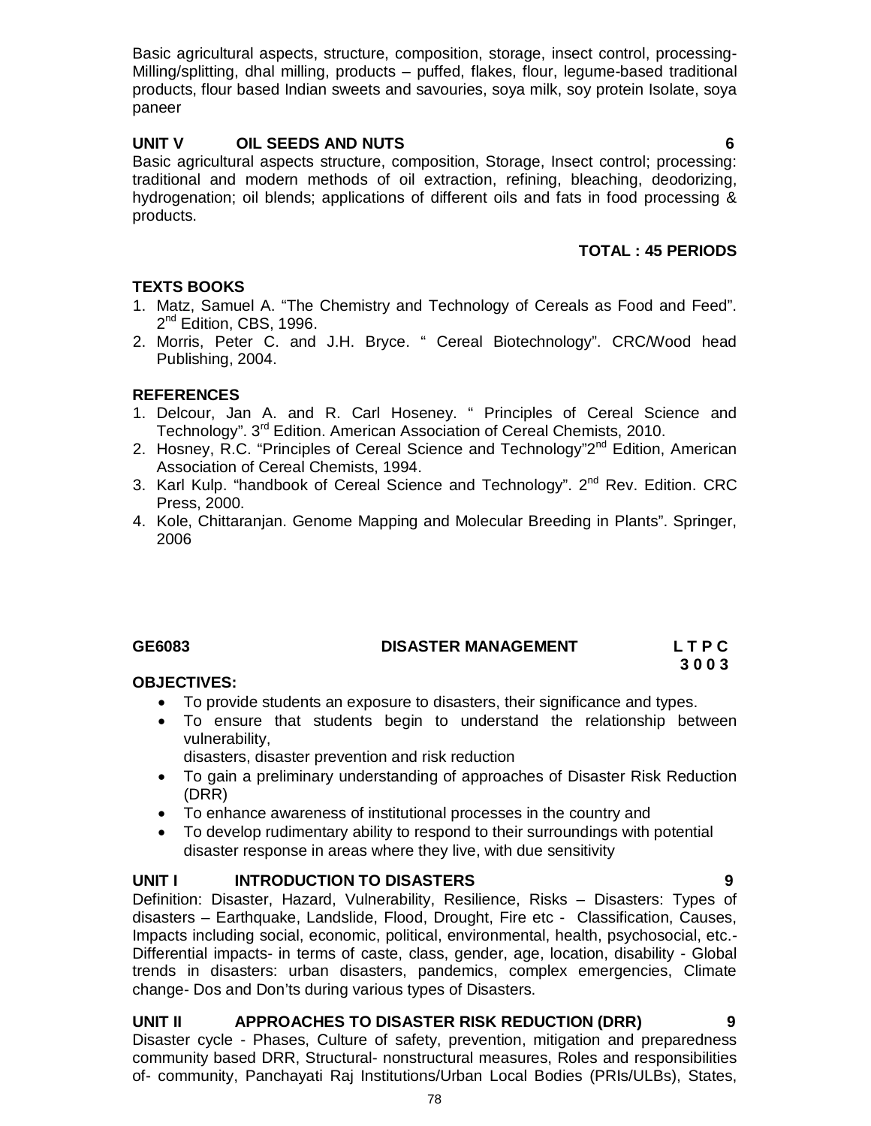Basic agricultural aspects, structure, composition, storage, insect control, processing-Milling/splitting, dhal milling, products – puffed, flakes, flour, legume-based traditional products, flour based Indian sweets and savouries, soya milk, soy protein Isolate, soya paneer

# **UNIT V OIL SEEDS AND NUTS 6**

Basic agricultural aspects structure, composition, Storage, Insect control; processing: traditional and modern methods of oil extraction, refining, bleaching, deodorizing, hydrogenation; oil blends; applications of different oils and fats in food processing & products.

# **TOTAL : 45 PERIODS**

# **TEXTS BOOKS**

- 1. Matz, Samuel A. "The Chemistry and Technology of Cereals as Food and Feed". 2<sup>nd</sup> Edition, CBS, 1996.
- 2. Morris, Peter C. and J.H. Bryce. " Cereal Biotechnology". CRC/Wood head Publishing, 2004.

# **REFERENCES**

- 1. Delcour, Jan A. and R. Carl Hoseney. " Principles of Cereal Science and Technology". 3rd Edition. American Association of Cereal Chemists, 2010.
- 2. Hosney, R.C. "Principles of Cereal Science and Technology"2<sup>nd</sup> Edition, American Association of Cereal Chemists, 1994.
- 3. Karl Kulp. "handbook of Cereal Science and Technology". 2<sup>nd</sup> Rev. Edition. CRC Press, 2000.
- 4. Kole, Chittaranjan. Genome Mapping and Molecular Breeding in Plants". Springer, 2006

# **GE6083 DISASTER MANAGEMENT L T P C**

 **3 0 0 3** 

## **OBJECTIVES:**

- To provide students an exposure to disasters, their significance and types.
- To ensure that students begin to understand the relationship between vulnerability,

disasters, disaster prevention and risk reduction

- To gain a preliminary understanding of approaches of Disaster Risk Reduction (DRR)
- To enhance awareness of institutional processes in the country and
- To develop rudimentary ability to respond to their surroundings with potential disaster response in areas where they live, with due sensitivity

# **UNIT I INTRODUCTION TO DISASTERS 9**

Definition: Disaster, Hazard, Vulnerability, Resilience, Risks – Disasters: Types of disasters – Earthquake, Landslide, Flood, Drought, Fire etc - Classification, Causes, Impacts including social, economic, political, environmental, health, psychosocial, etc.- Differential impacts- in terms of caste, class, gender, age, location, disability - Global trends in disasters: urban disasters, pandemics, complex emergencies, Climate change- Dos and Don'ts during various types of Disasters.

# **UNIT II APPROACHES TO DISASTER RISK REDUCTION (DRR) 9**

Disaster cycle - Phases, Culture of safety, prevention, mitigation and preparedness community based DRR, Structural- nonstructural measures, Roles and responsibilities of- community, Panchayati Raj Institutions/Urban Local Bodies (PRIs/ULBs), States,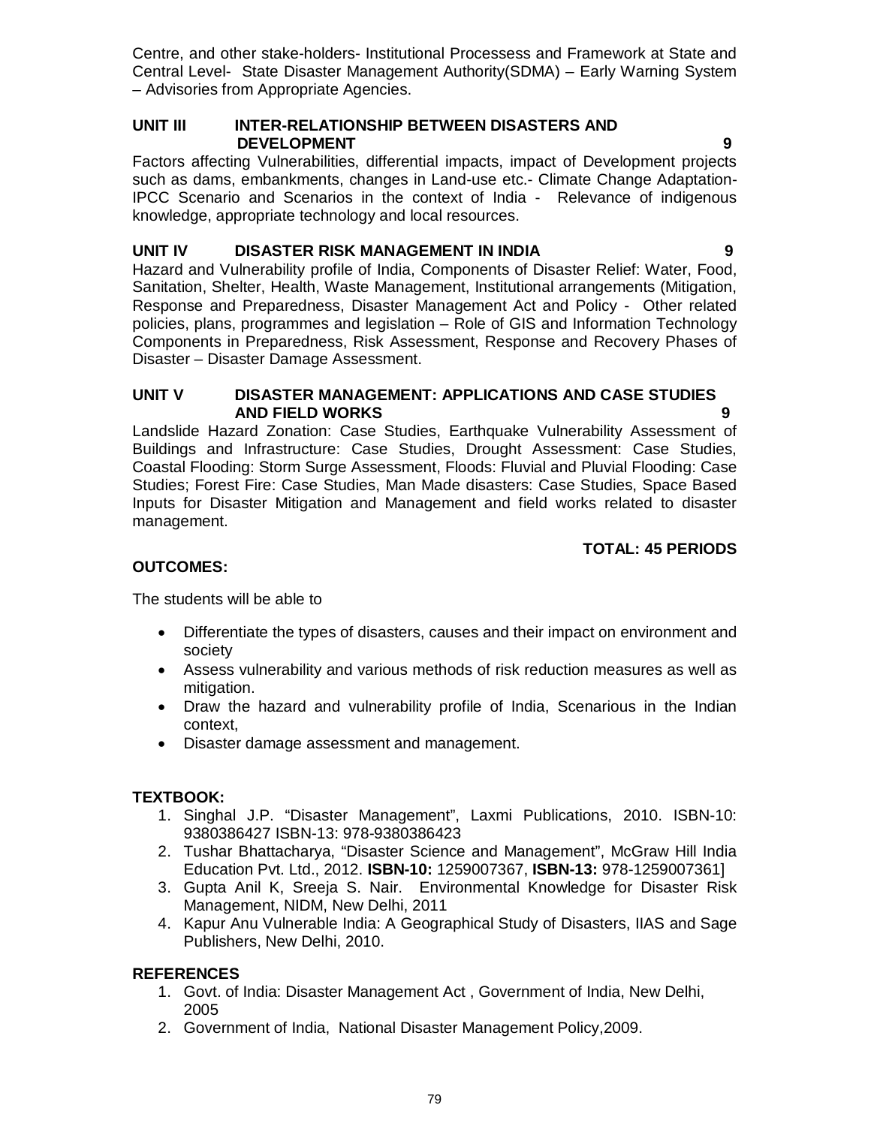Centre, and other stake-holders- Institutional Processess and Framework at State and Central Level- State Disaster Management Authority(SDMA) – Early Warning System – Advisories from Appropriate Agencies.

### **UNIT III INTER-RELATIONSHIP BETWEEN DISASTERS AND DEVELOPMENT 9**

Factors affecting Vulnerabilities, differential impacts, impact of Development projects such as dams, embankments, changes in Land-use etc.- Climate Change Adaptation-IPCC Scenario and Scenarios in the context of India - Relevance of indigenous knowledge, appropriate technology and local resources.

# **UNIT IV DISASTER RISK MANAGEMENT IN INDIA 9**

Hazard and Vulnerability profile of India, Components of Disaster Relief: Water, Food, Sanitation, Shelter, Health, Waste Management, Institutional arrangements (Mitigation, Response and Preparedness, Disaster Management Act and Policy - Other related policies, plans, programmes and legislation – Role of GIS and Information Technology Components in Preparedness, Risk Assessment, Response and Recovery Phases of Disaster – Disaster Damage Assessment.

# **UNIT V DISASTER MANAGEMENT: APPLICATIONS AND CASE STUDIES AND FIELD WORKS 9**

Landslide Hazard Zonation: Case Studies, Earthquake Vulnerability Assessment of Buildings and Infrastructure: Case Studies, Drought Assessment: Case Studies, Coastal Flooding: Storm Surge Assessment, Floods: Fluvial and Pluvial Flooding: Case Studies; Forest Fire: Case Studies, Man Made disasters: Case Studies, Space Based Inputs for Disaster Mitigation and Management and field works related to disaster management.

# **TOTAL: 45 PERIODS**

# **OUTCOMES:**

The students will be able to

- Differentiate the types of disasters, causes and their impact on environment and society
- Assess vulnerability and various methods of risk reduction measures as well as mitigation.
- Draw the hazard and vulnerability profile of India, Scenarious in the Indian context,
- Disaster damage assessment and management.

# **TEXTBOOK:**

- 1. Singhal J.P. "Disaster Management", Laxmi Publications, 2010. ISBN-10: 9380386427 ISBN-13: 978-9380386423
- 2. Tushar Bhattacharya, "Disaster Science and Management", McGraw Hill India Education Pvt. Ltd., 2012. **ISBN-10:** 1259007367, **ISBN-13:** 978-1259007361]
- 3. Gupta Anil K, Sreeja S. Nair. Environmental Knowledge for Disaster Risk Management, NIDM, New Delhi, 2011
- 4. Kapur Anu Vulnerable India: A Geographical Study of Disasters, IIAS and Sage Publishers, New Delhi, 2010.

# **REFERENCES**

- 1. Govt. of India: Disaster Management Act , Government of India, New Delhi, 2005
- 2. Government of India, National Disaster Management Policy,2009.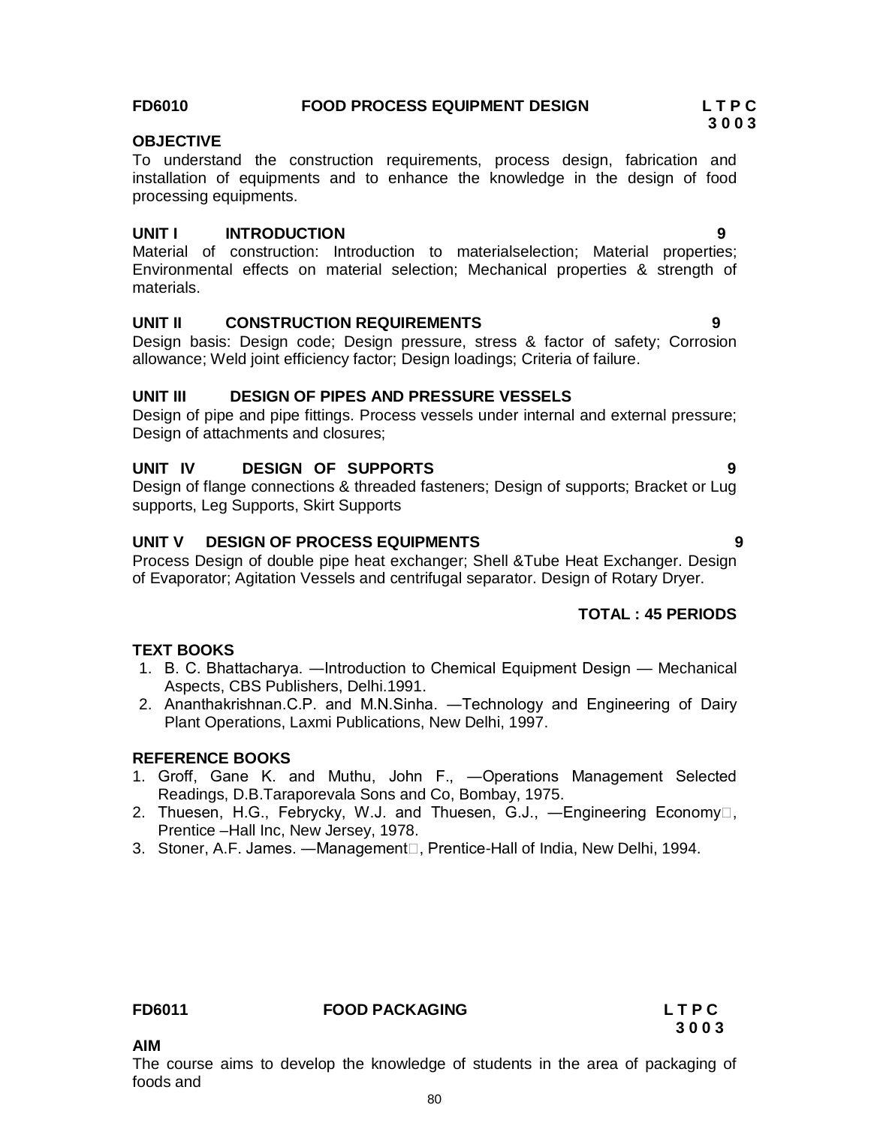### **FD6010 FOOD PROCESS EQUIPMENT DESIGN L T P C**

## **OBJECTIVE**

To understand the construction requirements, process design, fabrication and installation of equipments and to enhance the knowledge in the design of food processing equipments.

### **UNIT I INTRODUCTION 9**

Material of construction: Introduction to materialselection; Material properties; Environmental effects on material selection; Mechanical properties & strength of materials.

### **UNIT II CONSTRUCTION REQUIREMENTS 9**

Design basis: Design code; Design pressure, stress & factor of safety; Corrosion allowance; Weld joint efficiency factor; Design loadings; Criteria of failure.

### **UNIT III DESIGN OF PIPES AND PRESSURE VESSELS**

Design of pipe and pipe fittings. Process vessels under internal and external pressure; Design of attachments and closures;

### **UNIT IV DESIGN OF SUPPORTS 9**

Design of flange connections & threaded fasteners; Design of supports; Bracket or Lug supports, Leg Supports, Skirt Supports

# **UNIT V DESIGN OF PROCESS EQUIPMENTS 9**

Process Design of double pipe heat exchanger; Shell &Tube Heat Exchanger. Design of Evaporator; Agitation Vessels and centrifugal separator. Design of Rotary Dryer.

## **TOTAL : 45 PERIODS**

#### **TEXT BOOKS**

- 1. B. C. Bhattacharya. ―Introduction to Chemical Equipment Design Mechanical Aspects, CBS Publishers, Delhi.1991.
- 2. Ananthakrishnan.C.P. and M.N.Sinha. ―Technology and Engineering of Dairy Plant Operations, Laxmi Publications, New Delhi, 1997.

#### **REFERENCE BOOKS**

- 1. Groff, Gane K. and Muthu, John F., ―Operations Management Selected Readings, D.B.Taraporevala Sons and Co, Bombay, 1975.
- 2. Thuesen, H.G., Febrycky, W.J. and Thuesen, G.J., -Engineering Economy<sup>[]</sup>, Prentice –Hall Inc, New Jersey, 1978.
- 3. Stoner, A.F. James. Management<sup>[]</sup>, Prentice-Hall of India, New Delhi, 1994.

#### **FD6011 FOOD PACKAGING L T P C**

# **3 0 0 3**

**AIM**

The course aims to develop the knowledge of students in the area of packaging of foods and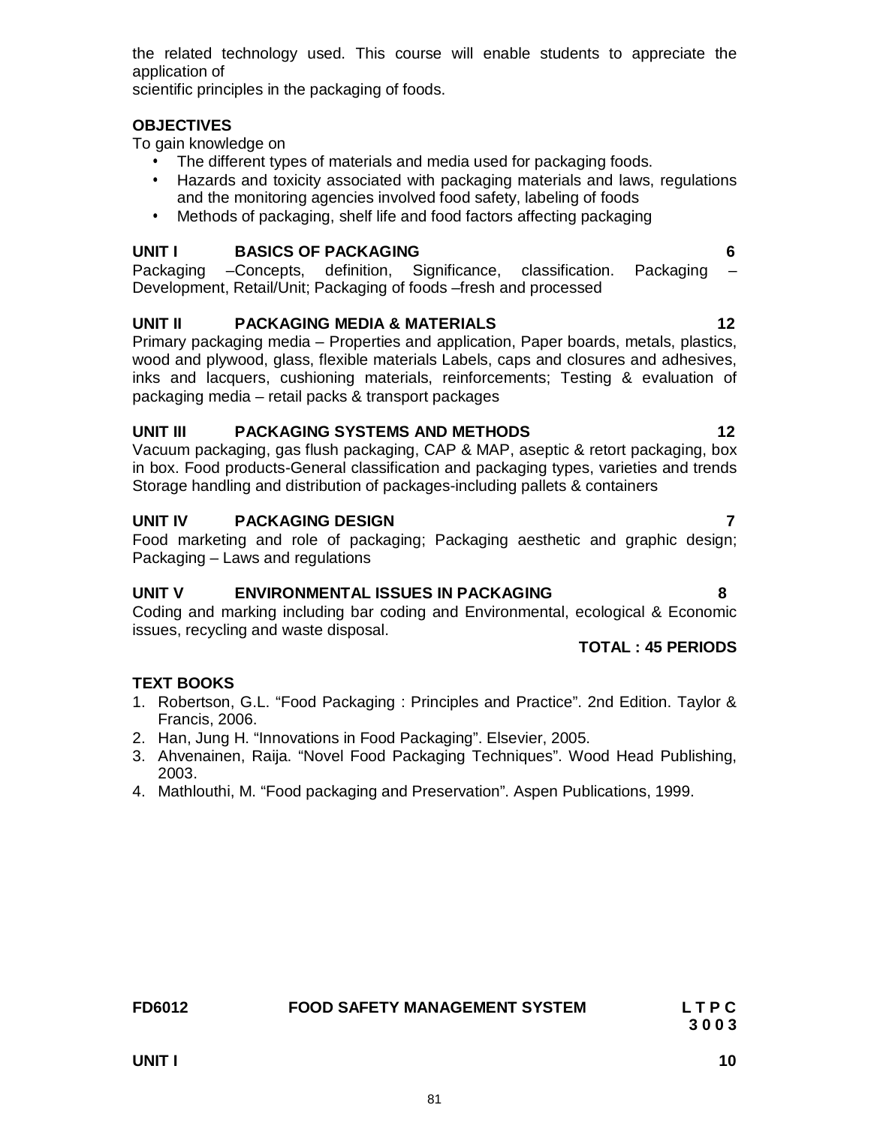application of scientific principles in the packaging of foods.

#### **OBJECTIVES**

To gain knowledge on

- The different types of materials and media used for packaging foods.
- Hazards and toxicity associated with packaging materials and laws, regulations and the monitoring agencies involved food safety, labeling of foods

the related technology used. This course will enable students to appreciate the

• Methods of packaging, shelf life and food factors affecting packaging

#### **UNIT I BASICS OF PACKAGING 6**

Packaging –Concepts, definition, Significance, classification. Packaging – Development, Retail/Unit; Packaging of foods –fresh and processed

#### **UNIT II PACKAGING MEDIA & MATERIALS 12**

Primary packaging media – Properties and application, Paper boards, metals, plastics, wood and plywood, glass, flexible materials Labels, caps and closures and adhesives, inks and lacquers, cushioning materials, reinforcements; Testing & evaluation of packaging media – retail packs & transport packages

#### **UNIT III PACKAGING SYSTEMS AND METHODS 12**

Vacuum packaging, gas flush packaging, CAP & MAP, aseptic & retort packaging, box in box. Food products-General classification and packaging types, varieties and trends Storage handling and distribution of packages-including pallets & containers

### UNIT IV PACKAGING DESIGN **7**

Food marketing and role of packaging; Packaging aesthetic and graphic design; Packaging – Laws and regulations

#### **UNIT V ENVIRONMENTAL ISSUES IN PACKAGING 8**

Coding and marking including bar coding and Environmental, ecological & Economic issues, recycling and waste disposal.

### **TOTAL : 45 PERIODS**

#### **TEXT BOOKS**

- 1. Robertson, G.L. "Food Packaging : Principles and Practice". 2nd Edition. Taylor & Francis, 2006.
- 2. Han, Jung H. "Innovations in Food Packaging". Elsevier, 2005.
- 3. Ahvenainen, Raija. "Novel Food Packaging Techniques". Wood Head Publishing, 2003.
- 4. Mathlouthi, M. "Food packaging and Preservation". Aspen Publications, 1999.

81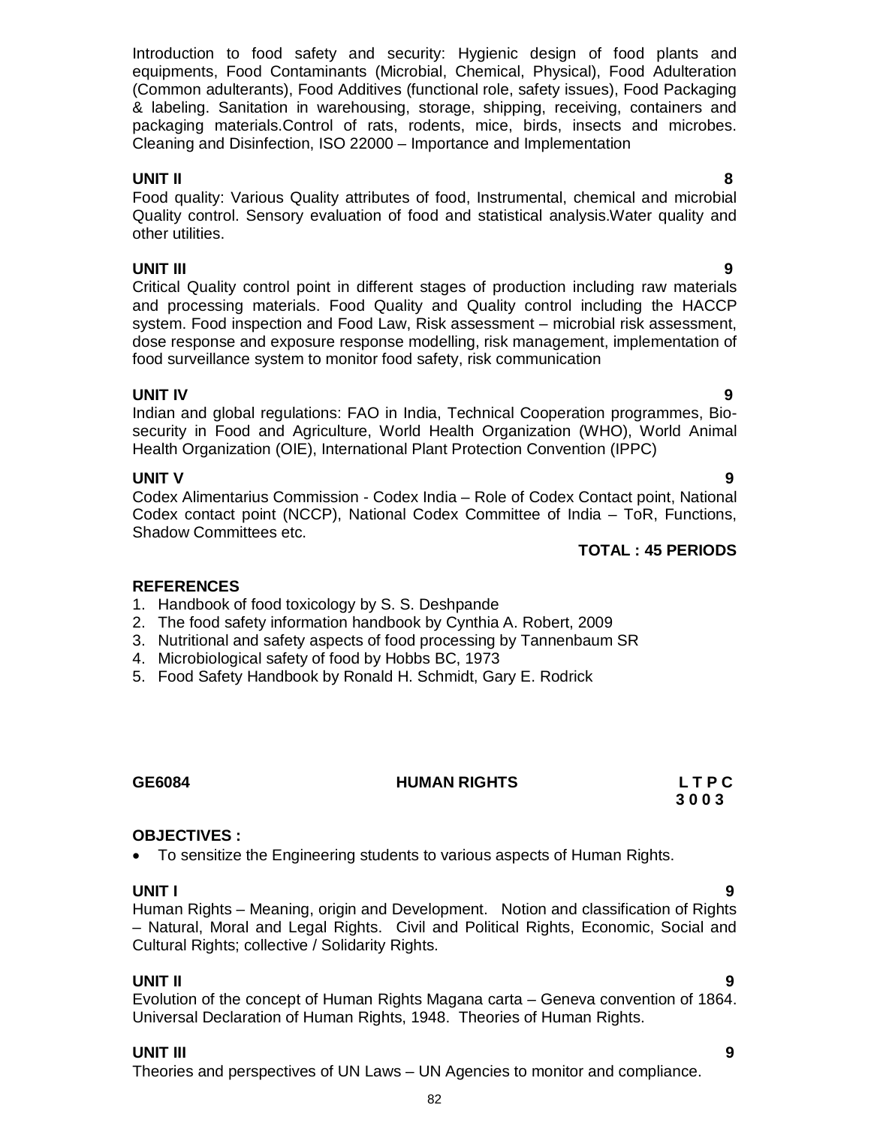Introduction to food safety and security: Hygienic design of food plants and equipments, Food Contaminants (Microbial, Chemical, Physical), Food Adulteration (Common adulterants), Food Additives (functional role, safety issues), Food Packaging & labeling. Sanitation in warehousing, storage, shipping, receiving, containers and packaging materials.Control of rats, rodents, mice, birds, insects and microbes. Cleaning and Disinfection, ISO 22000 – Importance and Implementation

# **UNIT II 8**

Food quality: Various Quality attributes of food, Instrumental, chemical and microbial Quality control. Sensory evaluation of food and statistical analysis.Water quality and other utilities.

**UNIT III 9** Critical Quality control point in different stages of production including raw materials and processing materials. Food Quality and Quality control including the HACCP system. Food inspection and Food Law, Risk assessment – microbial risk assessment, dose response and exposure response modelling, risk management, implementation of food surveillance system to monitor food safety, risk communication

**UNIT IV 9** Indian and global regulations: FAO in India, Technical Cooperation programmes, Biosecurity in Food and Agriculture, World Health Organization (WHO), World Animal Health Organization (OIE), International Plant Protection Convention (IPPC)

# **UNIT V** 9

Codex Alimentarius Commission - Codex India – Role of Codex Contact point, National Codex contact point (NCCP), National Codex Committee of India – ToR, Functions, Shadow Committees etc.

# **TOTAL : 45 PERIODS**

# **REFERENCES**

- 1. Handbook of food toxicology by S. S. Deshpande
- 2. The food safety information handbook by Cynthia A. Robert, 2009
- 3. Nutritional and safety aspects of food processing by Tannenbaum SR
- 4. Microbiological safety of food by Hobbs BC, 1973
- 5. Food Safety Handbook by Ronald H. Schmidt, Gary E. Rodrick

# **GE6084 HUMAN RIGHTS L T P C**

# **OBJECTIVES :**

To sensitize the Engineering students to various aspects of Human Rights.

**UNIT I 9** Human Rights – Meaning, origin and Development. Notion and classification of Rights – Natural, Moral and Legal Rights. Civil and Political Rights, Economic, Social and Cultural Rights; collective / Solidarity Rights.

 **3 0 0 3**

**UNIT II 9** Evolution of the concept of Human Rights Magana carta – Geneva convention of 1864. Universal Declaration of Human Rights, 1948. Theories of Human Rights.

# **UNIT III 9**

Theories and perspectives of UN Laws – UN Agencies to monitor and compliance.